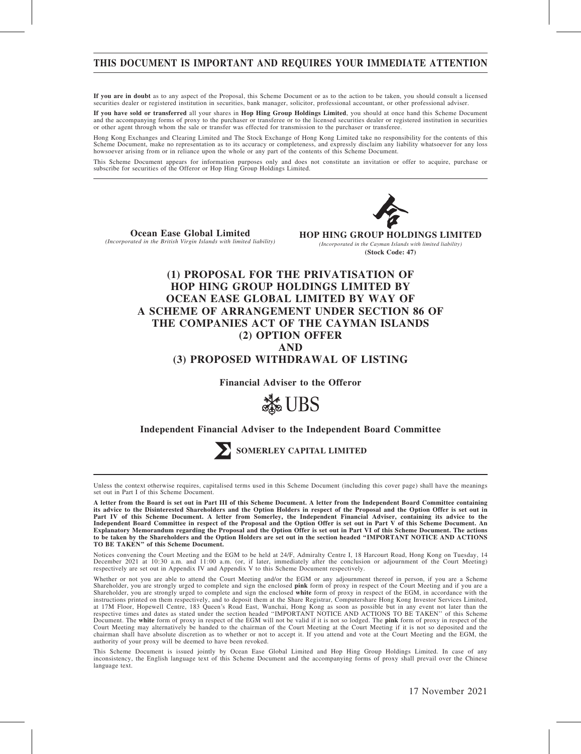# THIS DOCUMENT IS IMPORTANT AND REQUIRES YOUR IMMEDIATE ATTENTION

If you are in doubt as to any aspect of the Proposal, this Scheme Document or as to the action to be taken, you should consult a licensed securities dealer or registered institution in securities, bank manager, solicitor, professional accountant, or other professional adviser.

If you have sold or transferred all your shares in Hop Hing Group Holdings Limited, you should at once hand this Scheme Document and the accompanying forms of proxy to the purchaser or transferee or to the licensed securities dealer or registered institution in securities or other agent through whom the sale or transfer was effected for transmission to the purchaser or transferee.

Hong Kong Exchanges and Clearing Limited and The Stock Exchange of Hong Kong Limited take no responsibility for the contents of this Scheme Document, make no representation as to its accuracy or completeness, and expressly disclaim any liability whatsoever for any loss howsoever arising from or in reliance upon the whole or any part of the contents of this Scheme Document.

This Scheme Document appears for information purposes only and does not constitute an invitation or offer to acquire, purchase or subscribe for securities of the Offeror or Hop Hing Group Holdings Limited.



Ocean Ease Global Limited (Incorporated in the British Virgin Islands with limited liability) **HOP HING GROUP HOLDINGS LIMITED** *(Incorporated in the Cayman Islands with limited liability)* **(Stock Code: 47)**

# (1) PROPOSAL FOR THE PRIVATISATION OF HOP HING GROUP HOLDINGS LIMITED BY OCEAN EASE GLOBAL LIMITED BY WAY OF A SCHEME OF ARRANGEMENT UNDER SECTION 86 OF THE COMPANIES ACT OF THE CAYMAN ISLANDS (2) OPTION OFFER AND (3) PROPOSED WITHDRAWAL OF LISTING

Financial Adviser to the Offeror



### Independent Financial Adviser to the Independent Board Committee



SOMERLEY CAPITAL LIMITED

Unless the context otherwise requires, capitalised terms used in this Scheme Document (including this cover page) shall have the meanings set out in Part I of this Scheme Document.

Notices convening the Court Meeting and the EGM to be held at 24/F, Admiralty Centre I, 18 Harcourt Road, Hong Kong on Tuesday, 14<br>December 2021 at 10:30 a.m. and 11:00 a.m. (or, if later, immediately after the conclusion

Whether or not you are able to attend the Court Meeting and/or the EGM or any adjournment thereof in person, if you are a Scheme Shareholder, you are strongly urged to complete and sign the enclosed pink form of proxy in respect of the Court Meeting and if you are a Shareholder, you are strongly urged to complete and sign the enclosed white form of proxy in respect of the EGM, in accordance with the instructions printed on them respectively, and to deposit them at the Share Registrar, Computershare Hong Kong Investor Services Limited,<br>at 17M Floor, Hopewell Centre, 183 Queen's Road East, Wanchai, Hong Kong as soon as respective times and dates as stated under the section headed ''IMPORTANT NOTICE AND ACTIONS TO BE TAKEN'' of this Scheme Document. The white form of proxy in respect of the EGM will not be valid if it is not so lodged. The pink form of proxy in respect of the Court Meeting may alternatively be handed to the chairman of the Court Meeting at the Court Meeting if it is not so deposited and the chairman shall have absolute discretion as to whether or not to accept it. If you attend and vote at the Court Meeting and the EGM, the authority of your proxy will be deemed to have been revoked.

This Scheme Document is issued jointly by Ocean Ease Global Limited and Hop Hing Group Holdings Limited. In case of any<br>inconsistency, the English language text of this Scheme Document and the accompanying forms of proxy s language text.

A letter from the Board is set out in Part III of this Scheme Document. A letter from the Independent Board Committee containing its advice to the Disinterested Shareholders and the Option Holders in respect of the Proposal and the Option Offer is set out in Part IV of this Scheme Document. A letter from Somerley, the Independent Financial Adviser, containing its advice to the Independent Board Committee in respect of the Proposal and the Option Offer is set out in Part V of this Scheme Document. An Explanatory Memorandum regarding the Proposal and the Option Offer is set out in Part VI of this Scheme Document. The actions to be taken by the Shareholders and the Option Holders are set out in the section headed ''IMPORTANT NOTICE AND ACTIONS TO BE TAKEN'' of this Scheme Document.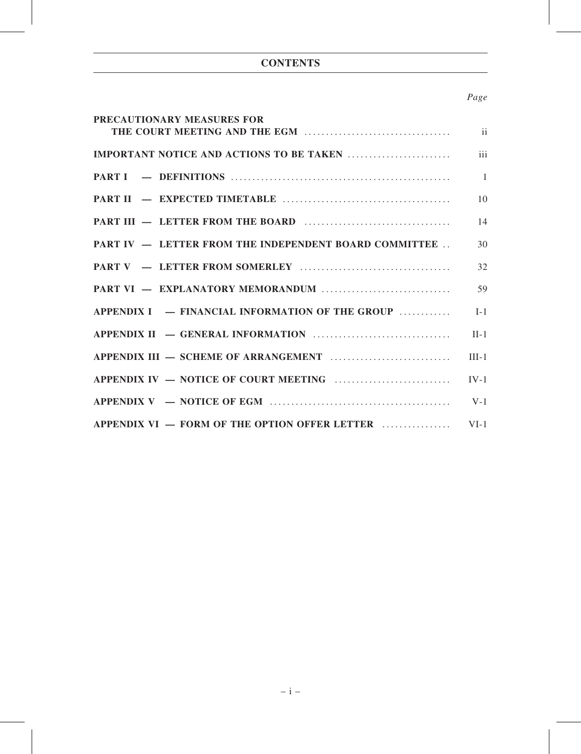# **CONTENTS**

# Page

| PRECAUTIONARY MEASURES FOR                                   |                |
|--------------------------------------------------------------|----------------|
|                                                              |                |
|                                                              | iii            |
|                                                              | $\overline{1}$ |
|                                                              | 10             |
|                                                              | 14             |
| <b>PART IV – LETTER FROM THE INDEPENDENT BOARD COMMITTEE</b> | 30             |
|                                                              | 32             |
|                                                              | 59             |
| $APPENDIX I = FINANCIAL INFORMATION OF THE GROUP$            | $I-1$          |
|                                                              | $II-1$         |
|                                                              | $III-1$        |
|                                                              | $IV-1$         |
|                                                              | $V-1$          |
| APPENDIX VI — FORM OF THE OPTION OFFER LETTER                | $VI-1$         |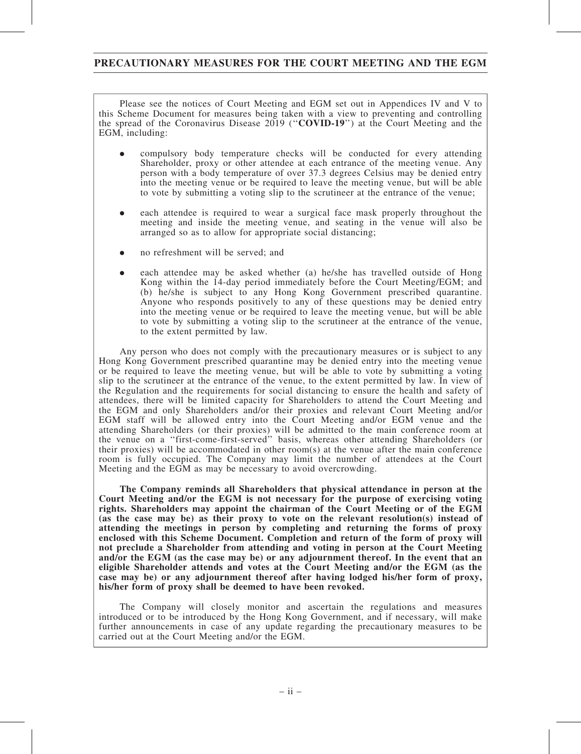# PRECAUTIONARY MEASURES FOR THE COURT MEETING AND THE EGM

Please see the notices of Court Meeting and EGM set out in Appendices IV and V to this Scheme Document for measures being taken with a view to preventing and controlling the spread of the Coronavirus Disease 2019 (''COVID-19'') at the Court Meeting and the EGM, including:

- . compulsory body temperature checks will be conducted for every attending Shareholder, proxy or other attendee at each entrance of the meeting venue. Any person with a body temperature of over 37.3 degrees Celsius may be denied entry into the meeting venue or be required to leave the meeting venue, but will be able to vote by submitting a voting slip to the scrutineer at the entrance of the venue;
- . each attendee is required to wear a surgical face mask properly throughout the meeting and inside the meeting venue, and seating in the venue will also be arranged so as to allow for appropriate social distancing;
- . no refreshment will be served; and
- . each attendee may be asked whether (a) he/she has travelled outside of Hong Kong within the 14-day period immediately before the Court Meeting/EGM; and (b) he/she is subject to any Hong Kong Government prescribed quarantine. Anyone who responds positively to any of these questions may be denied entry into the meeting venue or be required to leave the meeting venue, but will be able to vote by submitting a voting slip to the scrutineer at the entrance of the venue, to the extent permitted by law.

Any person who does not comply with the precautionary measures or is subject to any Hong Kong Government prescribed quarantine may be denied entry into the meeting venue or be required to leave the meeting venue, but will be able to vote by submitting a voting slip to the scrutineer at the entrance of the venue, to the extent permitted by law. In view of the Regulation and the requirements for social distancing to ensure the health and safety of attendees, there will be limited capacity for Shareholders to attend the Court Meeting and the EGM and only Shareholders and/or their proxies and relevant Court Meeting and/or EGM staff will be allowed entry into the Court Meeting and/or EGM venue and the attending Shareholders (or their proxies) will be admitted to the main conference room at the venue on a ''first-come-first-served'' basis, whereas other attending Shareholders (or their proxies) will be accommodated in other room(s) at the venue after the main conference room is fully occupied. The Company may limit the number of attendees at the Court Meeting and the EGM as may be necessary to avoid overcrowding.

The Company reminds all Shareholders that physical attendance in person at the Court Meeting and/or the EGM is not necessary for the purpose of exercising voting rights. Shareholders may appoint the chairman of the Court Meeting or of the EGM (as the case may be) as their proxy to vote on the relevant resolution(s) instead of attending the meetings in person by completing and returning the forms of proxy enclosed with this Scheme Document. Completion and return of the form of proxy will not preclude a Shareholder from attending and voting in person at the Court Meeting and/or the EGM (as the case may be) or any adjournment thereof. In the event that an eligible Shareholder attends and votes at the Court Meeting and/or the EGM (as the case may be) or any adjournment thereof after having lodged his/her form of proxy, his/her form of proxy shall be deemed to have been revoked.

The Company will closely monitor and ascertain the regulations and measures introduced or to be introduced by the Hong Kong Government, and if necessary, will make further announcements in case of any update regarding the precautionary measures to be carried out at the Court Meeting and/or the EGM.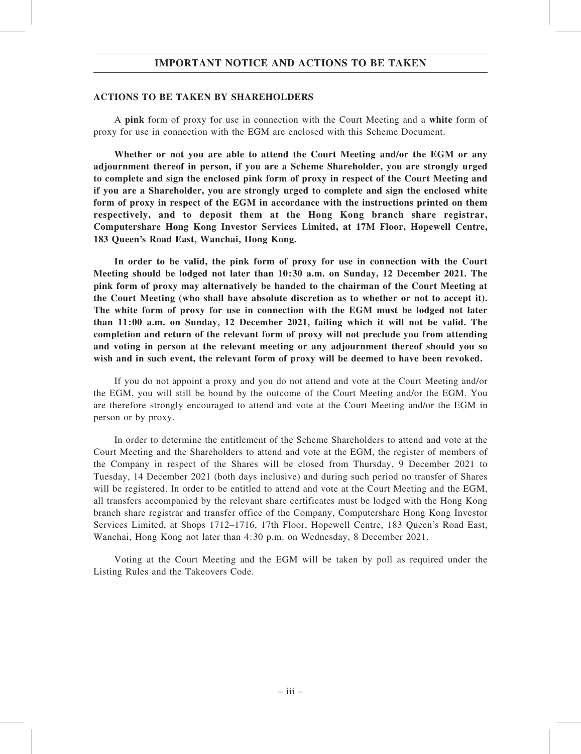### ACTIONS TO BE TAKEN BY SHAREHOLDERS

A pink form of proxy for use in connection with the Court Meeting and a white form of proxy for use in connection with the EGM are enclosed with this Scheme Document.

Whether or not you are able to attend the Court Meeting and/or the EGM or any adjournment thereof in person, if you are a Scheme Shareholder, you are strongly urged to complete and sign the enclosed pink form of proxy in respect of the Court Meeting and if you are a Shareholder, you are strongly urged to complete and sign the enclosed white form of proxy in respect of the EGM in accordance with the instructions printed on them respectively, and to deposit them at the Hong Kong branch share registrar, Computershare Hong Kong Investor Services Limited, at 17M Floor, Hopewell Centre, 183 Queen's Road East, Wanchai, Hong Kong.

In order to be valid, the pink form of proxy for use in connection with the Court Meeting should be lodged not later than 10:30 a.m. on Sunday, 12 December 2021. The pink form of proxy may alternatively be handed to the chairman of the Court Meeting at the Court Meeting (who shall have absolute discretion as to whether or not to accept it). The white form of proxy for use in connection with the EGM must be lodged not later than 11:00 a.m. on Sunday, 12 December 2021, failing which it will not be valid. The completion and return of the relevant form of proxy will not preclude you from attending and voting in person at the relevant meeting or any adjournment thereof should you so wish and in such event, the relevant form of proxy will be deemed to have been revoked.

If you do not appoint a proxy and you do not attend and vote at the Court Meeting and/or the EGM, you will still be bound by the outcome of the Court Meeting and/or the EGM. You are therefore strongly encouraged to attend and vote at the Court Meeting and/or the EGM in person or by proxy.

In order to determine the entitlement of the Scheme Shareholders to attend and vote at the Court Meeting and the Shareholders to attend and vote at the EGM, the register of members of the Company in respect of the Shares will be closed from Thursday, 9 December 2021 to Tuesday, 14 December 2021 (both days inclusive) and during such period no transfer of Shares will be registered. In order to be entitled to attend and vote at the Court Meeting and the EGM, all transfers accompanied by the relevant share certificates must be lodged with the Hong Kong branch share registrar and transfer office of the Company, Computershare Hong Kong Investor Services Limited, at Shops 1712–1716, 17th Floor, Hopewell Centre, 183 Queen's Road East, Wanchai, Hong Kong not later than 4:30 p.m. on Wednesday, 8 December 2021.

Voting at the Court Meeting and the EGM will be taken by poll as required under the Listing Rules and the Takeovers Code.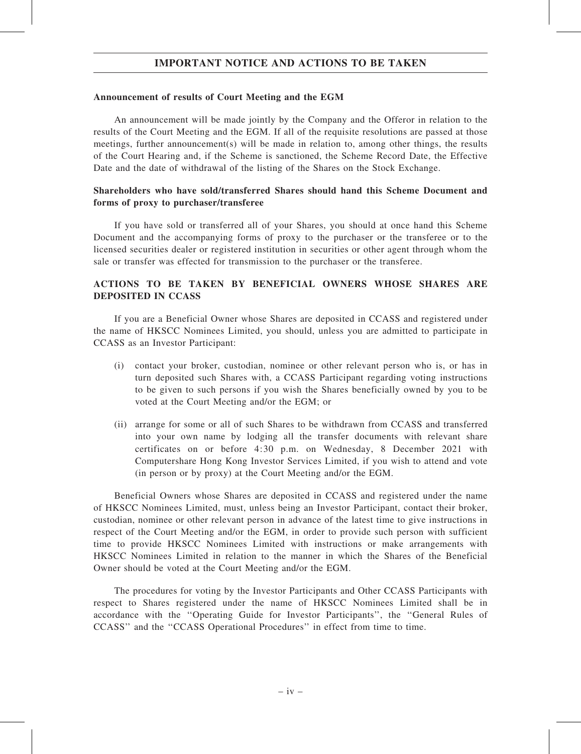### Announcement of results of Court Meeting and the EGM

An announcement will be made jointly by the Company and the Offeror in relation to the results of the Court Meeting and the EGM. If all of the requisite resolutions are passed at those meetings, further announcement(s) will be made in relation to, among other things, the results of the Court Hearing and, if the Scheme is sanctioned, the Scheme Record Date, the Effective Date and the date of withdrawal of the listing of the Shares on the Stock Exchange.

### Shareholders who have sold/transferred Shares should hand this Scheme Document and forms of proxy to purchaser/transferee

If you have sold or transferred all of your Shares, you should at once hand this Scheme Document and the accompanying forms of proxy to the purchaser or the transferee or to the licensed securities dealer or registered institution in securities or other agent through whom the sale or transfer was effected for transmission to the purchaser or the transferee.

# ACTIONS TO BE TAKEN BY BENEFICIAL OWNERS WHOSE SHARES ARE DEPOSITED IN CCASS

If you are a Beneficial Owner whose Shares are deposited in CCASS and registered under the name of HKSCC Nominees Limited, you should, unless you are admitted to participate in CCASS as an Investor Participant:

- (i) contact your broker, custodian, nominee or other relevant person who is, or has in turn deposited such Shares with, a CCASS Participant regarding voting instructions to be given to such persons if you wish the Shares beneficially owned by you to be voted at the Court Meeting and/or the EGM; or
- (ii) arrange for some or all of such Shares to be withdrawn from CCASS and transferred into your own name by lodging all the transfer documents with relevant share certificates on or before 4:30 p.m. on Wednesday, 8 December 2021 with Computershare Hong Kong Investor Services Limited, if you wish to attend and vote (in person or by proxy) at the Court Meeting and/or the EGM.

Beneficial Owners whose Shares are deposited in CCASS and registered under the name of HKSCC Nominees Limited, must, unless being an Investor Participant, contact their broker, custodian, nominee or other relevant person in advance of the latest time to give instructions in respect of the Court Meeting and/or the EGM, in order to provide such person with sufficient time to provide HKSCC Nominees Limited with instructions or make arrangements with HKSCC Nominees Limited in relation to the manner in which the Shares of the Beneficial Owner should be voted at the Court Meeting and/or the EGM.

The procedures for voting by the Investor Participants and Other CCASS Participants with respect to Shares registered under the name of HKSCC Nominees Limited shall be in accordance with the ''Operating Guide for Investor Participants'', the ''General Rules of CCASS'' and the ''CCASS Operational Procedures'' in effect from time to time.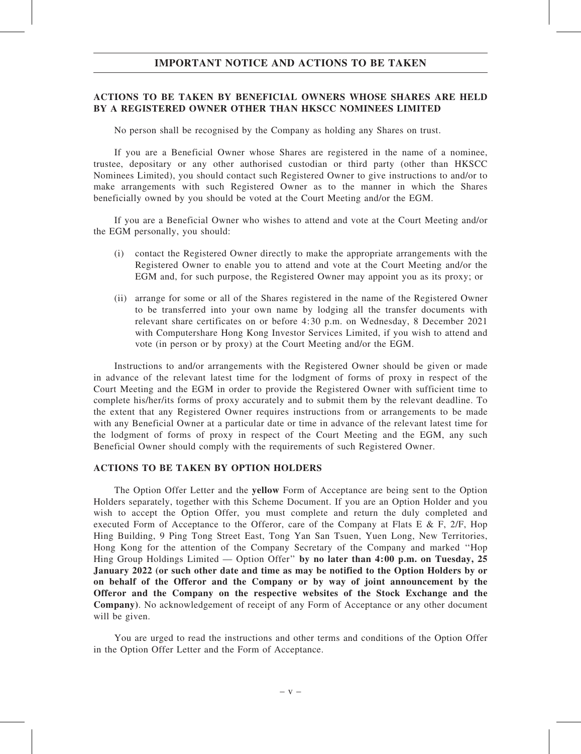### ACTIONS TO BE TAKEN BY BENEFICIAL OWNERS WHOSE SHARES ARE HELD BY A REGISTERED OWNER OTHER THAN HKSCC NOMINEES LIMITED

No person shall be recognised by the Company as holding any Shares on trust.

If you are a Beneficial Owner whose Shares are registered in the name of a nominee, trustee, depositary or any other authorised custodian or third party (other than HKSCC Nominees Limited), you should contact such Registered Owner to give instructions to and/or to make arrangements with such Registered Owner as to the manner in which the Shares beneficially owned by you should be voted at the Court Meeting and/or the EGM.

If you are a Beneficial Owner who wishes to attend and vote at the Court Meeting and/or the EGM personally, you should:

- (i) contact the Registered Owner directly to make the appropriate arrangements with the Registered Owner to enable you to attend and vote at the Court Meeting and/or the EGM and, for such purpose, the Registered Owner may appoint you as its proxy; or
- (ii) arrange for some or all of the Shares registered in the name of the Registered Owner to be transferred into your own name by lodging all the transfer documents with relevant share certificates on or before 4:30 p.m. on Wednesday, 8 December 2021 with Computershare Hong Kong Investor Services Limited, if you wish to attend and vote (in person or by proxy) at the Court Meeting and/or the EGM.

Instructions to and/or arrangements with the Registered Owner should be given or made in advance of the relevant latest time for the lodgment of forms of proxy in respect of the Court Meeting and the EGM in order to provide the Registered Owner with sufficient time to complete his/her/its forms of proxy accurately and to submit them by the relevant deadline. To the extent that any Registered Owner requires instructions from or arrangements to be made with any Beneficial Owner at a particular date or time in advance of the relevant latest time for the lodgment of forms of proxy in respect of the Court Meeting and the EGM, any such Beneficial Owner should comply with the requirements of such Registered Owner.

### ACTIONS TO BE TAKEN BY OPTION HOLDERS

The Option Offer Letter and the yellow Form of Acceptance are being sent to the Option Holders separately, together with this Scheme Document. If you are an Option Holder and you wish to accept the Option Offer, you must complete and return the duly completed and executed Form of Acceptance to the Offeror, care of the Company at Flats E & F, 2/F, Hop Hing Building, 9 Ping Tong Street East, Tong Yan San Tsuen, Yuen Long, New Territories, Hong Kong for the attention of the Company Secretary of the Company and marked ''Hop Hing Group Holdings Limited — Option Offer" by no later than 4:00 p.m. on Tuesday, 25 January 2022 (or such other date and time as may be notified to the Option Holders by or on behalf of the Offeror and the Company or by way of joint announcement by the Offeror and the Company on the respective websites of the Stock Exchange and the Company). No acknowledgement of receipt of any Form of Acceptance or any other document will be given.

You are urged to read the instructions and other terms and conditions of the Option Offer in the Option Offer Letter and the Form of Acceptance.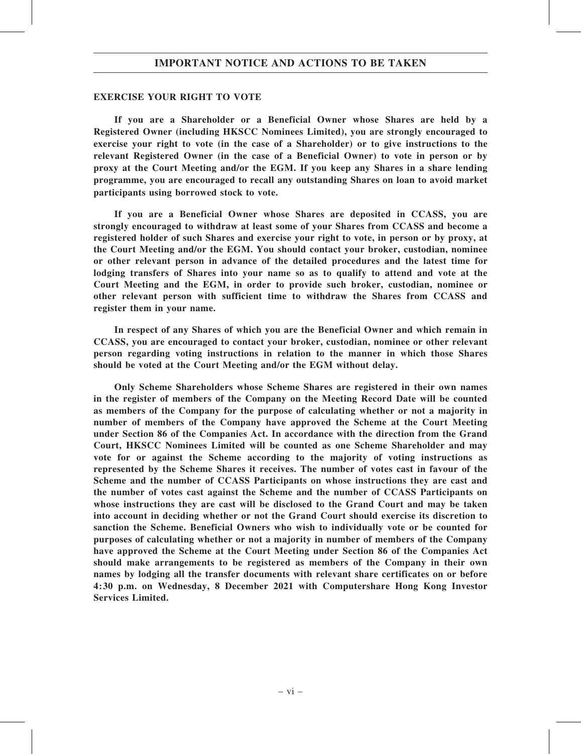### EXERCISE YOUR RIGHT TO VOTE

If you are a Shareholder or a Beneficial Owner whose Shares are held by a Registered Owner (including HKSCC Nominees Limited), you are strongly encouraged to exercise your right to vote (in the case of a Shareholder) or to give instructions to the relevant Registered Owner (in the case of a Beneficial Owner) to vote in person or by proxy at the Court Meeting and/or the EGM. If you keep any Shares in a share lending programme, you are encouraged to recall any outstanding Shares on loan to avoid market participants using borrowed stock to vote.

If you are a Beneficial Owner whose Shares are deposited in CCASS, you are strongly encouraged to withdraw at least some of your Shares from CCASS and become a registered holder of such Shares and exercise your right to vote, in person or by proxy, at the Court Meeting and/or the EGM. You should contact your broker, custodian, nominee or other relevant person in advance of the detailed procedures and the latest time for lodging transfers of Shares into your name so as to qualify to attend and vote at the Court Meeting and the EGM, in order to provide such broker, custodian, nominee or other relevant person with sufficient time to withdraw the Shares from CCASS and register them in your name.

In respect of any Shares of which you are the Beneficial Owner and which remain in CCASS, you are encouraged to contact your broker, custodian, nominee or other relevant person regarding voting instructions in relation to the manner in which those Shares should be voted at the Court Meeting and/or the EGM without delay.

Only Scheme Shareholders whose Scheme Shares are registered in their own names in the register of members of the Company on the Meeting Record Date will be counted as members of the Company for the purpose of calculating whether or not a majority in number of members of the Company have approved the Scheme at the Court Meeting under Section 86 of the Companies Act. In accordance with the direction from the Grand Court, HKSCC Nominees Limited will be counted as one Scheme Shareholder and may vote for or against the Scheme according to the majority of voting instructions as represented by the Scheme Shares it receives. The number of votes cast in favour of the Scheme and the number of CCASS Participants on whose instructions they are cast and the number of votes cast against the Scheme and the number of CCASS Participants on whose instructions they are cast will be disclosed to the Grand Court and may be taken into account in deciding whether or not the Grand Court should exercise its discretion to sanction the Scheme. Beneficial Owners who wish to individually vote or be counted for purposes of calculating whether or not a majority in number of members of the Company have approved the Scheme at the Court Meeting under Section 86 of the Companies Act should make arrangements to be registered as members of the Company in their own names by lodging all the transfer documents with relevant share certificates on or before 4:30 p.m. on Wednesday, 8 December 2021 with Computershare Hong Kong Investor Services Limited.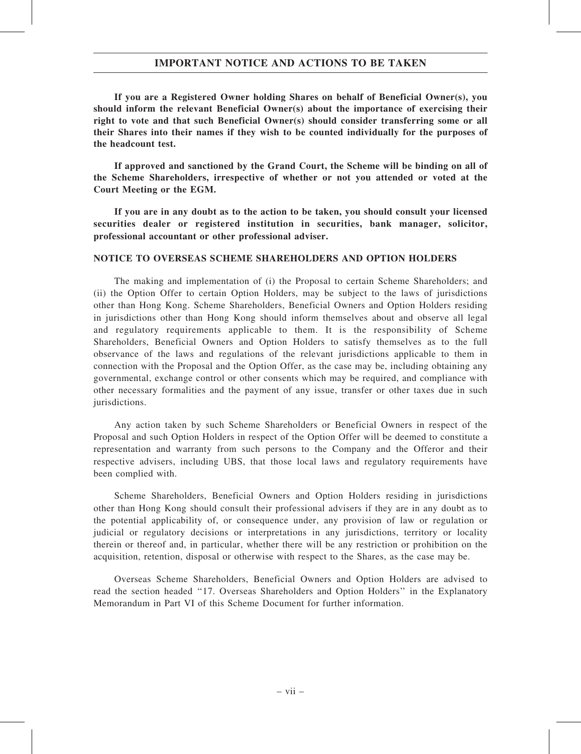If you are a Registered Owner holding Shares on behalf of Beneficial Owner(s), you should inform the relevant Beneficial Owner(s) about the importance of exercising their right to vote and that such Beneficial Owner(s) should consider transferring some or all their Shares into their names if they wish to be counted individually for the purposes of the headcount test.

If approved and sanctioned by the Grand Court, the Scheme will be binding on all of the Scheme Shareholders, irrespective of whether or not you attended or voted at the Court Meeting or the EGM.

If you are in any doubt as to the action to be taken, you should consult your licensed securities dealer or registered institution in securities, bank manager, solicitor, professional accountant or other professional adviser.

### NOTICE TO OVERSEAS SCHEME SHAREHOLDERS AND OPTION HOLDERS

The making and implementation of (i) the Proposal to certain Scheme Shareholders; and (ii) the Option Offer to certain Option Holders, may be subject to the laws of jurisdictions other than Hong Kong. Scheme Shareholders, Beneficial Owners and Option Holders residing in jurisdictions other than Hong Kong should inform themselves about and observe all legal and regulatory requirements applicable to them. It is the responsibility of Scheme Shareholders, Beneficial Owners and Option Holders to satisfy themselves as to the full observance of the laws and regulations of the relevant jurisdictions applicable to them in connection with the Proposal and the Option Offer, as the case may be, including obtaining any governmental, exchange control or other consents which may be required, and compliance with other necessary formalities and the payment of any issue, transfer or other taxes due in such jurisdictions.

Any action taken by such Scheme Shareholders or Beneficial Owners in respect of the Proposal and such Option Holders in respect of the Option Offer will be deemed to constitute a representation and warranty from such persons to the Company and the Offeror and their respective advisers, including UBS, that those local laws and regulatory requirements have been complied with.

Scheme Shareholders, Beneficial Owners and Option Holders residing in jurisdictions other than Hong Kong should consult their professional advisers if they are in any doubt as to the potential applicability of, or consequence under, any provision of law or regulation or judicial or regulatory decisions or interpretations in any jurisdictions, territory or locality therein or thereof and, in particular, whether there will be any restriction or prohibition on the acquisition, retention, disposal or otherwise with respect to the Shares, as the case may be.

Overseas Scheme Shareholders, Beneficial Owners and Option Holders are advised to read the section headed ''17. Overseas Shareholders and Option Holders'' in the Explanatory Memorandum in Part VI of this Scheme Document for further information.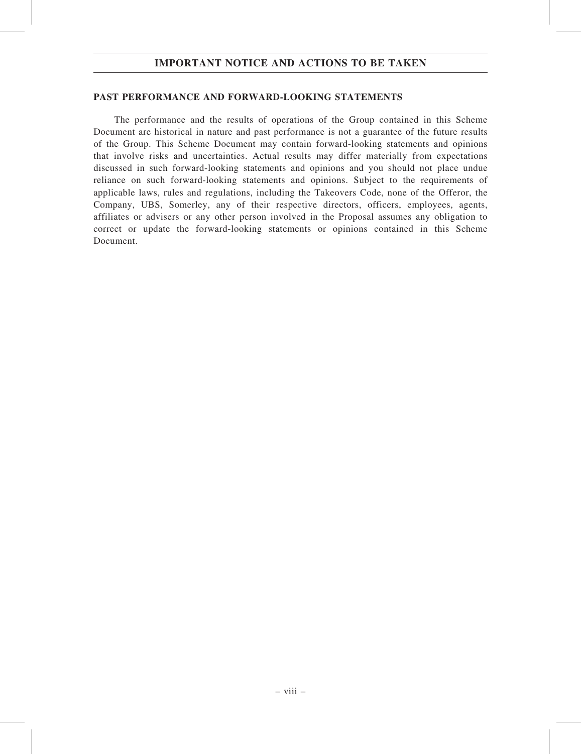### PAST PERFORMANCE AND FORWARD-LOOKING STATEMENTS

The performance and the results of operations of the Group contained in this Scheme Document are historical in nature and past performance is not a guarantee of the future results of the Group. This Scheme Document may contain forward-looking statements and opinions that involve risks and uncertainties. Actual results may differ materially from expectations discussed in such forward-looking statements and opinions and you should not place undue reliance on such forward-looking statements and opinions. Subject to the requirements of applicable laws, rules and regulations, including the Takeovers Code, none of the Offeror, the Company, UBS, Somerley, any of their respective directors, officers, employees, agents, affiliates or advisers or any other person involved in the Proposal assumes any obligation to correct or update the forward-looking statements or opinions contained in this Scheme Document.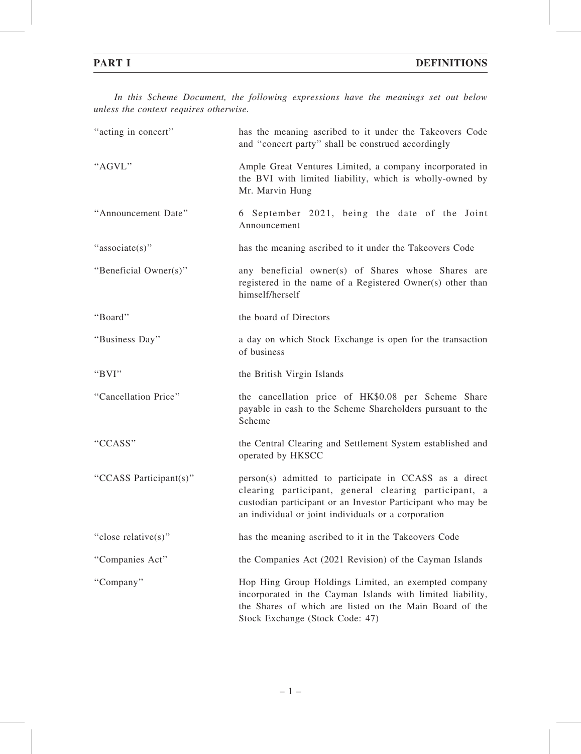In this Scheme Document, the following expressions have the meanings set out below unless the context requires otherwise.

| "acting in concert"    | has the meaning ascribed to it under the Takeovers Code<br>and "concert party" shall be construed accordingly                                                                                                                         |
|------------------------|---------------------------------------------------------------------------------------------------------------------------------------------------------------------------------------------------------------------------------------|
| "AGVL"                 | Ample Great Ventures Limited, a company incorporated in<br>the BVI with limited liability, which is wholly-owned by<br>Mr. Marvin Hung                                                                                                |
| "Announcement Date"    | 6 September 2021, being the date of the Joint<br>Announcement                                                                                                                                                                         |
| "associate(s)"         | has the meaning ascribed to it under the Takeovers Code                                                                                                                                                                               |
| "Beneficial Owner(s)"  | any beneficial owner(s) of Shares whose Shares are<br>registered in the name of a Registered Owner(s) other than<br>himself/herself                                                                                                   |
| "Board"                | the board of Directors                                                                                                                                                                                                                |
| "Business Day"         | a day on which Stock Exchange is open for the transaction<br>of business                                                                                                                                                              |
| "BVI"                  | the British Virgin Islands                                                                                                                                                                                                            |
| "Cancellation Price"   | the cancellation price of HK\$0.08 per Scheme Share<br>payable in cash to the Scheme Shareholders pursuant to the<br>Scheme                                                                                                           |
| "CCASS"                | the Central Clearing and Settlement System established and<br>operated by HKSCC                                                                                                                                                       |
| "CCASS Participant(s)" | person(s) admitted to participate in CCASS as a direct<br>clearing participant, general clearing participant, a<br>custodian participant or an Investor Participant who may be<br>an individual or joint individuals or a corporation |
| "close relative(s)"    | has the meaning ascribed to it in the Takeovers Code                                                                                                                                                                                  |
| "Companies Act"        | the Companies Act (2021 Revision) of the Cayman Islands                                                                                                                                                                               |
| "Company"              | Hop Hing Group Holdings Limited, an exempted company<br>incorporated in the Cayman Islands with limited liability,<br>the Shares of which are listed on the Main Board of the<br>Stock Exchange (Stock Code: 47)                      |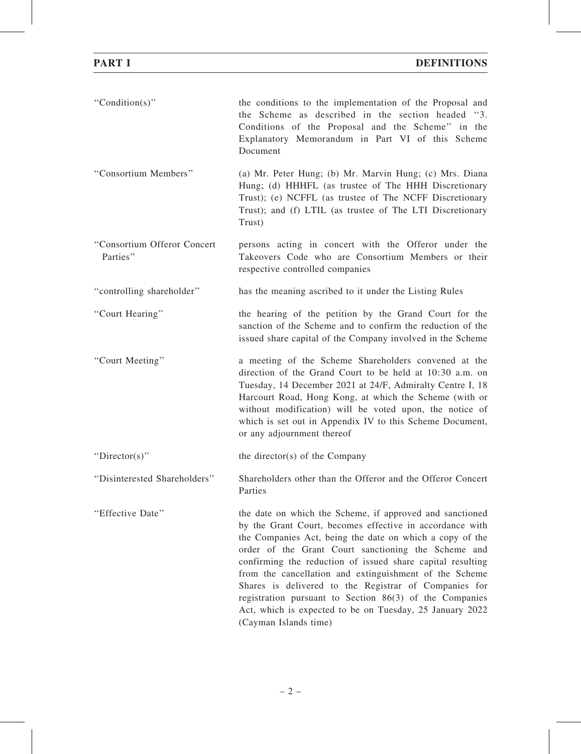| "Condition(s)"                          | the conditions to the implementation of the Proposal and<br>the Scheme as described in the section headed "3.<br>Conditions of the Proposal and the Scheme" in the<br>Explanatory Memorandum in Part VI of this Scheme<br>Document                                                                                                                                                                                                                                                                                                                                         |
|-----------------------------------------|----------------------------------------------------------------------------------------------------------------------------------------------------------------------------------------------------------------------------------------------------------------------------------------------------------------------------------------------------------------------------------------------------------------------------------------------------------------------------------------------------------------------------------------------------------------------------|
| "Consortium Members"                    | (a) Mr. Peter Hung; (b) Mr. Marvin Hung; (c) Mrs. Diana<br>Hung; (d) HHHFL (as trustee of The HHH Discretionary<br>Trust); (e) NCFFL (as trustee of The NCFF Discretionary<br>Trust); and (f) LTIL (as trustee of The LTI Discretionary<br>Trust)                                                                                                                                                                                                                                                                                                                          |
| "Consortium Offeror Concert<br>Parties" | persons acting in concert with the Offeror under the<br>Takeovers Code who are Consortium Members or their<br>respective controlled companies                                                                                                                                                                                                                                                                                                                                                                                                                              |
| "controlling shareholder"               | has the meaning ascribed to it under the Listing Rules                                                                                                                                                                                                                                                                                                                                                                                                                                                                                                                     |
| "Court Hearing"                         | the hearing of the petition by the Grand Court for the<br>sanction of the Scheme and to confirm the reduction of the<br>issued share capital of the Company involved in the Scheme                                                                                                                                                                                                                                                                                                                                                                                         |
| "Court Meeting"                         | a meeting of the Scheme Shareholders convened at the<br>direction of the Grand Court to be held at 10:30 a.m. on<br>Tuesday, 14 December 2021 at 24/F, Admiralty Centre I, 18<br>Harcourt Road, Hong Kong, at which the Scheme (with or<br>without modification) will be voted upon, the notice of<br>which is set out in Appendix IV to this Scheme Document,<br>or any adjournment thereof                                                                                                                                                                               |
| "Director(s)"                           | the director(s) of the Company                                                                                                                                                                                                                                                                                                                                                                                                                                                                                                                                             |
| "Disinterested Shareholders"            | Shareholders other than the Offeror and the Offeror Concert<br>Parties                                                                                                                                                                                                                                                                                                                                                                                                                                                                                                     |
| "Effective Date"                        | the date on which the Scheme, if approved and sanctioned<br>by the Grant Court, becomes effective in accordance with<br>the Companies Act, being the date on which a copy of the<br>order of the Grant Court sanctioning the Scheme and<br>confirming the reduction of issued share capital resulting<br>from the cancellation and extinguishment of the Scheme<br>Shares is delivered to the Registrar of Companies for<br>registration pursuant to Section $86(3)$ of the Companies<br>Act, which is expected to be on Tuesday, 25 January 2022<br>(Cayman Islands time) |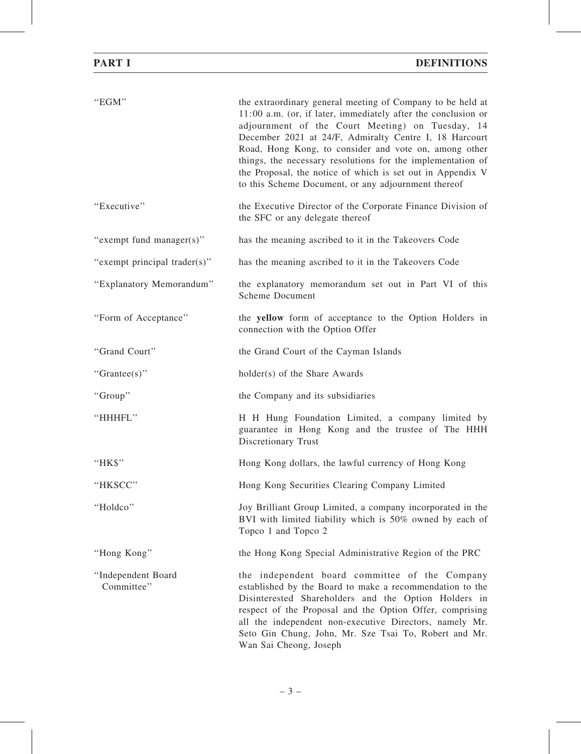| "EGM"                            | the extraordinary general meeting of Company to be held at<br>11:00 a.m. (or, if later, immediately after the conclusion or<br>adjournment of the Court Meeting) on Tuesday, 14<br>December 2021 at 24/F, Admiralty Centre I, 18 Harcourt<br>Road, Hong Kong, to consider and vote on, among other<br>things, the necessary resolutions for the implementation of<br>the Proposal, the notice of which is set out in Appendix V<br>to this Scheme Document, or any adjournment thereof |
|----------------------------------|----------------------------------------------------------------------------------------------------------------------------------------------------------------------------------------------------------------------------------------------------------------------------------------------------------------------------------------------------------------------------------------------------------------------------------------------------------------------------------------|
| "Executive"                      | the Executive Director of the Corporate Finance Division of<br>the SFC or any delegate thereof                                                                                                                                                                                                                                                                                                                                                                                         |
| "exempt fund manager(s)"         | has the meaning ascribed to it in the Takeovers Code                                                                                                                                                                                                                                                                                                                                                                                                                                   |
| "exempt principal trader(s)"     | has the meaning ascribed to it in the Takeovers Code                                                                                                                                                                                                                                                                                                                                                                                                                                   |
| "Explanatory Memorandum"         | the explanatory memorandum set out in Part VI of this<br><b>Scheme Document</b>                                                                                                                                                                                                                                                                                                                                                                                                        |
| "Form of Acceptance"             | the yellow form of acceptance to the Option Holders in<br>connection with the Option Offer                                                                                                                                                                                                                                                                                                                                                                                             |
| "Grand Court"                    | the Grand Court of the Cayman Islands                                                                                                                                                                                                                                                                                                                                                                                                                                                  |
| " $Grantee(s)$ "                 | holder(s) of the Share Awards                                                                                                                                                                                                                                                                                                                                                                                                                                                          |
| "Group"                          | the Company and its subsidiaries                                                                                                                                                                                                                                                                                                                                                                                                                                                       |
| "HHHFL"                          | H H Hung Foundation Limited, a company limited by<br>guarantee in Hong Kong and the trustee of The HHH<br>Discretionary Trust                                                                                                                                                                                                                                                                                                                                                          |
| "HK\$"                           | Hong Kong dollars, the lawful currency of Hong Kong                                                                                                                                                                                                                                                                                                                                                                                                                                    |
| "HKSCC"                          | Hong Kong Securities Clearing Company Limited                                                                                                                                                                                                                                                                                                                                                                                                                                          |
| "Holdco"                         | Joy Brilliant Group Limited, a company incorporated in the<br>BVI with limited liability which is 50% owned by each of<br>Topco 1 and Topco 2                                                                                                                                                                                                                                                                                                                                          |
| "Hong Kong"                      | the Hong Kong Special Administrative Region of the PRC                                                                                                                                                                                                                                                                                                                                                                                                                                 |
| "Independent Board<br>Committee" | the independent board committee of the Company<br>established by the Board to make a recommendation to the<br>Disinterested Shareholders and the Option Holders in<br>respect of the Proposal and the Option Offer, comprising<br>all the independent non-executive Directors, namely Mr.<br>Seto Gin Chung, John, Mr. Sze Tsai To, Robert and Mr.<br>Wan Sai Cheong, Joseph                                                                                                           |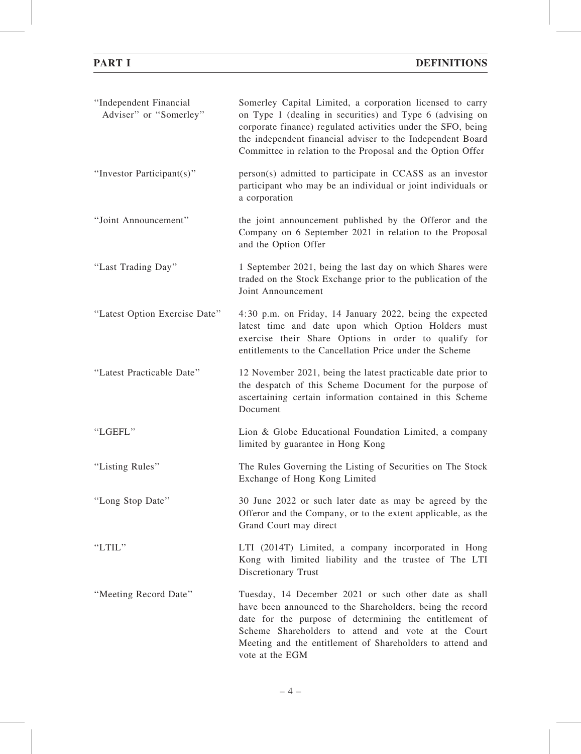| "Independent Financial<br>Adviser" or "Somerley" | Somerley Capital Limited, a corporation licensed to carry<br>on Type 1 (dealing in securities) and Type 6 (advising on<br>corporate finance) regulated activities under the SFO, being<br>the independent financial adviser to the Independent Board<br>Committee in relation to the Proposal and the Option Offer  |
|--------------------------------------------------|---------------------------------------------------------------------------------------------------------------------------------------------------------------------------------------------------------------------------------------------------------------------------------------------------------------------|
| "Investor Participant(s)"                        | person(s) admitted to participate in CCASS as an investor<br>participant who may be an individual or joint individuals or<br>a corporation                                                                                                                                                                          |
| "Joint Announcement"                             | the joint announcement published by the Offeror and the<br>Company on 6 September 2021 in relation to the Proposal<br>and the Option Offer                                                                                                                                                                          |
| "Last Trading Day"                               | 1 September 2021, being the last day on which Shares were<br>traded on the Stock Exchange prior to the publication of the<br>Joint Announcement                                                                                                                                                                     |
| "Latest Option Exercise Date"                    | 4:30 p.m. on Friday, 14 January 2022, being the expected<br>latest time and date upon which Option Holders must<br>exercise their Share Options in order to qualify for<br>entitlements to the Cancellation Price under the Scheme                                                                                  |
| "Latest Practicable Date"                        | 12 November 2021, being the latest practicable date prior to<br>the despatch of this Scheme Document for the purpose of<br>ascertaining certain information contained in this Scheme<br>Document                                                                                                                    |
| "LGEFL"                                          | Lion & Globe Educational Foundation Limited, a company<br>limited by guarantee in Hong Kong                                                                                                                                                                                                                         |
| "Listing Rules"                                  | The Rules Governing the Listing of Securities on The Stock<br>Exchange of Hong Kong Limited                                                                                                                                                                                                                         |
| "Long Stop Date"                                 | 30 June 2022 or such later date as may be agreed by the<br>Offeror and the Company, or to the extent applicable, as the<br>Grand Court may direct                                                                                                                                                                   |
| "LTIL"                                           | LTI (2014T) Limited, a company incorporated in Hong<br>Kong with limited liability and the trustee of The LTI<br>Discretionary Trust                                                                                                                                                                                |
| "Meeting Record Date"                            | Tuesday, 14 December 2021 or such other date as shall<br>have been announced to the Shareholders, being the record<br>date for the purpose of determining the entitlement of<br>Scheme Shareholders to attend and vote at the Court<br>Meeting and the entitlement of Shareholders to attend and<br>vote at the EGM |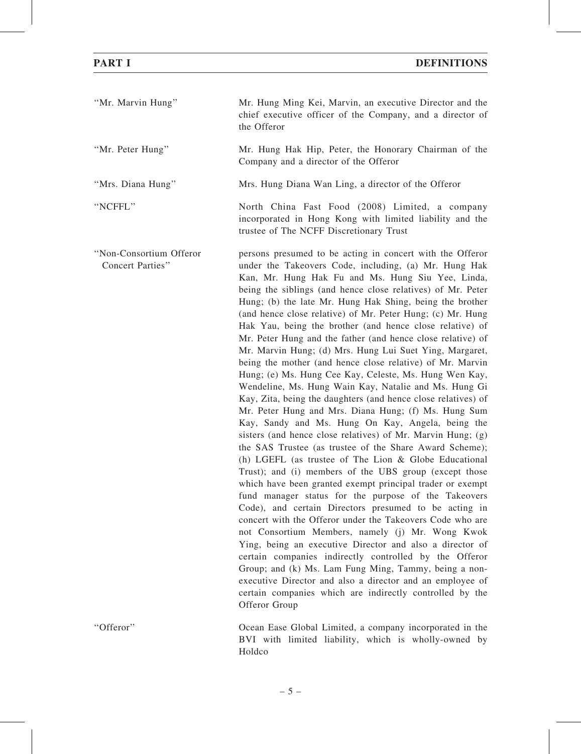| "Mr. Marvin Hung"                           | Mr. Hung Ming Kei, Marvin, an executive Director and the<br>chief executive officer of the Company, and a director of<br>the Offeror                                                                                                                                                                                                                                                                                                                                                                                                                                                                                                                                                                                                                                                                                                                                                                                                                                                                                                                                                                                                                                                                                                                                                                                                                                                                                                                                                                                                                                                                                                                                                                                                                                                         |
|---------------------------------------------|----------------------------------------------------------------------------------------------------------------------------------------------------------------------------------------------------------------------------------------------------------------------------------------------------------------------------------------------------------------------------------------------------------------------------------------------------------------------------------------------------------------------------------------------------------------------------------------------------------------------------------------------------------------------------------------------------------------------------------------------------------------------------------------------------------------------------------------------------------------------------------------------------------------------------------------------------------------------------------------------------------------------------------------------------------------------------------------------------------------------------------------------------------------------------------------------------------------------------------------------------------------------------------------------------------------------------------------------------------------------------------------------------------------------------------------------------------------------------------------------------------------------------------------------------------------------------------------------------------------------------------------------------------------------------------------------------------------------------------------------------------------------------------------------|
| "Mr. Peter Hung"                            | Mr. Hung Hak Hip, Peter, the Honorary Chairman of the<br>Company and a director of the Offeror                                                                                                                                                                                                                                                                                                                                                                                                                                                                                                                                                                                                                                                                                                                                                                                                                                                                                                                                                                                                                                                                                                                                                                                                                                                                                                                                                                                                                                                                                                                                                                                                                                                                                               |
| "Mrs. Diana Hung"                           | Mrs. Hung Diana Wan Ling, a director of the Offeror                                                                                                                                                                                                                                                                                                                                                                                                                                                                                                                                                                                                                                                                                                                                                                                                                                                                                                                                                                                                                                                                                                                                                                                                                                                                                                                                                                                                                                                                                                                                                                                                                                                                                                                                          |
| "NCFFL"                                     | North China Fast Food (2008) Limited, a company<br>incorporated in Hong Kong with limited liability and the<br>trustee of The NCFF Discretionary Trust                                                                                                                                                                                                                                                                                                                                                                                                                                                                                                                                                                                                                                                                                                                                                                                                                                                                                                                                                                                                                                                                                                                                                                                                                                                                                                                                                                                                                                                                                                                                                                                                                                       |
| "Non-Consortium Offeror<br>Concert Parties" | persons presumed to be acting in concert with the Offeror<br>under the Takeovers Code, including, (a) Mr. Hung Hak<br>Kan, Mr. Hung Hak Fu and Ms. Hung Siu Yee, Linda,<br>being the siblings (and hence close relatives) of Mr. Peter<br>Hung; (b) the late Mr. Hung Hak Shing, being the brother<br>(and hence close relative) of Mr. Peter Hung; (c) Mr. Hung<br>Hak Yau, being the brother (and hence close relative) of<br>Mr. Peter Hung and the father (and hence close relative) of<br>Mr. Marvin Hung; (d) Mrs. Hung Lui Suet Ying, Margaret,<br>being the mother (and hence close relative) of Mr. Marvin<br>Hung; (e) Ms. Hung Cee Kay, Celeste, Ms. Hung Wen Kay,<br>Wendeline, Ms. Hung Wain Kay, Natalie and Ms. Hung Gi<br>Kay, Zita, being the daughters (and hence close relatives) of<br>Mr. Peter Hung and Mrs. Diana Hung; (f) Ms. Hung Sum<br>Kay, Sandy and Ms. Hung On Kay, Angela, being the<br>sisters (and hence close relatives) of Mr. Marvin Hung; (g)<br>the SAS Trustee (as trustee of the Share Award Scheme);<br>(h) LGEFL (as trustee of The Lion $\&$ Globe Educational<br>Trust); and (i) members of the UBS group (except those<br>which have been granted exempt principal trader or exempt<br>fund manager status for the purpose of the Takeovers<br>Code), and certain Directors presumed to be acting in<br>concert with the Offeror under the Takeovers Code who are<br>not Consortium Members, namely (j) Mr. Wong Kwok<br>Ying, being an executive Director and also a director of<br>certain companies indirectly controlled by the Offeror<br>Group; and (k) Ms. Lam Fung Ming, Tammy, being a non-<br>executive Director and also a director and an employee of<br>certain companies which are indirectly controlled by the<br>Offeror Group |
| "Offeror"                                   | Ocean Ease Global Limited, a company incorporated in the                                                                                                                                                                                                                                                                                                                                                                                                                                                                                                                                                                                                                                                                                                                                                                                                                                                                                                                                                                                                                                                                                                                                                                                                                                                                                                                                                                                                                                                                                                                                                                                                                                                                                                                                     |

BVI with limited liability, which is wholly-owned by Holdco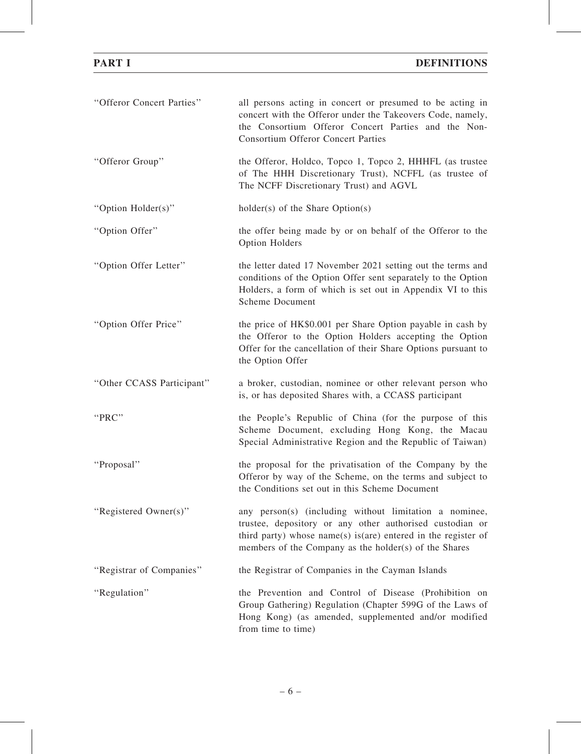| "Offeror Concert Parties" | all persons acting in concert or presumed to be acting in<br>concert with the Offeror under the Takeovers Code, namely,<br>the Consortium Offeror Concert Parties and the Non-<br><b>Consortium Offeror Concert Parties</b>                  |
|---------------------------|----------------------------------------------------------------------------------------------------------------------------------------------------------------------------------------------------------------------------------------------|
| "Offeror Group"           | the Offeror, Holdco, Topco 1, Topco 2, HHHFL (as trustee<br>of The HHH Discretionary Trust), NCFFL (as trustee of<br>The NCFF Discretionary Trust) and AGVL                                                                                  |
| "Option Holder(s)"        | $holder(s)$ of the Share Option(s)                                                                                                                                                                                                           |
| "Option Offer"            | the offer being made by or on behalf of the Offeror to the<br>Option Holders                                                                                                                                                                 |
| "Option Offer Letter"     | the letter dated 17 November 2021 setting out the terms and<br>conditions of the Option Offer sent separately to the Option<br>Holders, a form of which is set out in Appendix VI to this<br><b>Scheme Document</b>                          |
| "Option Offer Price"      | the price of HK\$0.001 per Share Option payable in cash by<br>the Offeror to the Option Holders accepting the Option<br>Offer for the cancellation of their Share Options pursuant to<br>the Option Offer                                    |
| "Other CCASS Participant" | a broker, custodian, nominee or other relevant person who<br>is, or has deposited Shares with, a CCASS participant                                                                                                                           |
| "PRC"                     | the People's Republic of China (for the purpose of this<br>Scheme Document, excluding Hong Kong, the Macau<br>Special Administrative Region and the Republic of Taiwan)                                                                      |
| "Proposal"                | the proposal for the privatisation of the Company by the<br>Offeror by way of the Scheme, on the terms and subject to<br>the Conditions set out in this Scheme Document                                                                      |
| "Registered Owner(s)"     | any person(s) (including without limitation a nominee,<br>trustee, depository or any other authorised custodian or<br>third party) whose name(s) is(are) entered in the register of<br>members of the Company as the holder(s) of the Shares |
| "Registrar of Companies"  | the Registrar of Companies in the Cayman Islands                                                                                                                                                                                             |
| "Regulation"              | the Prevention and Control of Disease (Prohibition on<br>Group Gathering) Regulation (Chapter 599G of the Laws of<br>Hong Kong) (as amended, supplemented and/or modified<br>from time to time)                                              |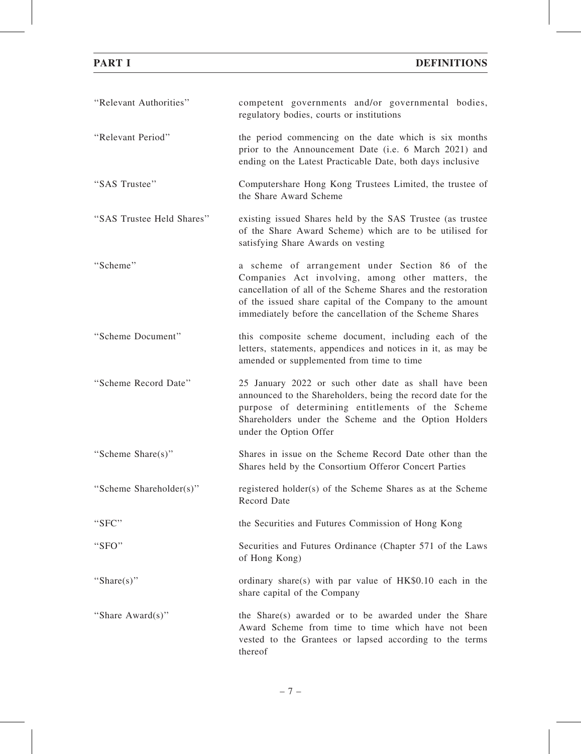| "Relevant Authorities"    | competent governments and/or governmental bodies,<br>regulatory bodies, courts or institutions                                                                                                                                                                                               |
|---------------------------|----------------------------------------------------------------------------------------------------------------------------------------------------------------------------------------------------------------------------------------------------------------------------------------------|
| "Relevant Period"         | the period commencing on the date which is six months<br>prior to the Announcement Date (i.e. 6 March 2021) and<br>ending on the Latest Practicable Date, both days inclusive                                                                                                                |
| "SAS Trustee"             | Computershare Hong Kong Trustees Limited, the trustee of<br>the Share Award Scheme                                                                                                                                                                                                           |
| "SAS Trustee Held Shares" | existing issued Shares held by the SAS Trustee (as trustee<br>of the Share Award Scheme) which are to be utilised for<br>satisfying Share Awards on vesting                                                                                                                                  |
| "Scheme"                  | a scheme of arrangement under Section 86 of the<br>Companies Act involving, among other matters, the<br>cancellation of all of the Scheme Shares and the restoration<br>of the issued share capital of the Company to the amount<br>immediately before the cancellation of the Scheme Shares |
| "Scheme Document"         | this composite scheme document, including each of the<br>letters, statements, appendices and notices in it, as may be<br>amended or supplemented from time to time                                                                                                                           |
| "Scheme Record Date"      | 25 January 2022 or such other date as shall have been<br>announced to the Shareholders, being the record date for the<br>purpose of determining entitlements of the Scheme<br>Shareholders under the Scheme and the Option Holders<br>under the Option Offer                                 |
| "Scheme Share(s)"         | Shares in issue on the Scheme Record Date other than the<br>Shares held by the Consortium Offeror Concert Parties                                                                                                                                                                            |
| "Scheme Shareholder(s)"   | registered holder(s) of the Scheme Shares as at the Scheme<br>Record Date                                                                                                                                                                                                                    |
| "SFC"                     | the Securities and Futures Commission of Hong Kong                                                                                                                                                                                                                                           |
| "SFO"                     | Securities and Futures Ordinance (Chapter 571 of the Laws<br>of Hong Kong)                                                                                                                                                                                                                   |
| "Share(s)"                | ordinary share(s) with par value of $HK$0.10$ each in the<br>share capital of the Company                                                                                                                                                                                                    |
| "Share Award(s)"          | the Share(s) awarded or to be awarded under the Share<br>Award Scheme from time to time which have not been<br>vested to the Grantees or lapsed according to the terms<br>thereof                                                                                                            |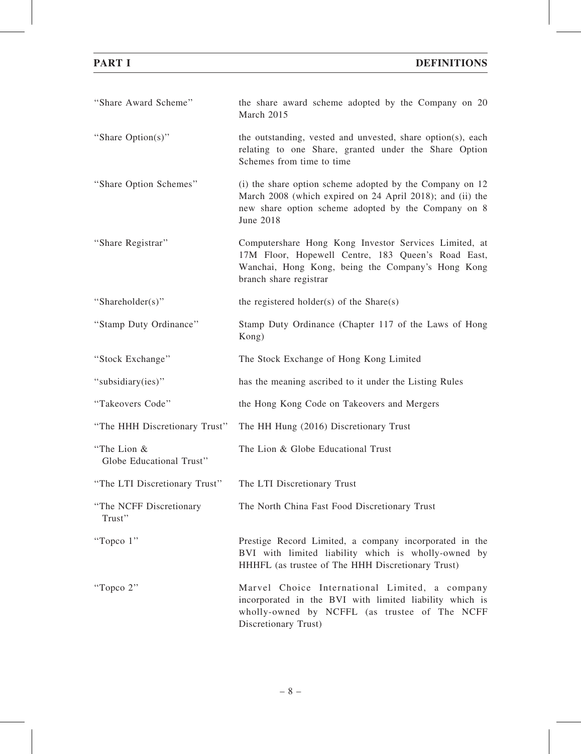| "Share Award Scheme"                    | the share award scheme adopted by the Company on 20<br>March 2015                                                                                                                                |
|-----------------------------------------|--------------------------------------------------------------------------------------------------------------------------------------------------------------------------------------------------|
| "Share Option(s)"                       | the outstanding, vested and unvested, share option(s), each<br>relating to one Share, granted under the Share Option<br>Schemes from time to time                                                |
| "Share Option Schemes"                  | (i) the share option scheme adopted by the Company on 12<br>March 2008 (which expired on 24 April 2018); and (ii) the<br>new share option scheme adopted by the Company on 8<br><b>June 2018</b> |
| "Share Registrar"                       | Computershare Hong Kong Investor Services Limited, at<br>17M Floor, Hopewell Centre, 183 Queen's Road East,<br>Wanchai, Hong Kong, being the Company's Hong Kong<br>branch share registrar       |
| "Shareholder(s)"                        | the registered holder(s) of the $Share(s)$                                                                                                                                                       |
| "Stamp Duty Ordinance"                  | Stamp Duty Ordinance (Chapter 117 of the Laws of Hong<br>Kong)                                                                                                                                   |
| "Stock Exchange"                        | The Stock Exchange of Hong Kong Limited                                                                                                                                                          |
| "subsidiary(ies)"                       | has the meaning ascribed to it under the Listing Rules                                                                                                                                           |
| "Takeovers Code"                        | the Hong Kong Code on Takeovers and Mergers                                                                                                                                                      |
| "The HHH Discretionary Trust"           | The HH Hung (2016) Discretionary Trust                                                                                                                                                           |
| "The Lion &<br>Globe Educational Trust" | The Lion & Globe Educational Trust                                                                                                                                                               |
| "The LTI Discretionary Trust"           | The LTI Discretionary Trust                                                                                                                                                                      |
| "The NCFF Discretionary<br>Trust"       | The North China Fast Food Discretionary Trust                                                                                                                                                    |
| "Topco 1"                               | Prestige Record Limited, a company incorporated in the<br>BVI with limited liability which is wholly-owned by<br>HHHFL (as trustee of The HHH Discretionary Trust)                               |
| "Topco 2"                               | Marvel Choice International Limited, a company<br>incorporated in the BVI with limited liability which is<br>wholly-owned by NCFFL (as trustee of The NCFF<br>Discretionary Trust)               |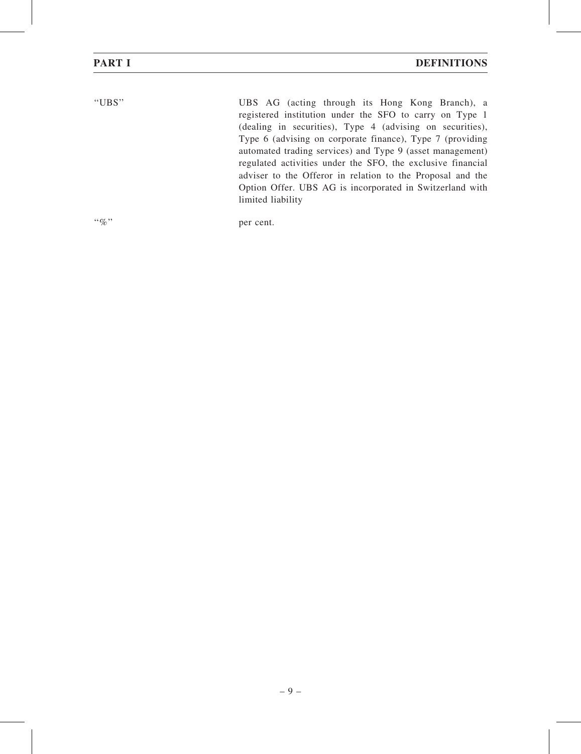| ۰.<br>٧ |  |
|---------|--|
|         |  |

UBS AG (acting through its Hong Kong Branch), a registered institution under the SFO to carry on Type 1 (dealing in securities), Type 4 (advising on securities), Type 6 (advising on corporate finance), Type 7 (providing automated trading services) and Type 9 (asset management) regulated activities under the SFO, the exclusive financial adviser to the Offeror in relation to the Proposal and the Option Offer. UBS AG is incorporated in Switzerland with limited liability

"%" per cent.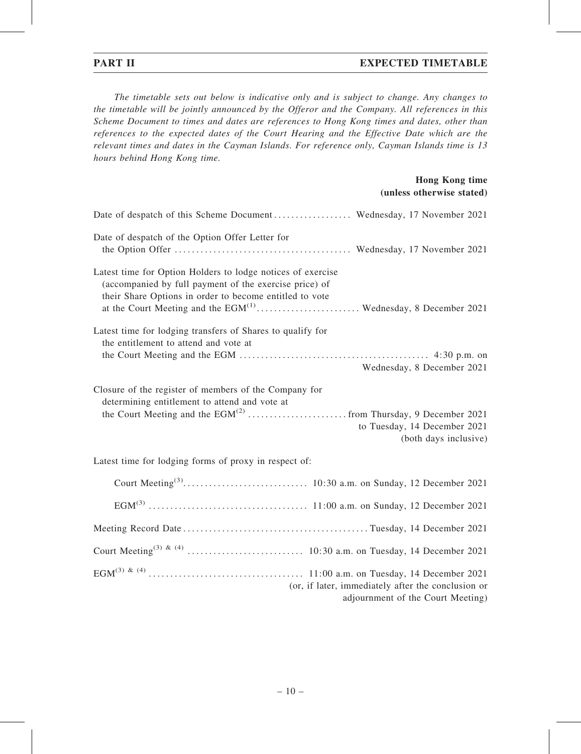# PART II EXPECTED TIMETABLE

The timetable sets out below is indicative only and is subject to change. Any changes to the timetable will be jointly announced by the Offeror and the Company. All references in this Scheme Document to times and dates are references to Hong Kong times and dates, other than references to the expected dates of the Court Hearing and the Effective Date which are the relevant times and dates in the Cayman Islands. For reference only, Cayman Islands time is 13 hours behind Hong Kong time.

### Hong Kong time (unless otherwise stated)

| Date of despatch of the Option Offer Letter for                                                                                                                                                                                                         |                                                                                         |
|---------------------------------------------------------------------------------------------------------------------------------------------------------------------------------------------------------------------------------------------------------|-----------------------------------------------------------------------------------------|
| Latest time for Option Holders to lodge notices of exercise<br>(accompanied by full payment of the exercise price) of<br>their Share Options in order to become entitled to vote<br>at the Court Meeting and the $EGM^{(1)}$ Wednesday, 8 December 2021 |                                                                                         |
| Latest time for lodging transfers of Shares to qualify for<br>the entitlement to attend and vote at                                                                                                                                                     |                                                                                         |
|                                                                                                                                                                                                                                                         | Wednesday, 8 December 2021                                                              |
| Closure of the register of members of the Company for<br>determining entitlement to attend and vote at                                                                                                                                                  | to Tuesday, 14 December 2021<br>(both days inclusive)                                   |
| Latest time for lodging forms of proxy in respect of:                                                                                                                                                                                                   |                                                                                         |
|                                                                                                                                                                                                                                                         |                                                                                         |
|                                                                                                                                                                                                                                                         |                                                                                         |
|                                                                                                                                                                                                                                                         |                                                                                         |
|                                                                                                                                                                                                                                                         |                                                                                         |
|                                                                                                                                                                                                                                                         | (or, if later, immediately after the conclusion or<br>adjournment of the Court Meeting) |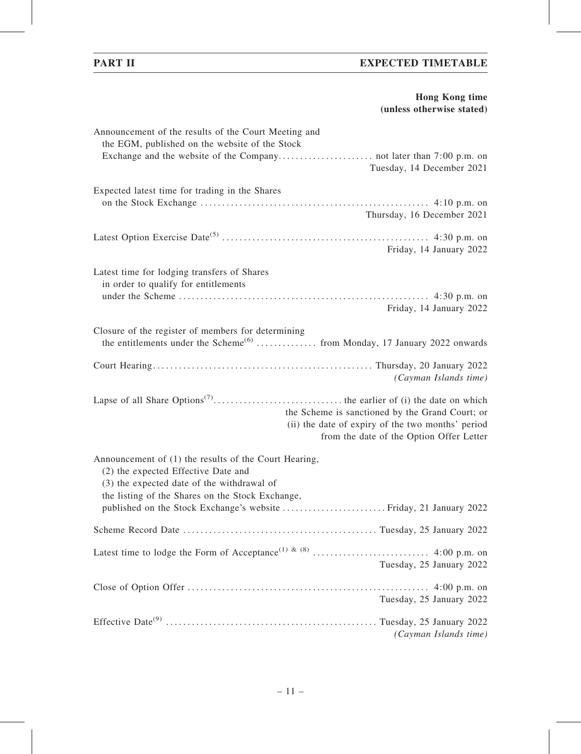# PART II EXPECTED TIMETABLE

# Hong Kong time (unless otherwise stated)

| Announcement of the results of the Court Meeting and<br>the EGM, published on the website of the Stock                                                                                                                                                               |
|----------------------------------------------------------------------------------------------------------------------------------------------------------------------------------------------------------------------------------------------------------------------|
| Tuesday, 14 December 2021                                                                                                                                                                                                                                            |
| Expected latest time for trading in the Shares<br>Thursday, 16 December 2021                                                                                                                                                                                         |
| Friday, 14 January 2022                                                                                                                                                                                                                                              |
| Latest time for lodging transfers of Shares<br>in order to qualify for entitlements                                                                                                                                                                                  |
| Friday, 14 January 2022                                                                                                                                                                                                                                              |
| Closure of the register of members for determining<br>the entitlements under the Scheme <sup>(6)</sup> from Monday, 17 January 2022 onwards                                                                                                                          |
| (Cayman Islands time)                                                                                                                                                                                                                                                |
| the Scheme is sanctioned by the Grand Court; or<br>(ii) the date of expiry of the two months' period<br>from the date of the Option Offer Letter                                                                                                                     |
| Announcement of (1) the results of the Court Hearing,<br>(2) the expected Effective Date and<br>(3) the expected date of the withdrawal of<br>the listing of the Shares on the Stock Exchange,<br>published on the Stock Exchange's website  Friday, 21 January 2022 |
|                                                                                                                                                                                                                                                                      |
| Tuesday, 25 January 2022                                                                                                                                                                                                                                             |
| Tuesday, 25 January 2022                                                                                                                                                                                                                                             |
| (Cayman Islands time)                                                                                                                                                                                                                                                |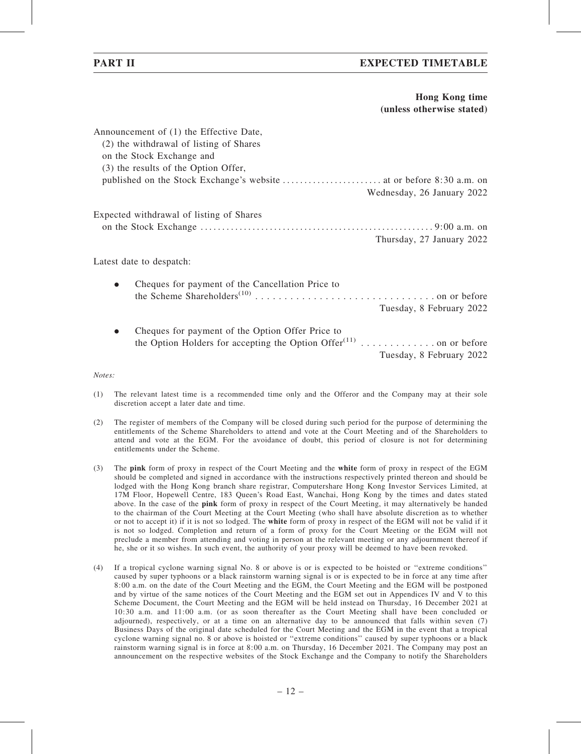### Hong Kong time (unless otherwise stated)

|                                          | Announcement of (1) the Effective Date,<br>(2) the withdrawal of listing of Shares<br>on the Stock Exchange and<br>(3) the results of the Option Offer, |                            |  |  |  |  |
|------------------------------------------|---------------------------------------------------------------------------------------------------------------------------------------------------------|----------------------------|--|--|--|--|
|                                          |                                                                                                                                                         | Wednesday, 26 January 2022 |  |  |  |  |
| Expected withdrawal of listing of Shares |                                                                                                                                                         |                            |  |  |  |  |
|                                          |                                                                                                                                                         | Thursday, 27 January 2022  |  |  |  |  |
| Latest date to despatch:                 |                                                                                                                                                         |                            |  |  |  |  |
| $\bullet$                                | Cheques for payment of the Cancellation Price to                                                                                                        | Tuesday, 8 February 2022   |  |  |  |  |

. Cheques for payment of the Option Offer Price to the Option Holders for accepting the Option Offer<sup> $(11)$ </sup> . . . . . . . . . . . . . . on or before Tuesday, 8 February 2022

Notes:

- (1) The relevant latest time is a recommended time only and the Offeror and the Company may at their sole discretion accept a later date and time.
- (2) The register of members of the Company will be closed during such period for the purpose of determining the entitlements of the Scheme Shareholders to attend and vote at the Court Meeting and of the Shareholders to attend and vote at the EGM. For the avoidance of doubt, this period of closure is not for determining entitlements under the Scheme.
- (3) The pink form of proxy in respect of the Court Meeting and the white form of proxy in respect of the EGM should be completed and signed in accordance with the instructions respectively printed thereon and should be lodged with the Hong Kong branch share registrar, Computershare Hong Kong Investor Services Limited, at 17M Floor, Hopewell Centre, 183 Queen's Road East, Wanchai, Hong Kong by the times and dates stated above. In the case of the **pink** form of proxy in respect of the Court Meeting, it may alternatively be handed to the chairman of the Court Meeting at the Court Meeting (who shall have absolute discretion as to whether or not to accept it) if it is not so lodged. The white form of proxy in respect of the EGM will not be valid if it is not so lodged. Completion and return of a form of proxy for the Court Meeting or the EGM will not preclude a member from attending and voting in person at the relevant meeting or any adjournment thereof if he, she or it so wishes. In such event, the authority of your proxy will be deemed to have been revoked.
- (4) If a tropical cyclone warning signal No. 8 or above is or is expected to be hoisted or ''extreme conditions'' caused by super typhoons or a black rainstorm warning signal is or is expected to be in force at any time after 8:00 a.m. on the date of the Court Meeting and the EGM, the Court Meeting and the EGM will be postponed and by virtue of the same notices of the Court Meeting and the EGM set out in Appendices IV and V to this Scheme Document, the Court Meeting and the EGM will be held instead on Thursday, 16 December 2021 at 10:30 a.m. and 11:00 a.m. (or as soon thereafter as the Court Meeting shall have been concluded or adjourned), respectively, or at a time on an alternative day to be announced that falls within seven (7) Business Days of the original date scheduled for the Court Meeting and the EGM in the event that a tropical cyclone warning signal no. 8 or above is hoisted or ''extreme conditions'' caused by super typhoons or a black rainstorm warning signal is in force at 8:00 a.m. on Thursday, 16 December 2021. The Company may post an announcement on the respective websites of the Stock Exchange and the Company to notify the Shareholders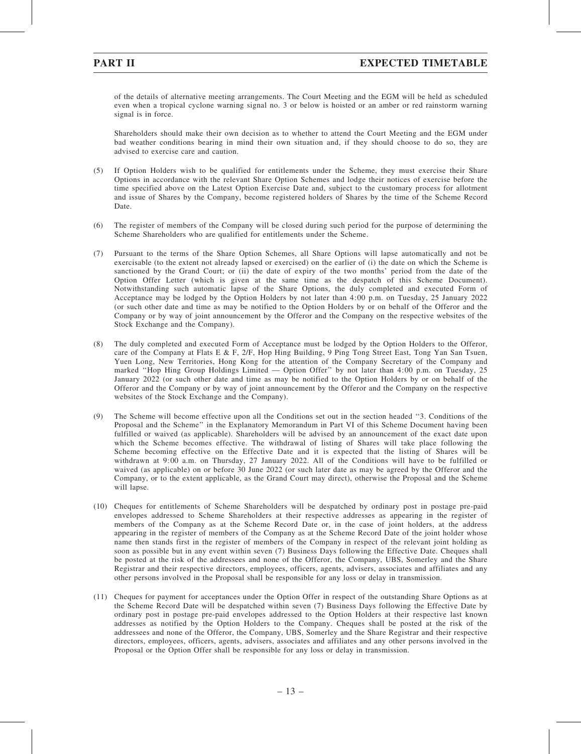of the details of alternative meeting arrangements. The Court Meeting and the EGM will be held as scheduled even when a tropical cyclone warning signal no. 3 or below is hoisted or an amber or red rainstorm warning signal is in force.

Shareholders should make their own decision as to whether to attend the Court Meeting and the EGM under bad weather conditions bearing in mind their own situation and, if they should choose to do so, they are advised to exercise care and caution.

- (5) If Option Holders wish to be qualified for entitlements under the Scheme, they must exercise their Share Options in accordance with the relevant Share Option Schemes and lodge their notices of exercise before the time specified above on the Latest Option Exercise Date and, subject to the customary process for allotment and issue of Shares by the Company, become registered holders of Shares by the time of the Scheme Record Date.
- (6) The register of members of the Company will be closed during such period for the purpose of determining the Scheme Shareholders who are qualified for entitlements under the Scheme.
- (7) Pursuant to the terms of the Share Option Schemes, all Share Options will lapse automatically and not be exercisable (to the extent not already lapsed or exercised) on the earlier of (i) the date on which the Scheme is sanctioned by the Grand Court; or (ii) the date of expiry of the two months' period from the date of the Option Offer Letter (which is given at the same time as the despatch of this Scheme Document). Notwithstanding such automatic lapse of the Share Options, the duly completed and executed Form of Acceptance may be lodged by the Option Holders by not later than 4:00 p.m. on Tuesday, 25 January 2022 (or such other date and time as may be notified to the Option Holders by or on behalf of the Offeror and the Company or by way of joint announcement by the Offeror and the Company on the respective websites of the Stock Exchange and the Company).
- (8) The duly completed and executed Form of Acceptance must be lodged by the Option Holders to the Offeror, care of the Company at Flats E & F, 2/F, Hop Hing Building, 9 Ping Tong Street East, Tong Yan San Tsuen, Yuen Long, New Territories, Hong Kong for the attention of the Company Secretary of the Company and marked ''Hop Hing Group Holdings Limited — Option Offer'' by not later than 4:00 p.m. on Tuesday, 25 January 2022 (or such other date and time as may be notified to the Option Holders by or on behalf of the Offeror and the Company or by way of joint announcement by the Offeror and the Company on the respective websites of the Stock Exchange and the Company).
- (9) The Scheme will become effective upon all the Conditions set out in the section headed ''3. Conditions of the Proposal and the Scheme'' in the Explanatory Memorandum in Part VI of this Scheme Document having been fulfilled or waived (as applicable). Shareholders will be advised by an announcement of the exact date upon which the Scheme becomes effective. The withdrawal of listing of Shares will take place following the Scheme becoming effective on the Effective Date and it is expected that the listing of Shares will be withdrawn at 9:00 a.m. on Thursday, 27 January 2022. All of the Conditions will have to be fulfilled or waived (as applicable) on or before 30 June 2022 (or such later date as may be agreed by the Offeror and the Company, or to the extent applicable, as the Grand Court may direct), otherwise the Proposal and the Scheme will lapse.
- (10) Cheques for entitlements of Scheme Shareholders will be despatched by ordinary post in postage pre-paid envelopes addressed to Scheme Shareholders at their respective addresses as appearing in the register of members of the Company as at the Scheme Record Date or, in the case of joint holders, at the address appearing in the register of members of the Company as at the Scheme Record Date of the joint holder whose name then stands first in the register of members of the Company in respect of the relevant joint holding as soon as possible but in any event within seven (7) Business Days following the Effective Date. Cheques shall be posted at the risk of the addressees and none of the Offeror, the Company, UBS, Somerley and the Share Registrar and their respective directors, employees, officers, agents, advisers, associates and affiliates and any other persons involved in the Proposal shall be responsible for any loss or delay in transmission.
- (11) Cheques for payment for acceptances under the Option Offer in respect of the outstanding Share Options as at the Scheme Record Date will be despatched within seven (7) Business Days following the Effective Date by ordinary post in postage pre-paid envelopes addressed to the Option Holders at their respective last known addresses as notified by the Option Holders to the Company. Cheques shall be posted at the risk of the addressees and none of the Offeror, the Company, UBS, Somerley and the Share Registrar and their respective directors, employees, officers, agents, advisers, associates and affiliates and any other persons involved in the Proposal or the Option Offer shall be responsible for any loss or delay in transmission.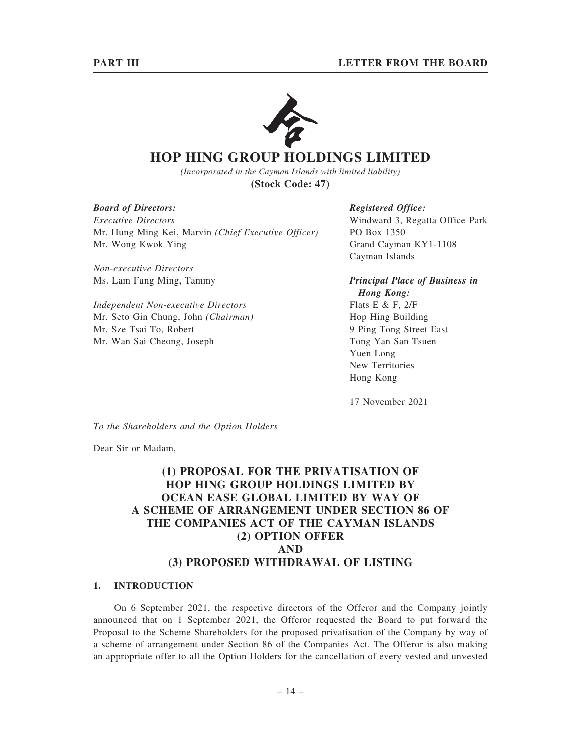

# **HOP HING GROUP HOLDINGS LIMITED**

*(Incorporated in the Cayman Islands with limited liability)* **(Stock Code: 47)**

Board of Directors:

Executive Directors Mr. Hung Ming Kei, Marvin (Chief Executive Officer) Mr. Wong Kwok Ying

Non-executive Directors Ms. Lam Fung Ming, Tammy

Independent Non-executive Directors Mr. Seto Gin Chung, John (Chairman) Mr. Sze Tsai To, Robert Mr. Wan Sai Cheong, Joseph

# Registered Office:

Windward 3, Regatta Office Park PO Box 1350 Grand Cayman KY1-1108 Cayman Islands

Principal Place of Business in Hong Kong: Flats E & F, 2/F Hop Hing Building 9 Ping Tong Street East Tong Yan San Tsuen Yuen Long New Territories

17 November 2021

Hong Kong

To the Shareholders and the Option Holders

Dear Sir or Madam,

# (1) PROPOSAL FOR THE PRIVATISATION OF HOP HING GROUP HOLDINGS LIMITED BY OCEAN EASE GLOBAL LIMITED BY WAY OF A SCHEME OF ARRANGEMENT UNDER SECTION 86 OF THE COMPANIES ACT OF THE CAYMAN ISLANDS (2) OPTION OFFER AND (3) PROPOSED WITHDRAWAL OF LISTING

# 1. INTRODUCTION

On 6 September 2021, the respective directors of the Offeror and the Company jointly announced that on 1 September 2021, the Offeror requested the Board to put forward the Proposal to the Scheme Shareholders for the proposed privatisation of the Company by way of a scheme of arrangement under Section 86 of the Companies Act. The Offeror is also making an appropriate offer to all the Option Holders for the cancellation of every vested and unvested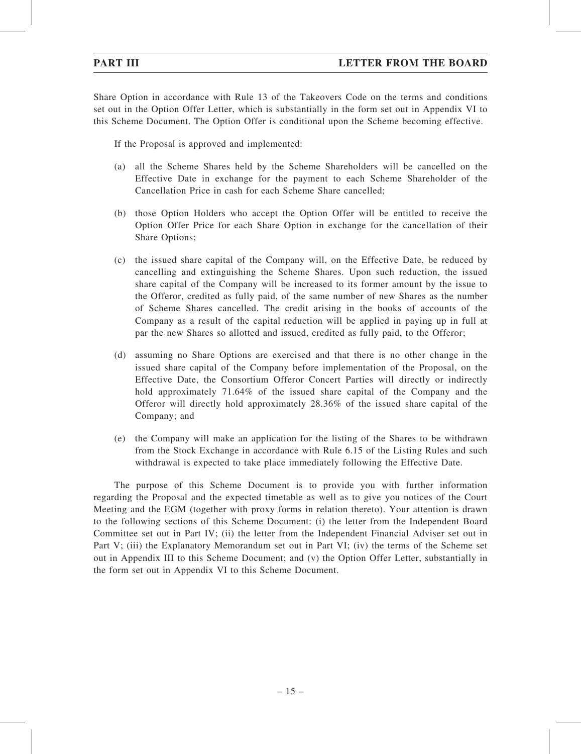Share Option in accordance with Rule 13 of the Takeovers Code on the terms and conditions set out in the Option Offer Letter, which is substantially in the form set out in Appendix VI to this Scheme Document. The Option Offer is conditional upon the Scheme becoming effective.

If the Proposal is approved and implemented:

- (a) all the Scheme Shares held by the Scheme Shareholders will be cancelled on the Effective Date in exchange for the payment to each Scheme Shareholder of the Cancellation Price in cash for each Scheme Share cancelled;
- (b) those Option Holders who accept the Option Offer will be entitled to receive the Option Offer Price for each Share Option in exchange for the cancellation of their Share Options;
- (c) the issued share capital of the Company will, on the Effective Date, be reduced by cancelling and extinguishing the Scheme Shares. Upon such reduction, the issued share capital of the Company will be increased to its former amount by the issue to the Offeror, credited as fully paid, of the same number of new Shares as the number of Scheme Shares cancelled. The credit arising in the books of accounts of the Company as a result of the capital reduction will be applied in paying up in full at par the new Shares so allotted and issued, credited as fully paid, to the Offeror;
- (d) assuming no Share Options are exercised and that there is no other change in the issued share capital of the Company before implementation of the Proposal, on the Effective Date, the Consortium Offeror Concert Parties will directly or indirectly hold approximately 71.64% of the issued share capital of the Company and the Offeror will directly hold approximately 28.36% of the issued share capital of the Company; and
- (e) the Company will make an application for the listing of the Shares to be withdrawn from the Stock Exchange in accordance with Rule 6.15 of the Listing Rules and such withdrawal is expected to take place immediately following the Effective Date.

The purpose of this Scheme Document is to provide you with further information regarding the Proposal and the expected timetable as well as to give you notices of the Court Meeting and the EGM (together with proxy forms in relation thereto). Your attention is drawn to the following sections of this Scheme Document: (i) the letter from the Independent Board Committee set out in Part IV; (ii) the letter from the Independent Financial Adviser set out in Part V; (iii) the Explanatory Memorandum set out in Part VI; (iv) the terms of the Scheme set out in Appendix III to this Scheme Document; and (v) the Option Offer Letter, substantially in the form set out in Appendix VI to this Scheme Document.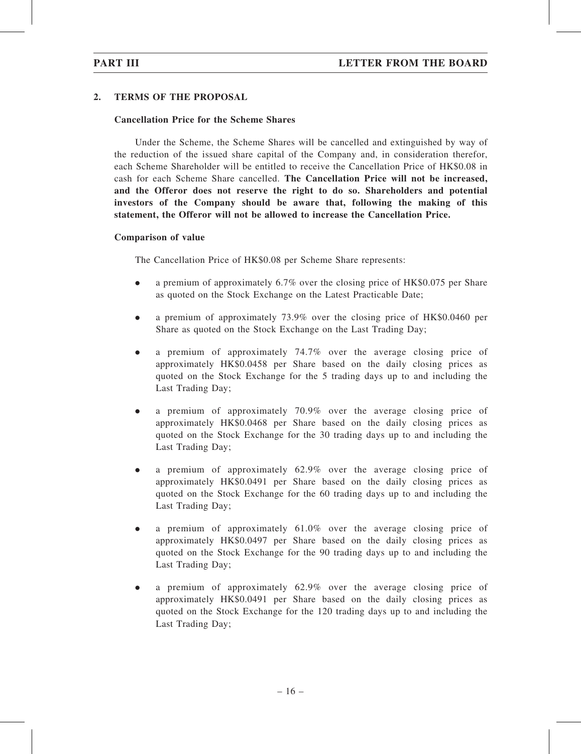### 2. TERMS OF THE PROPOSAL

### Cancellation Price for the Scheme Shares

Under the Scheme, the Scheme Shares will be cancelled and extinguished by way of the reduction of the issued share capital of the Company and, in consideration therefor, each Scheme Shareholder will be entitled to receive the Cancellation Price of HK\$0.08 in cash for each Scheme Share cancelled. The Cancellation Price will not be increased, and the Offeror does not reserve the right to do so. Shareholders and potential investors of the Company should be aware that, following the making of this statement, the Offeror will not be allowed to increase the Cancellation Price.

### Comparison of value

The Cancellation Price of HK\$0.08 per Scheme Share represents:

- . a premium of approximately 6.7% over the closing price of HK\$0.075 per Share as quoted on the Stock Exchange on the Latest Practicable Date;
- . a premium of approximately 73.9% over the closing price of HK\$0.0460 per Share as quoted on the Stock Exchange on the Last Trading Day;
- $\bullet$  a premium of approximately 74.7% over the average closing price of approximately HK\$0.0458 per Share based on the daily closing prices as quoted on the Stock Exchange for the 5 trading days up to and including the Last Trading Day;
- . a premium of approximately 70.9% over the average closing price of approximately HK\$0.0468 per Share based on the daily closing prices as quoted on the Stock Exchange for the 30 trading days up to and including the Last Trading Day;
- . a premium of approximately 62.9% over the average closing price of approximately HK\$0.0491 per Share based on the daily closing prices as quoted on the Stock Exchange for the 60 trading days up to and including the Last Trading Day;
- $\bullet$  a premium of approximately 61.0% over the average closing price of approximately HK\$0.0497 per Share based on the daily closing prices as quoted on the Stock Exchange for the 90 trading days up to and including the Last Trading Day;
- . a premium of approximately 62.9% over the average closing price of approximately HK\$0.0491 per Share based on the daily closing prices as quoted on the Stock Exchange for the 120 trading days up to and including the Last Trading Day;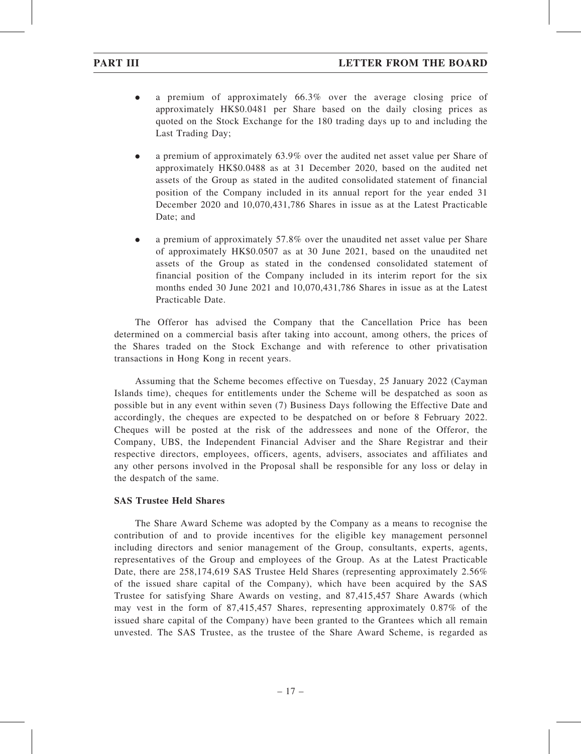- . a premium of approximately 66.3% over the average closing price of approximately HK\$0.0481 per Share based on the daily closing prices as quoted on the Stock Exchange for the 180 trading days up to and including the Last Trading Day;
- . a premium of approximately 63.9% over the audited net asset value per Share of approximately HK\$0.0488 as at 31 December 2020, based on the audited net assets of the Group as stated in the audited consolidated statement of financial position of the Company included in its annual report for the year ended 31 December 2020 and 10,070,431,786 Shares in issue as at the Latest Practicable Date; and
- . a premium of approximately 57.8% over the unaudited net asset value per Share of approximately HK\$0.0507 as at 30 June 2021, based on the unaudited net assets of the Group as stated in the condensed consolidated statement of financial position of the Company included in its interim report for the six months ended 30 June 2021 and 10,070,431,786 Shares in issue as at the Latest Practicable Date.

The Offeror has advised the Company that the Cancellation Price has been determined on a commercial basis after taking into account, among others, the prices of the Shares traded on the Stock Exchange and with reference to other privatisation transactions in Hong Kong in recent years.

Assuming that the Scheme becomes effective on Tuesday, 25 January 2022 (Cayman Islands time), cheques for entitlements under the Scheme will be despatched as soon as possible but in any event within seven (7) Business Days following the Effective Date and accordingly, the cheques are expected to be despatched on or before 8 February 2022. Cheques will be posted at the risk of the addressees and none of the Offeror, the Company, UBS, the Independent Financial Adviser and the Share Registrar and their respective directors, employees, officers, agents, advisers, associates and affiliates and any other persons involved in the Proposal shall be responsible for any loss or delay in the despatch of the same.

### SAS Trustee Held Shares

The Share Award Scheme was adopted by the Company as a means to recognise the contribution of and to provide incentives for the eligible key management personnel including directors and senior management of the Group, consultants, experts, agents, representatives of the Group and employees of the Group. As at the Latest Practicable Date, there are 258,174,619 SAS Trustee Held Shares (representing approximately 2.56%) of the issued share capital of the Company), which have been acquired by the SAS Trustee for satisfying Share Awards on vesting, and 87,415,457 Share Awards (which may vest in the form of 87,415,457 Shares, representing approximately 0.87% of the issued share capital of the Company) have been granted to the Grantees which all remain unvested. The SAS Trustee, as the trustee of the Share Award Scheme, is regarded as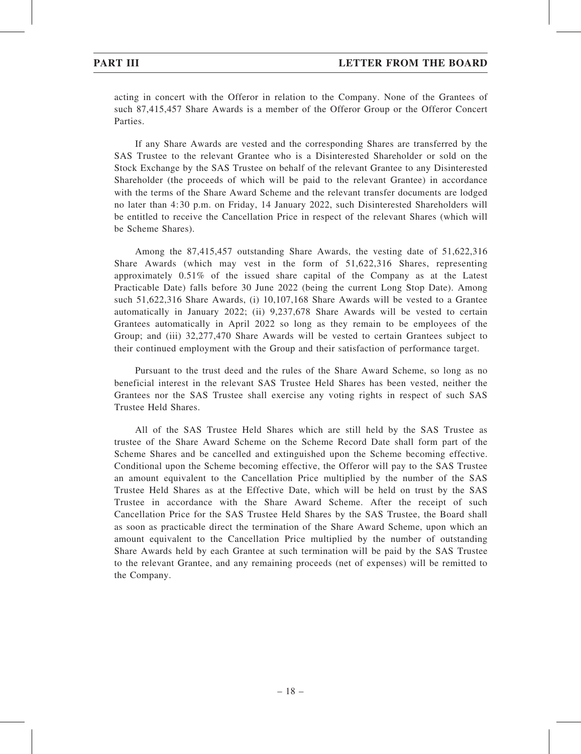acting in concert with the Offeror in relation to the Company. None of the Grantees of such 87,415,457 Share Awards is a member of the Offeror Group or the Offeror Concert Parties.

If any Share Awards are vested and the corresponding Shares are transferred by the SAS Trustee to the relevant Grantee who is a Disinterested Shareholder or sold on the Stock Exchange by the SAS Trustee on behalf of the relevant Grantee to any Disinterested Shareholder (the proceeds of which will be paid to the relevant Grantee) in accordance with the terms of the Share Award Scheme and the relevant transfer documents are lodged no later than 4:30 p.m. on Friday, 14 January 2022, such Disinterested Shareholders will be entitled to receive the Cancellation Price in respect of the relevant Shares (which will be Scheme Shares).

Among the 87,415,457 outstanding Share Awards, the vesting date of 51,622,316 Share Awards (which may vest in the form of 51,622,316 Shares, representing approximately 0.51% of the issued share capital of the Company as at the Latest Practicable Date) falls before 30 June 2022 (being the current Long Stop Date). Among such 51,622,316 Share Awards, (i) 10,107,168 Share Awards will be vested to a Grantee automatically in January 2022; (ii) 9,237,678 Share Awards will be vested to certain Grantees automatically in April 2022 so long as they remain to be employees of the Group; and (iii) 32,277,470 Share Awards will be vested to certain Grantees subject to their continued employment with the Group and their satisfaction of performance target.

Pursuant to the trust deed and the rules of the Share Award Scheme, so long as no beneficial interest in the relevant SAS Trustee Held Shares has been vested, neither the Grantees nor the SAS Trustee shall exercise any voting rights in respect of such SAS Trustee Held Shares.

All of the SAS Trustee Held Shares which are still held by the SAS Trustee as trustee of the Share Award Scheme on the Scheme Record Date shall form part of the Scheme Shares and be cancelled and extinguished upon the Scheme becoming effective. Conditional upon the Scheme becoming effective, the Offeror will pay to the SAS Trustee an amount equivalent to the Cancellation Price multiplied by the number of the SAS Trustee Held Shares as at the Effective Date, which will be held on trust by the SAS Trustee in accordance with the Share Award Scheme. After the receipt of such Cancellation Price for the SAS Trustee Held Shares by the SAS Trustee, the Board shall as soon as practicable direct the termination of the Share Award Scheme, upon which an amount equivalent to the Cancellation Price multiplied by the number of outstanding Share Awards held by each Grantee at such termination will be paid by the SAS Trustee to the relevant Grantee, and any remaining proceeds (net of expenses) will be remitted to the Company.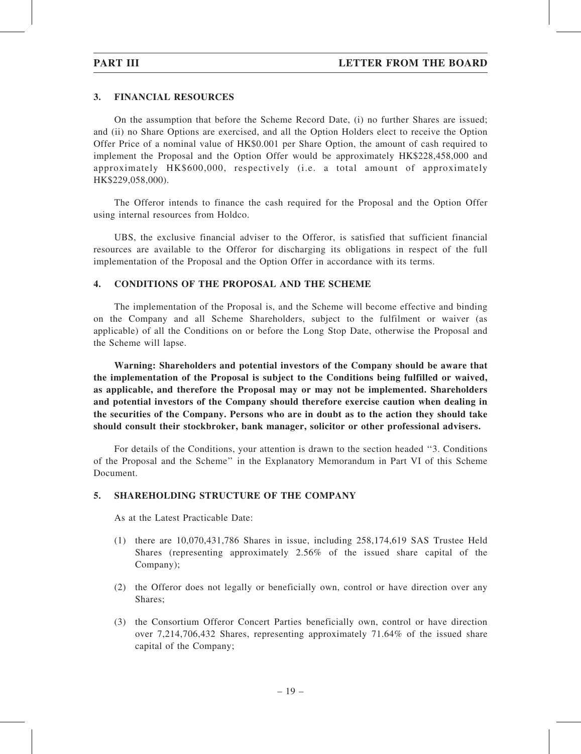### 3. FINANCIAL RESOURCES

On the assumption that before the Scheme Record Date, (i) no further Shares are issued; and (ii) no Share Options are exercised, and all the Option Holders elect to receive the Option Offer Price of a nominal value of HK\$0.001 per Share Option, the amount of cash required to implement the Proposal and the Option Offer would be approximately HK\$228,458,000 and approximately HK\$600,000, respectively (i.e. a total amount of approximately HK\$229,058,000).

The Offeror intends to finance the cash required for the Proposal and the Option Offer using internal resources from Holdco.

UBS, the exclusive financial adviser to the Offeror, is satisfied that sufficient financial resources are available to the Offeror for discharging its obligations in respect of the full implementation of the Proposal and the Option Offer in accordance with its terms.

### 4. CONDITIONS OF THE PROPOSAL AND THE SCHEME

The implementation of the Proposal is, and the Scheme will become effective and binding on the Company and all Scheme Shareholders, subject to the fulfilment or waiver (as applicable) of all the Conditions on or before the Long Stop Date, otherwise the Proposal and the Scheme will lapse.

Warning: Shareholders and potential investors of the Company should be aware that the implementation of the Proposal is subject to the Conditions being fulfilled or waived, as applicable, and therefore the Proposal may or may not be implemented. Shareholders and potential investors of the Company should therefore exercise caution when dealing in the securities of the Company. Persons who are in doubt as to the action they should take should consult their stockbroker, bank manager, solicitor or other professional advisers.

For details of the Conditions, your attention is drawn to the section headed ''3. Conditions of the Proposal and the Scheme'' in the Explanatory Memorandum in Part VI of this Scheme Document.

### 5. SHAREHOLDING STRUCTURE OF THE COMPANY

As at the Latest Practicable Date:

- (1) there are 10,070,431,786 Shares in issue, including 258,174,619 SAS Trustee Held Shares (representing approximately 2.56% of the issued share capital of the Company);
- (2) the Offeror does not legally or beneficially own, control or have direction over any Shares;
- (3) the Consortium Offeror Concert Parties beneficially own, control or have direction over 7,214,706,432 Shares, representing approximately 71.64% of the issued share capital of the Company;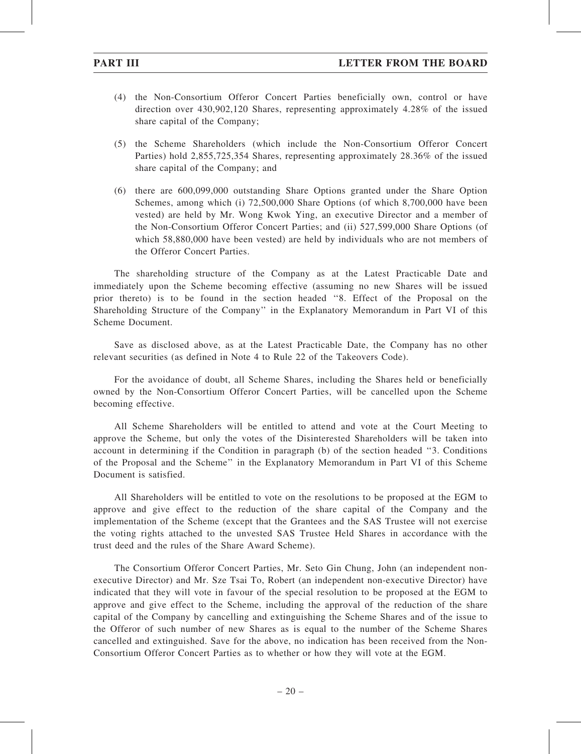- (4) the Non-Consortium Offeror Concert Parties beneficially own, control or have direction over 430,902,120 Shares, representing approximately 4.28% of the issued share capital of the Company;
- (5) the Scheme Shareholders (which include the Non-Consortium Offeror Concert Parties) hold 2,855,725,354 Shares, representing approximately 28.36% of the issued share capital of the Company; and
- (6) there are 600,099,000 outstanding Share Options granted under the Share Option Schemes, among which (i) 72,500,000 Share Options (of which 8,700,000 have been vested) are held by Mr. Wong Kwok Ying, an executive Director and a member of the Non-Consortium Offeror Concert Parties; and (ii) 527,599,000 Share Options (of which 58,880,000 have been vested) are held by individuals who are not members of the Offeror Concert Parties.

The shareholding structure of the Company as at the Latest Practicable Date and immediately upon the Scheme becoming effective (assuming no new Shares will be issued prior thereto) is to be found in the section headed ''8. Effect of the Proposal on the Shareholding Structure of the Company'' in the Explanatory Memorandum in Part VI of this Scheme Document.

Save as disclosed above, as at the Latest Practicable Date, the Company has no other relevant securities (as defined in Note 4 to Rule 22 of the Takeovers Code).

For the avoidance of doubt, all Scheme Shares, including the Shares held or beneficially owned by the Non-Consortium Offeror Concert Parties, will be cancelled upon the Scheme becoming effective.

All Scheme Shareholders will be entitled to attend and vote at the Court Meeting to approve the Scheme, but only the votes of the Disinterested Shareholders will be taken into account in determining if the Condition in paragraph (b) of the section headed ''3. Conditions of the Proposal and the Scheme'' in the Explanatory Memorandum in Part VI of this Scheme Document is satisfied.

All Shareholders will be entitled to vote on the resolutions to be proposed at the EGM to approve and give effect to the reduction of the share capital of the Company and the implementation of the Scheme (except that the Grantees and the SAS Trustee will not exercise the voting rights attached to the unvested SAS Trustee Held Shares in accordance with the trust deed and the rules of the Share Award Scheme).

The Consortium Offeror Concert Parties, Mr. Seto Gin Chung, John (an independent nonexecutive Director) and Mr. Sze Tsai To, Robert (an independent non-executive Director) have indicated that they will vote in favour of the special resolution to be proposed at the EGM to approve and give effect to the Scheme, including the approval of the reduction of the share capital of the Company by cancelling and extinguishing the Scheme Shares and of the issue to the Offeror of such number of new Shares as is equal to the number of the Scheme Shares cancelled and extinguished. Save for the above, no indication has been received from the Non-Consortium Offeror Concert Parties as to whether or how they will vote at the EGM.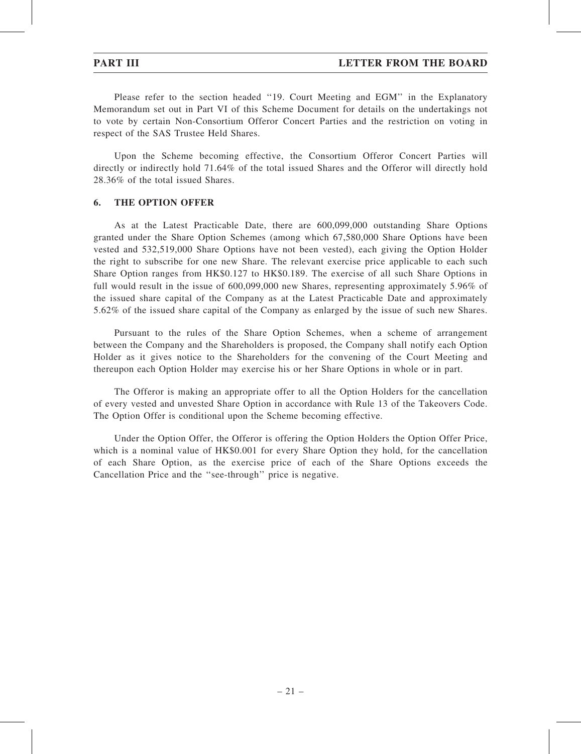Please refer to the section headed ''19. Court Meeting and EGM'' in the Explanatory Memorandum set out in Part VI of this Scheme Document for details on the undertakings not to vote by certain Non-Consortium Offeror Concert Parties and the restriction on voting in respect of the SAS Trustee Held Shares.

Upon the Scheme becoming effective, the Consortium Offeror Concert Parties will directly or indirectly hold 71.64% of the total issued Shares and the Offeror will directly hold 28.36% of the total issued Shares.

### 6. THE OPTION OFFER

As at the Latest Practicable Date, there are 600,099,000 outstanding Share Options granted under the Share Option Schemes (among which 67,580,000 Share Options have been vested and 532,519,000 Share Options have not been vested), each giving the Option Holder the right to subscribe for one new Share. The relevant exercise price applicable to each such Share Option ranges from HK\$0.127 to HK\$0.189. The exercise of all such Share Options in full would result in the issue of 600,099,000 new Shares, representing approximately 5.96% of the issued share capital of the Company as at the Latest Practicable Date and approximately 5.62% of the issued share capital of the Company as enlarged by the issue of such new Shares.

Pursuant to the rules of the Share Option Schemes, when a scheme of arrangement between the Company and the Shareholders is proposed, the Company shall notify each Option Holder as it gives notice to the Shareholders for the convening of the Court Meeting and thereupon each Option Holder may exercise his or her Share Options in whole or in part.

The Offeror is making an appropriate offer to all the Option Holders for the cancellation of every vested and unvested Share Option in accordance with Rule 13 of the Takeovers Code. The Option Offer is conditional upon the Scheme becoming effective.

Under the Option Offer, the Offeror is offering the Option Holders the Option Offer Price, which is a nominal value of HK\$0.001 for every Share Option they hold, for the cancellation of each Share Option, as the exercise price of each of the Share Options exceeds the Cancellation Price and the ''see-through'' price is negative.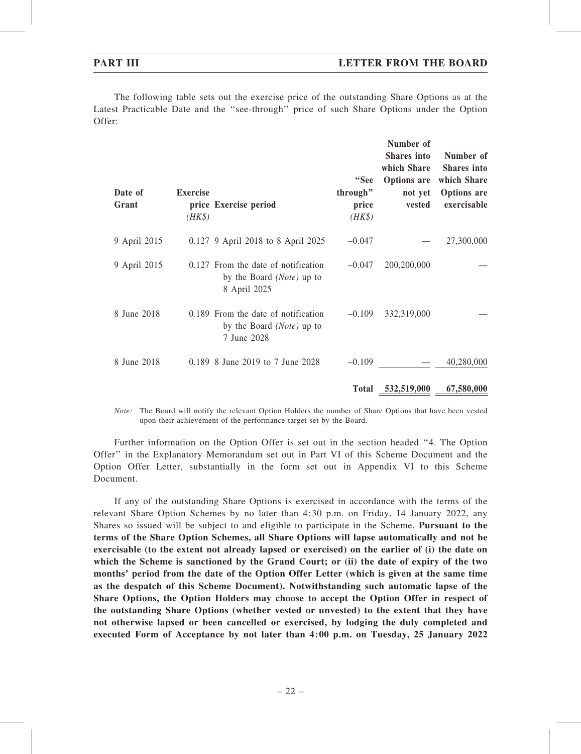The following table sets out the exercise price of the outstanding Share Options as at the Latest Practicable Date and the ''see-through'' price of such Share Options under the Option Offer:

| Date of<br>Grant | <b>Exercise</b><br>$(HK\$ | price Exercise period                                                                     | "See<br>through"<br>price<br>$(HK\$ | Number of<br><b>Shares</b> into<br>which Share<br><b>Options</b> are<br>not yet<br>vested | Number of<br><b>Shares</b> into<br>which Share<br><b>Options</b> are<br>exercisable |
|------------------|---------------------------|-------------------------------------------------------------------------------------------|-------------------------------------|-------------------------------------------------------------------------------------------|-------------------------------------------------------------------------------------|
| 9 April 2015     |                           | 0.127 9 April 2018 to 8 April 2025                                                        | $-0.047$                            |                                                                                           | 27,300,000                                                                          |
| 9 April 2015     |                           | 0.127 From the date of notification<br>by the Board ( <i>Note</i> ) up to<br>8 April 2025 | $-0.047$                            | 200,200,000                                                                               |                                                                                     |
| 8 June 2018      |                           | 0.189 From the date of notification<br>by the Board ( <i>Note</i> ) up to<br>7 June 2028  | $-0.109$                            | 332,319,000                                                                               |                                                                                     |
| 8 June 2018      |                           | 0.189 8 June 2019 to 7 June 2028                                                          | $-0.109$                            |                                                                                           | 40,280,000                                                                          |
|                  |                           |                                                                                           | <b>Total</b>                        | 532,519,000                                                                               | 67,580,000                                                                          |

Note: The Board will notify the relevant Option Holders the number of Share Options that have been vested upon their achievement of the performance target set by the Board.

Further information on the Option Offer is set out in the section headed ''4. The Option Offer'' in the Explanatory Memorandum set out in Part VI of this Scheme Document and the Option Offer Letter, substantially in the form set out in Appendix VI to this Scheme Document.

If any of the outstanding Share Options is exercised in accordance with the terms of the relevant Share Option Schemes by no later than 4:30 p.m. on Friday, 14 January 2022, any Shares so issued will be subject to and eligible to participate in the Scheme. Pursuant to the terms of the Share Option Schemes, all Share Options will lapse automatically and not be exercisable (to the extent not already lapsed or exercised) on the earlier of (i) the date on which the Scheme is sanctioned by the Grand Court; or (ii) the date of expiry of the two months' period from the date of the Option Offer Letter (which is given at the same time as the despatch of this Scheme Document). Notwithstanding such automatic lapse of the Share Options, the Option Holders may choose to accept the Option Offer in respect of the outstanding Share Options (whether vested or unvested) to the extent that they have not otherwise lapsed or been cancelled or exercised, by lodging the duly completed and executed Form of Acceptance by not later than 4:00 p.m. on Tuesday, 25 January 2022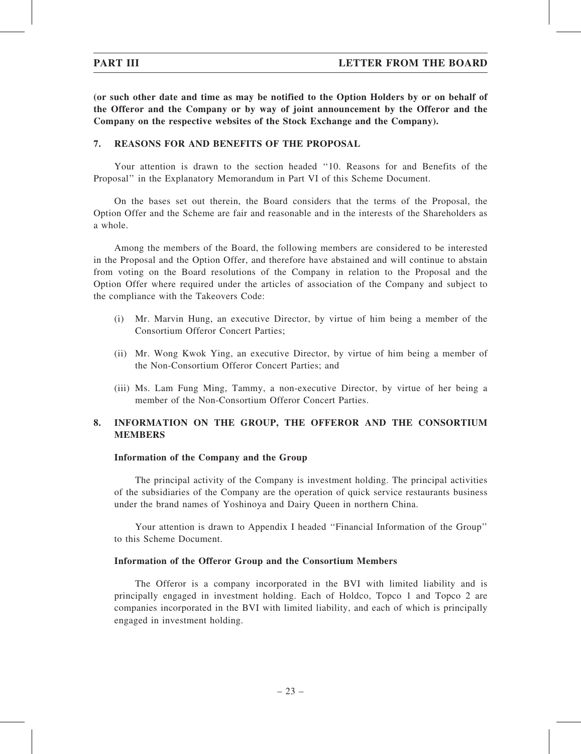(or such other date and time as may be notified to the Option Holders by or on behalf of the Offeror and the Company or by way of joint announcement by the Offeror and the Company on the respective websites of the Stock Exchange and the Company).

### 7. REASONS FOR AND BENEFITS OF THE PROPOSAL

Your attention is drawn to the section headed ''10. Reasons for and Benefits of the Proposal'' in the Explanatory Memorandum in Part VI of this Scheme Document.

On the bases set out therein, the Board considers that the terms of the Proposal, the Option Offer and the Scheme are fair and reasonable and in the interests of the Shareholders as a whole.

Among the members of the Board, the following members are considered to be interested in the Proposal and the Option Offer, and therefore have abstained and will continue to abstain from voting on the Board resolutions of the Company in relation to the Proposal and the Option Offer where required under the articles of association of the Company and subject to the compliance with the Takeovers Code:

- (i) Mr. Marvin Hung, an executive Director, by virtue of him being a member of the Consortium Offeror Concert Parties;
- (ii) Mr. Wong Kwok Ying, an executive Director, by virtue of him being a member of the Non-Consortium Offeror Concert Parties; and
- (iii) Ms. Lam Fung Ming, Tammy, a non-executive Director, by virtue of her being a member of the Non-Consortium Offeror Concert Parties.

# 8. INFORMATION ON THE GROUP, THE OFFEROR AND THE CONSORTIUM MEMBERS

### Information of the Company and the Group

The principal activity of the Company is investment holding. The principal activities of the subsidiaries of the Company are the operation of quick service restaurants business under the brand names of Yoshinoya and Dairy Queen in northern China.

Your attention is drawn to Appendix I headed ''Financial Information of the Group'' to this Scheme Document.

### Information of the Offeror Group and the Consortium Members

The Offeror is a company incorporated in the BVI with limited liability and is principally engaged in investment holding. Each of Holdco, Topco 1 and Topco 2 are companies incorporated in the BVI with limited liability, and each of which is principally engaged in investment holding.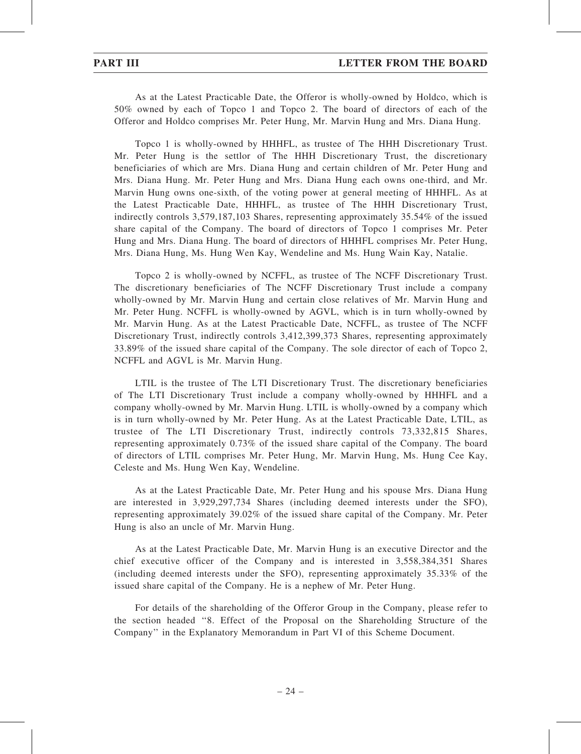As at the Latest Practicable Date, the Offeror is wholly-owned by Holdco, which is 50% owned by each of Topco 1 and Topco 2. The board of directors of each of the Offeror and Holdco comprises Mr. Peter Hung, Mr. Marvin Hung and Mrs. Diana Hung.

Topco 1 is wholly-owned by HHHFL, as trustee of The HHH Discretionary Trust. Mr. Peter Hung is the settlor of The HHH Discretionary Trust, the discretionary beneficiaries of which are Mrs. Diana Hung and certain children of Mr. Peter Hung and Mrs. Diana Hung. Mr. Peter Hung and Mrs. Diana Hung each owns one-third, and Mr. Marvin Hung owns one-sixth, of the voting power at general meeting of HHHFL. As at the Latest Practicable Date, HHHFL, as trustee of The HHH Discretionary Trust, indirectly controls 3,579,187,103 Shares, representing approximately 35.54% of the issued share capital of the Company. The board of directors of Topco 1 comprises Mr. Peter Hung and Mrs. Diana Hung. The board of directors of HHHFL comprises Mr. Peter Hung, Mrs. Diana Hung, Ms. Hung Wen Kay, Wendeline and Ms. Hung Wain Kay, Natalie.

Topco 2 is wholly-owned by NCFFL, as trustee of The NCFF Discretionary Trust. The discretionary beneficiaries of The NCFF Discretionary Trust include a company wholly-owned by Mr. Marvin Hung and certain close relatives of Mr. Marvin Hung and Mr. Peter Hung. NCFFL is wholly-owned by AGVL, which is in turn wholly-owned by Mr. Marvin Hung. As at the Latest Practicable Date, NCFFL, as trustee of The NCFF Discretionary Trust, indirectly controls 3,412,399,373 Shares, representing approximately 33.89% of the issued share capital of the Company. The sole director of each of Topco 2, NCFFL and AGVL is Mr. Marvin Hung.

LTIL is the trustee of The LTI Discretionary Trust. The discretionary beneficiaries of The LTI Discretionary Trust include a company wholly-owned by HHHFL and a company wholly-owned by Mr. Marvin Hung. LTIL is wholly-owned by a company which is in turn wholly-owned by Mr. Peter Hung. As at the Latest Practicable Date, LTIL, as trustee of The LTI Discretionary Trust, indirectly controls 73,332,815 Shares, representing approximately 0.73% of the issued share capital of the Company. The board of directors of LTIL comprises Mr. Peter Hung, Mr. Marvin Hung, Ms. Hung Cee Kay, Celeste and Ms. Hung Wen Kay, Wendeline.

As at the Latest Practicable Date, Mr. Peter Hung and his spouse Mrs. Diana Hung are interested in 3,929,297,734 Shares (including deemed interests under the SFO), representing approximately 39.02% of the issued share capital of the Company. Mr. Peter Hung is also an uncle of Mr. Marvin Hung.

As at the Latest Practicable Date, Mr. Marvin Hung is an executive Director and the chief executive officer of the Company and is interested in 3,558,384,351 Shares (including deemed interests under the SFO), representing approximately 35.33% of the issued share capital of the Company. He is a nephew of Mr. Peter Hung.

For details of the shareholding of the Offeror Group in the Company, please refer to the section headed ''8. Effect of the Proposal on the Shareholding Structure of the Company'' in the Explanatory Memorandum in Part VI of this Scheme Document.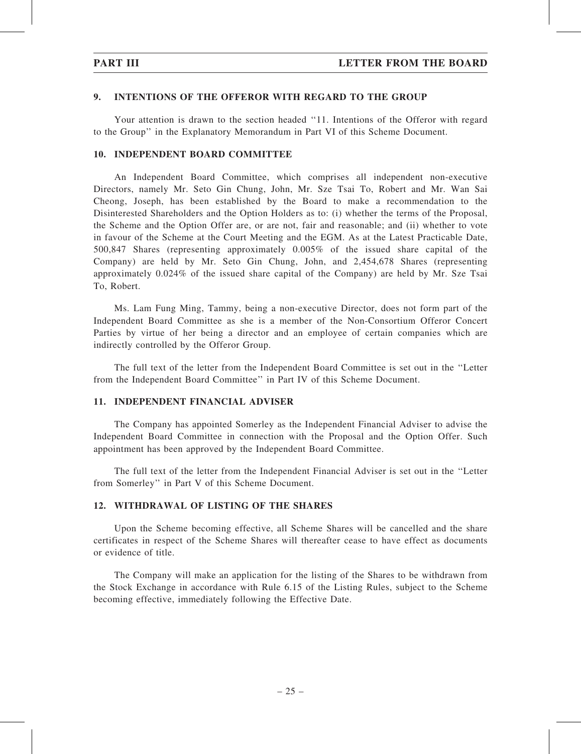### 9. INTENTIONS OF THE OFFEROR WITH REGARD TO THE GROUP

Your attention is drawn to the section headed ''11. Intentions of the Offeror with regard to the Group'' in the Explanatory Memorandum in Part VI of this Scheme Document.

### 10. INDEPENDENT BOARD COMMITTEE

An Independent Board Committee, which comprises all independent non-executive Directors, namely Mr. Seto Gin Chung, John, Mr. Sze Tsai To, Robert and Mr. Wan Sai Cheong, Joseph, has been established by the Board to make a recommendation to the Disinterested Shareholders and the Option Holders as to: (i) whether the terms of the Proposal, the Scheme and the Option Offer are, or are not, fair and reasonable; and (ii) whether to vote in favour of the Scheme at the Court Meeting and the EGM. As at the Latest Practicable Date, 500,847 Shares (representing approximately 0.005% of the issued share capital of the Company) are held by Mr. Seto Gin Chung, John, and 2,454,678 Shares (representing approximately 0.024% of the issued share capital of the Company) are held by Mr. Sze Tsai To, Robert.

Ms. Lam Fung Ming, Tammy, being a non-executive Director, does not form part of the Independent Board Committee as she is a member of the Non-Consortium Offeror Concert Parties by virtue of her being a director and an employee of certain companies which are indirectly controlled by the Offeror Group.

The full text of the letter from the Independent Board Committee is set out in the ''Letter from the Independent Board Committee'' in Part IV of this Scheme Document.

### 11. INDEPENDENT FINANCIAL ADVISER

The Company has appointed Somerley as the Independent Financial Adviser to advise the Independent Board Committee in connection with the Proposal and the Option Offer. Such appointment has been approved by the Independent Board Committee.

The full text of the letter from the Independent Financial Adviser is set out in the ''Letter from Somerley'' in Part V of this Scheme Document.

### 12. WITHDRAWAL OF LISTING OF THE SHARES

Upon the Scheme becoming effective, all Scheme Shares will be cancelled and the share certificates in respect of the Scheme Shares will thereafter cease to have effect as documents or evidence of title.

The Company will make an application for the listing of the Shares to be withdrawn from the Stock Exchange in accordance with Rule 6.15 of the Listing Rules, subject to the Scheme becoming effective, immediately following the Effective Date.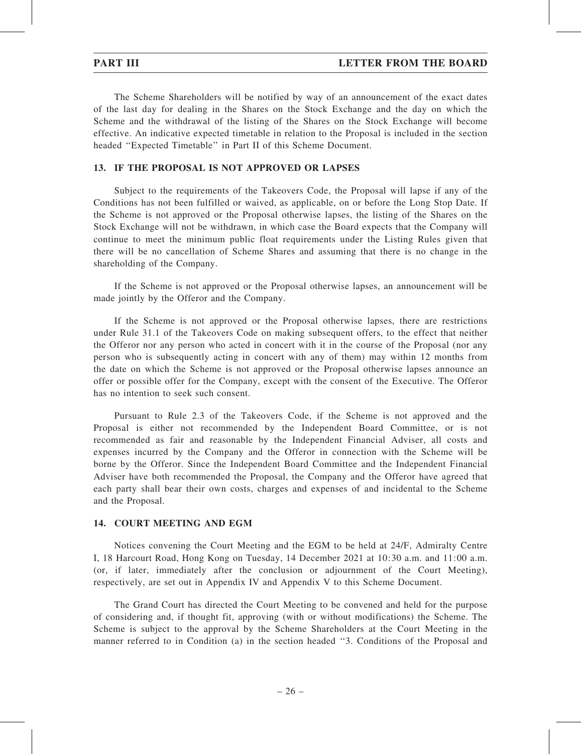The Scheme Shareholders will be notified by way of an announcement of the exact dates of the last day for dealing in the Shares on the Stock Exchange and the day on which the Scheme and the withdrawal of the listing of the Shares on the Stock Exchange will become effective. An indicative expected timetable in relation to the Proposal is included in the section headed ''Expected Timetable'' in Part II of this Scheme Document.

### 13. IF THE PROPOSAL IS NOT APPROVED OR LAPSES

Subject to the requirements of the Takeovers Code, the Proposal will lapse if any of the Conditions has not been fulfilled or waived, as applicable, on or before the Long Stop Date. If the Scheme is not approved or the Proposal otherwise lapses, the listing of the Shares on the Stock Exchange will not be withdrawn, in which case the Board expects that the Company will continue to meet the minimum public float requirements under the Listing Rules given that there will be no cancellation of Scheme Shares and assuming that there is no change in the shareholding of the Company.

If the Scheme is not approved or the Proposal otherwise lapses, an announcement will be made jointly by the Offeror and the Company.

If the Scheme is not approved or the Proposal otherwise lapses, there are restrictions under Rule 31.1 of the Takeovers Code on making subsequent offers, to the effect that neither the Offeror nor any person who acted in concert with it in the course of the Proposal (nor any person who is subsequently acting in concert with any of them) may within 12 months from the date on which the Scheme is not approved or the Proposal otherwise lapses announce an offer or possible offer for the Company, except with the consent of the Executive. The Offeror has no intention to seek such consent.

Pursuant to Rule 2.3 of the Takeovers Code, if the Scheme is not approved and the Proposal is either not recommended by the Independent Board Committee, or is not recommended as fair and reasonable by the Independent Financial Adviser, all costs and expenses incurred by the Company and the Offeror in connection with the Scheme will be borne by the Offeror. Since the Independent Board Committee and the Independent Financial Adviser have both recommended the Proposal, the Company and the Offeror have agreed that each party shall bear their own costs, charges and expenses of and incidental to the Scheme and the Proposal.

### 14. COURT MEETING AND EGM

Notices convening the Court Meeting and the EGM to be held at 24/F, Admiralty Centre I, 18 Harcourt Road, Hong Kong on Tuesday, 14 December 2021 at 10:30 a.m. and 11:00 a.m. (or, if later, immediately after the conclusion or adjournment of the Court Meeting), respectively, are set out in Appendix IV and Appendix V to this Scheme Document.

The Grand Court has directed the Court Meeting to be convened and held for the purpose of considering and, if thought fit, approving (with or without modifications) the Scheme. The Scheme is subject to the approval by the Scheme Shareholders at the Court Meeting in the manner referred to in Condition (a) in the section headed ''3. Conditions of the Proposal and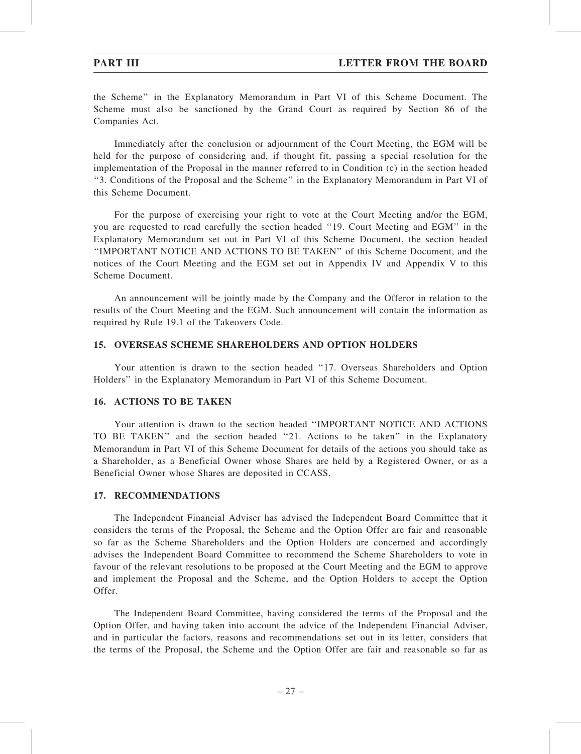the Scheme'' in the Explanatory Memorandum in Part VI of this Scheme Document. The Scheme must also be sanctioned by the Grand Court as required by Section 86 of the Companies Act.

Immediately after the conclusion or adjournment of the Court Meeting, the EGM will be held for the purpose of considering and, if thought fit, passing a special resolution for the implementation of the Proposal in the manner referred to in Condition (c) in the section headed ''3. Conditions of the Proposal and the Scheme'' in the Explanatory Memorandum in Part VI of this Scheme Document.

For the purpose of exercising your right to vote at the Court Meeting and/or the EGM, you are requested to read carefully the section headed ''19. Court Meeting and EGM'' in the Explanatory Memorandum set out in Part VI of this Scheme Document, the section headed ''IMPORTANT NOTICE AND ACTIONS TO BE TAKEN'' of this Scheme Document, and the notices of the Court Meeting and the EGM set out in Appendix IV and Appendix V to this Scheme Document.

An announcement will be jointly made by the Company and the Offeror in relation to the results of the Court Meeting and the EGM. Such announcement will contain the information as required by Rule 19.1 of the Takeovers Code.

### 15. OVERSEAS SCHEME SHAREHOLDERS AND OPTION HOLDERS

Your attention is drawn to the section headed ''17. Overseas Shareholders and Option Holders'' in the Explanatory Memorandum in Part VI of this Scheme Document.

### 16. ACTIONS TO BE TAKEN

Your attention is drawn to the section headed ''IMPORTANT NOTICE AND ACTIONS TO BE TAKEN'' and the section headed ''21. Actions to be taken'' in the Explanatory Memorandum in Part VI of this Scheme Document for details of the actions you should take as a Shareholder, as a Beneficial Owner whose Shares are held by a Registered Owner, or as a Beneficial Owner whose Shares are deposited in CCASS.

### 17. RECOMMENDATIONS

The Independent Financial Adviser has advised the Independent Board Committee that it considers the terms of the Proposal, the Scheme and the Option Offer are fair and reasonable so far as the Scheme Shareholders and the Option Holders are concerned and accordingly advises the Independent Board Committee to recommend the Scheme Shareholders to vote in favour of the relevant resolutions to be proposed at the Court Meeting and the EGM to approve and implement the Proposal and the Scheme, and the Option Holders to accept the Option Offer.

The Independent Board Committee, having considered the terms of the Proposal and the Option Offer, and having taken into account the advice of the Independent Financial Adviser, and in particular the factors, reasons and recommendations set out in its letter, considers that the terms of the Proposal, the Scheme and the Option Offer are fair and reasonable so far as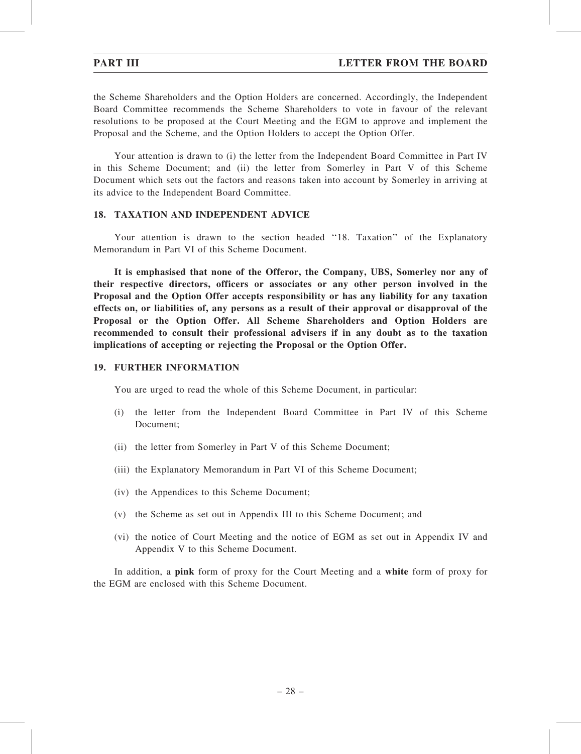the Scheme Shareholders and the Option Holders are concerned. Accordingly, the Independent Board Committee recommends the Scheme Shareholders to vote in favour of the relevant resolutions to be proposed at the Court Meeting and the EGM to approve and implement the Proposal and the Scheme, and the Option Holders to accept the Option Offer.

Your attention is drawn to (i) the letter from the Independent Board Committee in Part IV in this Scheme Document; and (ii) the letter from Somerley in Part V of this Scheme Document which sets out the factors and reasons taken into account by Somerley in arriving at its advice to the Independent Board Committee.

# 18. TAXATION AND INDEPENDENT ADVICE

Your attention is drawn to the section headed "18. Taxation" of the Explanatory Memorandum in Part VI of this Scheme Document.

It is emphasised that none of the Offeror, the Company, UBS, Somerley nor any of their respective directors, officers or associates or any other person involved in the Proposal and the Option Offer accepts responsibility or has any liability for any taxation effects on, or liabilities of, any persons as a result of their approval or disapproval of the Proposal or the Option Offer. All Scheme Shareholders and Option Holders are recommended to consult their professional advisers if in any doubt as to the taxation implications of accepting or rejecting the Proposal or the Option Offer.

#### 19. FURTHER INFORMATION

You are urged to read the whole of this Scheme Document, in particular:

- (i) the letter from the Independent Board Committee in Part IV of this Scheme Document;
- (ii) the letter from Somerley in Part V of this Scheme Document;
- (iii) the Explanatory Memorandum in Part VI of this Scheme Document;
- (iv) the Appendices to this Scheme Document;
- (v) the Scheme as set out in Appendix III to this Scheme Document; and
- (vi) the notice of Court Meeting and the notice of EGM as set out in Appendix IV and Appendix V to this Scheme Document.

In addition, a **pink** form of proxy for the Court Meeting and a white form of proxy for the EGM are enclosed with this Scheme Document.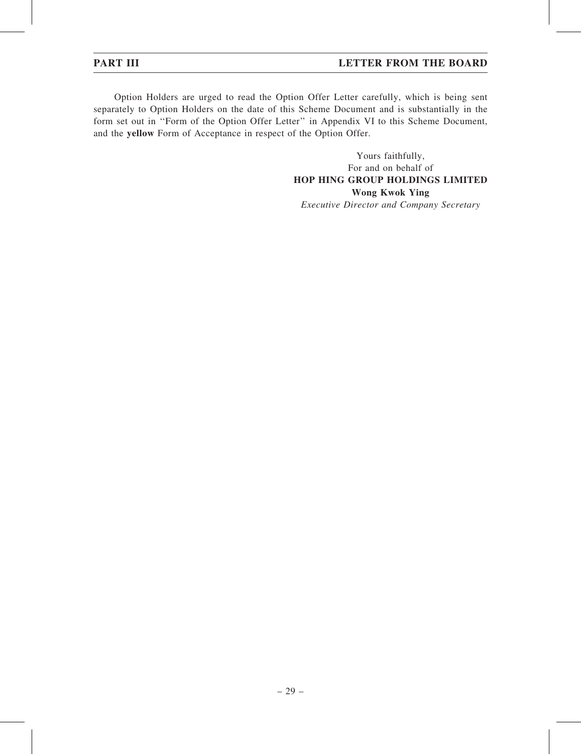Option Holders are urged to read the Option Offer Letter carefully, which is being sent separately to Option Holders on the date of this Scheme Document and is substantially in the form set out in ''Form of the Option Offer Letter'' in Appendix VI to this Scheme Document, and the yellow Form of Acceptance in respect of the Option Offer.

> Yours faithfully, For and on behalf of HOP HING GROUP HOLDINGS LIMITED Wong Kwok Ying

Executive Director and Company Secretary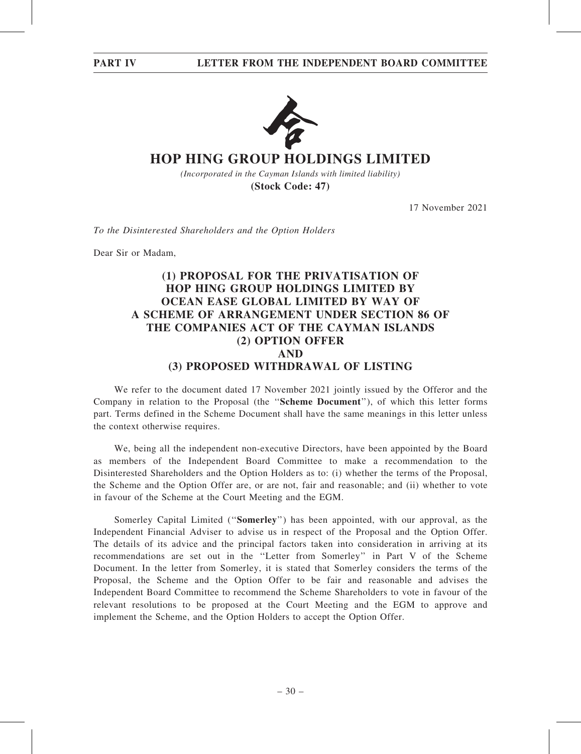

# **HOP HING GROUP HOLDINGS LIMITED**

*(Incorporated in the Cayman Islands with limited liability)* **(Stock Code: 47)**

17 November 2021

To the Disinterested Shareholders and the Option Holders

Dear Sir or Madam,

# (1) PROPOSAL FOR THE PRIVATISATION OF HOP HING GROUP HOLDINGS LIMITED BY OCEAN EASE GLOBAL LIMITED BY WAY OF A SCHEME OF ARRANGEMENT UNDER SECTION 86 OF THE COMPANIES ACT OF THE CAYMAN ISLANDS (2) OPTION OFFER AND (3) PROPOSED WITHDRAWAL OF LISTING

We refer to the document dated 17 November 2021 jointly issued by the Offeror and the Company in relation to the Proposal (the ''Scheme Document''), of which this letter forms part. Terms defined in the Scheme Document shall have the same meanings in this letter unless the context otherwise requires.

We, being all the independent non-executive Directors, have been appointed by the Board as members of the Independent Board Committee to make a recommendation to the Disinterested Shareholders and the Option Holders as to: (i) whether the terms of the Proposal, the Scheme and the Option Offer are, or are not, fair and reasonable; and (ii) whether to vote in favour of the Scheme at the Court Meeting and the EGM.

Somerley Capital Limited (''Somerley'') has been appointed, with our approval, as the Independent Financial Adviser to advise us in respect of the Proposal and the Option Offer. The details of its advice and the principal factors taken into consideration in arriving at its recommendations are set out in the ''Letter from Somerley'' in Part V of the Scheme Document. In the letter from Somerley, it is stated that Somerley considers the terms of the Proposal, the Scheme and the Option Offer to be fair and reasonable and advises the Independent Board Committee to recommend the Scheme Shareholders to vote in favour of the relevant resolutions to be proposed at the Court Meeting and the EGM to approve and implement the Scheme, and the Option Holders to accept the Option Offer.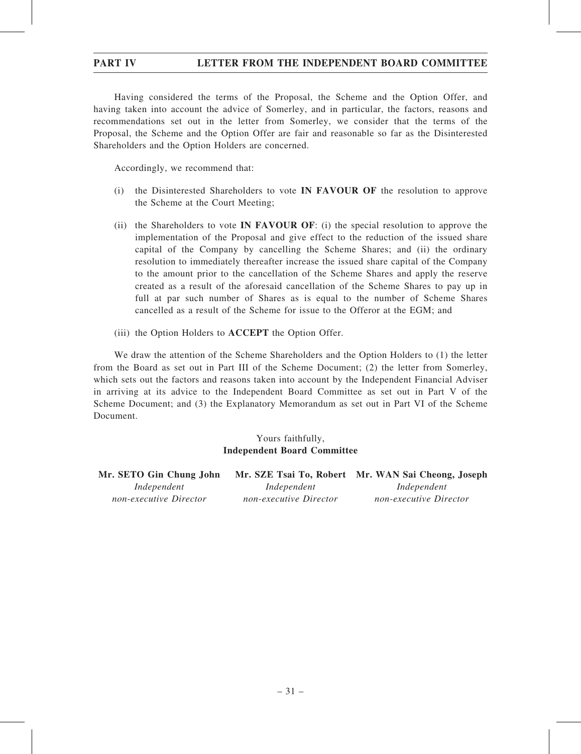# PART IV LETTER FROM THE INDEPENDENT BOARD COMMITTEE

Having considered the terms of the Proposal, the Scheme and the Option Offer, and having taken into account the advice of Somerley, and in particular, the factors, reasons and recommendations set out in the letter from Somerley, we consider that the terms of the Proposal, the Scheme and the Option Offer are fair and reasonable so far as the Disinterested Shareholders and the Option Holders are concerned.

Accordingly, we recommend that:

- (i) the Disinterested Shareholders to vote IN FAVOUR OF the resolution to approve the Scheme at the Court Meeting;
- (ii) the Shareholders to vote IN FAVOUR OF: (i) the special resolution to approve the implementation of the Proposal and give effect to the reduction of the issued share capital of the Company by cancelling the Scheme Shares; and (ii) the ordinary resolution to immediately thereafter increase the issued share capital of the Company to the amount prior to the cancellation of the Scheme Shares and apply the reserve created as a result of the aforesaid cancellation of the Scheme Shares to pay up in full at par such number of Shares as is equal to the number of Scheme Shares cancelled as a result of the Scheme for issue to the Offeror at the EGM; and
- (iii) the Option Holders to ACCEPT the Option Offer.

We draw the attention of the Scheme Shareholders and the Option Holders to (1) the letter from the Board as set out in Part III of the Scheme Document; (2) the letter from Somerley, which sets out the factors and reasons taken into account by the Independent Financial Adviser in arriving at its advice to the Independent Board Committee as set out in Part V of the Scheme Document; and (3) the Explanatory Memorandum as set out in Part VI of the Scheme Document.

# Yours faithfully, Independent Board Committee

| Mr. SETO Gin Chung John |                        | Mr. SZE Tsai To, Robert Mr. WAN Sai Cheong, Joseph |
|-------------------------|------------------------|----------------------------------------------------|
| Independent             | Independent            | Independent                                        |
| non-executive Director  | non-executive Director | non-executive Director                             |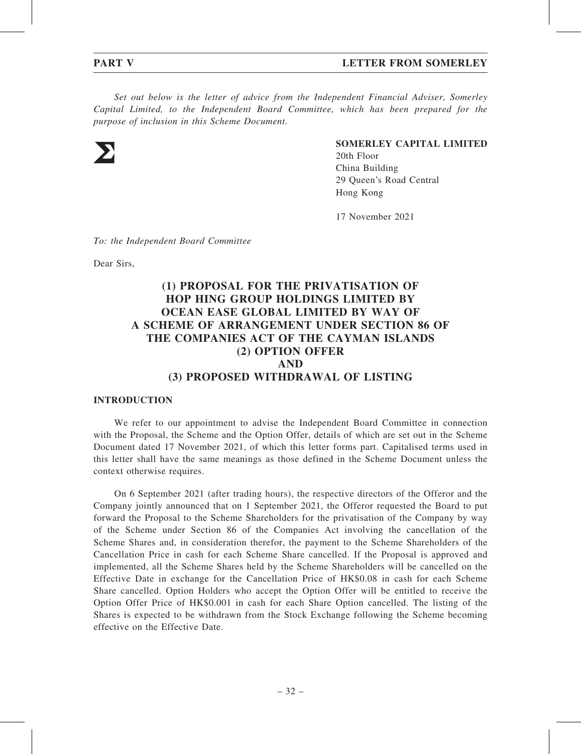### **PART V** LETTER FROM SOMERLEY

Set out below is the letter of advice from the Independent Financial Adviser, Somerley Capital Limited, to the Independent Board Committee, which has been prepared for the purpose of inclusion in this Scheme Document.



### SOMERLEY CAPITAL LIMITED

20th Floor China Building 29 Queen's Road Central Hong Kong

17 November 2021

To: the Independent Board Committee

Dear Sirs,

# (1) PROPOSAL FOR THE PRIVATISATION OF HOP HING GROUP HOLDINGS LIMITED BY OCEAN EASE GLOBAL LIMITED BY WAY OF A SCHEME OF ARRANGEMENT UNDER SECTION 86 OF THE COMPANIES ACT OF THE CAYMAN ISLANDS (2) OPTION OFFER AND (3) PROPOSED WITHDRAWAL OF LISTING

#### INTRODUCTION

We refer to our appointment to advise the Independent Board Committee in connection with the Proposal, the Scheme and the Option Offer, details of which are set out in the Scheme Document dated 17 November 2021, of which this letter forms part. Capitalised terms used in this letter shall have the same meanings as those defined in the Scheme Document unless the context otherwise requires.

On 6 September 2021 (after trading hours), the respective directors of the Offeror and the Company jointly announced that on 1 September 2021, the Offeror requested the Board to put forward the Proposal to the Scheme Shareholders for the privatisation of the Company by way of the Scheme under Section 86 of the Companies Act involving the cancellation of the Scheme Shares and, in consideration therefor, the payment to the Scheme Shareholders of the Cancellation Price in cash for each Scheme Share cancelled. If the Proposal is approved and implemented, all the Scheme Shares held by the Scheme Shareholders will be cancelled on the Effective Date in exchange for the Cancellation Price of HK\$0.08 in cash for each Scheme Share cancelled. Option Holders who accept the Option Offer will be entitled to receive the Option Offer Price of HK\$0.001 in cash for each Share Option cancelled. The listing of the Shares is expected to be withdrawn from the Stock Exchange following the Scheme becoming effective on the Effective Date.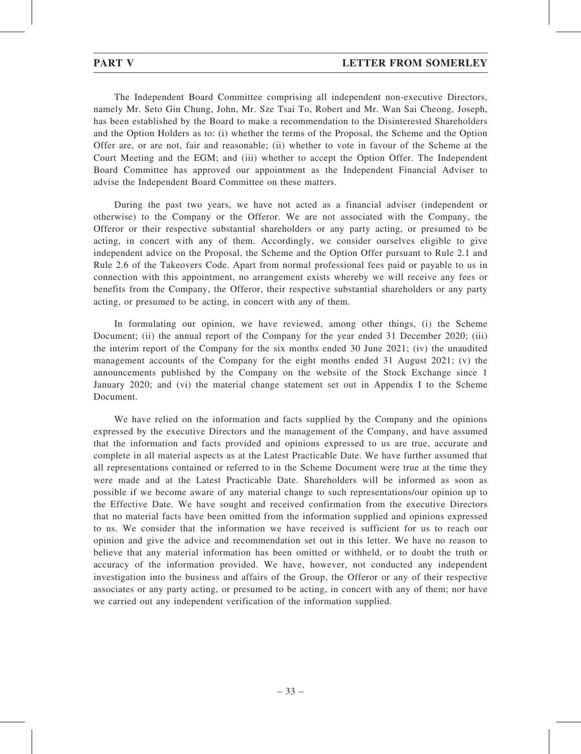The Independent Board Committee comprising all independent non-executive Directors, namely Mr. Seto Gin Chung, John, Mr. Sze Tsai To, Robert and Mr. Wan Sai Cheong, Joseph, has been established by the Board to make a recommendation to the Disinterested Shareholders and the Option Holders as to: (i) whether the terms of the Proposal, the Scheme and the Option Offer are, or are not, fair and reasonable; (ii) whether to vote in favour of the Scheme at the Court Meeting and the EGM; and (iii) whether to accept the Option Offer. The Independent Board Committee has approved our appointment as the Independent Financial Adviser to advise the Independent Board Committee on these matters.

During the past two years, we have not acted as a financial adviser (independent or otherwise) to the Company or the Offeror. We are not associated with the Company, the Offeror or their respective substantial shareholders or any party acting, or presumed to be acting, in concert with any of them. Accordingly, we consider ourselves eligible to give independent advice on the Proposal, the Scheme and the Option Offer pursuant to Rule 2.1 and Rule 2.6 of the Takeovers Code. Apart from normal professional fees paid or payable to us in connection with this appointment, no arrangement exists whereby we will receive any fees or benefits from the Company, the Offeror, their respective substantial shareholders or any party acting, or presumed to be acting, in concert with any of them.

In formulating our opinion, we have reviewed, among other things, (i) the Scheme Document; (ii) the annual report of the Company for the year ended 31 December 2020; (iii) the interim report of the Company for the six months ended 30 June 2021; (iv) the unaudited management accounts of the Company for the eight months ended 31 August 2021; (v) the announcements published by the Company on the website of the Stock Exchange since 1 January 2020; and (vi) the material change statement set out in Appendix I to the Scheme Document.

We have relied on the information and facts supplied by the Company and the opinions expressed by the executive Directors and the management of the Company, and have assumed that the information and facts provided and opinions expressed to us are true, accurate and complete in all material aspects as at the Latest Practicable Date. We have further assumed that all representations contained or referred to in the Scheme Document were true at the time they were made and at the Latest Practicable Date. Shareholders will be informed as soon as possible if we become aware of any material change to such representations/our opinion up to the Effective Date. We have sought and received confirmation from the executive Directors that no material facts have been omitted from the information supplied and opinions expressed to us. We consider that the information we have received is sufficient for us to reach our opinion and give the advice and recommendation set out in this letter. We have no reason to believe that any material information has been omitted or withheld, or to doubt the truth or accuracy of the information provided. We have, however, not conducted any independent investigation into the business and affairs of the Group, the Offeror or any of their respective associates or any party acting, or presumed to be acting, in concert with any of them; nor have we carried out any independent verification of the information supplied.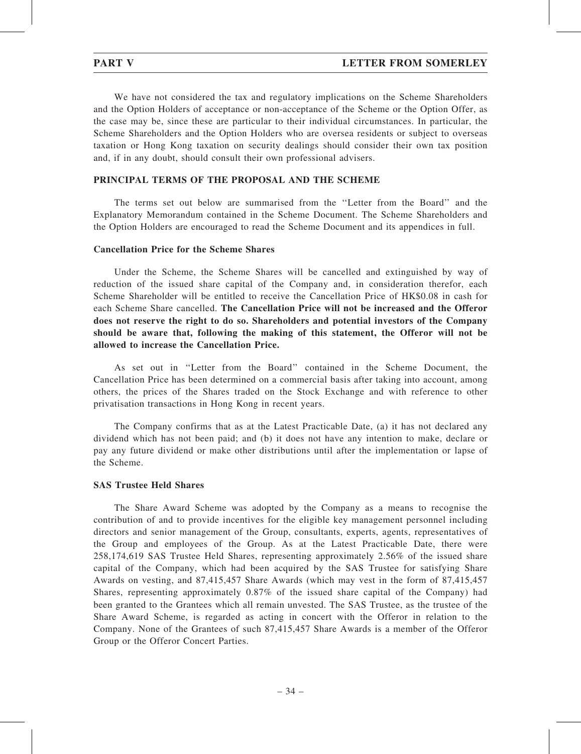We have not considered the tax and regulatory implications on the Scheme Shareholders and the Option Holders of acceptance or non-acceptance of the Scheme or the Option Offer, as the case may be, since these are particular to their individual circumstances. In particular, the Scheme Shareholders and the Option Holders who are oversea residents or subject to overseas taxation or Hong Kong taxation on security dealings should consider their own tax position and, if in any doubt, should consult their own professional advisers.

### PRINCIPAL TERMS OF THE PROPOSAL AND THE SCHEME

The terms set out below are summarised from the ''Letter from the Board'' and the Explanatory Memorandum contained in the Scheme Document. The Scheme Shareholders and the Option Holders are encouraged to read the Scheme Document and its appendices in full.

#### Cancellation Price for the Scheme Shares

Under the Scheme, the Scheme Shares will be cancelled and extinguished by way of reduction of the issued share capital of the Company and, in consideration therefor, each Scheme Shareholder will be entitled to receive the Cancellation Price of HK\$0.08 in cash for each Scheme Share cancelled. The Cancellation Price will not be increased and the Offeror does not reserve the right to do so. Shareholders and potential investors of the Company should be aware that, following the making of this statement, the Offeror will not be allowed to increase the Cancellation Price.

As set out in ''Letter from the Board'' contained in the Scheme Document, the Cancellation Price has been determined on a commercial basis after taking into account, among others, the prices of the Shares traded on the Stock Exchange and with reference to other privatisation transactions in Hong Kong in recent years.

The Company confirms that as at the Latest Practicable Date, (a) it has not declared any dividend which has not been paid; and (b) it does not have any intention to make, declare or pay any future dividend or make other distributions until after the implementation or lapse of the Scheme.

#### SAS Trustee Held Shares

The Share Award Scheme was adopted by the Company as a means to recognise the contribution of and to provide incentives for the eligible key management personnel including directors and senior management of the Group, consultants, experts, agents, representatives of the Group and employees of the Group. As at the Latest Practicable Date, there were 258,174,619 SAS Trustee Held Shares, representing approximately 2.56% of the issued share capital of the Company, which had been acquired by the SAS Trustee for satisfying Share Awards on vesting, and 87,415,457 Share Awards (which may vest in the form of 87,415,457 Shares, representing approximately 0.87% of the issued share capital of the Company) had been granted to the Grantees which all remain unvested. The SAS Trustee, as the trustee of the Share Award Scheme, is regarded as acting in concert with the Offeror in relation to the Company. None of the Grantees of such 87,415,457 Share Awards is a member of the Offeror Group or the Offeror Concert Parties.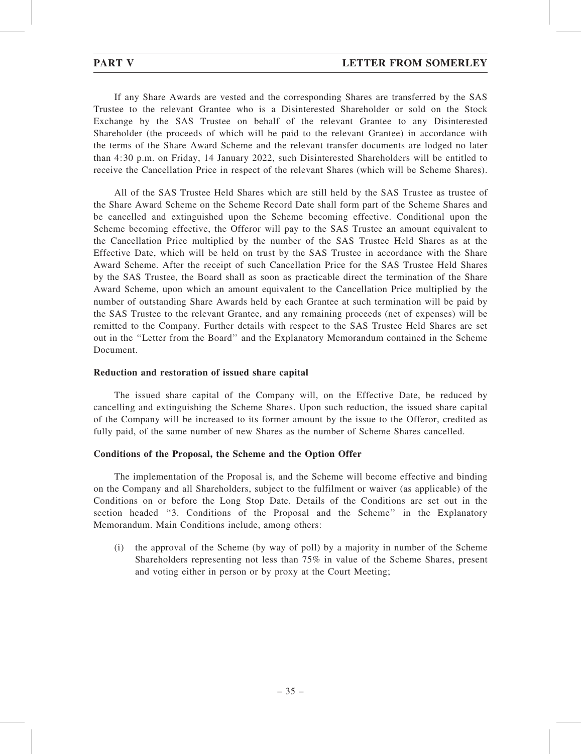If any Share Awards are vested and the corresponding Shares are transferred by the SAS Trustee to the relevant Grantee who is a Disinterested Shareholder or sold on the Stock Exchange by the SAS Trustee on behalf of the relevant Grantee to any Disinterested Shareholder (the proceeds of which will be paid to the relevant Grantee) in accordance with the terms of the Share Award Scheme and the relevant transfer documents are lodged no later than 4:30 p.m. on Friday, 14 January 2022, such Disinterested Shareholders will be entitled to receive the Cancellation Price in respect of the relevant Shares (which will be Scheme Shares).

All of the SAS Trustee Held Shares which are still held by the SAS Trustee as trustee of the Share Award Scheme on the Scheme Record Date shall form part of the Scheme Shares and be cancelled and extinguished upon the Scheme becoming effective. Conditional upon the Scheme becoming effective, the Offeror will pay to the SAS Trustee an amount equivalent to the Cancellation Price multiplied by the number of the SAS Trustee Held Shares as at the Effective Date, which will be held on trust by the SAS Trustee in accordance with the Share Award Scheme. After the receipt of such Cancellation Price for the SAS Trustee Held Shares by the SAS Trustee, the Board shall as soon as practicable direct the termination of the Share Award Scheme, upon which an amount equivalent to the Cancellation Price multiplied by the number of outstanding Share Awards held by each Grantee at such termination will be paid by the SAS Trustee to the relevant Grantee, and any remaining proceeds (net of expenses) will be remitted to the Company. Further details with respect to the SAS Trustee Held Shares are set out in the ''Letter from the Board'' and the Explanatory Memorandum contained in the Scheme Document.

# Reduction and restoration of issued share capital

The issued share capital of the Company will, on the Effective Date, be reduced by cancelling and extinguishing the Scheme Shares. Upon such reduction, the issued share capital of the Company will be increased to its former amount by the issue to the Offeror, credited as fully paid, of the same number of new Shares as the number of Scheme Shares cancelled.

# Conditions of the Proposal, the Scheme and the Option Offer

The implementation of the Proposal is, and the Scheme will become effective and binding on the Company and all Shareholders, subject to the fulfilment or waiver (as applicable) of the Conditions on or before the Long Stop Date. Details of the Conditions are set out in the section headed ''3. Conditions of the Proposal and the Scheme'' in the Explanatory Memorandum. Main Conditions include, among others:

(i) the approval of the Scheme (by way of poll) by a majority in number of the Scheme Shareholders representing not less than 75% in value of the Scheme Shares, present and voting either in person or by proxy at the Court Meeting;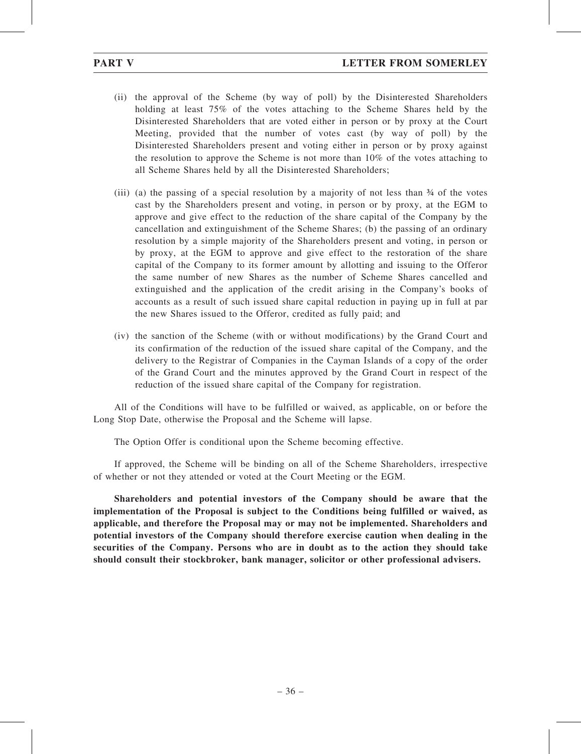- (ii) the approval of the Scheme (by way of poll) by the Disinterested Shareholders holding at least 75% of the votes attaching to the Scheme Shares held by the Disinterested Shareholders that are voted either in person or by proxy at the Court Meeting, provided that the number of votes cast (by way of poll) by the Disinterested Shareholders present and voting either in person or by proxy against the resolution to approve the Scheme is not more than 10% of the votes attaching to all Scheme Shares held by all the Disinterested Shareholders;
- (iii) (a) the passing of a special resolution by a majority of not less than ¾ of the votes cast by the Shareholders present and voting, in person or by proxy, at the EGM to approve and give effect to the reduction of the share capital of the Company by the cancellation and extinguishment of the Scheme Shares; (b) the passing of an ordinary resolution by a simple majority of the Shareholders present and voting, in person or by proxy, at the EGM to approve and give effect to the restoration of the share capital of the Company to its former amount by allotting and issuing to the Offeror the same number of new Shares as the number of Scheme Shares cancelled and extinguished and the application of the credit arising in the Company's books of accounts as a result of such issued share capital reduction in paying up in full at par the new Shares issued to the Offeror, credited as fully paid; and
- (iv) the sanction of the Scheme (with or without modifications) by the Grand Court and its confirmation of the reduction of the issued share capital of the Company, and the delivery to the Registrar of Companies in the Cayman Islands of a copy of the order of the Grand Court and the minutes approved by the Grand Court in respect of the reduction of the issued share capital of the Company for registration.

All of the Conditions will have to be fulfilled or waived, as applicable, on or before the Long Stop Date, otherwise the Proposal and the Scheme will lapse.

The Option Offer is conditional upon the Scheme becoming effective.

If approved, the Scheme will be binding on all of the Scheme Shareholders, irrespective of whether or not they attended or voted at the Court Meeting or the EGM.

Shareholders and potential investors of the Company should be aware that the implementation of the Proposal is subject to the Conditions being fulfilled or waived, as applicable, and therefore the Proposal may or may not be implemented. Shareholders and potential investors of the Company should therefore exercise caution when dealing in the securities of the Company. Persons who are in doubt as to the action they should take should consult their stockbroker, bank manager, solicitor or other professional advisers.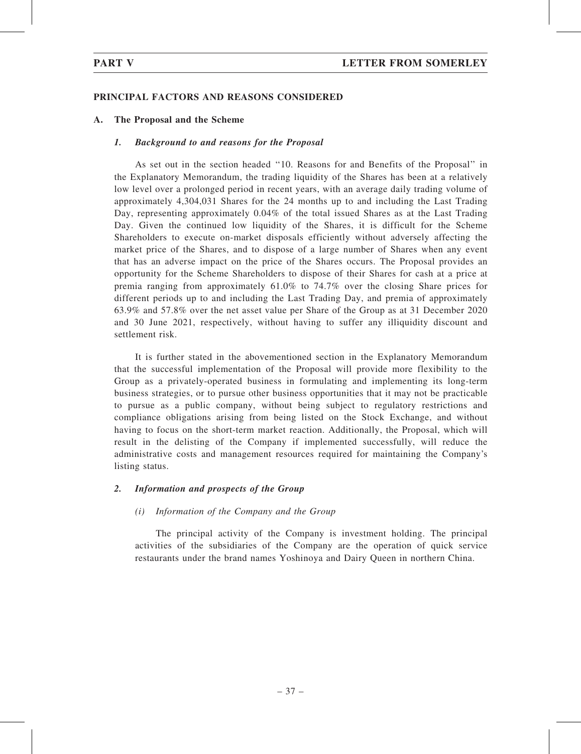# PRINCIPAL FACTORS AND REASONS CONSIDERED

# A. The Proposal and the Scheme

### 1. Background to and reasons for the Proposal

As set out in the section headed ''10. Reasons for and Benefits of the Proposal'' in the Explanatory Memorandum, the trading liquidity of the Shares has been at a relatively low level over a prolonged period in recent years, with an average daily trading volume of approximately 4,304,031 Shares for the 24 months up to and including the Last Trading Day, representing approximately 0.04% of the total issued Shares as at the Last Trading Day. Given the continued low liquidity of the Shares, it is difficult for the Scheme Shareholders to execute on-market disposals efficiently without adversely affecting the market price of the Shares, and to dispose of a large number of Shares when any event that has an adverse impact on the price of the Shares occurs. The Proposal provides an opportunity for the Scheme Shareholders to dispose of their Shares for cash at a price at premia ranging from approximately 61.0% to 74.7% over the closing Share prices for different periods up to and including the Last Trading Day, and premia of approximately 63.9% and 57.8% over the net asset value per Share of the Group as at 31 December 2020 and 30 June 2021, respectively, without having to suffer any illiquidity discount and settlement risk.

It is further stated in the abovementioned section in the Explanatory Memorandum that the successful implementation of the Proposal will provide more flexibility to the Group as a privately-operated business in formulating and implementing its long-term business strategies, or to pursue other business opportunities that it may not be practicable to pursue as a public company, without being subject to regulatory restrictions and compliance obligations arising from being listed on the Stock Exchange, and without having to focus on the short-term market reaction. Additionally, the Proposal, which will result in the delisting of the Company if implemented successfully, will reduce the administrative costs and management resources required for maintaining the Company's listing status.

# 2. Information and prospects of the Group

# (i) Information of the Company and the Group

The principal activity of the Company is investment holding. The principal activities of the subsidiaries of the Company are the operation of quick service restaurants under the brand names Yoshinoya and Dairy Queen in northern China.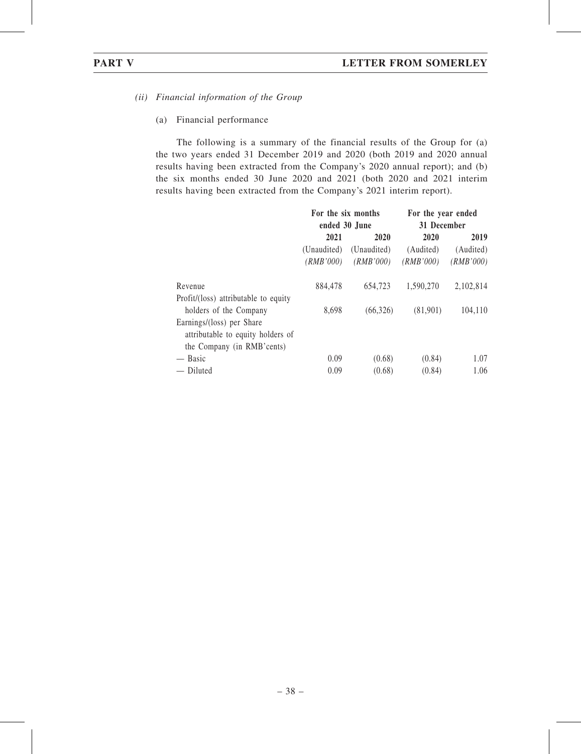- (ii) Financial information of the Group
	- (a) Financial performance

The following is a summary of the financial results of the Group for (a) the two years ended 31 December 2019 and 2020 (both 2019 and 2020 annual results having been extracted from the Company's 2020 annual report); and (b) the six months ended 30 June 2020 and 2021 (both 2020 and 2021 interim results having been extracted from the Company's 2021 interim report).

|                                      | For the six months |             | For the year ended<br>31 December |           |  |
|--------------------------------------|--------------------|-------------|-----------------------------------|-----------|--|
|                                      | ended 30 June      |             |                                   |           |  |
|                                      | 2021               | 2020        | 2020                              | 2019      |  |
|                                      | (Unaudited)        | (Unaudited) | (Audited)                         | (Audited) |  |
|                                      | ( <i>RMB</i> '000) | (RMB'000)   | (RMB'000)                         | (RMB'000) |  |
| Revenue                              | 884,478            | 654,723     | 1,590,270                         | 2,102,814 |  |
| Profit/(loss) attributable to equity |                    |             |                                   |           |  |
| holders of the Company               | 8,698              | (66, 326)   | (81,901)                          | 104,110   |  |
| Earnings/(loss) per Share            |                    |             |                                   |           |  |
| attributable to equity holders of    |                    |             |                                   |           |  |
| the Company (in RMB'cents)           |                    |             |                                   |           |  |
| — Basic                              | 0.09               | (0.68)      | (0.84)                            | 1.07      |  |
| — Diluted                            | 0.09               | (0.68)      | (0.84)                            | 1.06      |  |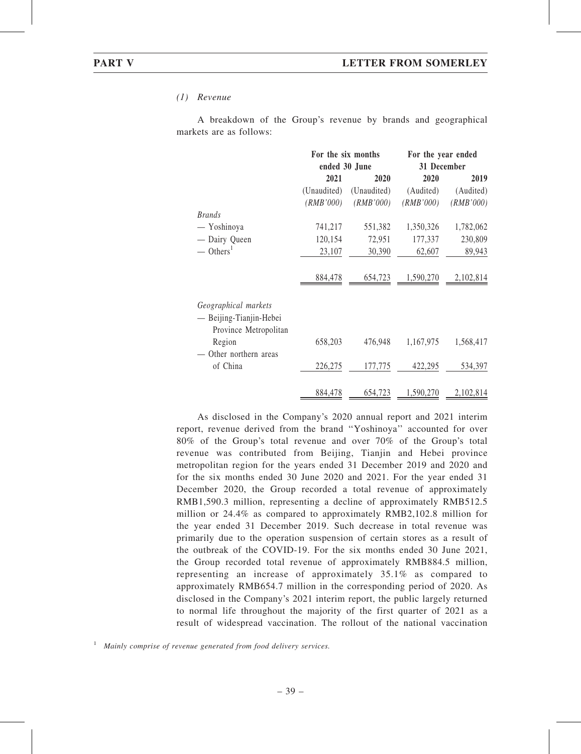#### (1) Revenue

A breakdown of the Group's revenue by brands and geographical markets are as follows:

|                                                                          |             | For the six months | For the year ended                |           |  |  |
|--------------------------------------------------------------------------|-------------|--------------------|-----------------------------------|-----------|--|--|
|                                                                          |             | ended 30 June      | 31 December                       |           |  |  |
|                                                                          | 2021        | 2020               | 2020                              | 2019      |  |  |
|                                                                          | (Unaudited) | (Unaudited)        | (Audited)                         | (Audited) |  |  |
|                                                                          | (RMB'000)   | (RMB'000)          | (RMB'000)                         | (RMB'000) |  |  |
| <b>Brands</b>                                                            |             |                    |                                   |           |  |  |
| — Yoshinoya                                                              | 741,217     | 551,382            | 1,350,326                         | 1,782,062 |  |  |
| - Dairy Queen                                                            | 120,154     | 72,951             | 177,337                           | 230,809   |  |  |
| $-$ Others <sup>1</sup>                                                  | 23,107      | 30,390             | 62,607                            | 89,943    |  |  |
|                                                                          | 884,478     | 654,723            | 1,590,270                         | 2,102,814 |  |  |
| Geographical markets<br>— Beijing-Tianjin-Hebei<br>Province Metropolitan |             |                    |                                   |           |  |  |
| Region<br>Other northern areas                                           | 658,203     | 476,948            | 1,167,975                         | 1,568,417 |  |  |
| of China                                                                 | 226,275     | 177,775            | 422,295                           | 534,397   |  |  |
|                                                                          | 884,478     |                    | $654,723$ $1,590,270$ $2,102,814$ |           |  |  |

As disclosed in the Company's 2020 annual report and 2021 interim report, revenue derived from the brand ''Yoshinoya'' accounted for over 80% of the Group's total revenue and over 70% of the Group's total revenue was contributed from Beijing, Tianjin and Hebei province metropolitan region for the years ended 31 December 2019 and 2020 and for the six months ended 30 June 2020 and 2021. For the year ended 31 December 2020, the Group recorded a total revenue of approximately RMB1,590.3 million, representing a decline of approximately RMB512.5 million or 24.4% as compared to approximately RMB2,102.8 million for the year ended 31 December 2019. Such decrease in total revenue was primarily due to the operation suspension of certain stores as a result of the outbreak of the COVID-19. For the six months ended 30 June 2021, the Group recorded total revenue of approximately RMB884.5 million, representing an increase of approximately 35.1% as compared to approximately RMB654.7 million in the corresponding period of 2020. As disclosed in the Company's 2021 interim report, the public largely returned to normal life throughout the majority of the first quarter of 2021 as a result of widespread vaccination. The rollout of the national vaccination

 $1$  Mainly comprise of revenue generated from food delivery services.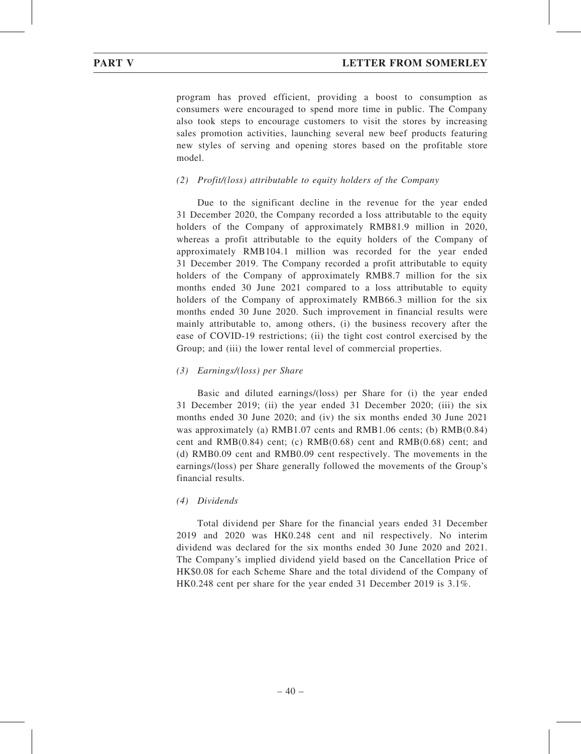program has proved efficient, providing a boost to consumption as consumers were encouraged to spend more time in public. The Company also took steps to encourage customers to visit the stores by increasing sales promotion activities, launching several new beef products featuring new styles of serving and opening stores based on the profitable store model.

### (2) Profit/(loss) attributable to equity holders of the Company

Due to the significant decline in the revenue for the year ended 31 December 2020, the Company recorded a loss attributable to the equity holders of the Company of approximately RMB81.9 million in 2020, whereas a profit attributable to the equity holders of the Company of approximately RMB104.1 million was recorded for the year ended 31 December 2019. The Company recorded a profit attributable to equity holders of the Company of approximately RMB8.7 million for the six months ended 30 June 2021 compared to a loss attributable to equity holders of the Company of approximately RMB66.3 million for the six months ended 30 June 2020. Such improvement in financial results were mainly attributable to, among others, (i) the business recovery after the ease of COVID-19 restrictions; (ii) the tight cost control exercised by the Group; and (iii) the lower rental level of commercial properties.

#### (3) Earnings/(loss) per Share

Basic and diluted earnings/(loss) per Share for (i) the year ended 31 December 2019; (ii) the year ended 31 December 2020; (iii) the six months ended 30 June 2020; and (iv) the six months ended 30 June 2021 was approximately (a) RMB1.07 cents and RMB1.06 cents; (b) RMB(0.84) cent and RMB(0.84) cent; (c) RMB(0.68) cent and RMB(0.68) cent; and (d) RMB0.09 cent and RMB0.09 cent respectively. The movements in the earnings/(loss) per Share generally followed the movements of the Group's financial results.

#### (4) Dividends

Total dividend per Share for the financial years ended 31 December 2019 and 2020 was HK0.248 cent and nil respectively. No interim dividend was declared for the six months ended 30 June 2020 and 2021. The Company's implied dividend yield based on the Cancellation Price of HK\$0.08 for each Scheme Share and the total dividend of the Company of HK0.248 cent per share for the year ended 31 December 2019 is 3.1%.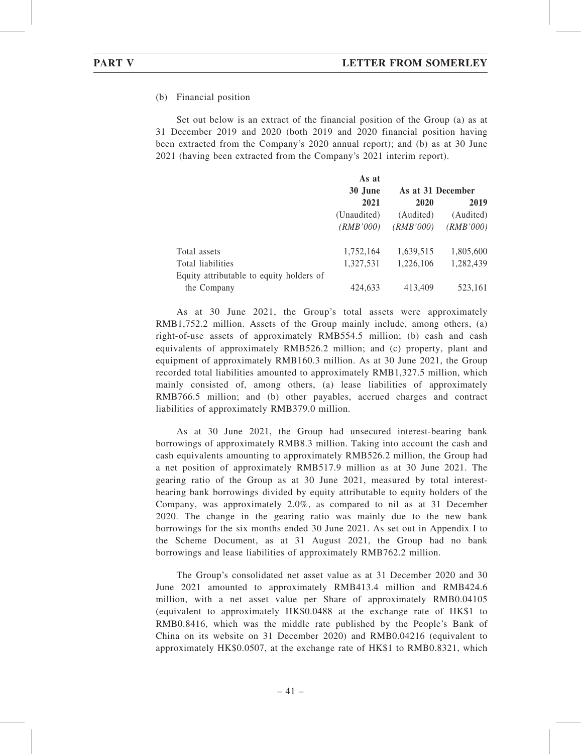(b) Financial position

Set out below is an extract of the financial position of the Group (a) as at 31 December 2019 and 2020 (both 2019 and 2020 financial position having been extracted from the Company's 2020 annual report); and (b) as at 30 June 2021 (having been extracted from the Company's 2021 interim report).

|                                          | As at       |                   |           |  |  |
|------------------------------------------|-------------|-------------------|-----------|--|--|
|                                          | 30 June     | As at 31 December |           |  |  |
|                                          | 2021        | 2020              | 2019      |  |  |
|                                          | (Unaudited) | (Audited)         | (Audited) |  |  |
|                                          | (RMB'000)   | (RMB'000)         | (RMB'000) |  |  |
| Total assets                             | 1,752,164   | 1,639,515         | 1,805,600 |  |  |
| Total liabilities                        | 1,327,531   | 1,226,106         | 1,282,439 |  |  |
| Equity attributable to equity holders of |             |                   |           |  |  |
| the Company                              | 424,633     | 413,409           | 523,161   |  |  |

As at 30 June 2021, the Group's total assets were approximately RMB1,752.2 million. Assets of the Group mainly include, among others, (a) right-of-use assets of approximately RMB554.5 million; (b) cash and cash equivalents of approximately RMB526.2 million; and (c) property, plant and equipment of approximately RMB160.3 million. As at 30 June 2021, the Group recorded total liabilities amounted to approximately RMB1,327.5 million, which mainly consisted of, among others, (a) lease liabilities of approximately RMB766.5 million; and (b) other payables, accrued charges and contract liabilities of approximately RMB379.0 million.

As at 30 June 2021, the Group had unsecured interest-bearing bank borrowings of approximately RMB8.3 million. Taking into account the cash and cash equivalents amounting to approximately RMB526.2 million, the Group had a net position of approximately RMB517.9 million as at 30 June 2021. The gearing ratio of the Group as at 30 June 2021, measured by total interestbearing bank borrowings divided by equity attributable to equity holders of the Company, was approximately 2.0%, as compared to nil as at 31 December 2020. The change in the gearing ratio was mainly due to the new bank borrowings for the six months ended 30 June 2021. As set out in Appendix I to the Scheme Document, as at 31 August 2021, the Group had no bank borrowings and lease liabilities of approximately RMB762.2 million.

The Group's consolidated net asset value as at 31 December 2020 and 30 June 2021 amounted to approximately RMB413.4 million and RMB424.6 million, with a net asset value per Share of approximately RMB0.04105 (equivalent to approximately HK\$0.0488 at the exchange rate of HK\$1 to RMB0.8416, which was the middle rate published by the People's Bank of China on its website on 31 December 2020) and RMB0.04216 (equivalent to approximately HK\$0.0507, at the exchange rate of HK\$1 to RMB0.8321, which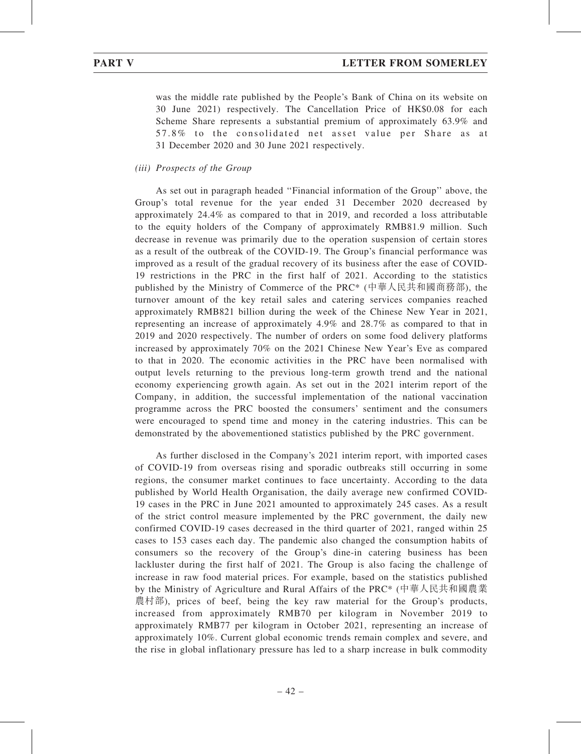was the middle rate published by the People's Bank of China on its website on 30 June 2021) respectively. The Cancellation Price of HK\$0.08 for each Scheme Share represents a substantial premium of approximately 63.9% and 57.8% to the consolidated net asset value per Share as at 31 December 2020 and 30 June 2021 respectively.

(iii) Prospects of the Group

As set out in paragraph headed ''Financial information of the Group'' above, the Group's total revenue for the year ended 31 December 2020 decreased by approximately 24.4% as compared to that in 2019, and recorded a loss attributable to the equity holders of the Company of approximately RMB81.9 million. Such decrease in revenue was primarily due to the operation suspension of certain stores as a result of the outbreak of the COVID-19. The Group's financial performance was improved as a result of the gradual recovery of its business after the ease of COVID-19 restrictions in the PRC in the first half of 2021. According to the statistics published by the Ministry of Commerce of the PRC\* (中華人民共和國商務部), the turnover amount of the key retail sales and catering services companies reached approximately RMB821 billion during the week of the Chinese New Year in 2021, representing an increase of approximately 4.9% and 28.7% as compared to that in 2019 and 2020 respectively. The number of orders on some food delivery platforms increased by approximately 70% on the 2021 Chinese New Year's Eve as compared to that in 2020. The economic activities in the PRC have been normalised with output levels returning to the previous long-term growth trend and the national economy experiencing growth again. As set out in the 2021 interim report of the Company, in addition, the successful implementation of the national vaccination programme across the PRC boosted the consumers' sentiment and the consumers were encouraged to spend time and money in the catering industries. This can be demonstrated by the abovementioned statistics published by the PRC government.

As further disclosed in the Company's 2021 interim report, with imported cases of COVID-19 from overseas rising and sporadic outbreaks still occurring in some regions, the consumer market continues to face uncertainty. According to the data published by World Health Organisation, the daily average new confirmed COVID-19 cases in the PRC in June 2021 amounted to approximately 245 cases. As a result of the strict control measure implemented by the PRC government, the daily new confirmed COVID-19 cases decreased in the third quarter of 2021, ranged within 25 cases to 153 cases each day. The pandemic also changed the consumption habits of consumers so the recovery of the Group's dine-in catering business has been lackluster during the first half of 2021. The Group is also facing the challenge of increase in raw food material prices. For example, based on the statistics published by the Ministry of Agriculture and Rural Affairs of the PRC\* (中華人民共和國農業 農村部), prices of beef, being the key raw material for the Group's products, increased from approximately RMB70 per kilogram in November 2019 to approximately RMB77 per kilogram in October 2021, representing an increase of approximately 10%. Current global economic trends remain complex and severe, and the rise in global inflationary pressure has led to a sharp increase in bulk commodity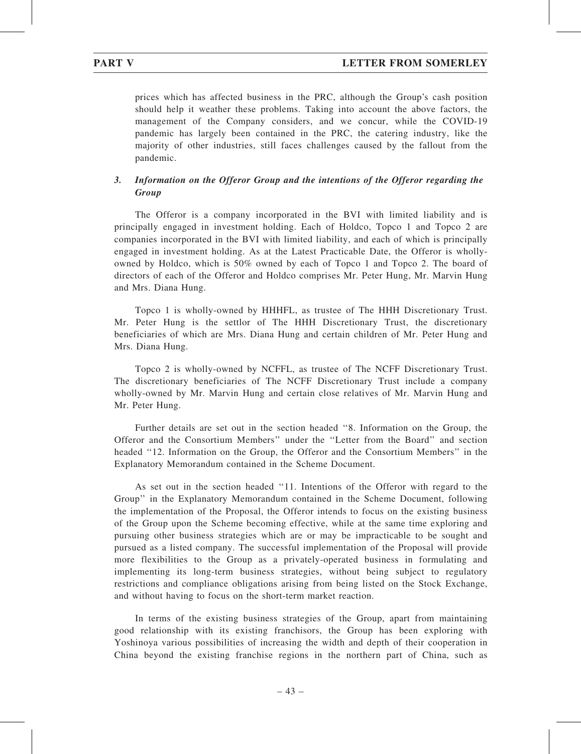prices which has affected business in the PRC, although the Group's cash position should help it weather these problems. Taking into account the above factors, the management of the Company considers, and we concur, while the COVID-19 pandemic has largely been contained in the PRC, the catering industry, like the majority of other industries, still faces challenges caused by the fallout from the pandemic.

# 3. Information on the Offeror Group and the intentions of the Offeror regarding the **Group**

The Offeror is a company incorporated in the BVI with limited liability and is principally engaged in investment holding. Each of Holdco, Topco 1 and Topco 2 are companies incorporated in the BVI with limited liability, and each of which is principally engaged in investment holding. As at the Latest Practicable Date, the Offeror is whollyowned by Holdco, which is 50% owned by each of Topco 1 and Topco 2. The board of directors of each of the Offeror and Holdco comprises Mr. Peter Hung, Mr. Marvin Hung and Mrs. Diana Hung.

Topco 1 is wholly-owned by HHHFL, as trustee of The HHH Discretionary Trust. Mr. Peter Hung is the settlor of The HHH Discretionary Trust, the discretionary beneficiaries of which are Mrs. Diana Hung and certain children of Mr. Peter Hung and Mrs. Diana Hung.

Topco 2 is wholly-owned by NCFFL, as trustee of The NCFF Discretionary Trust. The discretionary beneficiaries of The NCFF Discretionary Trust include a company wholly-owned by Mr. Marvin Hung and certain close relatives of Mr. Marvin Hung and Mr. Peter Hung.

Further details are set out in the section headed ''8. Information on the Group, the Offeror and the Consortium Members'' under the ''Letter from the Board'' and section headed ''12. Information on the Group, the Offeror and the Consortium Members'' in the Explanatory Memorandum contained in the Scheme Document.

As set out in the section headed ''11. Intentions of the Offeror with regard to the Group'' in the Explanatory Memorandum contained in the Scheme Document, following the implementation of the Proposal, the Offeror intends to focus on the existing business of the Group upon the Scheme becoming effective, while at the same time exploring and pursuing other business strategies which are or may be impracticable to be sought and pursued as a listed company. The successful implementation of the Proposal will provide more flexibilities to the Group as a privately-operated business in formulating and implementing its long-term business strategies, without being subject to regulatory restrictions and compliance obligations arising from being listed on the Stock Exchange, and without having to focus on the short-term market reaction.

In terms of the existing business strategies of the Group, apart from maintaining good relationship with its existing franchisors, the Group has been exploring with Yoshinoya various possibilities of increasing the width and depth of their cooperation in China beyond the existing franchise regions in the northern part of China, such as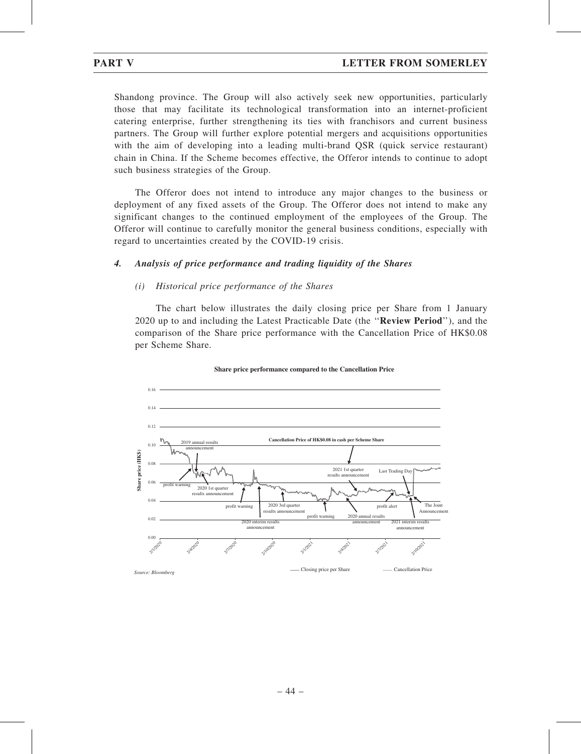Shandong province. The Group will also actively seek new opportunities, particularly those that may facilitate its technological transformation into an internet-proficient catering enterprise, further strengthening its ties with franchisors and current business partners. The Group will further explore potential mergers and acquisitions opportunities with the aim of developing into a leading multi-brand QSR (quick service restaurant) chain in China. If the Scheme becomes effective, the Offeror intends to continue to adopt such business strategies of the Group.

The Offeror does not intend to introduce any major changes to the business or deployment of any fixed assets of the Group. The Offeror does not intend to make any significant changes to the continued employment of the employees of the Group. The Offeror will continue to carefully monitor the general business conditions, especially with regard to uncertainties created by the COVID-19 crisis.

# 4. Analysis of price performance and trading liquidity of the Shares

### (i) Historical price performance of the Shares

The chart below illustrates the daily closing price per Share from 1 January 2020 up to and including the Latest Practicable Date (the ''Review Period''), and the comparison of the Share price performance with the Cancellation Price of HK\$0.08 per Scheme Share.



**Share price performance compared to the Cancellation Price**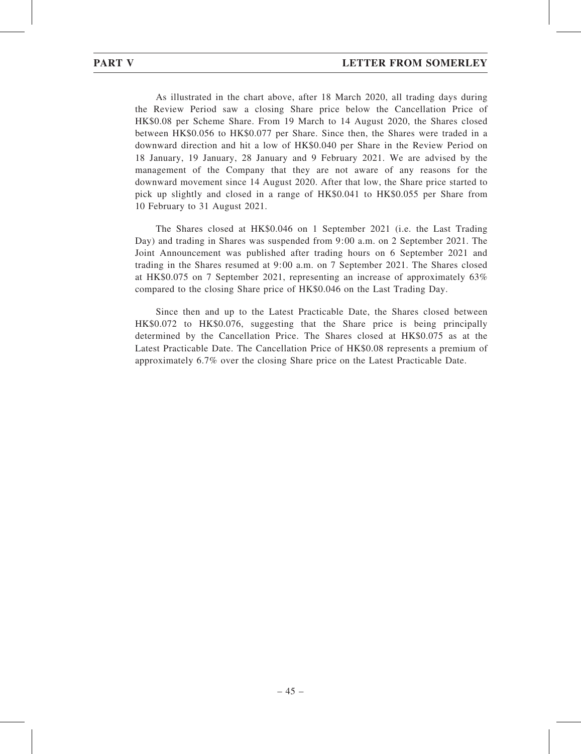As illustrated in the chart above, after 18 March 2020, all trading days during the Review Period saw a closing Share price below the Cancellation Price of HK\$0.08 per Scheme Share. From 19 March to 14 August 2020, the Shares closed between HK\$0.056 to HK\$0.077 per Share. Since then, the Shares were traded in a downward direction and hit a low of HK\$0.040 per Share in the Review Period on 18 January, 19 January, 28 January and 9 February 2021. We are advised by the management of the Company that they are not aware of any reasons for the downward movement since 14 August 2020. After that low, the Share price started to pick up slightly and closed in a range of HK\$0.041 to HK\$0.055 per Share from 10 February to 31 August 2021.

The Shares closed at HK\$0.046 on 1 September 2021 (i.e. the Last Trading Day) and trading in Shares was suspended from 9:00 a.m. on 2 September 2021. The Joint Announcement was published after trading hours on 6 September 2021 and trading in the Shares resumed at 9:00 a.m. on 7 September 2021. The Shares closed at HK\$0.075 on 7 September 2021, representing an increase of approximately 63% compared to the closing Share price of HK\$0.046 on the Last Trading Day.

Since then and up to the Latest Practicable Date, the Shares closed between HK\$0.072 to HK\$0.076, suggesting that the Share price is being principally determined by the Cancellation Price. The Shares closed at HK\$0.075 as at the Latest Practicable Date. The Cancellation Price of HK\$0.08 represents a premium of approximately 6.7% over the closing Share price on the Latest Practicable Date.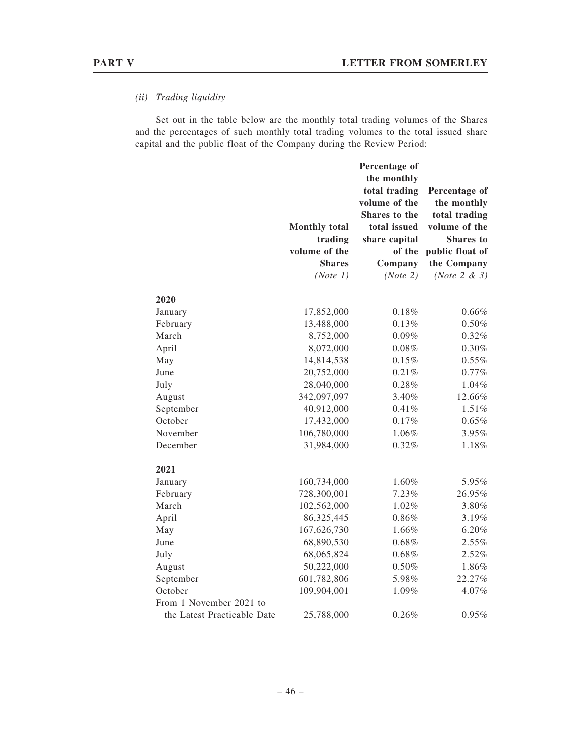# (ii) Trading liquidity

Set out in the table below are the monthly total trading volumes of the Shares and the percentages of such monthly total trading volumes to the total issued share capital and the public float of the Company during the Review Period:

|                             | <b>Monthly total</b><br>trading | Percentage of<br>the monthly<br>total trading<br>volume of the<br>Shares to the<br>total issued<br>share capital | Percentage of<br>the monthly<br>total trading<br>volume of the<br>Shares to |
|-----------------------------|---------------------------------|------------------------------------------------------------------------------------------------------------------|-----------------------------------------------------------------------------|
|                             | volume of the                   | of the                                                                                                           | public float of                                                             |
|                             | <b>Shares</b>                   | Company                                                                                                          | the Company                                                                 |
|                             | (Note 1)                        | (Note 2)                                                                                                         | (Note $2 & 3$ )                                                             |
|                             |                                 |                                                                                                                  |                                                                             |
| 2020                        |                                 |                                                                                                                  |                                                                             |
| January                     | 17,852,000                      | 0.18%                                                                                                            | 0.66%                                                                       |
| February                    | 13,488,000<br>8,752,000         | 0.13%                                                                                                            | $0.50\%$                                                                    |
| March                       |                                 | 0.09%                                                                                                            | 0.32%                                                                       |
| April                       | 8,072,000                       | 0.08%                                                                                                            | 0.30%                                                                       |
| May<br>June                 | 14,814,538<br>20,752,000        | 0.15%<br>0.21%                                                                                                   | 0.55%<br>0.77%                                                              |
|                             | 28,040,000                      | 0.28%                                                                                                            | 1.04%                                                                       |
| July                        | 342,097,097                     | 3.40%                                                                                                            | 12.66%                                                                      |
| August                      | 40,912,000                      | 0.41%                                                                                                            | 1.51%                                                                       |
| September<br>October        | 17,432,000                      | 0.17%                                                                                                            | 0.65%                                                                       |
|                             |                                 |                                                                                                                  |                                                                             |
| November                    | 106,780,000                     | 1.06%                                                                                                            | 3.95%                                                                       |
| December                    | 31,984,000                      | 0.32%                                                                                                            | 1.18%                                                                       |
| 2021                        |                                 |                                                                                                                  |                                                                             |
| January                     | 160,734,000                     | 1.60%                                                                                                            | 5.95%                                                                       |
| February                    | 728,300,001                     | 7.23%                                                                                                            | 26.95%                                                                      |
| March                       | 102,562,000                     | 1.02%                                                                                                            | 3.80%                                                                       |
| April                       | 86,325,445                      | 0.86%                                                                                                            | 3.19%                                                                       |
| May                         | 167,626,730                     | 1.66%                                                                                                            | 6.20%                                                                       |
| June                        | 68,890,530                      | 0.68%                                                                                                            | 2.55%                                                                       |
| July                        | 68,065,824                      | $0.68\%$                                                                                                         | 2.52%                                                                       |
| August                      | 50,222,000                      | 0.50%                                                                                                            | 1.86%                                                                       |
| September                   | 601,782,806                     | 5.98%                                                                                                            | 22.27%                                                                      |
| October                     | 109,904,001                     | 1.09%                                                                                                            | 4.07%                                                                       |
| From 1 November 2021 to     |                                 |                                                                                                                  |                                                                             |
| the Latest Practicable Date | 25,788,000                      | 0.26%                                                                                                            | $0.95\%$                                                                    |
|                             |                                 |                                                                                                                  |                                                                             |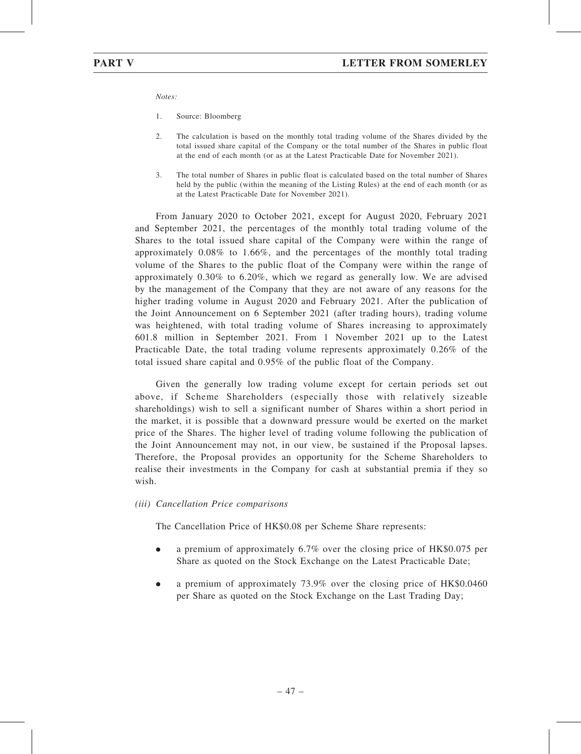Notes:

- 1. Source: Bloomberg
- 2. The calculation is based on the monthly total trading volume of the Shares divided by the total issued share capital of the Company or the total number of the Shares in public float at the end of each month (or as at the Latest Practicable Date for November 2021).
- 3. The total number of Shares in public float is calculated based on the total number of Shares held by the public (within the meaning of the Listing Rules) at the end of each month (or as at the Latest Practicable Date for November 2021).

From January 2020 to October 2021, except for August 2020, February 2021 and September 2021, the percentages of the monthly total trading volume of the Shares to the total issued share capital of the Company were within the range of approximately 0.08% to 1.66%, and the percentages of the monthly total trading volume of the Shares to the public float of the Company were within the range of approximately 0.30% to 6.20%, which we regard as generally low. We are advised by the management of the Company that they are not aware of any reasons for the higher trading volume in August 2020 and February 2021. After the publication of the Joint Announcement on 6 September 2021 (after trading hours), trading volume was heightened, with total trading volume of Shares increasing to approximately 601.8 million in September 2021. From 1 November 2021 up to the Latest Practicable Date, the total trading volume represents approximately 0.26% of the total issued share capital and 0.95% of the public float of the Company.

Given the generally low trading volume except for certain periods set out above, if Scheme Shareholders (especially those with relatively sizeable shareholdings) wish to sell a significant number of Shares within a short period in the market, it is possible that a downward pressure would be exerted on the market price of the Shares. The higher level of trading volume following the publication of the Joint Announcement may not, in our view, be sustained if the Proposal lapses. Therefore, the Proposal provides an opportunity for the Scheme Shareholders to realise their investments in the Company for cash at substantial premia if they so wish.

#### (iii) Cancellation Price comparisons

The Cancellation Price of HK\$0.08 per Scheme Share represents:

- . a premium of approximately 6.7% over the closing price of HK\$0.075 per Share as quoted on the Stock Exchange on the Latest Practicable Date;
- . a premium of approximately 73.9% over the closing price of HK\$0.0460 per Share as quoted on the Stock Exchange on the Last Trading Day;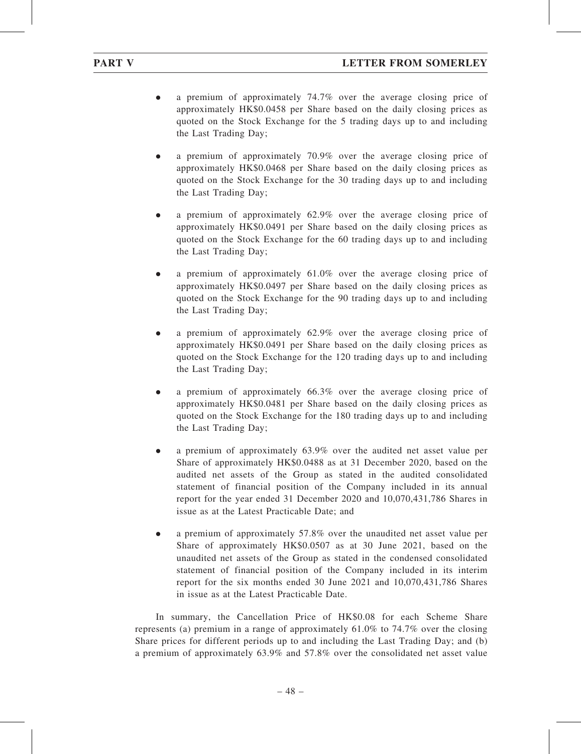- . a premium of approximately 74.7% over the average closing price of approximately HK\$0.0458 per Share based on the daily closing prices as quoted on the Stock Exchange for the 5 trading days up to and including the Last Trading Day;
- . a premium of approximately 70.9% over the average closing price of approximately HK\$0.0468 per Share based on the daily closing prices as quoted on the Stock Exchange for the 30 trading days up to and including the Last Trading Day;
- . a premium of approximately 62.9% over the average closing price of approximately HK\$0.0491 per Share based on the daily closing prices as quoted on the Stock Exchange for the 60 trading days up to and including the Last Trading Day;
- . a premium of approximately 61.0% over the average closing price of approximately HK\$0.0497 per Share based on the daily closing prices as quoted on the Stock Exchange for the 90 trading days up to and including the Last Trading Day;
- . a premium of approximately 62.9% over the average closing price of approximately HK\$0.0491 per Share based on the daily closing prices as quoted on the Stock Exchange for the 120 trading days up to and including the Last Trading Day;
- . a premium of approximately 66.3% over the average closing price of approximately HK\$0.0481 per Share based on the daily closing prices as quoted on the Stock Exchange for the 180 trading days up to and including the Last Trading Day;
- . a premium of approximately 63.9% over the audited net asset value per Share of approximately HK\$0.0488 as at 31 December 2020, based on the audited net assets of the Group as stated in the audited consolidated statement of financial position of the Company included in its annual report for the year ended 31 December 2020 and 10,070,431,786 Shares in issue as at the Latest Practicable Date; and
- . a premium of approximately 57.8% over the unaudited net asset value per Share of approximately HK\$0.0507 as at 30 June 2021, based on the unaudited net assets of the Group as stated in the condensed consolidated statement of financial position of the Company included in its interim report for the six months ended 30 June 2021 and 10,070,431,786 Shares in issue as at the Latest Practicable Date.

In summary, the Cancellation Price of HK\$0.08 for each Scheme Share represents (a) premium in a range of approximately 61.0% to 74.7% over the closing Share prices for different periods up to and including the Last Trading Day; and (b) a premium of approximately 63.9% and 57.8% over the consolidated net asset value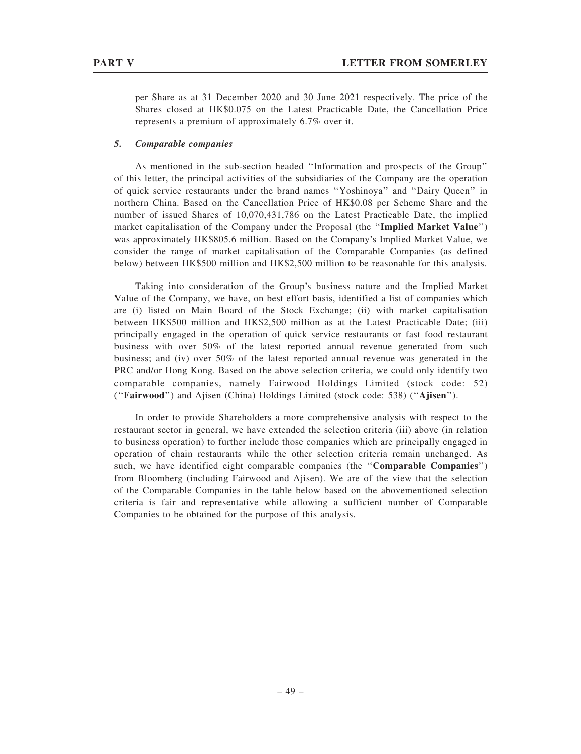per Share as at 31 December 2020 and 30 June 2021 respectively. The price of the Shares closed at HK\$0.075 on the Latest Practicable Date, the Cancellation Price represents a premium of approximately 6.7% over it.

### 5. Comparable companies

As mentioned in the sub-section headed ''Information and prospects of the Group'' of this letter, the principal activities of the subsidiaries of the Company are the operation of quick service restaurants under the brand names ''Yoshinoya'' and ''Dairy Queen'' in northern China. Based on the Cancellation Price of HK\$0.08 per Scheme Share and the number of issued Shares of 10,070,431,786 on the Latest Practicable Date, the implied market capitalisation of the Company under the Proposal (the "Implied Market Value") was approximately HK\$805.6 million. Based on the Company's Implied Market Value, we consider the range of market capitalisation of the Comparable Companies (as defined below) between HK\$500 million and HK\$2,500 million to be reasonable for this analysis.

Taking into consideration of the Group's business nature and the Implied Market Value of the Company, we have, on best effort basis, identified a list of companies which are (i) listed on Main Board of the Stock Exchange; (ii) with market capitalisation between HK\$500 million and HK\$2,500 million as at the Latest Practicable Date; (iii) principally engaged in the operation of quick service restaurants or fast food restaurant business with over 50% of the latest reported annual revenue generated from such business; and (iv) over 50% of the latest reported annual revenue was generated in the PRC and/or Hong Kong. Based on the above selection criteria, we could only identify two comparable companies, namely Fairwood Holdings Limited (stock code: 52) (''Fairwood'') and Ajisen (China) Holdings Limited (stock code: 538) (''Ajisen'').

In order to provide Shareholders a more comprehensive analysis with respect to the restaurant sector in general, we have extended the selection criteria (iii) above (in relation to business operation) to further include those companies which are principally engaged in operation of chain restaurants while the other selection criteria remain unchanged. As such, we have identified eight comparable companies (the "Comparable Companies") from Bloomberg (including Fairwood and Ajisen). We are of the view that the selection of the Comparable Companies in the table below based on the abovementioned selection criteria is fair and representative while allowing a sufficient number of Comparable Companies to be obtained for the purpose of this analysis.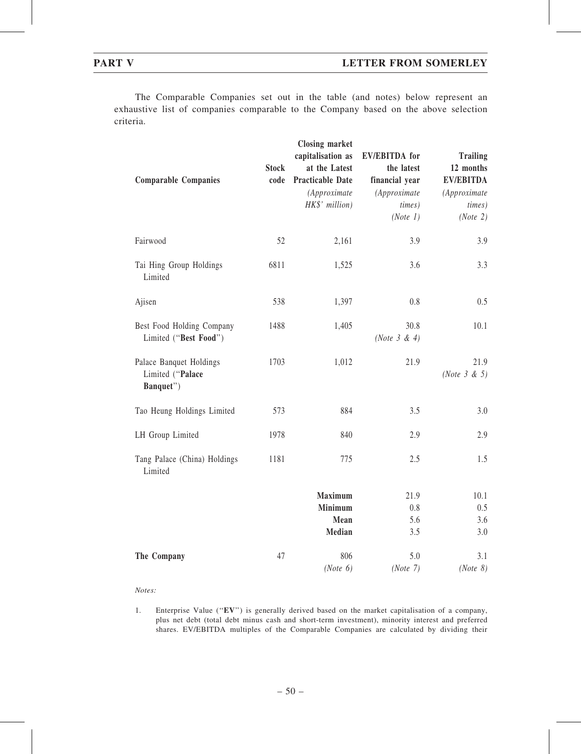The Comparable Companies set out in the table (and notes) below represent an exhaustive list of companies comparable to the Company based on the above selection criteria.

| <b>Comparable Companies</b>                              | <b>Stock</b><br>code | <b>Closing market</b><br>capitalisation as<br>at the Latest<br><b>Practicable Date</b><br>(Approximate<br>HK\$' million) | <b>EV/EBITDA</b> for<br>the latest<br>financial year<br>(Approximate<br>times)<br>(Note 1) | <b>Trailing</b><br>12 months<br><b>EV/EBITDA</b><br>(Approximate<br><i>times</i> )<br>(Note 2) |
|----------------------------------------------------------|----------------------|--------------------------------------------------------------------------------------------------------------------------|--------------------------------------------------------------------------------------------|------------------------------------------------------------------------------------------------|
| Fairwood                                                 | 52                   | 2,161                                                                                                                    | 3.9                                                                                        | 3.9                                                                                            |
| Tai Hing Group Holdings<br>Limited                       | 6811                 | 1,525                                                                                                                    | 3.6                                                                                        | 3.3                                                                                            |
| Ajisen                                                   | 538                  | 1,397                                                                                                                    | 0.8                                                                                        | 0.5                                                                                            |
| Best Food Holding Company<br>Limited ("Best Food")       | 1488                 | 1,405                                                                                                                    | 30.8<br>(Note $3 & 4$ )                                                                    | 10.1                                                                                           |
| Palace Banquet Holdings<br>Limited ("Palace<br>Banquet") | 1703                 | 1,012                                                                                                                    | 21.9                                                                                       | 21.9<br>(Note $3 & 5$ )                                                                        |
| Tao Heung Holdings Limited                               | 573                  | 884                                                                                                                      | 3.5                                                                                        | 3.0                                                                                            |
| LH Group Limited                                         | 1978                 | 840                                                                                                                      | 2.9                                                                                        | 2.9                                                                                            |
| Tang Palace (China) Holdings<br>Limited                  | 1181                 | 775                                                                                                                      | 2.5                                                                                        | 1.5                                                                                            |
|                                                          |                      | <b>Maximum</b>                                                                                                           | 21.9                                                                                       | 10.1                                                                                           |
|                                                          |                      | <b>Minimum</b>                                                                                                           | 0.8                                                                                        | 0.5                                                                                            |
|                                                          |                      | Mean                                                                                                                     | 5.6                                                                                        | 3.6                                                                                            |
|                                                          |                      | <b>Median</b>                                                                                                            | 3.5                                                                                        | 3.0                                                                                            |
| The Company                                              | 47                   | 806                                                                                                                      | 5.0                                                                                        | 3.1                                                                                            |
|                                                          |                      | (Note 6)                                                                                                                 | (Note 7)                                                                                   | (Note 8)                                                                                       |

Notes:

1. Enterprise Value (''EV'') is generally derived based on the market capitalisation of a company, plus net debt (total debt minus cash and short-term investment), minority interest and preferred shares. EV/EBITDA multiples of the Comparable Companies are calculated by dividing their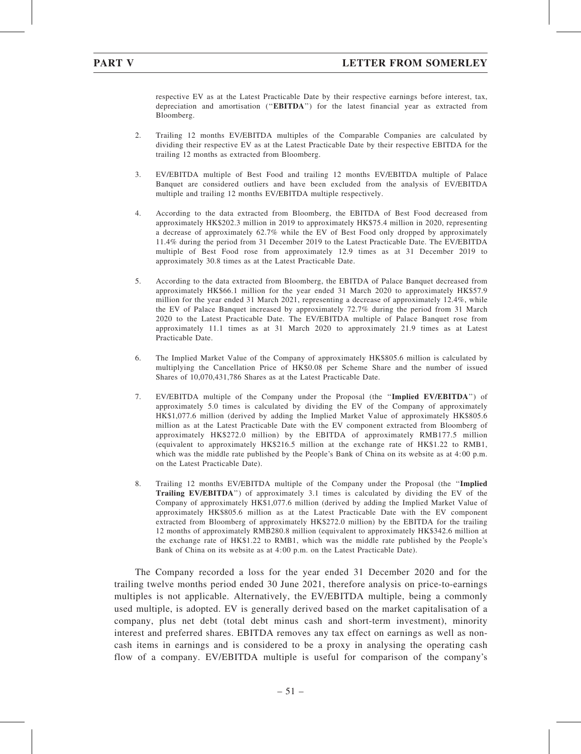respective EV as at the Latest Practicable Date by their respective earnings before interest, tax, depreciation and amortisation (''EBITDA'') for the latest financial year as extracted from Bloomberg.

- 2. Trailing 12 months EV/EBITDA multiples of the Comparable Companies are calculated by dividing their respective EV as at the Latest Practicable Date by their respective EBITDA for the trailing 12 months as extracted from Bloomberg.
- 3. EV/EBITDA multiple of Best Food and trailing 12 months EV/EBITDA multiple of Palace Banquet are considered outliers and have been excluded from the analysis of EV/EBITDA multiple and trailing 12 months EV/EBITDA multiple respectively.
- 4. According to the data extracted from Bloomberg, the EBITDA of Best Food decreased from approximately HK\$202.3 million in 2019 to approximately HK\$75.4 million in 2020, representing a decrease of approximately 62.7% while the EV of Best Food only dropped by approximately 11.4% during the period from 31 December 2019 to the Latest Practicable Date. The EV/EBITDA multiple of Best Food rose from approximately 12.9 times as at 31 December 2019 to approximately 30.8 times as at the Latest Practicable Date.
- 5. According to the data extracted from Bloomberg, the EBITDA of Palace Banquet decreased from approximately HK\$66.1 million for the year ended 31 March 2020 to approximately HK\$57.9 million for the year ended 31 March 2021, representing a decrease of approximately 12.4%, while the EV of Palace Banquet increased by approximately 72.7% during the period from 31 March 2020 to the Latest Practicable Date. The EV/EBITDA multiple of Palace Banquet rose from approximately 11.1 times as at 31 March 2020 to approximately 21.9 times as at Latest Practicable Date.
- 6. The Implied Market Value of the Company of approximately HK\$805.6 million is calculated by multiplying the Cancellation Price of HK\$0.08 per Scheme Share and the number of issued Shares of 10,070,431,786 Shares as at the Latest Practicable Date.
- 7. EV/EBITDA multiple of the Company under the Proposal (the ''Implied EV/EBITDA'') of approximately 5.0 times is calculated by dividing the EV of the Company of approximately HK\$1,077.6 million (derived by adding the Implied Market Value of approximately HK\$805.6 million as at the Latest Practicable Date with the EV component extracted from Bloomberg of approximately HK\$272.0 million) by the EBITDA of approximately RMB177.5 million (equivalent to approximately HK\$216.5 million at the exchange rate of HK\$1.22 to RMB1, which was the middle rate published by the People's Bank of China on its website as at 4:00 p.m. on the Latest Practicable Date).
- 8. Trailing 12 months EV/EBITDA multiple of the Company under the Proposal (the ''Implied Trailing EV/EBITDA'') of approximately 3.1 times is calculated by dividing the EV of the Company of approximately HK\$1,077.6 million (derived by adding the Implied Market Value of approximately HK\$805.6 million as at the Latest Practicable Date with the EV component extracted from Bloomberg of approximately HK\$272.0 million) by the EBITDA for the trailing 12 months of approximately RMB280.8 million (equivalent to approximately HK\$342.6 million at the exchange rate of HK\$1.22 to RMB1, which was the middle rate published by the People's Bank of China on its website as at 4:00 p.m. on the Latest Practicable Date).

The Company recorded a loss for the year ended 31 December 2020 and for the trailing twelve months period ended 30 June 2021, therefore analysis on price-to-earnings multiples is not applicable. Alternatively, the EV/EBITDA multiple, being a commonly used multiple, is adopted. EV is generally derived based on the market capitalisation of a company, plus net debt (total debt minus cash and short-term investment), minority interest and preferred shares. EBITDA removes any tax effect on earnings as well as noncash items in earnings and is considered to be a proxy in analysing the operating cash flow of a company. EV/EBITDA multiple is useful for comparison of the company's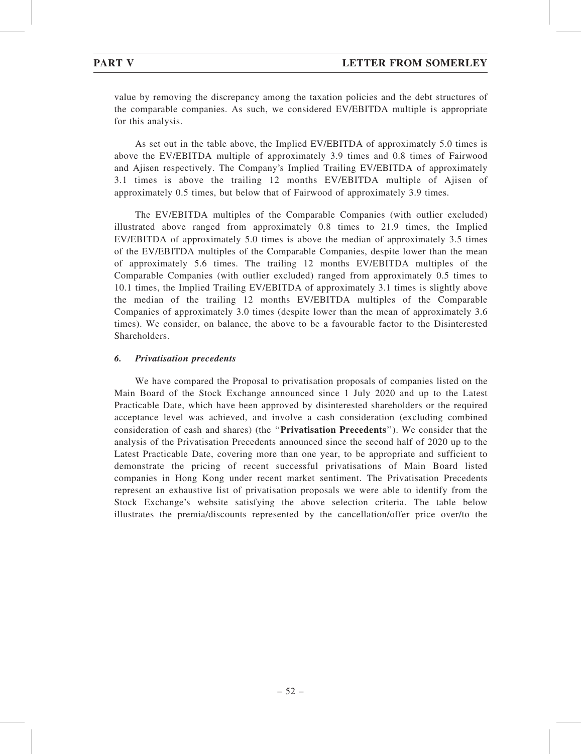value by removing the discrepancy among the taxation policies and the debt structures of the comparable companies. As such, we considered EV/EBITDA multiple is appropriate for this analysis.

As set out in the table above, the Implied EV/EBITDA of approximately 5.0 times is above the EV/EBITDA multiple of approximately 3.9 times and 0.8 times of Fairwood and Ajisen respectively. The Company's Implied Trailing EV/EBITDA of approximately 3.1 times is above the trailing 12 months EV/EBITDA multiple of Ajisen of approximately 0.5 times, but below that of Fairwood of approximately 3.9 times.

The EV/EBITDA multiples of the Comparable Companies (with outlier excluded) illustrated above ranged from approximately 0.8 times to 21.9 times, the Implied EV/EBITDA of approximately 5.0 times is above the median of approximately 3.5 times of the EV/EBITDA multiples of the Comparable Companies, despite lower than the mean of approximately 5.6 times. The trailing 12 months EV/EBITDA multiples of the Comparable Companies (with outlier excluded) ranged from approximately 0.5 times to 10.1 times, the Implied Trailing EV/EBITDA of approximately 3.1 times is slightly above the median of the trailing 12 months EV/EBITDA multiples of the Comparable Companies of approximately 3.0 times (despite lower than the mean of approximately 3.6 times). We consider, on balance, the above to be a favourable factor to the Disinterested Shareholders.

# 6. Privatisation precedents

We have compared the Proposal to privatisation proposals of companies listed on the Main Board of the Stock Exchange announced since 1 July 2020 and up to the Latest Practicable Date, which have been approved by disinterested shareholders or the required acceptance level was achieved, and involve a cash consideration (excluding combined consideration of cash and shares) (the ''Privatisation Precedents''). We consider that the analysis of the Privatisation Precedents announced since the second half of 2020 up to the Latest Practicable Date, covering more than one year, to be appropriate and sufficient to demonstrate the pricing of recent successful privatisations of Main Board listed companies in Hong Kong under recent market sentiment. The Privatisation Precedents represent an exhaustive list of privatisation proposals we were able to identify from the Stock Exchange's website satisfying the above selection criteria. The table below illustrates the premia/discounts represented by the cancellation/offer price over/to the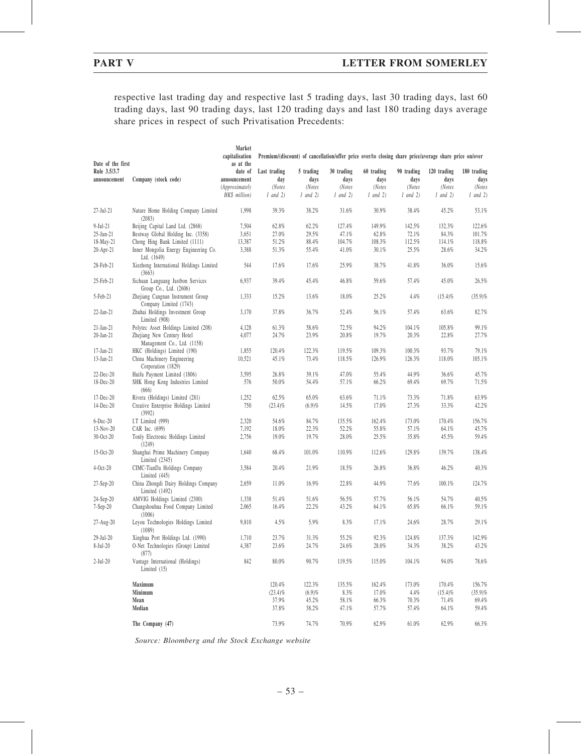respective last trading day and respective last 5 trading days, last 30 trading days, last 60 trading days, last 90 trading days, last 120 trading days and last 180 trading days average share prices in respect of such Privatisation Precedents:

|                              |                                                             | Market<br>capitalisation | Premium/(discount) of cancellation/offer price over/to closing share price/average share price on/over |                   |                    |                    |                    |                     |                     |
|------------------------------|-------------------------------------------------------------|--------------------------|--------------------------------------------------------------------------------------------------------|-------------------|--------------------|--------------------|--------------------|---------------------|---------------------|
| Date of the first            |                                                             | as at the                |                                                                                                        |                   |                    |                    |                    |                     |                     |
| Rule 3.5/3.7<br>announcement | Company (stock code)                                        | date of<br>announcement  | Last trading<br>day                                                                                    | 5 trading<br>days | 30 trading<br>days | 60 trading<br>days | 90 trading<br>days | 120 trading<br>days | 180 trading<br>days |
|                              |                                                             | <i>(Approximately</i>    | (Notes                                                                                                 | (Notes            | (Notes             | (Notes             | (Notes             | (Notes              | (Notes              |
|                              |                                                             | HK\$ million)            | $1$ and $2)$                                                                                           | $1$ and $2)$      | $1$ and $2)$       | $1$ and $2)$       | $1$ and $2)$       | $1$ and $2)$        | $1$ and $2)$        |
| $27$ -Jul- $21$              | Nature Home Holding Company Limited<br>(2083)               | 1,998                    | 39.3%                                                                                                  | 38.2%             | 31.6%              | 30.9%              | 38.4%              | 45.2%               | 53.1%               |
| $9$ -Jul-21                  | Beijing Capital Land Ltd. (2868)                            | 7,504                    | 62.8%                                                                                                  | 62.2%             | 127.4%             | 149.9%             | 142.5%             | 132.3%              | 122.6%              |
| 25-Jun-21                    | Bestway Global Holding Inc. (3358)                          | 3,651                    | 27.0%                                                                                                  | 29.5%             | 47.1%              | 62.8%              | 72.1%              | 84.3%               | 101.7%              |
| 18-May-21                    | Chong Hing Bank Limited (1111)                              | 13,387                   | 51.2%                                                                                                  | 88.4%             | 104.7%             | 108.3%             | 112.5%             | 114.1%              | 118.8%              |
| 20-Apr-21                    | Inner Mongolia Energy Engineering Co.<br>Ltd. (1649)        | 3,388                    | 51.3%                                                                                                  | 55.4%             | 41.0%              | 30.1%              | 25.5%              | 28.6%               | 34.2%               |
| 28-Feb-21                    | Xiezhong International Holdings Limited<br>(3663)           | 544                      | 17.6%                                                                                                  | 17.6%             | 25.9%              | 38.7%              | 41.8%              | 36.0%               | 15.6%               |
| 25-Feb-21                    | Sichuan Languang Justbon Services<br>Group Co., Ltd. (2606) | 6,937                    | 39.4%                                                                                                  | 45.4%             | 46.8%              | 59.6%              | 57.4%              | 45.0%               | 26.5%               |
| 5-Feb-21                     | Zhejiang Cangnan Instrument Group<br>Company Limited (1743) | 1,333                    | 15.2%                                                                                                  | 13.6%             | 18.0%              | 25.2%              | 4.4%               | $(15.4)\%$          | (35.9)%             |
| 22-Jan-21                    | Zhuhai Holdings Investment Group<br>Limited (908)           | 3,170                    | 37.8%                                                                                                  | 36.7%             | 52.4%              | 56.1%              | 57.4%              | 63.6%               | 82.7%               |
| $21-Jan-21$                  | Polytec Asset Holdings Limited (208)                        | 4,128                    | 61.3%                                                                                                  | 58.6%             | 72.5%              | 94.2%              | 104.1%             | 105.8%              | 99.1%               |
| 20-Jan-21                    | Zhejiang New Century Hotel<br>Management Co., Ltd. (1158)   | 4,077                    | 24.7%                                                                                                  | 23.9%             | 20.8%              | 19.7%              | 20.3%              | 22.8%               | 27.7%               |
| 17-Jan-21                    | HKC (Holdings) Limited (190)                                | 1,855                    | 120.4%                                                                                                 | 122.3%            | 119.5%             | 109.3%             | 100.3%             | 93.7%               | 79.1%               |
| 13-Jan-21                    | China Machinery Engineering<br>Corporation (1829)           | 10,521                   | 45.1%                                                                                                  | 73.4%             | 118.5%             | 126.9%             | 126.3%             | 118.0%              | 105.1%              |
| $22$ -Dec- $20$              | Huifu Payment Limited (1806)                                | 3,595                    | 26.8%                                                                                                  | 39.1%             | 47.0%              | 55.4%              | 44.9%              | 36.6%               | 45.7%               |
| $18$ -Dec-20                 | SHK Hong Kong Industries Limited<br>(666)                   | 576                      | 50.0%                                                                                                  | 54.4%             | 57.1%              | 66.2%              | 69.4%              | 69.7%               | 71.5%               |
| 17-Dec-20                    | Rivera (Holdings) Limited (281)                             | 1,252                    | 62.5%                                                                                                  | 65.0%             | 63.6%              | 71.1%              | 73.3%              | 71.8%               | 63.9%               |
| 14-Dec-20                    | Creative Enterprise Holdings Limited<br>(3992)              | 750                      | $(23.4)\%$                                                                                             | (6.9)%            | 14.5%              | 17.0%              | 27.3%              | 33.3%               | 42.2%               |
| $6$ -Dec-20                  | I.T Limited (999)                                           | 2,320                    | 54.6%                                                                                                  | 84.7%             | 135.5%             | 162.4%             | 173.0%             | 170.4%              | 156.7%              |
| $13-Nov-20$                  | CAR Inc. (699)                                              | 7,192                    | 18.0%                                                                                                  | 22.3%             | 52.2%              | 55.8%              | 57.1%              | 64.1%               | 45.7%               |
| $30-Oct-20$                  | Tonly Electronic Holdings Limited<br>(1249)                 | 2,756                    | 19.0%                                                                                                  | 19.7%             | 28.0%              | 25.5%              | 35.8%              | 45.5%               | 59.4%               |
| $15-0ct-20$                  | Shanghai Prime Machinery Company<br>Limited $(2345)$        | 1,640                    | 68.4%                                                                                                  | 101.0%            | 110.9%             | 112.6%             | 129.8%             | 139.7%              | 138.4%              |
| $4-Oct-20$                   | CIMC-TianDa Holdings Company<br>Limited (445)               | 3,584                    | 20.4%                                                                                                  | 21.9%             | 18.5%              | 26.8%              | 36.8%              | 46.2%               | 40.3%               |
| $27-Sep-20$                  | China Zhongdi Dairy Holdings Company<br>Limited $(1492)$    | 2,659                    | 11.0%                                                                                                  | 16.9%             | 22.8%              | 44.9%              | 77.6%              | 100.1%              | 124.7%              |
| $24-Sep-20$                  | AMVIG Holdings Limited (2300)                               | 1,338                    | 51.4%                                                                                                  | 51.6%             | 56.5%              | 57.7%              | 56.1%              | 54.7%               | 40.5%               |
| $7-Sep-20$                   | Changshouhua Food Company Limited<br>(1006)                 | 2,065                    | 16.4%                                                                                                  | 22.2%             | 43.2%              | 64.1%              | 65.8%              | 66.1%               | 59.1%               |
| 27-Aug-20                    | Leyou Technologies Holdings Limited<br>(1089)               | 9,810                    | 4.5%                                                                                                   | 5.9%              | 8.3%               | 17.1%              | 24.6%              | 28.7%               | 29.1%               |
| $29-Jul-20$                  | Xinghua Port Holdings Ltd. (1990)                           | 1,710                    | $23.7\%$                                                                                               | $31.3\%$          | 55.2%              | $92.3\%$           | 124.8%             | 137.3%              | 142.9%              |
| $8-Jul-20$                   | O-Net Technologies (Group) Limited<br>(877)                 | 4,387                    | 23.6%                                                                                                  | 24.7%             | 24.6%              | $28.0\%$           | $34.3\%$           | 38.2%               | 43.2%               |
| $2-Jul-20$                   | Vantage International (Holdings)<br>Limited (15)            | 842                      | $80.0\%$                                                                                               | 90.7%             | 119.5%             | 115.0%             | 104.1%             | 94.0%               | $78.6\%$            |
|                              | Maximum                                                     |                          | 120.4%                                                                                                 | 122.3%            | 135.5%             | 162.4%             | 173.0%             | 170.4%              | 156.7%              |
|                              | Minimum                                                     |                          | $(23.4)\%$                                                                                             | (6.9)%            | $8.3\%$            | 17.0%              | 4.4%               | $(15.4)\%$          | $(35.9)\%$          |
|                              | Mean                                                        |                          | 37.9%                                                                                                  | 45.2%             | 58.1%              | 66.3%              | 70.3%              | 71.4%               | 69.4%               |
|                              | Median                                                      |                          | 37.8%                                                                                                  | 38.2%             | 47.1%              | 57.7%              | 57.4%              | 64.1%               | 59.4%               |
|                              | The Company (47)                                            |                          | 73.9%                                                                                                  | 74.7%             | 70.9%              | 62.9%              | 61.0%              | 62.9%               | $66.3\%$            |

Source: Bloomberg and the Stock Exchange website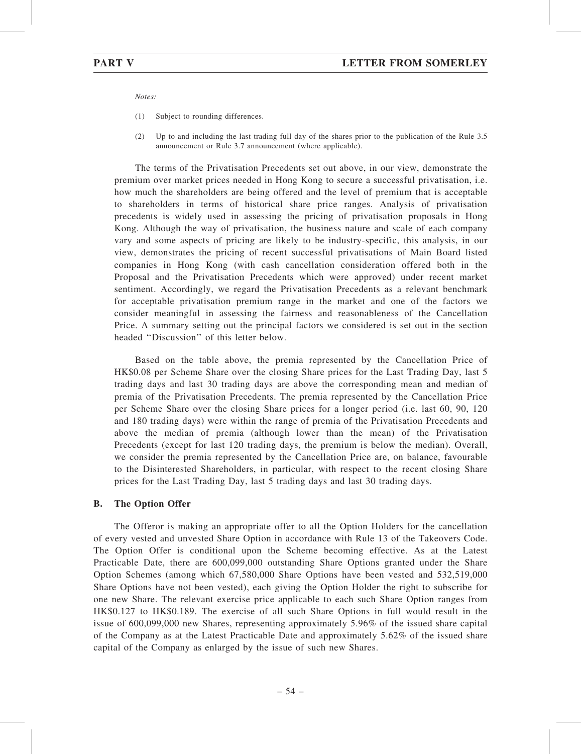Notes:

- (1) Subject to rounding differences.
- (2) Up to and including the last trading full day of the shares prior to the publication of the Rule 3.5 announcement or Rule 3.7 announcement (where applicable).

The terms of the Privatisation Precedents set out above, in our view, demonstrate the premium over market prices needed in Hong Kong to secure a successful privatisation, i.e. how much the shareholders are being offered and the level of premium that is acceptable to shareholders in terms of historical share price ranges. Analysis of privatisation precedents is widely used in assessing the pricing of privatisation proposals in Hong Kong. Although the way of privatisation, the business nature and scale of each company vary and some aspects of pricing are likely to be industry-specific, this analysis, in our view, demonstrates the pricing of recent successful privatisations of Main Board listed companies in Hong Kong (with cash cancellation consideration offered both in the Proposal and the Privatisation Precedents which were approved) under recent market sentiment. Accordingly, we regard the Privatisation Precedents as a relevant benchmark for acceptable privatisation premium range in the market and one of the factors we consider meaningful in assessing the fairness and reasonableness of the Cancellation Price. A summary setting out the principal factors we considered is set out in the section headed ''Discussion'' of this letter below.

Based on the table above, the premia represented by the Cancellation Price of HK\$0.08 per Scheme Share over the closing Share prices for the Last Trading Day, last 5 trading days and last 30 trading days are above the corresponding mean and median of premia of the Privatisation Precedents. The premia represented by the Cancellation Price per Scheme Share over the closing Share prices for a longer period (i.e. last 60, 90, 120 and 180 trading days) were within the range of premia of the Privatisation Precedents and above the median of premia (although lower than the mean) of the Privatisation Precedents (except for last 120 trading days, the premium is below the median). Overall, we consider the premia represented by the Cancellation Price are, on balance, favourable to the Disinterested Shareholders, in particular, with respect to the recent closing Share prices for the Last Trading Day, last 5 trading days and last 30 trading days.

#### B. The Option Offer

The Offeror is making an appropriate offer to all the Option Holders for the cancellation of every vested and unvested Share Option in accordance with Rule 13 of the Takeovers Code. The Option Offer is conditional upon the Scheme becoming effective. As at the Latest Practicable Date, there are 600,099,000 outstanding Share Options granted under the Share Option Schemes (among which 67,580,000 Share Options have been vested and 532,519,000 Share Options have not been vested), each giving the Option Holder the right to subscribe for one new Share. The relevant exercise price applicable to each such Share Option ranges from HK\$0.127 to HK\$0.189. The exercise of all such Share Options in full would result in the issue of 600,099,000 new Shares, representing approximately 5.96% of the issued share capital of the Company as at the Latest Practicable Date and approximately 5.62% of the issued share capital of the Company as enlarged by the issue of such new Shares.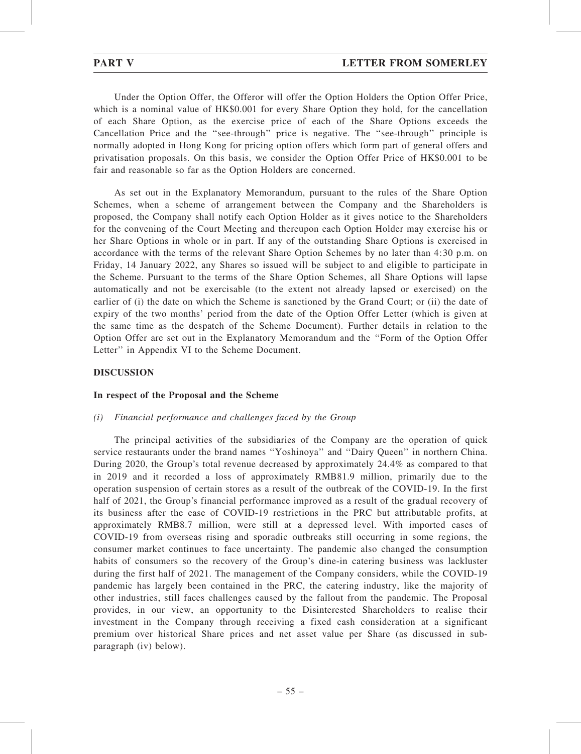Under the Option Offer, the Offeror will offer the Option Holders the Option Offer Price, which is a nominal value of HK\$0.001 for every Share Option they hold, for the cancellation of each Share Option, as the exercise price of each of the Share Options exceeds the Cancellation Price and the ''see-through'' price is negative. The ''see-through'' principle is normally adopted in Hong Kong for pricing option offers which form part of general offers and privatisation proposals. On this basis, we consider the Option Offer Price of HK\$0.001 to be fair and reasonable so far as the Option Holders are concerned.

As set out in the Explanatory Memorandum, pursuant to the rules of the Share Option Schemes, when a scheme of arrangement between the Company and the Shareholders is proposed, the Company shall notify each Option Holder as it gives notice to the Shareholders for the convening of the Court Meeting and thereupon each Option Holder may exercise his or her Share Options in whole or in part. If any of the outstanding Share Options is exercised in accordance with the terms of the relevant Share Option Schemes by no later than 4:30 p.m. on Friday, 14 January 2022, any Shares so issued will be subject to and eligible to participate in the Scheme. Pursuant to the terms of the Share Option Schemes, all Share Options will lapse automatically and not be exercisable (to the extent not already lapsed or exercised) on the earlier of (i) the date on which the Scheme is sanctioned by the Grand Court; or (ii) the date of expiry of the two months' period from the date of the Option Offer Letter (which is given at the same time as the despatch of the Scheme Document). Further details in relation to the Option Offer are set out in the Explanatory Memorandum and the ''Form of the Option Offer Letter'' in Appendix VI to the Scheme Document.

# DISCUSSION

# In respect of the Proposal and the Scheme

# (i) Financial performance and challenges faced by the Group

The principal activities of the subsidiaries of the Company are the operation of quick service restaurants under the brand names ''Yoshinoya'' and ''Dairy Queen'' in northern China. During 2020, the Group's total revenue decreased by approximately 24.4% as compared to that in 2019 and it recorded a loss of approximately RMB81.9 million, primarily due to the operation suspension of certain stores as a result of the outbreak of the COVID-19. In the first half of 2021, the Group's financial performance improved as a result of the gradual recovery of its business after the ease of COVID-19 restrictions in the PRC but attributable profits, at approximately RMB8.7 million, were still at a depressed level. With imported cases of COVID-19 from overseas rising and sporadic outbreaks still occurring in some regions, the consumer market continues to face uncertainty. The pandemic also changed the consumption habits of consumers so the recovery of the Group's dine-in catering business was lackluster during the first half of 2021. The management of the Company considers, while the COVID-19 pandemic has largely been contained in the PRC, the catering industry, like the majority of other industries, still faces challenges caused by the fallout from the pandemic. The Proposal provides, in our view, an opportunity to the Disinterested Shareholders to realise their investment in the Company through receiving a fixed cash consideration at a significant premium over historical Share prices and net asset value per Share (as discussed in subparagraph (iv) below).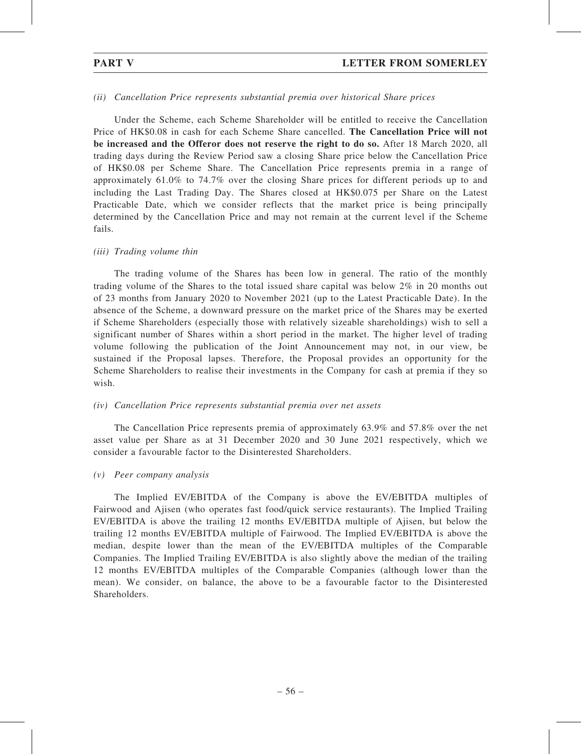### (ii) Cancellation Price represents substantial premia over historical Share prices

Under the Scheme, each Scheme Shareholder will be entitled to receive the Cancellation Price of HK\$0.08 in cash for each Scheme Share cancelled. The Cancellation Price will not be increased and the Offeror does not reserve the right to do so. After 18 March 2020, all trading days during the Review Period saw a closing Share price below the Cancellation Price of HK\$0.08 per Scheme Share. The Cancellation Price represents premia in a range of approximately 61.0% to 74.7% over the closing Share prices for different periods up to and including the Last Trading Day. The Shares closed at HK\$0.075 per Share on the Latest Practicable Date, which we consider reflects that the market price is being principally determined by the Cancellation Price and may not remain at the current level if the Scheme fails.

#### (iii) Trading volume thin

The trading volume of the Shares has been low in general. The ratio of the monthly trading volume of the Shares to the total issued share capital was below 2% in 20 months out of 23 months from January 2020 to November 2021 (up to the Latest Practicable Date). In the absence of the Scheme, a downward pressure on the market price of the Shares may be exerted if Scheme Shareholders (especially those with relatively sizeable shareholdings) wish to sell a significant number of Shares within a short period in the market. The higher level of trading volume following the publication of the Joint Announcement may not, in our view, be sustained if the Proposal lapses. Therefore, the Proposal provides an opportunity for the Scheme Shareholders to realise their investments in the Company for cash at premia if they so wish.

#### (iv) Cancellation Price represents substantial premia over net assets

The Cancellation Price represents premia of approximately 63.9% and 57.8% over the net asset value per Share as at 31 December 2020 and 30 June 2021 respectively, which we consider a favourable factor to the Disinterested Shareholders.

#### (v) Peer company analysis

The Implied EV/EBITDA of the Company is above the EV/EBITDA multiples of Fairwood and Ajisen (who operates fast food/quick service restaurants). The Implied Trailing EV/EBITDA is above the trailing 12 months EV/EBITDA multiple of Ajisen, but below the trailing 12 months EV/EBITDA multiple of Fairwood. The Implied EV/EBITDA is above the median, despite lower than the mean of the EV/EBITDA multiples of the Comparable Companies. The Implied Trailing EV/EBITDA is also slightly above the median of the trailing 12 months EV/EBITDA multiples of the Comparable Companies (although lower than the mean). We consider, on balance, the above to be a favourable factor to the Disinterested Shareholders.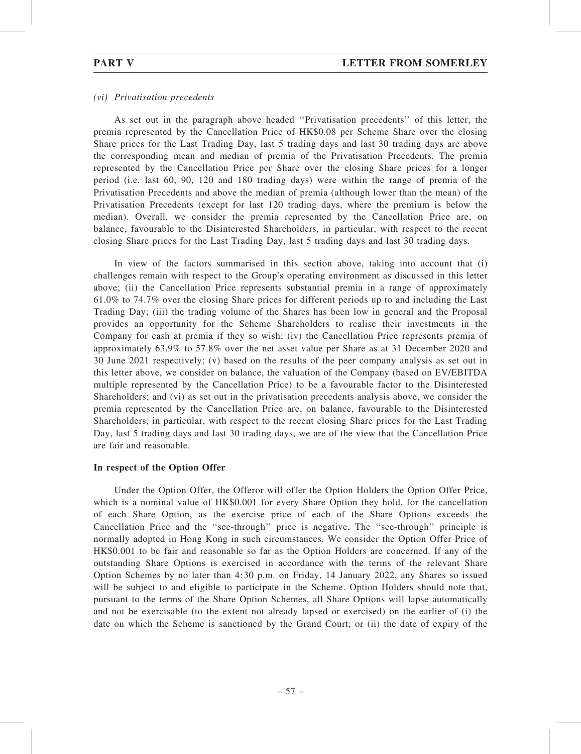### (vi) Privatisation precedents

As set out in the paragraph above headed ''Privatisation precedents'' of this letter, the premia represented by the Cancellation Price of HK\$0.08 per Scheme Share over the closing Share prices for the Last Trading Day, last 5 trading days and last 30 trading days are above the corresponding mean and median of premia of the Privatisation Precedents. The premia represented by the Cancellation Price per Share over the closing Share prices for a longer period (i.e. last 60, 90, 120 and 180 trading days) were within the range of premia of the Privatisation Precedents and above the median of premia (although lower than the mean) of the Privatisation Precedents (except for last 120 trading days, where the premium is below the median). Overall, we consider the premia represented by the Cancellation Price are, on balance, favourable to the Disinterested Shareholders, in particular, with respect to the recent closing Share prices for the Last Trading Day, last 5 trading days and last 30 trading days.

In view of the factors summarised in this section above, taking into account that (i) challenges remain with respect to the Group's operating environment as discussed in this letter above; (ii) the Cancellation Price represents substantial premia in a range of approximately 61.0% to 74.7% over the closing Share prices for different periods up to and including the Last Trading Day; (iii) the trading volume of the Shares has been low in general and the Proposal provides an opportunity for the Scheme Shareholders to realise their investments in the Company for cash at premia if they so wish; (iv) the Cancellation Price represents premia of approximately 63.9% to 57.8% over the net asset value per Share as at 31 December 2020 and 30 June 2021 respectively; (v) based on the results of the peer company analysis as set out in this letter above, we consider on balance, the valuation of the Company (based on EV/EBITDA multiple represented by the Cancellation Price) to be a favourable factor to the Disinterested Shareholders; and (vi) as set out in the privatisation precedents analysis above, we consider the premia represented by the Cancellation Price are, on balance, favourable to the Disinterested Shareholders, in particular, with respect to the recent closing Share prices for the Last Trading Day, last 5 trading days and last 30 trading days, we are of the view that the Cancellation Price are fair and reasonable.

#### In respect of the Option Offer

Under the Option Offer, the Offeror will offer the Option Holders the Option Offer Price, which is a nominal value of HK\$0.001 for every Share Option they hold, for the cancellation of each Share Option, as the exercise price of each of the Share Options exceeds the Cancellation Price and the ''see-through'' price is negative. The ''see-through'' principle is normally adopted in Hong Kong in such circumstances. We consider the Option Offer Price of HK\$0.001 to be fair and reasonable so far as the Option Holders are concerned. If any of the outstanding Share Options is exercised in accordance with the terms of the relevant Share Option Schemes by no later than 4:30 p.m. on Friday, 14 January 2022, any Shares so issued will be subject to and eligible to participate in the Scheme. Option Holders should note that, pursuant to the terms of the Share Option Schemes, all Share Options will lapse automatically and not be exercisable (to the extent not already lapsed or exercised) on the earlier of (i) the date on which the Scheme is sanctioned by the Grand Court; or (ii) the date of expiry of the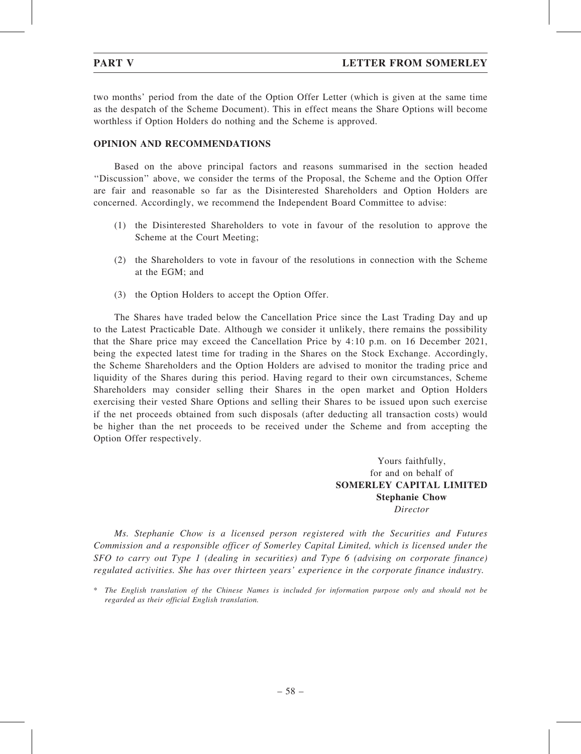two months' period from the date of the Option Offer Letter (which is given at the same time as the despatch of the Scheme Document). This in effect means the Share Options will become worthless if Option Holders do nothing and the Scheme is approved.

# OPINION AND RECOMMENDATIONS

Based on the above principal factors and reasons summarised in the section headed ''Discussion'' above, we consider the terms of the Proposal, the Scheme and the Option Offer are fair and reasonable so far as the Disinterested Shareholders and Option Holders are concerned. Accordingly, we recommend the Independent Board Committee to advise:

- (1) the Disinterested Shareholders to vote in favour of the resolution to approve the Scheme at the Court Meeting;
- (2) the Shareholders to vote in favour of the resolutions in connection with the Scheme at the EGM; and
- (3) the Option Holders to accept the Option Offer.

The Shares have traded below the Cancellation Price since the Last Trading Day and up to the Latest Practicable Date. Although we consider it unlikely, there remains the possibility that the Share price may exceed the Cancellation Price by 4:10 p.m. on 16 December 2021, being the expected latest time for trading in the Shares on the Stock Exchange. Accordingly, the Scheme Shareholders and the Option Holders are advised to monitor the trading price and liquidity of the Shares during this period. Having regard to their own circumstances, Scheme Shareholders may consider selling their Shares in the open market and Option Holders exercising their vested Share Options and selling their Shares to be issued upon such exercise if the net proceeds obtained from such disposals (after deducting all transaction costs) would be higher than the net proceeds to be received under the Scheme and from accepting the Option Offer respectively.

> Yours faithfully, for and on behalf of SOMERLEY CAPITAL LIMITED Stephanie Chow Director

Ms. Stephanie Chow is a licensed person registered with the Securities and Futures Commission and a responsible officer of Somerley Capital Limited, which is licensed under the SFO to carry out Type 1 (dealing in securities) and Type 6 (advising on corporate finance) regulated activities. She has over thirteen years' experience in the corporate finance industry.

<sup>\*</sup> The English translation of the Chinese Names is included for information purpose only and should not be regarded as their official English translation.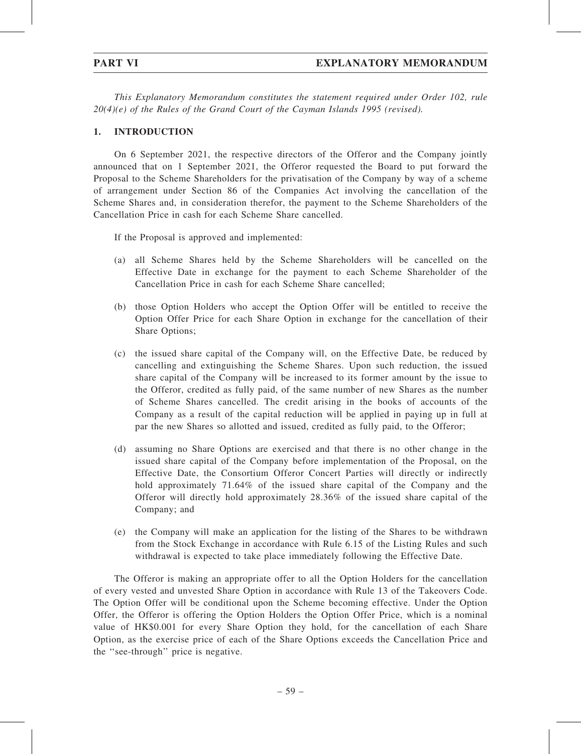This Explanatory Memorandum constitutes the statement required under Order 102, rule  $20(4)(e)$  of the Rules of the Grand Court of the Cayman Islands 1995 (revised).

# 1. INTRODUCTION

On 6 September 2021, the respective directors of the Offeror and the Company jointly announced that on 1 September 2021, the Offeror requested the Board to put forward the Proposal to the Scheme Shareholders for the privatisation of the Company by way of a scheme of arrangement under Section 86 of the Companies Act involving the cancellation of the Scheme Shares and, in consideration therefor, the payment to the Scheme Shareholders of the Cancellation Price in cash for each Scheme Share cancelled.

If the Proposal is approved and implemented:

- (a) all Scheme Shares held by the Scheme Shareholders will be cancelled on the Effective Date in exchange for the payment to each Scheme Shareholder of the Cancellation Price in cash for each Scheme Share cancelled;
- (b) those Option Holders who accept the Option Offer will be entitled to receive the Option Offer Price for each Share Option in exchange for the cancellation of their Share Options;
- (c) the issued share capital of the Company will, on the Effective Date, be reduced by cancelling and extinguishing the Scheme Shares. Upon such reduction, the issued share capital of the Company will be increased to its former amount by the issue to the Offeror, credited as fully paid, of the same number of new Shares as the number of Scheme Shares cancelled. The credit arising in the books of accounts of the Company as a result of the capital reduction will be applied in paying up in full at par the new Shares so allotted and issued, credited as fully paid, to the Offeror;
- (d) assuming no Share Options are exercised and that there is no other change in the issued share capital of the Company before implementation of the Proposal, on the Effective Date, the Consortium Offeror Concert Parties will directly or indirectly hold approximately 71.64% of the issued share capital of the Company and the Offeror will directly hold approximately 28.36% of the issued share capital of the Company; and
- (e) the Company will make an application for the listing of the Shares to be withdrawn from the Stock Exchange in accordance with Rule 6.15 of the Listing Rules and such withdrawal is expected to take place immediately following the Effective Date.

The Offeror is making an appropriate offer to all the Option Holders for the cancellation of every vested and unvested Share Option in accordance with Rule 13 of the Takeovers Code. The Option Offer will be conditional upon the Scheme becoming effective. Under the Option Offer, the Offeror is offering the Option Holders the Option Offer Price, which is a nominal value of HK\$0.001 for every Share Option they hold, for the cancellation of each Share Option, as the exercise price of each of the Share Options exceeds the Cancellation Price and the ''see-through'' price is negative.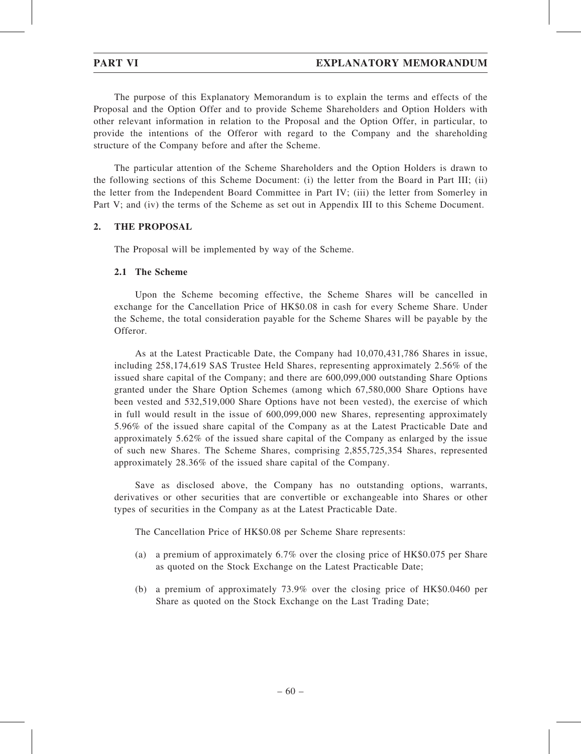The purpose of this Explanatory Memorandum is to explain the terms and effects of the Proposal and the Option Offer and to provide Scheme Shareholders and Option Holders with other relevant information in relation to the Proposal and the Option Offer, in particular, to provide the intentions of the Offeror with regard to the Company and the shareholding structure of the Company before and after the Scheme.

The particular attention of the Scheme Shareholders and the Option Holders is drawn to the following sections of this Scheme Document: (i) the letter from the Board in Part III; (ii) the letter from the Independent Board Committee in Part IV; (iii) the letter from Somerley in Part V; and (iv) the terms of the Scheme as set out in Appendix III to this Scheme Document.

# 2. THE PROPOSAL

The Proposal will be implemented by way of the Scheme.

### 2.1 The Scheme

Upon the Scheme becoming effective, the Scheme Shares will be cancelled in exchange for the Cancellation Price of HK\$0.08 in cash for every Scheme Share. Under the Scheme, the total consideration payable for the Scheme Shares will be payable by the Offeror.

As at the Latest Practicable Date, the Company had 10,070,431,786 Shares in issue, including 258,174,619 SAS Trustee Held Shares, representing approximately 2.56% of the issued share capital of the Company; and there are 600,099,000 outstanding Share Options granted under the Share Option Schemes (among which 67,580,000 Share Options have been vested and 532,519,000 Share Options have not been vested), the exercise of which in full would result in the issue of 600,099,000 new Shares, representing approximately 5.96% of the issued share capital of the Company as at the Latest Practicable Date and approximately 5.62% of the issued share capital of the Company as enlarged by the issue of such new Shares. The Scheme Shares, comprising 2,855,725,354 Shares, represented approximately 28.36% of the issued share capital of the Company.

Save as disclosed above, the Company has no outstanding options, warrants, derivatives or other securities that are convertible or exchangeable into Shares or other types of securities in the Company as at the Latest Practicable Date.

The Cancellation Price of HK\$0.08 per Scheme Share represents:

- (a) a premium of approximately 6.7% over the closing price of HK\$0.075 per Share as quoted on the Stock Exchange on the Latest Practicable Date;
- (b) a premium of approximately 73.9% over the closing price of HK\$0.0460 per Share as quoted on the Stock Exchange on the Last Trading Date;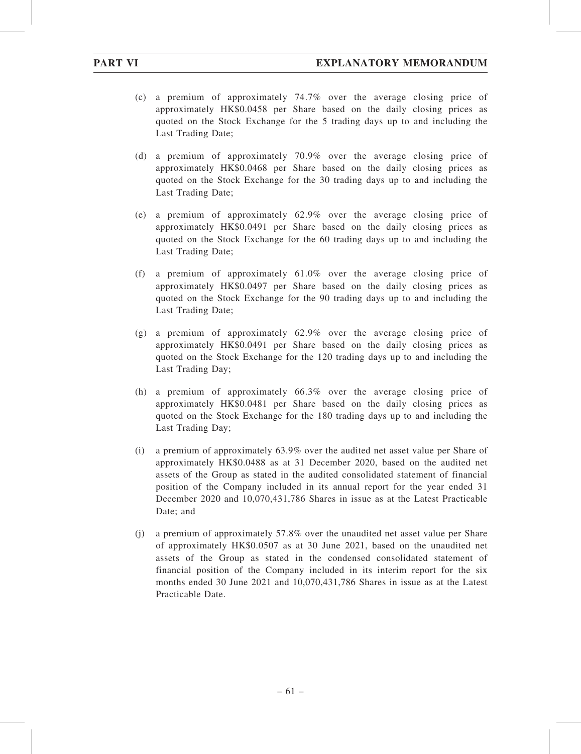- (c) a premium of approximately 74.7% over the average closing price of approximately HK\$0.0458 per Share based on the daily closing prices as quoted on the Stock Exchange for the 5 trading days up to and including the Last Trading Date;
- (d) a premium of approximately 70.9% over the average closing price of approximately HK\$0.0468 per Share based on the daily closing prices as quoted on the Stock Exchange for the 30 trading days up to and including the Last Trading Date;
- (e) a premium of approximately 62.9% over the average closing price of approximately HK\$0.0491 per Share based on the daily closing prices as quoted on the Stock Exchange for the 60 trading days up to and including the Last Trading Date;
- (f) a premium of approximately 61.0% over the average closing price of approximately HK\$0.0497 per Share based on the daily closing prices as quoted on the Stock Exchange for the 90 trading days up to and including the Last Trading Date;
- (g) a premium of approximately 62.9% over the average closing price of approximately HK\$0.0491 per Share based on the daily closing prices as quoted on the Stock Exchange for the 120 trading days up to and including the Last Trading Day;
- (h) a premium of approximately 66.3% over the average closing price of approximately HK\$0.0481 per Share based on the daily closing prices as quoted on the Stock Exchange for the 180 trading days up to and including the Last Trading Day;
- (i) a premium of approximately 63.9% over the audited net asset value per Share of approximately HK\$0.0488 as at 31 December 2020, based on the audited net assets of the Group as stated in the audited consolidated statement of financial position of the Company included in its annual report for the year ended 31 December 2020 and 10,070,431,786 Shares in issue as at the Latest Practicable Date; and
- (j) a premium of approximately 57.8% over the unaudited net asset value per Share of approximately HK\$0.0507 as at 30 June 2021, based on the unaudited net assets of the Group as stated in the condensed consolidated statement of financial position of the Company included in its interim report for the six months ended 30 June 2021 and 10,070,431,786 Shares in issue as at the Latest Practicable Date.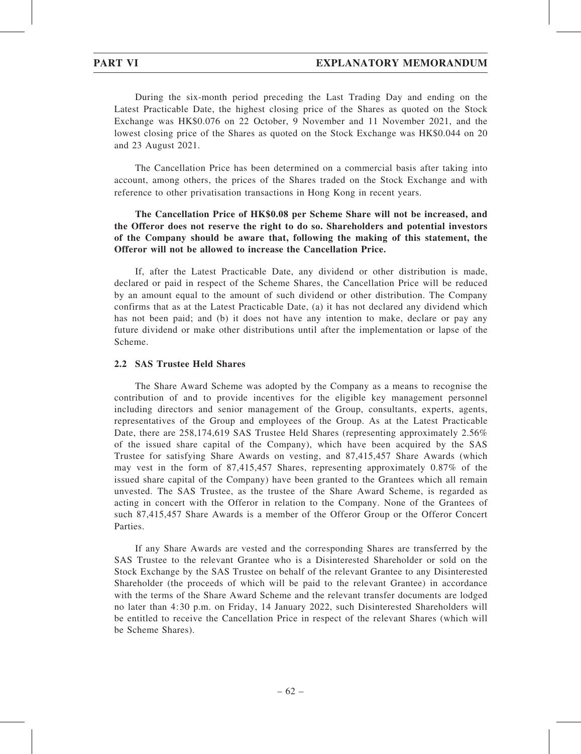During the six-month period preceding the Last Trading Day and ending on the Latest Practicable Date, the highest closing price of the Shares as quoted on the Stock Exchange was HK\$0.076 on 22 October, 9 November and 11 November 2021, and the lowest closing price of the Shares as quoted on the Stock Exchange was HK\$0.044 on 20 and 23 August 2021.

The Cancellation Price has been determined on a commercial basis after taking into account, among others, the prices of the Shares traded on the Stock Exchange and with reference to other privatisation transactions in Hong Kong in recent years.

# The Cancellation Price of HK\$0.08 per Scheme Share will not be increased, and the Offeror does not reserve the right to do so. Shareholders and potential investors of the Company should be aware that, following the making of this statement, the Offeror will not be allowed to increase the Cancellation Price.

If, after the Latest Practicable Date, any dividend or other distribution is made, declared or paid in respect of the Scheme Shares, the Cancellation Price will be reduced by an amount equal to the amount of such dividend or other distribution. The Company confirms that as at the Latest Practicable Date, (a) it has not declared any dividend which has not been paid; and (b) it does not have any intention to make, declare or pay any future dividend or make other distributions until after the implementation or lapse of the Scheme.

# 2.2 SAS Trustee Held Shares

The Share Award Scheme was adopted by the Company as a means to recognise the contribution of and to provide incentives for the eligible key management personnel including directors and senior management of the Group, consultants, experts, agents, representatives of the Group and employees of the Group. As at the Latest Practicable Date, there are 258,174,619 SAS Trustee Held Shares (representing approximately 2.56%) of the issued share capital of the Company), which have been acquired by the SAS Trustee for satisfying Share Awards on vesting, and 87,415,457 Share Awards (which may vest in the form of 87,415,457 Shares, representing approximately 0.87% of the issued share capital of the Company) have been granted to the Grantees which all remain unvested. The SAS Trustee, as the trustee of the Share Award Scheme, is regarded as acting in concert with the Offeror in relation to the Company. None of the Grantees of such 87,415,457 Share Awards is a member of the Offeror Group or the Offeror Concert Parties.

If any Share Awards are vested and the corresponding Shares are transferred by the SAS Trustee to the relevant Grantee who is a Disinterested Shareholder or sold on the Stock Exchange by the SAS Trustee on behalf of the relevant Grantee to any Disinterested Shareholder (the proceeds of which will be paid to the relevant Grantee) in accordance with the terms of the Share Award Scheme and the relevant transfer documents are lodged no later than 4:30 p.m. on Friday, 14 January 2022, such Disinterested Shareholders will be entitled to receive the Cancellation Price in respect of the relevant Shares (which will be Scheme Shares).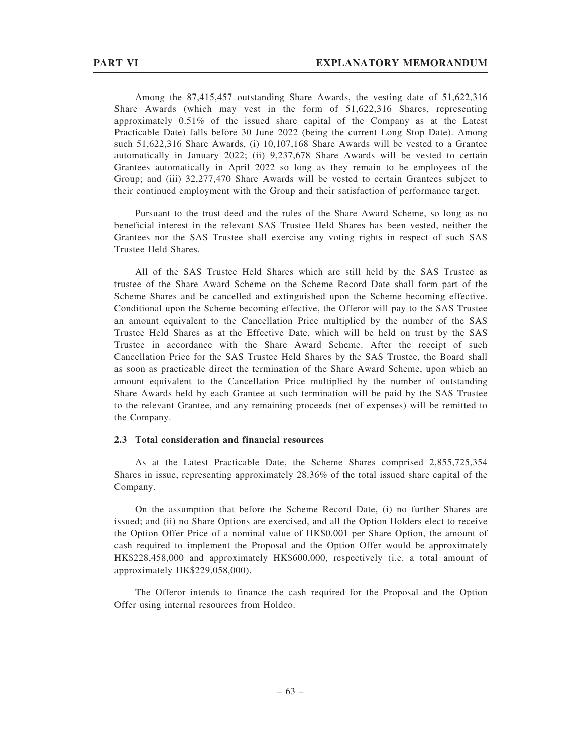Among the 87,415,457 outstanding Share Awards, the vesting date of 51,622,316 Share Awards (which may vest in the form of 51,622,316 Shares, representing approximately 0.51% of the issued share capital of the Company as at the Latest Practicable Date) falls before 30 June 2022 (being the current Long Stop Date). Among such 51,622,316 Share Awards, (i) 10,107,168 Share Awards will be vested to a Grantee automatically in January 2022; (ii) 9,237,678 Share Awards will be vested to certain Grantees automatically in April 2022 so long as they remain to be employees of the Group; and (iii) 32,277,470 Share Awards will be vested to certain Grantees subject to their continued employment with the Group and their satisfaction of performance target.

Pursuant to the trust deed and the rules of the Share Award Scheme, so long as no beneficial interest in the relevant SAS Trustee Held Shares has been vested, neither the Grantees nor the SAS Trustee shall exercise any voting rights in respect of such SAS Trustee Held Shares.

All of the SAS Trustee Held Shares which are still held by the SAS Trustee as trustee of the Share Award Scheme on the Scheme Record Date shall form part of the Scheme Shares and be cancelled and extinguished upon the Scheme becoming effective. Conditional upon the Scheme becoming effective, the Offeror will pay to the SAS Trustee an amount equivalent to the Cancellation Price multiplied by the number of the SAS Trustee Held Shares as at the Effective Date, which will be held on trust by the SAS Trustee in accordance with the Share Award Scheme. After the receipt of such Cancellation Price for the SAS Trustee Held Shares by the SAS Trustee, the Board shall as soon as practicable direct the termination of the Share Award Scheme, upon which an amount equivalent to the Cancellation Price multiplied by the number of outstanding Share Awards held by each Grantee at such termination will be paid by the SAS Trustee to the relevant Grantee, and any remaining proceeds (net of expenses) will be remitted to the Company.

# 2.3 Total consideration and financial resources

As at the Latest Practicable Date, the Scheme Shares comprised 2,855,725,354 Shares in issue, representing approximately 28.36% of the total issued share capital of the Company.

On the assumption that before the Scheme Record Date, (i) no further Shares are issued; and (ii) no Share Options are exercised, and all the Option Holders elect to receive the Option Offer Price of a nominal value of HK\$0.001 per Share Option, the amount of cash required to implement the Proposal and the Option Offer would be approximately HK\$228,458,000 and approximately HK\$600,000, respectively (i.e. a total amount of approximately HK\$229,058,000).

The Offeror intends to finance the cash required for the Proposal and the Option Offer using internal resources from Holdco.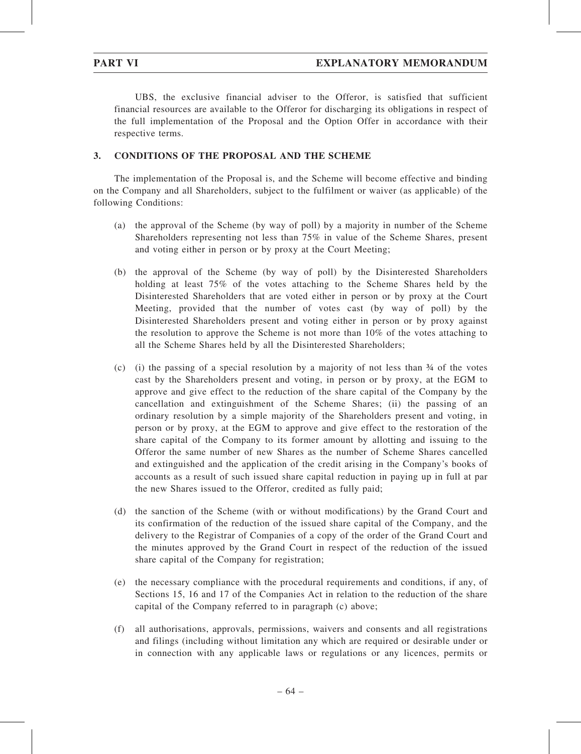UBS, the exclusive financial adviser to the Offeror, is satisfied that sufficient financial resources are available to the Offeror for discharging its obligations in respect of the full implementation of the Proposal and the Option Offer in accordance with their respective terms.

## 3. CONDITIONS OF THE PROPOSAL AND THE SCHEME

The implementation of the Proposal is, and the Scheme will become effective and binding on the Company and all Shareholders, subject to the fulfilment or waiver (as applicable) of the following Conditions:

- (a) the approval of the Scheme (by way of poll) by a majority in number of the Scheme Shareholders representing not less than 75% in value of the Scheme Shares, present and voting either in person or by proxy at the Court Meeting;
- (b) the approval of the Scheme (by way of poll) by the Disinterested Shareholders holding at least 75% of the votes attaching to the Scheme Shares held by the Disinterested Shareholders that are voted either in person or by proxy at the Court Meeting, provided that the number of votes cast (by way of poll) by the Disinterested Shareholders present and voting either in person or by proxy against the resolution to approve the Scheme is not more than 10% of the votes attaching to all the Scheme Shares held by all the Disinterested Shareholders;
- (c) (i) the passing of a special resolution by a majority of not less than  $\frac{3}{4}$  of the votes cast by the Shareholders present and voting, in person or by proxy, at the EGM to approve and give effect to the reduction of the share capital of the Company by the cancellation and extinguishment of the Scheme Shares; (ii) the passing of an ordinary resolution by a simple majority of the Shareholders present and voting, in person or by proxy, at the EGM to approve and give effect to the restoration of the share capital of the Company to its former amount by allotting and issuing to the Offeror the same number of new Shares as the number of Scheme Shares cancelled and extinguished and the application of the credit arising in the Company's books of accounts as a result of such issued share capital reduction in paying up in full at par the new Shares issued to the Offeror, credited as fully paid;
- (d) the sanction of the Scheme (with or without modifications) by the Grand Court and its confirmation of the reduction of the issued share capital of the Company, and the delivery to the Registrar of Companies of a copy of the order of the Grand Court and the minutes approved by the Grand Court in respect of the reduction of the issued share capital of the Company for registration;
- (e) the necessary compliance with the procedural requirements and conditions, if any, of Sections 15, 16 and 17 of the Companies Act in relation to the reduction of the share capital of the Company referred to in paragraph (c) above;
- (f) all authorisations, approvals, permissions, waivers and consents and all registrations and filings (including without limitation any which are required or desirable under or in connection with any applicable laws or regulations or any licences, permits or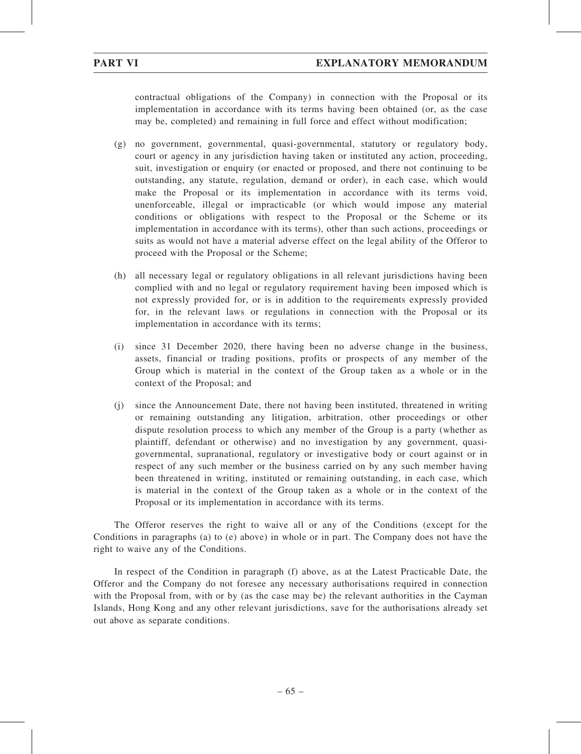contractual obligations of the Company) in connection with the Proposal or its implementation in accordance with its terms having been obtained (or, as the case may be, completed) and remaining in full force and effect without modification;

- (g) no government, governmental, quasi-governmental, statutory or regulatory body, court or agency in any jurisdiction having taken or instituted any action, proceeding, suit, investigation or enquiry (or enacted or proposed, and there not continuing to be outstanding, any statute, regulation, demand or order), in each case, which would make the Proposal or its implementation in accordance with its terms void, unenforceable, illegal or impracticable (or which would impose any material conditions or obligations with respect to the Proposal or the Scheme or its implementation in accordance with its terms), other than such actions, proceedings or suits as would not have a material adverse effect on the legal ability of the Offeror to proceed with the Proposal or the Scheme;
- (h) all necessary legal or regulatory obligations in all relevant jurisdictions having been complied with and no legal or regulatory requirement having been imposed which is not expressly provided for, or is in addition to the requirements expressly provided for, in the relevant laws or regulations in connection with the Proposal or its implementation in accordance with its terms;
- (i) since 31 December 2020, there having been no adverse change in the business, assets, financial or trading positions, profits or prospects of any member of the Group which is material in the context of the Group taken as a whole or in the context of the Proposal; and
- (j) since the Announcement Date, there not having been instituted, threatened in writing or remaining outstanding any litigation, arbitration, other proceedings or other dispute resolution process to which any member of the Group is a party (whether as plaintiff, defendant or otherwise) and no investigation by any government, quasigovernmental, supranational, regulatory or investigative body or court against or in respect of any such member or the business carried on by any such member having been threatened in writing, instituted or remaining outstanding, in each case, which is material in the context of the Group taken as a whole or in the context of the Proposal or its implementation in accordance with its terms.

The Offeror reserves the right to waive all or any of the Conditions (except for the Conditions in paragraphs (a) to (e) above) in whole or in part. The Company does not have the right to waive any of the Conditions.

In respect of the Condition in paragraph (f) above, as at the Latest Practicable Date, the Offeror and the Company do not foresee any necessary authorisations required in connection with the Proposal from, with or by (as the case may be) the relevant authorities in the Cayman Islands, Hong Kong and any other relevant jurisdictions, save for the authorisations already set out above as separate conditions.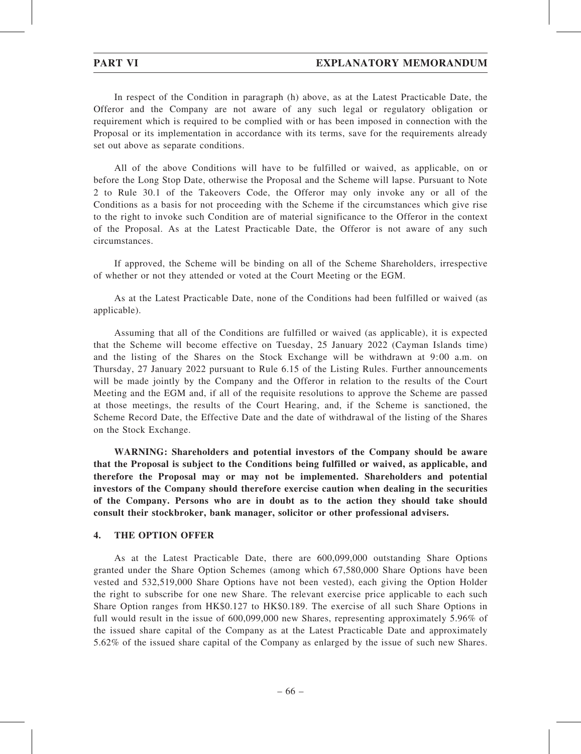In respect of the Condition in paragraph (h) above, as at the Latest Practicable Date, the Offeror and the Company are not aware of any such legal or regulatory obligation or requirement which is required to be complied with or has been imposed in connection with the Proposal or its implementation in accordance with its terms, save for the requirements already set out above as separate conditions.

All of the above Conditions will have to be fulfilled or waived, as applicable, on or before the Long Stop Date, otherwise the Proposal and the Scheme will lapse. Pursuant to Note 2 to Rule 30.1 of the Takeovers Code, the Offeror may only invoke any or all of the Conditions as a basis for not proceeding with the Scheme if the circumstances which give rise to the right to invoke such Condition are of material significance to the Offeror in the context of the Proposal. As at the Latest Practicable Date, the Offeror is not aware of any such circumstances.

If approved, the Scheme will be binding on all of the Scheme Shareholders, irrespective of whether or not they attended or voted at the Court Meeting or the EGM.

As at the Latest Practicable Date, none of the Conditions had been fulfilled or waived (as applicable).

Assuming that all of the Conditions are fulfilled or waived (as applicable), it is expected that the Scheme will become effective on Tuesday, 25 January 2022 (Cayman Islands time) and the listing of the Shares on the Stock Exchange will be withdrawn at 9:00 a.m. on Thursday, 27 January 2022 pursuant to Rule 6.15 of the Listing Rules. Further announcements will be made jointly by the Company and the Offeror in relation to the results of the Court Meeting and the EGM and, if all of the requisite resolutions to approve the Scheme are passed at those meetings, the results of the Court Hearing, and, if the Scheme is sanctioned, the Scheme Record Date, the Effective Date and the date of withdrawal of the listing of the Shares on the Stock Exchange.

WARNING: Shareholders and potential investors of the Company should be aware that the Proposal is subject to the Conditions being fulfilled or waived, as applicable, and therefore the Proposal may or may not be implemented. Shareholders and potential investors of the Company should therefore exercise caution when dealing in the securities of the Company. Persons who are in doubt as to the action they should take should consult their stockbroker, bank manager, solicitor or other professional advisers.

### 4. THE OPTION OFFER

As at the Latest Practicable Date, there are 600,099,000 outstanding Share Options granted under the Share Option Schemes (among which 67,580,000 Share Options have been vested and 532,519,000 Share Options have not been vested), each giving the Option Holder the right to subscribe for one new Share. The relevant exercise price applicable to each such Share Option ranges from HK\$0.127 to HK\$0.189. The exercise of all such Share Options in full would result in the issue of 600,099,000 new Shares, representing approximately 5.96% of the issued share capital of the Company as at the Latest Practicable Date and approximately 5.62% of the issued share capital of the Company as enlarged by the issue of such new Shares.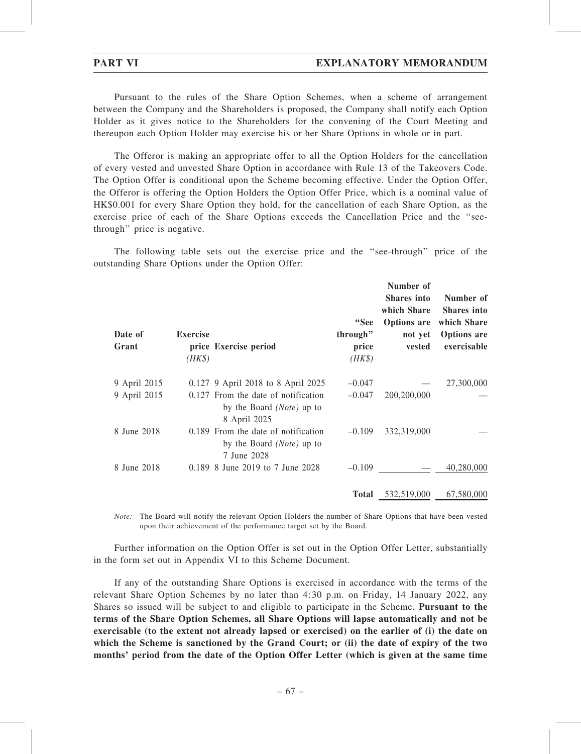Pursuant to the rules of the Share Option Schemes, when a scheme of arrangement between the Company and the Shareholders is proposed, the Company shall notify each Option Holder as it gives notice to the Shareholders for the convening of the Court Meeting and thereupon each Option Holder may exercise his or her Share Options in whole or in part.

The Offeror is making an appropriate offer to all the Option Holders for the cancellation of every vested and unvested Share Option in accordance with Rule 13 of the Takeovers Code. The Option Offer is conditional upon the Scheme becoming effective. Under the Option Offer, the Offeror is offering the Option Holders the Option Offer Price, which is a nominal value of HK\$0.001 for every Share Option they hold, for the cancellation of each Share Option, as the exercise price of each of the Share Options exceeds the Cancellation Price and the ''seethrough'' price is negative.

The following table sets out the exercise price and the ''see-through'' price of the outstanding Share Options under the Option Offer:

| Date of<br>Grant | <b>Exercise</b><br>$(HK\$ | price Exercise period                                                                     | "See<br>through"<br>price<br>$(HK\$ | Number of<br><b>Shares</b> into<br>which Share<br>Options are<br>not yet<br>vested | Number of<br><b>Shares</b> into<br>which Share<br><b>Options</b> are<br>exercisable |
|------------------|---------------------------|-------------------------------------------------------------------------------------------|-------------------------------------|------------------------------------------------------------------------------------|-------------------------------------------------------------------------------------|
| 9 April 2015     |                           | 0.127 9 April 2018 to 8 April 2025                                                        | $-0.047$                            |                                                                                    | 27,300,000                                                                          |
| 9 April 2015     |                           | 0.127 From the date of notification<br>by the Board ( <i>Note</i> ) up to<br>8 April 2025 | $-0.047$                            | 200,200,000                                                                        |                                                                                     |
| 8 June 2018      |                           | 0.189 From the date of notification<br>by the Board ( <i>Note</i> ) up to<br>7 June 2028  | $-0.109$                            | 332,319,000                                                                        |                                                                                     |
| 8 June 2018      |                           | 0.189 8 June 2019 to 7 June 2028                                                          | $-0.109$                            |                                                                                    | 40,280,000                                                                          |
|                  |                           |                                                                                           |                                     | <b>Total</b> 532,519,000                                                           | 67,580,000                                                                          |

Note: The Board will notify the relevant Option Holders the number of Share Options that have been vested upon their achievement of the performance target set by the Board.

Further information on the Option Offer is set out in the Option Offer Letter, substantially in the form set out in Appendix VI to this Scheme Document.

If any of the outstanding Share Options is exercised in accordance with the terms of the relevant Share Option Schemes by no later than 4:30 p.m. on Friday, 14 January 2022, any Shares so issued will be subject to and eligible to participate in the Scheme. Pursuant to the terms of the Share Option Schemes, all Share Options will lapse automatically and not be exercisable (to the extent not already lapsed or exercised) on the earlier of (i) the date on which the Scheme is sanctioned by the Grand Court; or (ii) the date of expiry of the two months' period from the date of the Option Offer Letter (which is given at the same time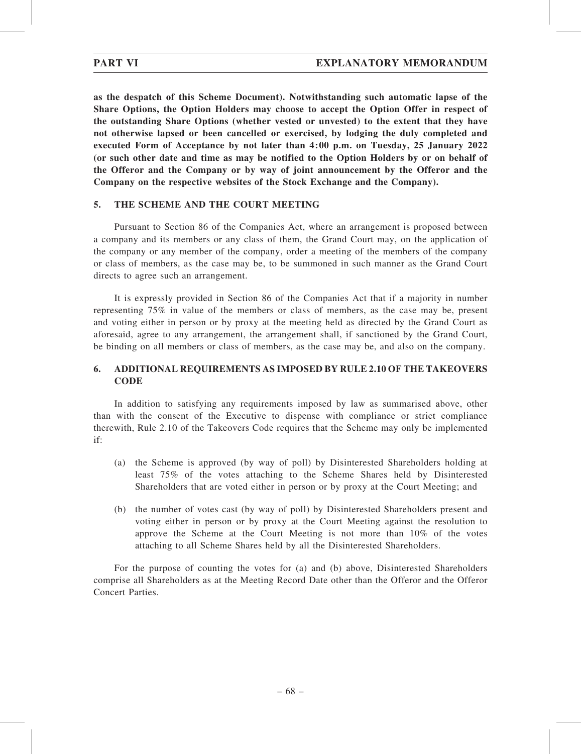as the despatch of this Scheme Document). Notwithstanding such automatic lapse of the Share Options, the Option Holders may choose to accept the Option Offer in respect of the outstanding Share Options (whether vested or unvested) to the extent that they have not otherwise lapsed or been cancelled or exercised, by lodging the duly completed and executed Form of Acceptance by not later than 4:00 p.m. on Tuesday, 25 January 2022 (or such other date and time as may be notified to the Option Holders by or on behalf of the Offeror and the Company or by way of joint announcement by the Offeror and the Company on the respective websites of the Stock Exchange and the Company).

## 5. THE SCHEME AND THE COURT MEETING

Pursuant to Section 86 of the Companies Act, where an arrangement is proposed between a company and its members or any class of them, the Grand Court may, on the application of the company or any member of the company, order a meeting of the members of the company or class of members, as the case may be, to be summoned in such manner as the Grand Court directs to agree such an arrangement.

It is expressly provided in Section 86 of the Companies Act that if a majority in number representing 75% in value of the members or class of members, as the case may be, present and voting either in person or by proxy at the meeting held as directed by the Grand Court as aforesaid, agree to any arrangement, the arrangement shall, if sanctioned by the Grand Court, be binding on all members or class of members, as the case may be, and also on the company.

# 6. ADDITIONAL REQUIREMENTS AS IMPOSED BY RULE 2.10 OF THE TAKEOVERS **CODE**

In addition to satisfying any requirements imposed by law as summarised above, other than with the consent of the Executive to dispense with compliance or strict compliance therewith, Rule 2.10 of the Takeovers Code requires that the Scheme may only be implemented if:

- (a) the Scheme is approved (by way of poll) by Disinterested Shareholders holding at least 75% of the votes attaching to the Scheme Shares held by Disinterested Shareholders that are voted either in person or by proxy at the Court Meeting; and
- (b) the number of votes cast (by way of poll) by Disinterested Shareholders present and voting either in person or by proxy at the Court Meeting against the resolution to approve the Scheme at the Court Meeting is not more than 10% of the votes attaching to all Scheme Shares held by all the Disinterested Shareholders.

For the purpose of counting the votes for (a) and (b) above, Disinterested Shareholders comprise all Shareholders as at the Meeting Record Date other than the Offeror and the Offeror Concert Parties.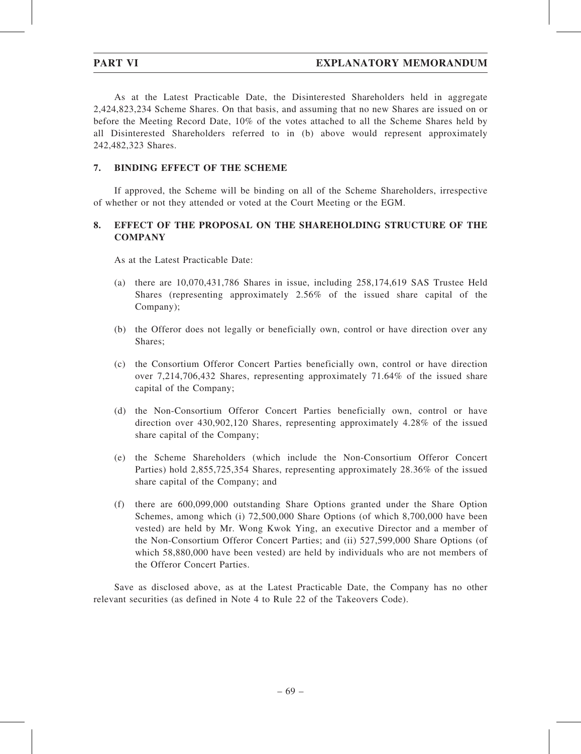As at the Latest Practicable Date, the Disinterested Shareholders held in aggregate 2,424,823,234 Scheme Shares. On that basis, and assuming that no new Shares are issued on or before the Meeting Record Date, 10% of the votes attached to all the Scheme Shares held by all Disinterested Shareholders referred to in (b) above would represent approximately 242,482,323 Shares.

## 7. BINDING EFFECT OF THE SCHEME

If approved, the Scheme will be binding on all of the Scheme Shareholders, irrespective of whether or not they attended or voted at the Court Meeting or the EGM.

## 8. EFFECT OF THE PROPOSAL ON THE SHAREHOLDING STRUCTURE OF THE **COMPANY**

As at the Latest Practicable Date:

- (a) there are 10,070,431,786 Shares in issue, including 258,174,619 SAS Trustee Held Shares (representing approximately 2.56% of the issued share capital of the Company);
- (b) the Offeror does not legally or beneficially own, control or have direction over any Shares;
- (c) the Consortium Offeror Concert Parties beneficially own, control or have direction over 7,214,706,432 Shares, representing approximately 71.64% of the issued share capital of the Company;
- (d) the Non-Consortium Offeror Concert Parties beneficially own, control or have direction over 430,902,120 Shares, representing approximately 4.28% of the issued share capital of the Company;
- (e) the Scheme Shareholders (which include the Non-Consortium Offeror Concert Parties) hold 2,855,725,354 Shares, representing approximately 28.36% of the issued share capital of the Company; and
- (f) there are 600,099,000 outstanding Share Options granted under the Share Option Schemes, among which (i) 72,500,000 Share Options (of which 8,700,000 have been vested) are held by Mr. Wong Kwok Ying, an executive Director and a member of the Non-Consortium Offeror Concert Parties; and (ii) 527,599,000 Share Options (of which 58,880,000 have been vested) are held by individuals who are not members of the Offeror Concert Parties.

Save as disclosed above, as at the Latest Practicable Date, the Company has no other relevant securities (as defined in Note 4 to Rule 22 of the Takeovers Code).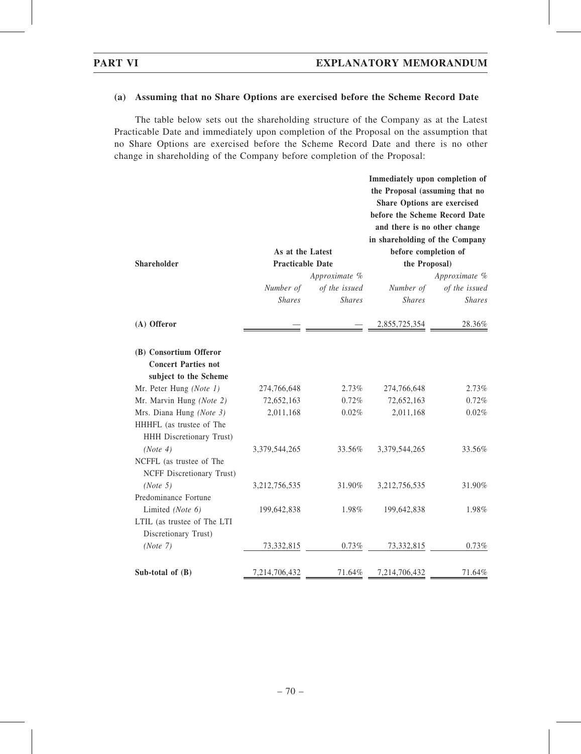### (a) Assuming that no Share Options are exercised before the Scheme Record Date

The table below sets out the shareholding structure of the Company as at the Latest Practicable Date and immediately upon completion of the Proposal on the assumption that no Share Options are exercised before the Scheme Record Date and there is no other change in shareholding of the Company before completion of the Proposal:

|                                                                               |                         |               | Immediately upon completion of<br>the Proposal (assuming that no<br><b>Share Options are exercised</b><br>before the Scheme Record Date<br>and there is no other change<br>in shareholding of the Company |                      |  |
|-------------------------------------------------------------------------------|-------------------------|---------------|-----------------------------------------------------------------------------------------------------------------------------------------------------------------------------------------------------------|----------------------|--|
|                                                                               | As at the Latest        |               |                                                                                                                                                                                                           | before completion of |  |
| <b>Shareholder</b>                                                            | <b>Practicable Date</b> |               | the Proposal)                                                                                                                                                                                             |                      |  |
|                                                                               |                         | Approximate % |                                                                                                                                                                                                           | Approximate %        |  |
|                                                                               | Number of               | of the issued | Number of                                                                                                                                                                                                 | of the issued        |  |
|                                                                               | <b>Shares</b>           | <b>Shares</b> | <b>Shares</b>                                                                                                                                                                                             | <b>Shares</b>        |  |
| (A) Offeror                                                                   |                         |               | 2,855,725,354                                                                                                                                                                                             | 28.36%               |  |
| (B) Consortium Offeror<br><b>Concert Parties not</b><br>subject to the Scheme |                         |               |                                                                                                                                                                                                           |                      |  |
| Mr. Peter Hung (Note 1)                                                       | 274,766,648             | 2.73%         | 274,766,648                                                                                                                                                                                               | 2.73%                |  |
| Mr. Marvin Hung (Note 2)                                                      | 72,652,163              | 0.72%         | 72,652,163                                                                                                                                                                                                | 0.72%                |  |
| Mrs. Diana Hung (Note 3)                                                      | 2,011,168               | 0.02%         | 2,011,168                                                                                                                                                                                                 | 0.02%                |  |
| HHHFL (as trustee of The<br>HHH Discretionary Trust)                          |                         |               |                                                                                                                                                                                                           |                      |  |
| (Note 4)                                                                      | 3,379,544,265           | 33.56%        | 3,379,544,265                                                                                                                                                                                             | 33.56%               |  |
| NCFFL (as trustee of The<br>NCFF Discretionary Trust)                         |                         |               |                                                                                                                                                                                                           |                      |  |
| (Note 5)                                                                      | 3,212,756,535           | 31.90%        | 3,212,756,535                                                                                                                                                                                             | 31.90%               |  |
| Predominance Fortune                                                          |                         |               |                                                                                                                                                                                                           |                      |  |
| Limited (Note 6)                                                              | 199,642,838             | 1.98%         | 199,642,838                                                                                                                                                                                               | 1.98%                |  |
| LTIL (as trustee of The LTI                                                   |                         |               |                                                                                                                                                                                                           |                      |  |
| Discretionary Trust)                                                          |                         |               |                                                                                                                                                                                                           |                      |  |
| (Note 7)                                                                      | 73,332,815              | 0.73%         | 73,332,815                                                                                                                                                                                                | 0.73%                |  |
| Sub-total of $(B)$                                                            | 7,214,706,432           | 71.64%        | 7,214,706,432                                                                                                                                                                                             | 71.64%               |  |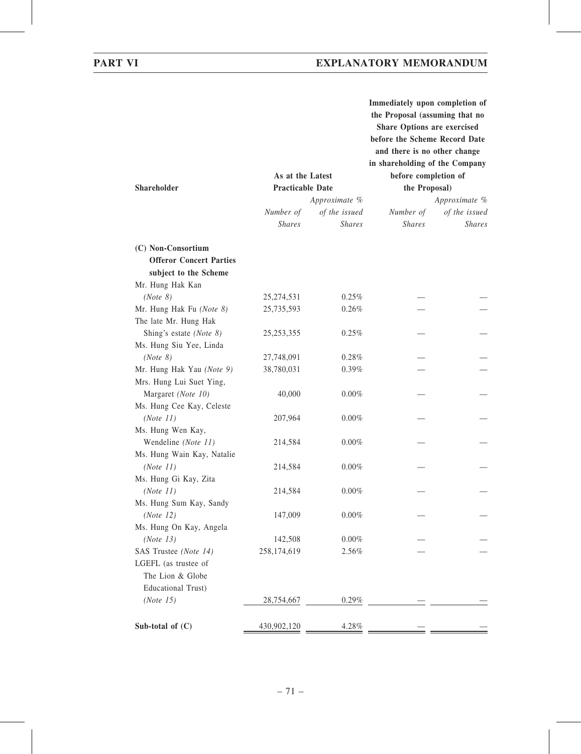|                                          |                         |               | Immediately upon completion of<br>the Proposal (assuming that no<br>Share Options are exercised<br>before the Scheme Record Date<br>and there is no other change<br>in shareholding of the Company |               |
|------------------------------------------|-------------------------|---------------|----------------------------------------------------------------------------------------------------------------------------------------------------------------------------------------------------|---------------|
|                                          | As at the Latest        |               | before completion of                                                                                                                                                                               |               |
| <b>Shareholder</b>                       | <b>Practicable Date</b> |               | the Proposal)                                                                                                                                                                                      |               |
|                                          |                         | Approximate % |                                                                                                                                                                                                    | Approximate % |
|                                          | Number of               | of the issued | Number of                                                                                                                                                                                          | of the issued |
|                                          | <b>Shares</b>           | <b>Shares</b> | <b>Shares</b>                                                                                                                                                                                      | <b>Shares</b> |
| (C) Non-Consortium                       |                         |               |                                                                                                                                                                                                    |               |
| <b>Offeror Concert Parties</b>           |                         |               |                                                                                                                                                                                                    |               |
| subject to the Scheme                    |                         |               |                                                                                                                                                                                                    |               |
| Mr. Hung Hak Kan                         |                         |               |                                                                                                                                                                                                    |               |
| (Note 8)                                 | 25, 274, 531            | 0.25%         |                                                                                                                                                                                                    |               |
| Mr. Hung Hak Fu (Note 8)                 | 25,735,593              | $0.26\%$      |                                                                                                                                                                                                    |               |
| The late Mr. Hung Hak                    |                         |               |                                                                                                                                                                                                    |               |
| Shing's estate (Note 8)                  | 25, 253, 355            | 0.25%         |                                                                                                                                                                                                    |               |
| Ms. Hung Siu Yee, Linda                  |                         |               |                                                                                                                                                                                                    |               |
| (Note 8)                                 | 27,748,091              | 0.28%         |                                                                                                                                                                                                    |               |
| Mr. Hung Hak Yau (Note 9)                | 38,780,031              | 0.39%         |                                                                                                                                                                                                    |               |
| Mrs. Hung Lui Suet Ying,                 |                         |               |                                                                                                                                                                                                    |               |
| Margaret (Note 10)                       | 40,000                  | $0.00\%$      |                                                                                                                                                                                                    |               |
| Ms. Hung Cee Kay, Celeste                |                         |               |                                                                                                                                                                                                    |               |
| (Note 11)                                | 207,964                 | $0.00\%$      |                                                                                                                                                                                                    |               |
| Ms. Hung Wen Kay,                        |                         |               |                                                                                                                                                                                                    |               |
| Wendeline (Note 11)                      | 214,584                 | $0.00\%$      |                                                                                                                                                                                                    |               |
| Ms. Hung Wain Kay, Natalie               |                         |               |                                                                                                                                                                                                    |               |
| (Note 11)                                | 214,584                 | $0.00\%$      |                                                                                                                                                                                                    |               |
| Ms. Hung Gi Kay, Zita                    |                         |               |                                                                                                                                                                                                    |               |
| (Note 11)                                | 214,584                 | 0.00%         |                                                                                                                                                                                                    |               |
| Ms. Hung Sum Kay, Sandy                  |                         |               |                                                                                                                                                                                                    |               |
| (Note 12)                                | 147,009                 | $0.00\%$      |                                                                                                                                                                                                    |               |
| Ms. Hung On Kay, Angela                  |                         |               |                                                                                                                                                                                                    |               |
| (Note 13)                                | 142,508                 | $0.00\%$      |                                                                                                                                                                                                    |               |
| SAS Trustee (Note 14)                    | 258,174,619             | 2.56%         |                                                                                                                                                                                                    |               |
| LGEFL (as trustee of<br>The Lion & Globe |                         |               |                                                                                                                                                                                                    |               |
| Educational Trust)                       |                         |               |                                                                                                                                                                                                    |               |
| (Note 15)                                | 28,754,667              | 0.29%         |                                                                                                                                                                                                    |               |
|                                          |                         |               |                                                                                                                                                                                                    |               |
| Sub-total of $(C)$                       | 430,902,120             | 4.28%         |                                                                                                                                                                                                    |               |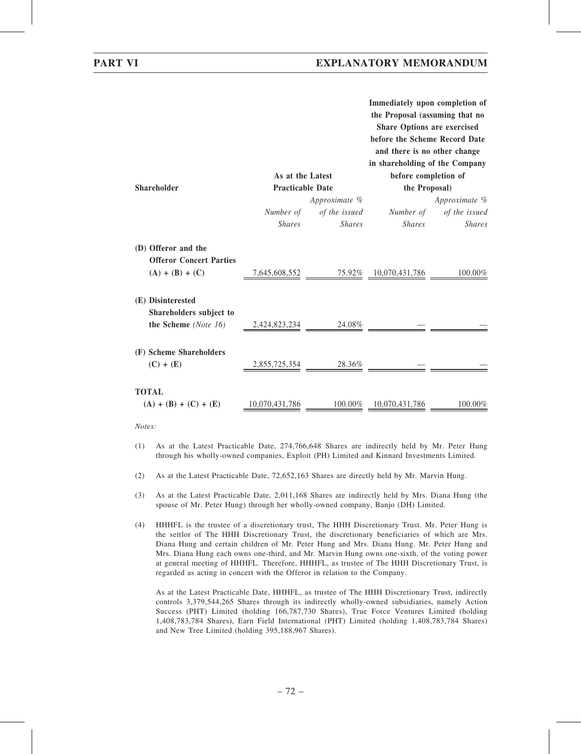|                                                       | As at the Latest        |               | Immediately upon completion of<br>the Proposal (assuming that no<br><b>Share Options are exercised</b><br>before the Scheme Record Date<br>and there is no other change<br>in shareholding of the Company<br>before completion of |               |  |
|-------------------------------------------------------|-------------------------|---------------|-----------------------------------------------------------------------------------------------------------------------------------------------------------------------------------------------------------------------------------|---------------|--|
| <b>Shareholder</b>                                    | <b>Practicable Date</b> |               |                                                                                                                                                                                                                                   | the Proposal) |  |
|                                                       |                         | Approximate % |                                                                                                                                                                                                                                   | Approximate % |  |
|                                                       | Number of               |               | of the issued Number of of the issued                                                                                                                                                                                             |               |  |
|                                                       | <b>Shares</b>           | <b>Shares</b> | <i>Shares</i>                                                                                                                                                                                                                     | <b>Shares</b> |  |
| (D) Offeror and the<br><b>Offeror Concert Parties</b> |                         |               |                                                                                                                                                                                                                                   |               |  |
| $(A) + (B) + (C)$                                     |                         |               | $7,645,608,552$ $75.92\%$ $10,070,431,786$                                                                                                                                                                                        | 100.00%       |  |
| (E) Disinterested<br>Shareholders subject to          |                         |               |                                                                                                                                                                                                                                   |               |  |
| the Scheme (Note 16)                                  | 2,424,823,234           | 24.08%        |                                                                                                                                                                                                                                   |               |  |
| (F) Scheme Shareholders                               |                         |               |                                                                                                                                                                                                                                   |               |  |
| $(C) + (E)$                                           | 2,855,725,354           | 28.36%        |                                                                                                                                                                                                                                   |               |  |
| <b>TOTAL</b>                                          |                         |               |                                                                                                                                                                                                                                   |               |  |
| $(A) + (B) + (C) + (E)$                               | 10,070,431,786          | 100.00%       | 10,070,431,786                                                                                                                                                                                                                    | 100.00%       |  |
|                                                       |                         |               |                                                                                                                                                                                                                                   |               |  |

Notes:

- (1) As at the Latest Practicable Date, 274,766,648 Shares are indirectly held by Mr. Peter Hung through his wholly-owned companies, Exploit (PH) Limited and Kinnard Investments Limited.
- (2) As at the Latest Practicable Date, 72,652,163 Shares are directly held by Mr. Marvin Hung.
- (3) As at the Latest Practicable Date, 2,011,168 Shares are indirectly held by Mrs. Diana Hung (the spouse of Mr. Peter Hung) through her wholly-owned company, Banjo (DH) Limited.
- (4) HHHFL is the trustee of a discretionary trust, The HHH Discretionary Trust. Mr. Peter Hung is the settlor of The HHH Discretionary Trust, the discretionary beneficiaries of which are Mrs. Diana Hung and certain children of Mr. Peter Hung and Mrs. Diana Hung. Mr. Peter Hung and Mrs. Diana Hung each owns one-third, and Mr. Marvin Hung owns one-sixth, of the voting power at general meeting of HHHFL. Therefore, HHHFL, as trustee of The HHH Discretionary Trust, is regarded as acting in concert with the Offeror in relation to the Company.

As at the Latest Practicable Date, HHHFL, as trustee of The HHH Discretionary Trust, indirectly controls 3,379,544,265 Shares through its indirectly wholly-owned subsidiaries, namely Action Success (PHT) Limited (holding 166,787,730 Shares), True Force Ventures Limited (holding 1,408,783,784 Shares), Earn Field International (PHT) Limited (holding 1,408,783,784 Shares) and New Tree Limited (holding 395,188,967 Shares).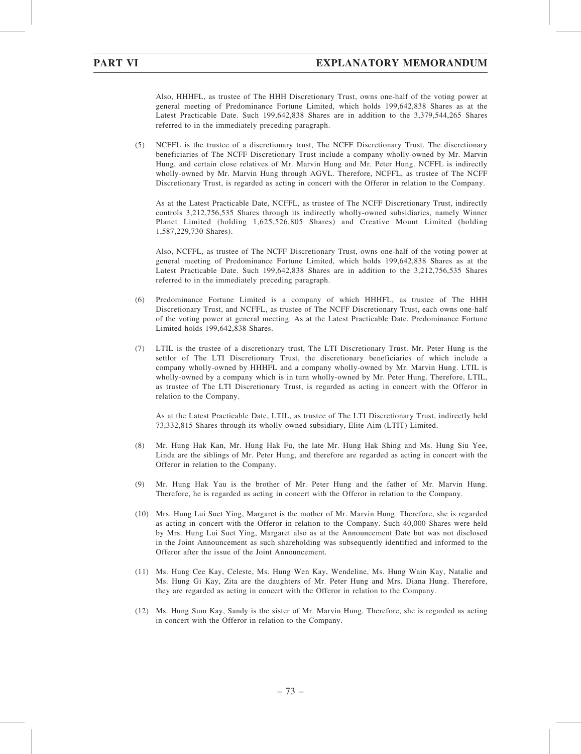Also, HHHFL, as trustee of The HHH Discretionary Trust, owns one-half of the voting power at general meeting of Predominance Fortune Limited, which holds 199,642,838 Shares as at the Latest Practicable Date. Such 199,642,838 Shares are in addition to the 3,379,544,265 Shares referred to in the immediately preceding paragraph.

(5) NCFFL is the trustee of a discretionary trust, The NCFF Discretionary Trust. The discretionary beneficiaries of The NCFF Discretionary Trust include a company wholly-owned by Mr. Marvin Hung, and certain close relatives of Mr. Marvin Hung and Mr. Peter Hung. NCFFL is indirectly wholly-owned by Mr. Marvin Hung through AGVL. Therefore, NCFFL, as trustee of The NCFF Discretionary Trust, is regarded as acting in concert with the Offeror in relation to the Company.

As at the Latest Practicable Date, NCFFL, as trustee of The NCFF Discretionary Trust, indirectly controls 3,212,756,535 Shares through its indirectly wholly-owned subsidiaries, namely Winner Planet Limited (holding 1,625,526,805 Shares) and Creative Mount Limited (holding 1,587,229,730 Shares).

Also, NCFFL, as trustee of The NCFF Discretionary Trust, owns one-half of the voting power at general meeting of Predominance Fortune Limited, which holds 199,642,838 Shares as at the Latest Practicable Date. Such 199,642,838 Shares are in addition to the 3,212,756,535 Shares referred to in the immediately preceding paragraph.

- (6) Predominance Fortune Limited is a company of which HHHFL, as trustee of The HHH Discretionary Trust, and NCFFL, as trustee of The NCFF Discretionary Trust, each owns one-half of the voting power at general meeting. As at the Latest Practicable Date, Predominance Fortune Limited holds 199,642,838 Shares.
- (7) LTIL is the trustee of a discretionary trust, The LTI Discretionary Trust. Mr. Peter Hung is the settlor of The LTI Discretionary Trust, the discretionary beneficiaries of which include a company wholly-owned by HHHFL and a company wholly-owned by Mr. Marvin Hung. LTIL is wholly-owned by a company which is in turn wholly-owned by Mr. Peter Hung. Therefore, LTIL, as trustee of The LTI Discretionary Trust, is regarded as acting in concert with the Offeror in relation to the Company.

As at the Latest Practicable Date, LTIL, as trustee of The LTI Discretionary Trust, indirectly held 73,332,815 Shares through its wholly-owned subsidiary, Elite Aim (LTIT) Limited.

- (8) Mr. Hung Hak Kan, Mr. Hung Hak Fu, the late Mr. Hung Hak Shing and Ms. Hung Siu Yee, Linda are the siblings of Mr. Peter Hung, and therefore are regarded as acting in concert with the Offeror in relation to the Company.
- (9) Mr. Hung Hak Yau is the brother of Mr. Peter Hung and the father of Mr. Marvin Hung. Therefore, he is regarded as acting in concert with the Offeror in relation to the Company.
- (10) Mrs. Hung Lui Suet Ying, Margaret is the mother of Mr. Marvin Hung. Therefore, she is regarded as acting in concert with the Offeror in relation to the Company. Such 40,000 Shares were held by Mrs. Hung Lui Suet Ying, Margaret also as at the Announcement Date but was not disclosed in the Joint Announcement as such shareholding was subsequently identified and informed to the Offeror after the issue of the Joint Announcement.
- (11) Ms. Hung Cee Kay, Celeste, Ms. Hung Wen Kay, Wendeline, Ms. Hung Wain Kay, Natalie and Ms. Hung Gi Kay, Zita are the daughters of Mr. Peter Hung and Mrs. Diana Hung. Therefore, they are regarded as acting in concert with the Offeror in relation to the Company.
- (12) Ms. Hung Sum Kay, Sandy is the sister of Mr. Marvin Hung. Therefore, she is regarded as acting in concert with the Offeror in relation to the Company.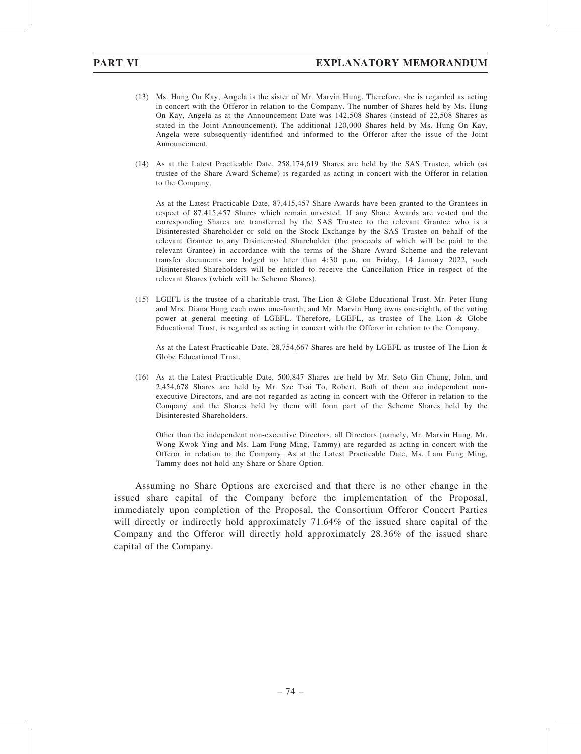- (13) Ms. Hung On Kay, Angela is the sister of Mr. Marvin Hung. Therefore, she is regarded as acting in concert with the Offeror in relation to the Company. The number of Shares held by Ms. Hung On Kay, Angela as at the Announcement Date was 142,508 Shares (instead of 22,508 Shares as stated in the Joint Announcement). The additional 120,000 Shares held by Ms. Hung On Kay, Angela were subsequently identified and informed to the Offeror after the issue of the Joint Announcement.
- (14) As at the Latest Practicable Date, 258,174,619 Shares are held by the SAS Trustee, which (as trustee of the Share Award Scheme) is regarded as acting in concert with the Offeror in relation to the Company.

As at the Latest Practicable Date, 87,415,457 Share Awards have been granted to the Grantees in respect of 87,415,457 Shares which remain unvested. If any Share Awards are vested and the corresponding Shares are transferred by the SAS Trustee to the relevant Grantee who is a Disinterested Shareholder or sold on the Stock Exchange by the SAS Trustee on behalf of the relevant Grantee to any Disinterested Shareholder (the proceeds of which will be paid to the relevant Grantee) in accordance with the terms of the Share Award Scheme and the relevant transfer documents are lodged no later than 4:30 p.m. on Friday, 14 January 2022, such Disinterested Shareholders will be entitled to receive the Cancellation Price in respect of the relevant Shares (which will be Scheme Shares).

(15) LGEFL is the trustee of a charitable trust, The Lion & Globe Educational Trust. Mr. Peter Hung and Mrs. Diana Hung each owns one-fourth, and Mr. Marvin Hung owns one-eighth, of the voting power at general meeting of LGEFL. Therefore, LGEFL, as trustee of The Lion & Globe Educational Trust, is regarded as acting in concert with the Offeror in relation to the Company.

As at the Latest Practicable Date, 28,754,667 Shares are held by LGEFL as trustee of The Lion & Globe Educational Trust.

(16) As at the Latest Practicable Date, 500,847 Shares are held by Mr. Seto Gin Chung, John, and 2,454,678 Shares are held by Mr. Sze Tsai To, Robert. Both of them are independent nonexecutive Directors, and are not regarded as acting in concert with the Offeror in relation to the Company and the Shares held by them will form part of the Scheme Shares held by the Disinterested Shareholders.

Other than the independent non-executive Directors, all Directors (namely, Mr. Marvin Hung, Mr. Wong Kwok Ying and Ms. Lam Fung Ming, Tammy) are regarded as acting in concert with the Offeror in relation to the Company. As at the Latest Practicable Date, Ms. Lam Fung Ming, Tammy does not hold any Share or Share Option.

Assuming no Share Options are exercised and that there is no other change in the issued share capital of the Company before the implementation of the Proposal, immediately upon completion of the Proposal, the Consortium Offeror Concert Parties will directly or indirectly hold approximately 71.64% of the issued share capital of the Company and the Offeror will directly hold approximately 28.36% of the issued share capital of the Company.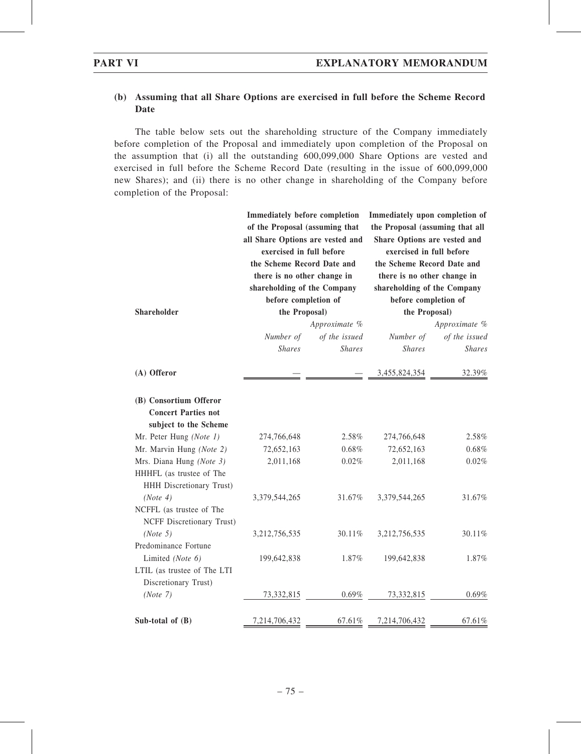# (b) Assuming that all Share Options are exercised in full before the Scheme Record Date

The table below sets out the shareholding structure of the Company immediately before completion of the Proposal and immediately upon completion of the Proposal on the assumption that (i) all the outstanding 600,099,000 Share Options are vested and exercised in full before the Scheme Record Date (resulting in the issue of 600,099,000 new Shares); and (ii) there is no other change in shareholding of the Company before completion of the Proposal:

|                                                                               | <b>Immediately before completion</b><br>of the Proposal (assuming that<br>all Share Options are vested and<br>exercised in full before<br>the Scheme Record Date and<br>there is no other change in<br>shareholding of the Company<br>before completion of |                                | Immediately upon completion of<br>the Proposal (assuming that all<br>Share Options are vested and<br>exercised in full before<br>the Scheme Record Date and<br>there is no other change in<br>shareholding of the Company<br>before completion of |                                |  |
|-------------------------------------------------------------------------------|------------------------------------------------------------------------------------------------------------------------------------------------------------------------------------------------------------------------------------------------------------|--------------------------------|---------------------------------------------------------------------------------------------------------------------------------------------------------------------------------------------------------------------------------------------------|--------------------------------|--|
| <b>Shareholder</b>                                                            | the Proposal)                                                                                                                                                                                                                                              |                                | the Proposal)                                                                                                                                                                                                                                     |                                |  |
|                                                                               |                                                                                                                                                                                                                                                            | Approximate %                  |                                                                                                                                                                                                                                                   | Approximate %                  |  |
|                                                                               | Number of<br><b>Shares</b>                                                                                                                                                                                                                                 | of the issued<br><b>Shares</b> | Number of<br><b>Shares</b>                                                                                                                                                                                                                        | of the issued<br><b>Shares</b> |  |
| (A) Offeror                                                                   |                                                                                                                                                                                                                                                            |                                | 3,455,824,354                                                                                                                                                                                                                                     | 32.39%                         |  |
| (B) Consortium Offeror<br><b>Concert Parties not</b><br>subject to the Scheme |                                                                                                                                                                                                                                                            |                                |                                                                                                                                                                                                                                                   |                                |  |
| Mr. Peter Hung (Note 1)                                                       | 274,766,648                                                                                                                                                                                                                                                | 2.58%                          | 274,766,648                                                                                                                                                                                                                                       | 2.58%                          |  |
| Mr. Marvin Hung (Note 2)                                                      | 72,652,163                                                                                                                                                                                                                                                 | $0.68\%$                       | 72,652,163                                                                                                                                                                                                                                        | $0.68\%$                       |  |
| Mrs. Diana Hung (Note 3)                                                      | 2,011,168                                                                                                                                                                                                                                                  | 0.02%                          | 2,011,168                                                                                                                                                                                                                                         | $0.02\%$                       |  |
| HHHFL (as trustee of The<br>HHH Discretionary Trust)                          |                                                                                                                                                                                                                                                            |                                |                                                                                                                                                                                                                                                   |                                |  |
| (Note 4)<br>NCFFL (as trustee of The<br>NCFF Discretionary Trust)             | 3,379,544,265                                                                                                                                                                                                                                              | 31.67%                         | 3,379,544,265                                                                                                                                                                                                                                     | 31.67%                         |  |
| (Note 5)                                                                      | 3,212,756,535                                                                                                                                                                                                                                              | 30.11%                         | 3,212,756,535                                                                                                                                                                                                                                     | 30.11%                         |  |
| Predominance Fortune                                                          |                                                                                                                                                                                                                                                            |                                |                                                                                                                                                                                                                                                   |                                |  |
| Limited (Note 6)                                                              | 199,642,838                                                                                                                                                                                                                                                | 1.87%                          | 199,642,838                                                                                                                                                                                                                                       | 1.87%                          |  |
| LTIL (as trustee of The LTI<br>Discretionary Trust)                           |                                                                                                                                                                                                                                                            |                                |                                                                                                                                                                                                                                                   |                                |  |
| (Note 7)                                                                      | 73,332,815                                                                                                                                                                                                                                                 | 0.69%                          | 73,332,815                                                                                                                                                                                                                                        | 0.69%                          |  |
| Sub-total of $(B)$                                                            | 7,214,706,432                                                                                                                                                                                                                                              | 67.61%                         | 7,214,706,432                                                                                                                                                                                                                                     | 67.61%                         |  |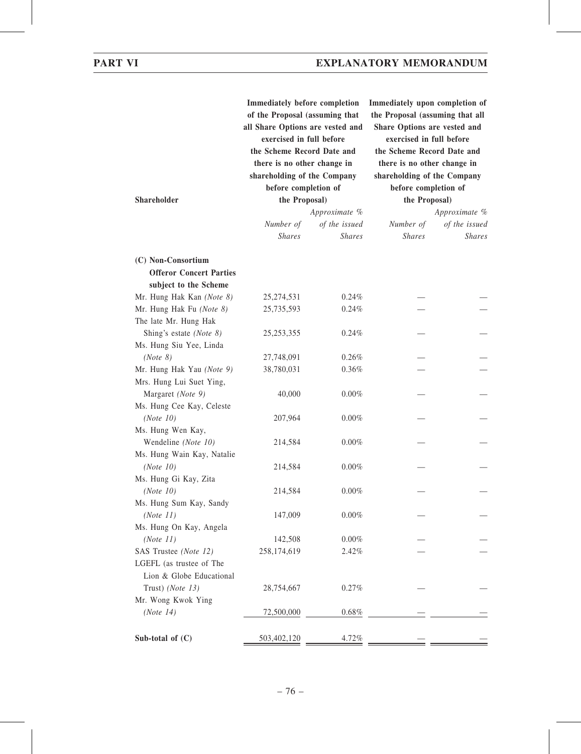| Shareholder                    | <b>Immediately before completion</b><br>of the Proposal (assuming that<br>all Share Options are vested and<br>exercised in full before<br>the Scheme Record Date and<br>there is no other change in<br>shareholding of the Company<br>before completion of<br>the Proposal)<br>Number of | Approximate %<br>of the issued | Immediately upon completion of<br>the Proposal (assuming that all<br>Share Options are vested and<br>exercised in full before<br>the Scheme Record Date and<br>there is no other change in<br>shareholding of the Company<br>before completion of<br>the Proposal)<br>Number of | Approximate %<br>of the issued |
|--------------------------------|------------------------------------------------------------------------------------------------------------------------------------------------------------------------------------------------------------------------------------------------------------------------------------------|--------------------------------|---------------------------------------------------------------------------------------------------------------------------------------------------------------------------------------------------------------------------------------------------------------------------------|--------------------------------|
|                                | <b>Shares</b>                                                                                                                                                                                                                                                                            | <b>Shares</b>                  | <b>Shares</b>                                                                                                                                                                                                                                                                   | <b>Shares</b>                  |
| (C) Non-Consortium             |                                                                                                                                                                                                                                                                                          |                                |                                                                                                                                                                                                                                                                                 |                                |
| <b>Offeror Concert Parties</b> |                                                                                                                                                                                                                                                                                          |                                |                                                                                                                                                                                                                                                                                 |                                |
| subject to the Scheme          |                                                                                                                                                                                                                                                                                          |                                |                                                                                                                                                                                                                                                                                 |                                |
| Mr. Hung Hak Kan (Note 8)      | 25,274,531                                                                                                                                                                                                                                                                               | 0.24%                          |                                                                                                                                                                                                                                                                                 |                                |
| Mr. Hung Hak Fu (Note 8)       | 25,735,593                                                                                                                                                                                                                                                                               | 0.24%                          |                                                                                                                                                                                                                                                                                 |                                |
| The late Mr. Hung Hak          |                                                                                                                                                                                                                                                                                          |                                |                                                                                                                                                                                                                                                                                 |                                |
| Shing's estate (Note 8)        | 25, 253, 355                                                                                                                                                                                                                                                                             | 0.24%                          |                                                                                                                                                                                                                                                                                 |                                |
| Ms. Hung Siu Yee, Linda        |                                                                                                                                                                                                                                                                                          |                                |                                                                                                                                                                                                                                                                                 |                                |
| (Note 8)                       | 27,748,091                                                                                                                                                                                                                                                                               | 0.26%                          |                                                                                                                                                                                                                                                                                 |                                |
| Mr. Hung Hak Yau (Note 9)      | 38,780,031                                                                                                                                                                                                                                                                               | 0.36%                          |                                                                                                                                                                                                                                                                                 |                                |
| Mrs. Hung Lui Suet Ying,       |                                                                                                                                                                                                                                                                                          |                                |                                                                                                                                                                                                                                                                                 |                                |
| Margaret (Note 9)              | 40,000                                                                                                                                                                                                                                                                                   | 0.00%                          |                                                                                                                                                                                                                                                                                 |                                |
| Ms. Hung Cee Kay, Celeste      |                                                                                                                                                                                                                                                                                          |                                |                                                                                                                                                                                                                                                                                 |                                |
| (Note 10)                      | 207,964                                                                                                                                                                                                                                                                                  | $0.00\%$                       |                                                                                                                                                                                                                                                                                 |                                |
| Ms. Hung Wen Kay,              |                                                                                                                                                                                                                                                                                          |                                |                                                                                                                                                                                                                                                                                 |                                |
| Wendeline (Note 10)            | 214,584                                                                                                                                                                                                                                                                                  | 0.00%                          |                                                                                                                                                                                                                                                                                 |                                |
| Ms. Hung Wain Kay, Natalie     |                                                                                                                                                                                                                                                                                          |                                |                                                                                                                                                                                                                                                                                 |                                |
| (Note 10)                      | 214,584                                                                                                                                                                                                                                                                                  | 0.00%                          |                                                                                                                                                                                                                                                                                 |                                |
| Ms. Hung Gi Kay, Zita          |                                                                                                                                                                                                                                                                                          |                                |                                                                                                                                                                                                                                                                                 |                                |
| (Note 10)                      | 214,584                                                                                                                                                                                                                                                                                  | $0.00\%$                       |                                                                                                                                                                                                                                                                                 |                                |
| Ms. Hung Sum Kay, Sandy        |                                                                                                                                                                                                                                                                                          |                                |                                                                                                                                                                                                                                                                                 |                                |
| (Note 11)                      | 147,009                                                                                                                                                                                                                                                                                  | $0.00\%$                       |                                                                                                                                                                                                                                                                                 |                                |
| Ms. Hung On Kay, Angela        |                                                                                                                                                                                                                                                                                          |                                |                                                                                                                                                                                                                                                                                 |                                |
| (Note 11)                      | 142,508                                                                                                                                                                                                                                                                                  | 0.00%                          |                                                                                                                                                                                                                                                                                 |                                |
| SAS Trustee (Note 12)          | 258,174,619                                                                                                                                                                                                                                                                              | 2.42%                          |                                                                                                                                                                                                                                                                                 |                                |
| LGEFL (as trustee of The       |                                                                                                                                                                                                                                                                                          |                                |                                                                                                                                                                                                                                                                                 |                                |
| Lion & Globe Educational       |                                                                                                                                                                                                                                                                                          |                                |                                                                                                                                                                                                                                                                                 |                                |
| Trust) (Note 13)               | 28,754,667                                                                                                                                                                                                                                                                               | 0.27%                          |                                                                                                                                                                                                                                                                                 |                                |
| Mr. Wong Kwok Ying             |                                                                                                                                                                                                                                                                                          |                                |                                                                                                                                                                                                                                                                                 |                                |
| (Note 14)                      | 72,500,000                                                                                                                                                                                                                                                                               | 0.68%                          |                                                                                                                                                                                                                                                                                 |                                |
| Sub-total of $(C)$             | 503,402,120                                                                                                                                                                                                                                                                              | 4.72%                          |                                                                                                                                                                                                                                                                                 |                                |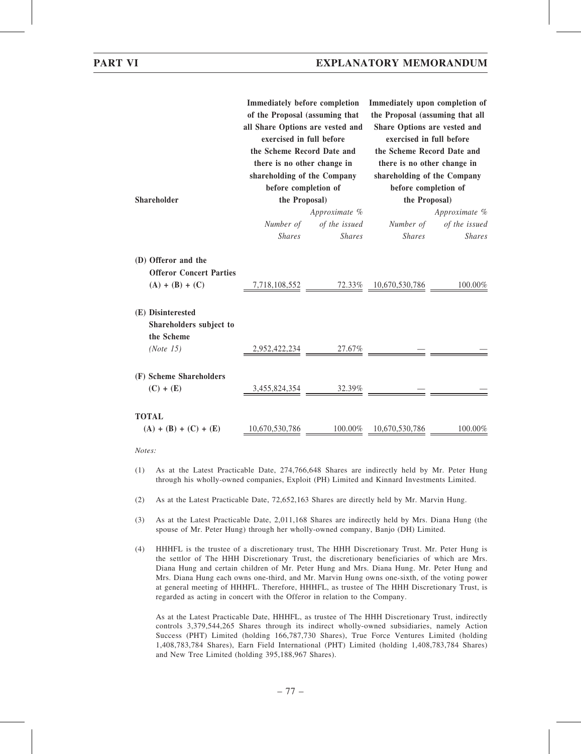|                                                                            | <b>Immediately before completion</b><br>of the Proposal (assuming that<br>all Share Options are vested and<br>exercised in full before<br>the Scheme Record Date and<br>there is no other change in<br>shareholding of the Company |                                | Immediately upon completion of<br>the Proposal (assuming that all<br>Share Options are vested and<br>exercised in full before<br>the Scheme Record Date and<br>there is no other change in<br>shareholding of the Company |                                       |  |  |
|----------------------------------------------------------------------------|------------------------------------------------------------------------------------------------------------------------------------------------------------------------------------------------------------------------------------|--------------------------------|---------------------------------------------------------------------------------------------------------------------------------------------------------------------------------------------------------------------------|---------------------------------------|--|--|
| <b>Shareholder</b>                                                         | before completion of<br>the Proposal)                                                                                                                                                                                              |                                |                                                                                                                                                                                                                           | before completion of<br>the Proposal) |  |  |
|                                                                            |                                                                                                                                                                                                                                    | Approximate %                  |                                                                                                                                                                                                                           | Approximate %                         |  |  |
|                                                                            | Number of<br><b>Shares</b>                                                                                                                                                                                                         | of the issued<br><b>Shares</b> | Number of<br><b>Shares</b>                                                                                                                                                                                                | of the issued<br><b>Shares</b>        |  |  |
| (D) Offeror and the<br><b>Offeror Concert Parties</b><br>$(A) + (B) + (C)$ |                                                                                                                                                                                                                                    |                                | 7,718,108,552 72.33% 10,670,530,786                                                                                                                                                                                       | 100.00%                               |  |  |
| (E) Disinterested<br>Shareholders subject to                               |                                                                                                                                                                                                                                    |                                |                                                                                                                                                                                                                           |                                       |  |  |
| the Scheme<br>(Note 15)                                                    | 2,952,422,234                                                                                                                                                                                                                      | $27.67\%$                      |                                                                                                                                                                                                                           |                                       |  |  |
| (F) Scheme Shareholders<br>$(C) + (E)$                                     |                                                                                                                                                                                                                                    | $3,455,824,354$ 32.39%         |                                                                                                                                                                                                                           |                                       |  |  |
| <b>TOTAL</b><br>$(A) + (B) + (C) + (E)$                                    | 10,670,530,786                                                                                                                                                                                                                     | 100.00%                        | 10,670,530,786                                                                                                                                                                                                            | 100.00%                               |  |  |

Notes:

- (1) As at the Latest Practicable Date, 274,766,648 Shares are indirectly held by Mr. Peter Hung through his wholly-owned companies, Exploit (PH) Limited and Kinnard Investments Limited.
- (2) As at the Latest Practicable Date, 72,652,163 Shares are directly held by Mr. Marvin Hung.
- (3) As at the Latest Practicable Date, 2,011,168 Shares are indirectly held by Mrs. Diana Hung (the spouse of Mr. Peter Hung) through her wholly-owned company, Banjo (DH) Limited.
- (4) HHHFL is the trustee of a discretionary trust, The HHH Discretionary Trust. Mr. Peter Hung is the settlor of The HHH Discretionary Trust, the discretionary beneficiaries of which are Mrs. Diana Hung and certain children of Mr. Peter Hung and Mrs. Diana Hung. Mr. Peter Hung and Mrs. Diana Hung each owns one-third, and Mr. Marvin Hung owns one-sixth, of the voting power at general meeting of HHHFL. Therefore, HHHFL, as trustee of The HHH Discretionary Trust, is regarded as acting in concert with the Offeror in relation to the Company.

As at the Latest Practicable Date, HHHFL, as trustee of The HHH Discretionary Trust, indirectly controls 3,379,544,265 Shares through its indirect wholly-owned subsidiaries, namely Action Success (PHT) Limited (holding 166,787,730 Shares), True Force Ventures Limited (holding 1,408,783,784 Shares), Earn Field International (PHT) Limited (holding 1,408,783,784 Shares) and New Tree Limited (holding 395,188,967 Shares).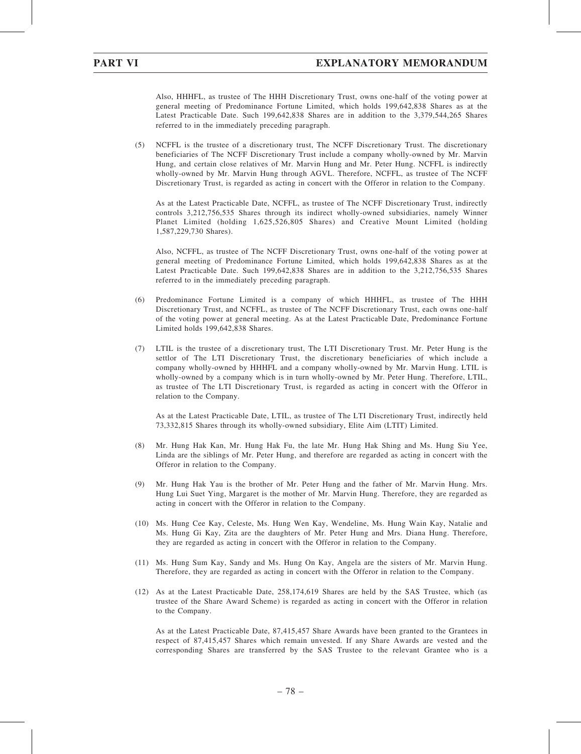Also, HHHFL, as trustee of The HHH Discretionary Trust, owns one-half of the voting power at general meeting of Predominance Fortune Limited, which holds 199,642,838 Shares as at the Latest Practicable Date. Such 199,642,838 Shares are in addition to the 3,379,544,265 Shares referred to in the immediately preceding paragraph.

(5) NCFFL is the trustee of a discretionary trust, The NCFF Discretionary Trust. The discretionary beneficiaries of The NCFF Discretionary Trust include a company wholly-owned by Mr. Marvin Hung, and certain close relatives of Mr. Marvin Hung and Mr. Peter Hung. NCFFL is indirectly wholly-owned by Mr. Marvin Hung through AGVL. Therefore, NCFFL, as trustee of The NCFF Discretionary Trust, is regarded as acting in concert with the Offeror in relation to the Company.

As at the Latest Practicable Date, NCFFL, as trustee of The NCFF Discretionary Trust, indirectly controls 3,212,756,535 Shares through its indirect wholly-owned subsidiaries, namely Winner Planet Limited (holding 1,625,526,805 Shares) and Creative Mount Limited (holding 1,587,229,730 Shares).

Also, NCFFL, as trustee of The NCFF Discretionary Trust, owns one-half of the voting power at general meeting of Predominance Fortune Limited, which holds 199,642,838 Shares as at the Latest Practicable Date. Such 199,642,838 Shares are in addition to the 3,212,756,535 Shares referred to in the immediately preceding paragraph.

- (6) Predominance Fortune Limited is a company of which HHHFL, as trustee of The HHH Discretionary Trust, and NCFFL, as trustee of The NCFF Discretionary Trust, each owns one-half of the voting power at general meeting. As at the Latest Practicable Date, Predominance Fortune Limited holds 199,642,838 Shares.
- (7) LTIL is the trustee of a discretionary trust, The LTI Discretionary Trust. Mr. Peter Hung is the settlor of The LTI Discretionary Trust, the discretionary beneficiaries of which include a company wholly-owned by HHHFL and a company wholly-owned by Mr. Marvin Hung. LTIL is wholly-owned by a company which is in turn wholly-owned by Mr. Peter Hung. Therefore, LTIL, as trustee of The LTI Discretionary Trust, is regarded as acting in concert with the Offeror in relation to the Company.

As at the Latest Practicable Date, LTIL, as trustee of The LTI Discretionary Trust, indirectly held 73,332,815 Shares through its wholly-owned subsidiary, Elite Aim (LTIT) Limited.

- (8) Mr. Hung Hak Kan, Mr. Hung Hak Fu, the late Mr. Hung Hak Shing and Ms. Hung Siu Yee, Linda are the siblings of Mr. Peter Hung, and therefore are regarded as acting in concert with the Offeror in relation to the Company.
- (9) Mr. Hung Hak Yau is the brother of Mr. Peter Hung and the father of Mr. Marvin Hung. Mrs. Hung Lui Suet Ying, Margaret is the mother of Mr. Marvin Hung. Therefore, they are regarded as acting in concert with the Offeror in relation to the Company.
- (10) Ms. Hung Cee Kay, Celeste, Ms. Hung Wen Kay, Wendeline, Ms. Hung Wain Kay, Natalie and Ms. Hung Gi Kay, Zita are the daughters of Mr. Peter Hung and Mrs. Diana Hung. Therefore, they are regarded as acting in concert with the Offeror in relation to the Company.
- (11) Ms. Hung Sum Kay, Sandy and Ms. Hung On Kay, Angela are the sisters of Mr. Marvin Hung. Therefore, they are regarded as acting in concert with the Offeror in relation to the Company.
- (12) As at the Latest Practicable Date, 258,174,619 Shares are held by the SAS Trustee, which (as trustee of the Share Award Scheme) is regarded as acting in concert with the Offeror in relation to the Company.

As at the Latest Practicable Date, 87,415,457 Share Awards have been granted to the Grantees in respect of 87,415,457 Shares which remain unvested. If any Share Awards are vested and the corresponding Shares are transferred by the SAS Trustee to the relevant Grantee who is a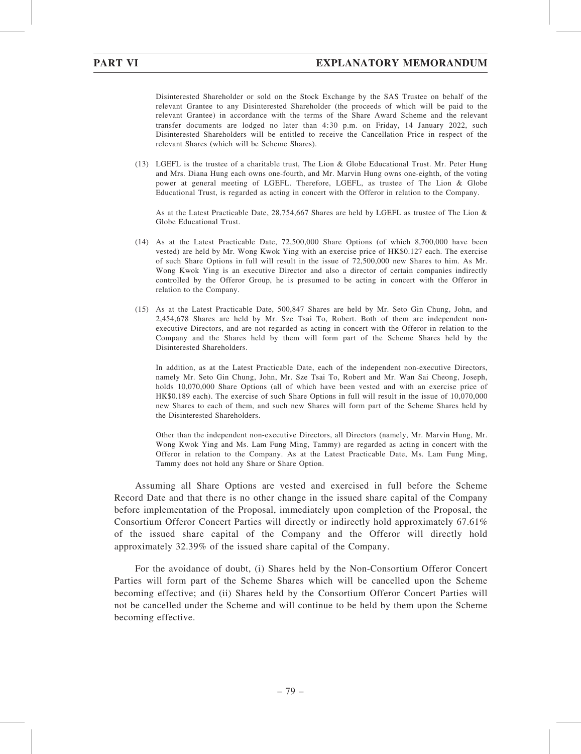Disinterested Shareholder or sold on the Stock Exchange by the SAS Trustee on behalf of the relevant Grantee to any Disinterested Shareholder (the proceeds of which will be paid to the relevant Grantee) in accordance with the terms of the Share Award Scheme and the relevant transfer documents are lodged no later than 4:30 p.m. on Friday, 14 January 2022, such Disinterested Shareholders will be entitled to receive the Cancellation Price in respect of the relevant Shares (which will be Scheme Shares).

(13) LGEFL is the trustee of a charitable trust, The Lion & Globe Educational Trust. Mr. Peter Hung and Mrs. Diana Hung each owns one-fourth, and Mr. Marvin Hung owns one-eighth, of the voting power at general meeting of LGEFL. Therefore, LGEFL, as trustee of The Lion & Globe Educational Trust, is regarded as acting in concert with the Offeror in relation to the Company.

As at the Latest Practicable Date, 28,754,667 Shares are held by LGEFL as trustee of The Lion & Globe Educational Trust.

- (14) As at the Latest Practicable Date, 72,500,000 Share Options (of which 8,700,000 have been vested) are held by Mr. Wong Kwok Ying with an exercise price of HK\$0.127 each. The exercise of such Share Options in full will result in the issue of 72,500,000 new Shares to him. As Mr. Wong Kwok Ying is an executive Director and also a director of certain companies indirectly controlled by the Offeror Group, he is presumed to be acting in concert with the Offeror in relation to the Company.
- (15) As at the Latest Practicable Date, 500,847 Shares are held by Mr. Seto Gin Chung, John, and 2,454,678 Shares are held by Mr. Sze Tsai To, Robert. Both of them are independent nonexecutive Directors, and are not regarded as acting in concert with the Offeror in relation to the Company and the Shares held by them will form part of the Scheme Shares held by the Disinterested Shareholders.

In addition, as at the Latest Practicable Date, each of the independent non-executive Directors, namely Mr. Seto Gin Chung, John, Mr. Sze Tsai To, Robert and Mr. Wan Sai Cheong, Joseph, holds 10,070,000 Share Options (all of which have been vested and with an exercise price of HK\$0.189 each). The exercise of such Share Options in full will result in the issue of 10,070,000 new Shares to each of them, and such new Shares will form part of the Scheme Shares held by the Disinterested Shareholders.

Other than the independent non-executive Directors, all Directors (namely, Mr. Marvin Hung, Mr. Wong Kwok Ying and Ms. Lam Fung Ming, Tammy) are regarded as acting in concert with the Offeror in relation to the Company. As at the Latest Practicable Date, Ms. Lam Fung Ming, Tammy does not hold any Share or Share Option.

Assuming all Share Options are vested and exercised in full before the Scheme Record Date and that there is no other change in the issued share capital of the Company before implementation of the Proposal, immediately upon completion of the Proposal, the Consortium Offeror Concert Parties will directly or indirectly hold approximately 67.61% of the issued share capital of the Company and the Offeror will directly hold approximately 32.39% of the issued share capital of the Company.

For the avoidance of doubt, (i) Shares held by the Non-Consortium Offeror Concert Parties will form part of the Scheme Shares which will be cancelled upon the Scheme becoming effective; and (ii) Shares held by the Consortium Offeror Concert Parties will not be cancelled under the Scheme and will continue to be held by them upon the Scheme becoming effective.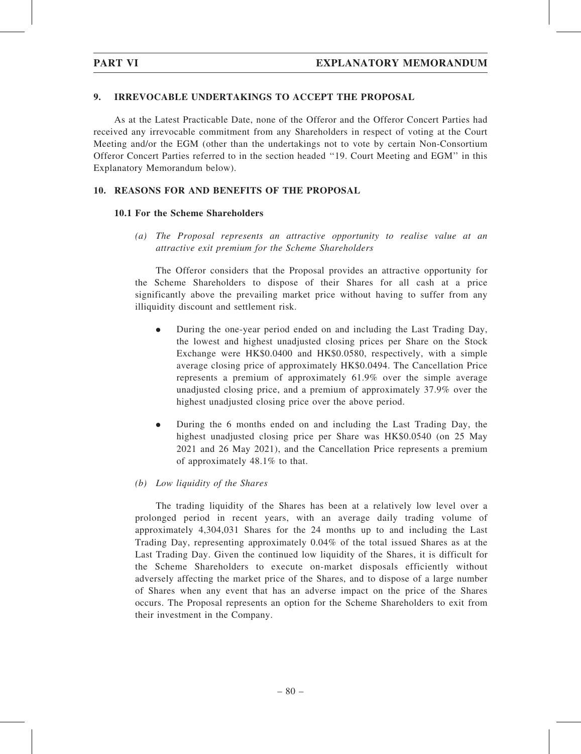### 9. IRREVOCABLE UNDERTAKINGS TO ACCEPT THE PROPOSAL

As at the Latest Practicable Date, none of the Offeror and the Offeror Concert Parties had received any irrevocable commitment from any Shareholders in respect of voting at the Court Meeting and/or the EGM (other than the undertakings not to vote by certain Non-Consortium Offeror Concert Parties referred to in the section headed ''19. Court Meeting and EGM'' in this Explanatory Memorandum below).

## 10. REASONS FOR AND BENEFITS OF THE PROPOSAL

### 10.1 For the Scheme Shareholders

(a) The Proposal represents an attractive opportunity to realise value at an attractive exit premium for the Scheme Shareholders

The Offeror considers that the Proposal provides an attractive opportunity for the Scheme Shareholders to dispose of their Shares for all cash at a price significantly above the prevailing market price without having to suffer from any illiquidity discount and settlement risk.

- . During the one-year period ended on and including the Last Trading Day, the lowest and highest unadjusted closing prices per Share on the Stock Exchange were HK\$0.0400 and HK\$0.0580, respectively, with a simple average closing price of approximately HK\$0.0494. The Cancellation Price represents a premium of approximately 61.9% over the simple average unadjusted closing price, and a premium of approximately 37.9% over the highest unadjusted closing price over the above period.
- . During the 6 months ended on and including the Last Trading Day, the highest unadjusted closing price per Share was HK\$0.0540 (on 25 May 2021 and 26 May 2021), and the Cancellation Price represents a premium of approximately 48.1% to that.

### (b) Low liquidity of the Shares

The trading liquidity of the Shares has been at a relatively low level over a prolonged period in recent years, with an average daily trading volume of approximately 4,304,031 Shares for the 24 months up to and including the Last Trading Day, representing approximately 0.04% of the total issued Shares as at the Last Trading Day. Given the continued low liquidity of the Shares, it is difficult for the Scheme Shareholders to execute on-market disposals efficiently without adversely affecting the market price of the Shares, and to dispose of a large number of Shares when any event that has an adverse impact on the price of the Shares occurs. The Proposal represents an option for the Scheme Shareholders to exit from their investment in the Company.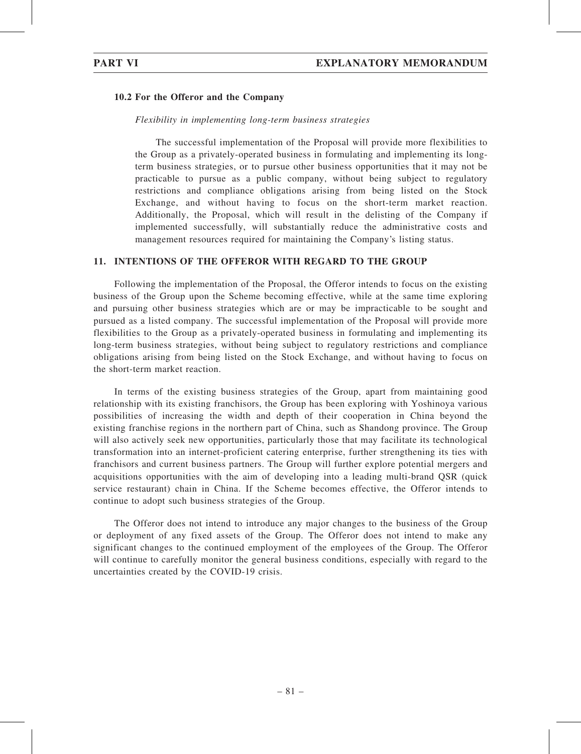### 10.2 For the Offeror and the Company

### Flexibility in implementing long-term business strategies

The successful implementation of the Proposal will provide more flexibilities to the Group as a privately-operated business in formulating and implementing its longterm business strategies, or to pursue other business opportunities that it may not be practicable to pursue as a public company, without being subject to regulatory restrictions and compliance obligations arising from being listed on the Stock Exchange, and without having to focus on the short-term market reaction. Additionally, the Proposal, which will result in the delisting of the Company if implemented successfully, will substantially reduce the administrative costs and management resources required for maintaining the Company's listing status.

### 11. INTENTIONS OF THE OFFEROR WITH REGARD TO THE GROUP

Following the implementation of the Proposal, the Offeror intends to focus on the existing business of the Group upon the Scheme becoming effective, while at the same time exploring and pursuing other business strategies which are or may be impracticable to be sought and pursued as a listed company. The successful implementation of the Proposal will provide more flexibilities to the Group as a privately-operated business in formulating and implementing its long-term business strategies, without being subject to regulatory restrictions and compliance obligations arising from being listed on the Stock Exchange, and without having to focus on the short-term market reaction.

In terms of the existing business strategies of the Group, apart from maintaining good relationship with its existing franchisors, the Group has been exploring with Yoshinoya various possibilities of increasing the width and depth of their cooperation in China beyond the existing franchise regions in the northern part of China, such as Shandong province. The Group will also actively seek new opportunities, particularly those that may facilitate its technological transformation into an internet-proficient catering enterprise, further strengthening its ties with franchisors and current business partners. The Group will further explore potential mergers and acquisitions opportunities with the aim of developing into a leading multi-brand QSR (quick service restaurant) chain in China. If the Scheme becomes effective, the Offeror intends to continue to adopt such business strategies of the Group.

The Offeror does not intend to introduce any major changes to the business of the Group or deployment of any fixed assets of the Group. The Offeror does not intend to make any significant changes to the continued employment of the employees of the Group. The Offeror will continue to carefully monitor the general business conditions, especially with regard to the uncertainties created by the COVID-19 crisis.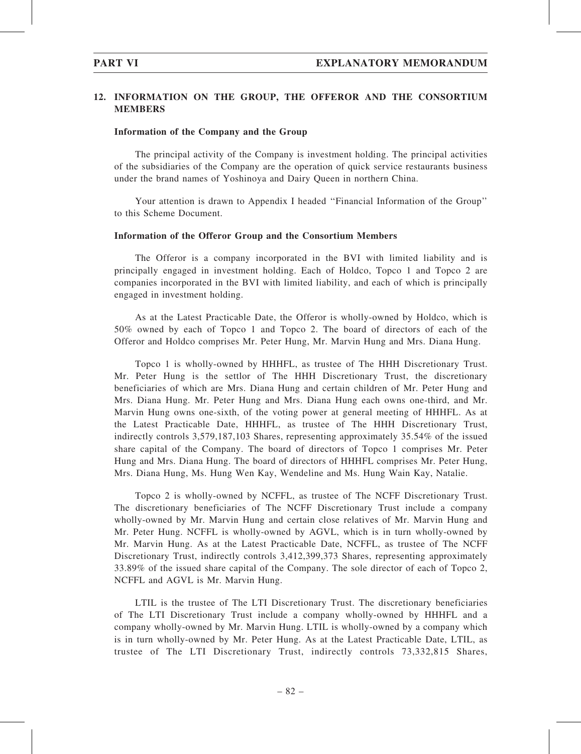## 12. INFORMATION ON THE GROUP, THE OFFEROR AND THE CONSORTIUM MEMBERS

#### Information of the Company and the Group

The principal activity of the Company is investment holding. The principal activities of the subsidiaries of the Company are the operation of quick service restaurants business under the brand names of Yoshinoya and Dairy Queen in northern China.

Your attention is drawn to Appendix I headed ''Financial Information of the Group'' to this Scheme Document.

#### Information of the Offeror Group and the Consortium Members

The Offeror is a company incorporated in the BVI with limited liability and is principally engaged in investment holding. Each of Holdco, Topco 1 and Topco 2 are companies incorporated in the BVI with limited liability, and each of which is principally engaged in investment holding.

As at the Latest Practicable Date, the Offeror is wholly-owned by Holdco, which is 50% owned by each of Topco 1 and Topco 2. The board of directors of each of the Offeror and Holdco comprises Mr. Peter Hung, Mr. Marvin Hung and Mrs. Diana Hung.

Topco 1 is wholly-owned by HHHFL, as trustee of The HHH Discretionary Trust. Mr. Peter Hung is the settlor of The HHH Discretionary Trust, the discretionary beneficiaries of which are Mrs. Diana Hung and certain children of Mr. Peter Hung and Mrs. Diana Hung. Mr. Peter Hung and Mrs. Diana Hung each owns one-third, and Mr. Marvin Hung owns one-sixth, of the voting power at general meeting of HHHFL. As at the Latest Practicable Date, HHHFL, as trustee of The HHH Discretionary Trust, indirectly controls 3,579,187,103 Shares, representing approximately 35.54% of the issued share capital of the Company. The board of directors of Topco 1 comprises Mr. Peter Hung and Mrs. Diana Hung. The board of directors of HHHFL comprises Mr. Peter Hung, Mrs. Diana Hung, Ms. Hung Wen Kay, Wendeline and Ms. Hung Wain Kay, Natalie.

Topco 2 is wholly-owned by NCFFL, as trustee of The NCFF Discretionary Trust. The discretionary beneficiaries of The NCFF Discretionary Trust include a company wholly-owned by Mr. Marvin Hung and certain close relatives of Mr. Marvin Hung and Mr. Peter Hung. NCFFL is wholly-owned by AGVL, which is in turn wholly-owned by Mr. Marvin Hung. As at the Latest Practicable Date, NCFFL, as trustee of The NCFF Discretionary Trust, indirectly controls 3,412,399,373 Shares, representing approximately 33.89% of the issued share capital of the Company. The sole director of each of Topco 2, NCFFL and AGVL is Mr. Marvin Hung.

LTIL is the trustee of The LTI Discretionary Trust. The discretionary beneficiaries of The LTI Discretionary Trust include a company wholly-owned by HHHFL and a company wholly-owned by Mr. Marvin Hung. LTIL is wholly-owned by a company which is in turn wholly-owned by Mr. Peter Hung. As at the Latest Practicable Date, LTIL, as trustee of The LTI Discretionary Trust, indirectly controls 73,332,815 Shares,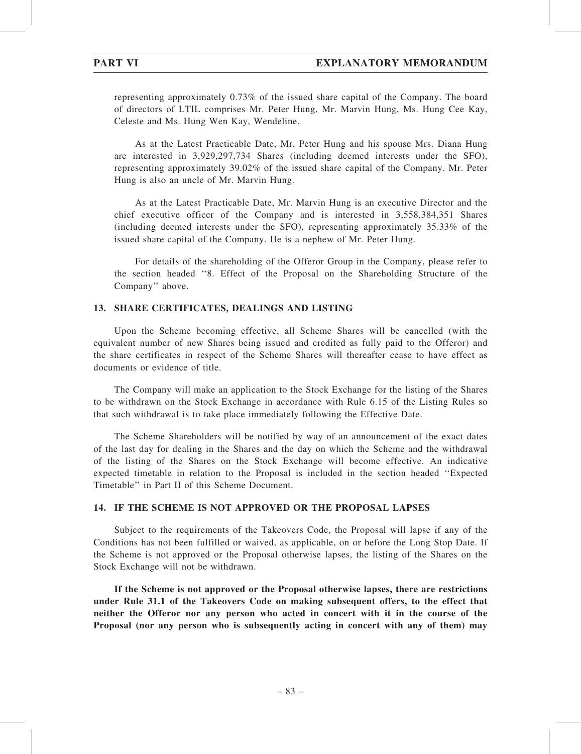representing approximately 0.73% of the issued share capital of the Company. The board of directors of LTIL comprises Mr. Peter Hung, Mr. Marvin Hung, Ms. Hung Cee Kay, Celeste and Ms. Hung Wen Kay, Wendeline.

As at the Latest Practicable Date, Mr. Peter Hung and his spouse Mrs. Diana Hung are interested in 3,929,297,734 Shares (including deemed interests under the SFO), representing approximately 39.02% of the issued share capital of the Company. Mr. Peter Hung is also an uncle of Mr. Marvin Hung.

As at the Latest Practicable Date, Mr. Marvin Hung is an executive Director and the chief executive officer of the Company and is interested in 3,558,384,351 Shares (including deemed interests under the SFO), representing approximately 35.33% of the issued share capital of the Company. He is a nephew of Mr. Peter Hung.

For details of the shareholding of the Offeror Group in the Company, please refer to the section headed ''8. Effect of the Proposal on the Shareholding Structure of the Company'' above.

#### 13. SHARE CERTIFICATES, DEALINGS AND LISTING

Upon the Scheme becoming effective, all Scheme Shares will be cancelled (with the equivalent number of new Shares being issued and credited as fully paid to the Offeror) and the share certificates in respect of the Scheme Shares will thereafter cease to have effect as documents or evidence of title.

The Company will make an application to the Stock Exchange for the listing of the Shares to be withdrawn on the Stock Exchange in accordance with Rule 6.15 of the Listing Rules so that such withdrawal is to take place immediately following the Effective Date.

The Scheme Shareholders will be notified by way of an announcement of the exact dates of the last day for dealing in the Shares and the day on which the Scheme and the withdrawal of the listing of the Shares on the Stock Exchange will become effective. An indicative expected timetable in relation to the Proposal is included in the section headed ''Expected Timetable'' in Part II of this Scheme Document.

### 14. IF THE SCHEME IS NOT APPROVED OR THE PROPOSAL LAPSES

Subject to the requirements of the Takeovers Code, the Proposal will lapse if any of the Conditions has not been fulfilled or waived, as applicable, on or before the Long Stop Date. If the Scheme is not approved or the Proposal otherwise lapses, the listing of the Shares on the Stock Exchange will not be withdrawn.

If the Scheme is not approved or the Proposal otherwise lapses, there are restrictions under Rule 31.1 of the Takeovers Code on making subsequent offers, to the effect that neither the Offeror nor any person who acted in concert with it in the course of the Proposal (nor any person who is subsequently acting in concert with any of them) may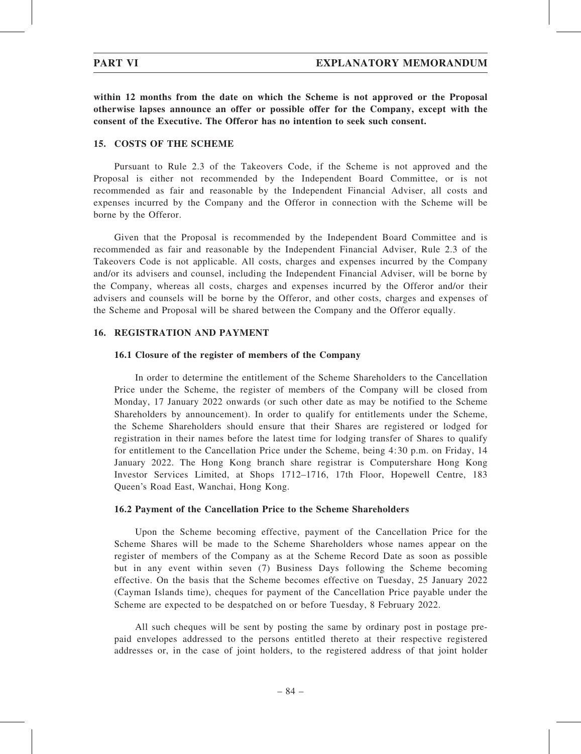within 12 months from the date on which the Scheme is not approved or the Proposal otherwise lapses announce an offer or possible offer for the Company, except with the consent of the Executive. The Offeror has no intention to seek such consent.

#### 15. COSTS OF THE SCHEME

Pursuant to Rule 2.3 of the Takeovers Code, if the Scheme is not approved and the Proposal is either not recommended by the Independent Board Committee, or is not recommended as fair and reasonable by the Independent Financial Adviser, all costs and expenses incurred by the Company and the Offeror in connection with the Scheme will be borne by the Offeror.

Given that the Proposal is recommended by the Independent Board Committee and is recommended as fair and reasonable by the Independent Financial Adviser, Rule 2.3 of the Takeovers Code is not applicable. All costs, charges and expenses incurred by the Company and/or its advisers and counsel, including the Independent Financial Adviser, will be borne by the Company, whereas all costs, charges and expenses incurred by the Offeror and/or their advisers and counsels will be borne by the Offeror, and other costs, charges and expenses of the Scheme and Proposal will be shared between the Company and the Offeror equally.

### 16. REGISTRATION AND PAYMENT

#### 16.1 Closure of the register of members of the Company

In order to determine the entitlement of the Scheme Shareholders to the Cancellation Price under the Scheme, the register of members of the Company will be closed from Monday, 17 January 2022 onwards (or such other date as may be notified to the Scheme Shareholders by announcement). In order to qualify for entitlements under the Scheme, the Scheme Shareholders should ensure that their Shares are registered or lodged for registration in their names before the latest time for lodging transfer of Shares to qualify for entitlement to the Cancellation Price under the Scheme, being 4:30 p.m. on Friday, 14 January 2022. The Hong Kong branch share registrar is Computershare Hong Kong Investor Services Limited, at Shops 1712–1716, 17th Floor, Hopewell Centre, 183 Queen's Road East, Wanchai, Hong Kong.

#### 16.2 Payment of the Cancellation Price to the Scheme Shareholders

Upon the Scheme becoming effective, payment of the Cancellation Price for the Scheme Shares will be made to the Scheme Shareholders whose names appear on the register of members of the Company as at the Scheme Record Date as soon as possible but in any event within seven (7) Business Days following the Scheme becoming effective. On the basis that the Scheme becomes effective on Tuesday, 25 January 2022 (Cayman Islands time), cheques for payment of the Cancellation Price payable under the Scheme are expected to be despatched on or before Tuesday, 8 February 2022.

All such cheques will be sent by posting the same by ordinary post in postage prepaid envelopes addressed to the persons entitled thereto at their respective registered addresses or, in the case of joint holders, to the registered address of that joint holder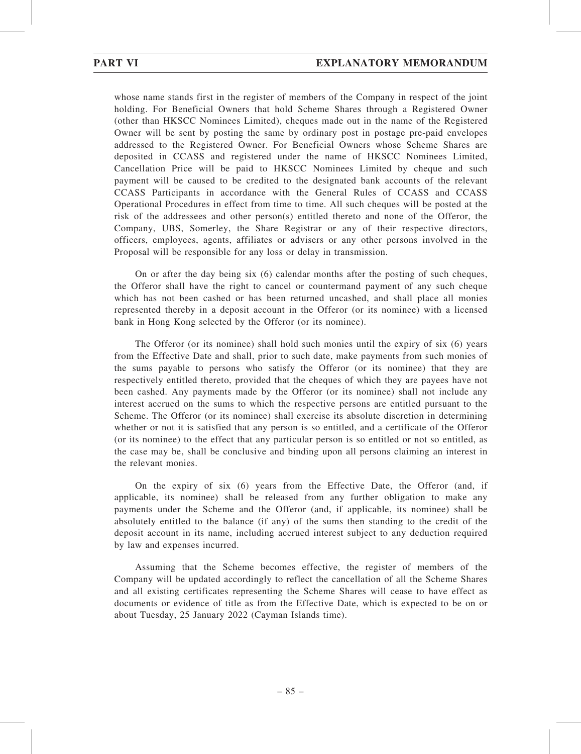whose name stands first in the register of members of the Company in respect of the joint holding. For Beneficial Owners that hold Scheme Shares through a Registered Owner (other than HKSCC Nominees Limited), cheques made out in the name of the Registered Owner will be sent by posting the same by ordinary post in postage pre-paid envelopes addressed to the Registered Owner. For Beneficial Owners whose Scheme Shares are deposited in CCASS and registered under the name of HKSCC Nominees Limited, Cancellation Price will be paid to HKSCC Nominees Limited by cheque and such payment will be caused to be credited to the designated bank accounts of the relevant CCASS Participants in accordance with the General Rules of CCASS and CCASS Operational Procedures in effect from time to time. All such cheques will be posted at the risk of the addressees and other person(s) entitled thereto and none of the Offeror, the Company, UBS, Somerley, the Share Registrar or any of their respective directors, officers, employees, agents, affiliates or advisers or any other persons involved in the Proposal will be responsible for any loss or delay in transmission.

On or after the day being six (6) calendar months after the posting of such cheques, the Offeror shall have the right to cancel or countermand payment of any such cheque which has not been cashed or has been returned uncashed, and shall place all monies represented thereby in a deposit account in the Offeror (or its nominee) with a licensed bank in Hong Kong selected by the Offeror (or its nominee).

The Offeror (or its nominee) shall hold such monies until the expiry of six (6) years from the Effective Date and shall, prior to such date, make payments from such monies of the sums payable to persons who satisfy the Offeror (or its nominee) that they are respectively entitled thereto, provided that the cheques of which they are payees have not been cashed. Any payments made by the Offeror (or its nominee) shall not include any interest accrued on the sums to which the respective persons are entitled pursuant to the Scheme. The Offeror (or its nominee) shall exercise its absolute discretion in determining whether or not it is satisfied that any person is so entitled, and a certificate of the Offeror (or its nominee) to the effect that any particular person is so entitled or not so entitled, as the case may be, shall be conclusive and binding upon all persons claiming an interest in the relevant monies.

On the expiry of six (6) years from the Effective Date, the Offeror (and, if applicable, its nominee) shall be released from any further obligation to make any payments under the Scheme and the Offeror (and, if applicable, its nominee) shall be absolutely entitled to the balance (if any) of the sums then standing to the credit of the deposit account in its name, including accrued interest subject to any deduction required by law and expenses incurred.

Assuming that the Scheme becomes effective, the register of members of the Company will be updated accordingly to reflect the cancellation of all the Scheme Shares and all existing certificates representing the Scheme Shares will cease to have effect as documents or evidence of title as from the Effective Date, which is expected to be on or about Tuesday, 25 January 2022 (Cayman Islands time).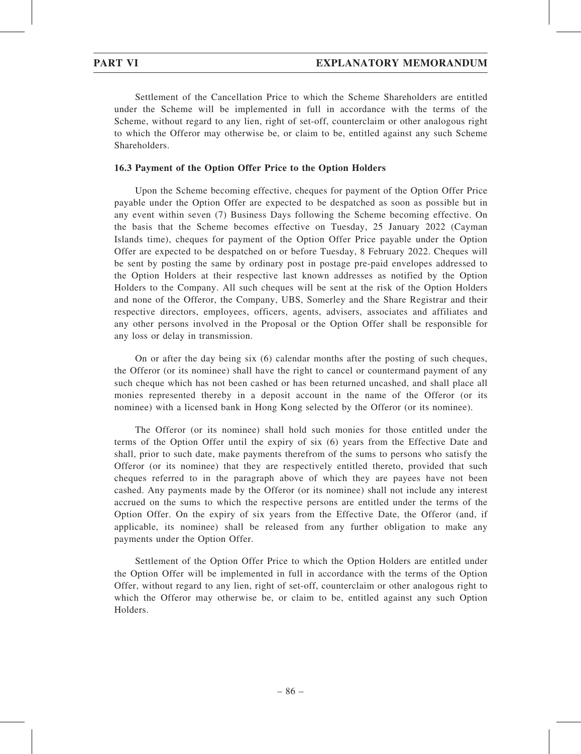Settlement of the Cancellation Price to which the Scheme Shareholders are entitled under the Scheme will be implemented in full in accordance with the terms of the Scheme, without regard to any lien, right of set-off, counterclaim or other analogous right to which the Offeror may otherwise be, or claim to be, entitled against any such Scheme Shareholders.

### 16.3 Payment of the Option Offer Price to the Option Holders

Upon the Scheme becoming effective, cheques for payment of the Option Offer Price payable under the Option Offer are expected to be despatched as soon as possible but in any event within seven (7) Business Days following the Scheme becoming effective. On the basis that the Scheme becomes effective on Tuesday, 25 January 2022 (Cayman Islands time), cheques for payment of the Option Offer Price payable under the Option Offer are expected to be despatched on or before Tuesday, 8 February 2022. Cheques will be sent by posting the same by ordinary post in postage pre-paid envelopes addressed to the Option Holders at their respective last known addresses as notified by the Option Holders to the Company. All such cheques will be sent at the risk of the Option Holders and none of the Offeror, the Company, UBS, Somerley and the Share Registrar and their respective directors, employees, officers, agents, advisers, associates and affiliates and any other persons involved in the Proposal or the Option Offer shall be responsible for any loss or delay in transmission.

On or after the day being six (6) calendar months after the posting of such cheques, the Offeror (or its nominee) shall have the right to cancel or countermand payment of any such cheque which has not been cashed or has been returned uncashed, and shall place all monies represented thereby in a deposit account in the name of the Offeror (or its nominee) with a licensed bank in Hong Kong selected by the Offeror (or its nominee).

The Offeror (or its nominee) shall hold such monies for those entitled under the terms of the Option Offer until the expiry of six (6) years from the Effective Date and shall, prior to such date, make payments therefrom of the sums to persons who satisfy the Offeror (or its nominee) that they are respectively entitled thereto, provided that such cheques referred to in the paragraph above of which they are payees have not been cashed. Any payments made by the Offeror (or its nominee) shall not include any interest accrued on the sums to which the respective persons are entitled under the terms of the Option Offer. On the expiry of six years from the Effective Date, the Offeror (and, if applicable, its nominee) shall be released from any further obligation to make any payments under the Option Offer.

Settlement of the Option Offer Price to which the Option Holders are entitled under the Option Offer will be implemented in full in accordance with the terms of the Option Offer, without regard to any lien, right of set-off, counterclaim or other analogous right to which the Offeror may otherwise be, or claim to be, entitled against any such Option Holders.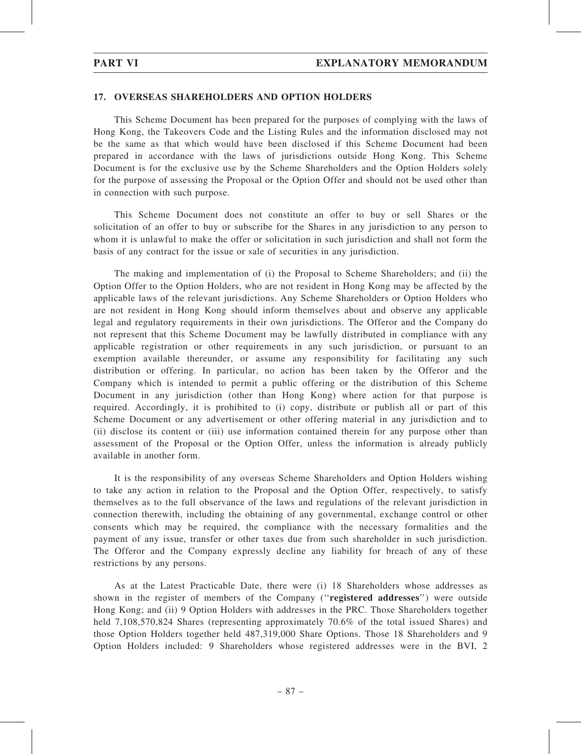### 17. OVERSEAS SHAREHOLDERS AND OPTION HOLDERS

This Scheme Document has been prepared for the purposes of complying with the laws of Hong Kong, the Takeovers Code and the Listing Rules and the information disclosed may not be the same as that which would have been disclosed if this Scheme Document had been prepared in accordance with the laws of jurisdictions outside Hong Kong. This Scheme Document is for the exclusive use by the Scheme Shareholders and the Option Holders solely for the purpose of assessing the Proposal or the Option Offer and should not be used other than in connection with such purpose.

This Scheme Document does not constitute an offer to buy or sell Shares or the solicitation of an offer to buy or subscribe for the Shares in any jurisdiction to any person to whom it is unlawful to make the offer or solicitation in such jurisdiction and shall not form the basis of any contract for the issue or sale of securities in any jurisdiction.

The making and implementation of (i) the Proposal to Scheme Shareholders; and (ii) the Option Offer to the Option Holders, who are not resident in Hong Kong may be affected by the applicable laws of the relevant jurisdictions. Any Scheme Shareholders or Option Holders who are not resident in Hong Kong should inform themselves about and observe any applicable legal and regulatory requirements in their own jurisdictions. The Offeror and the Company do not represent that this Scheme Document may be lawfully distributed in compliance with any applicable registration or other requirements in any such jurisdiction, or pursuant to an exemption available thereunder, or assume any responsibility for facilitating any such distribution or offering. In particular, no action has been taken by the Offeror and the Company which is intended to permit a public offering or the distribution of this Scheme Document in any jurisdiction (other than Hong Kong) where action for that purpose is required. Accordingly, it is prohibited to (i) copy, distribute or publish all or part of this Scheme Document or any advertisement or other offering material in any jurisdiction and to (ii) disclose its content or (iii) use information contained therein for any purpose other than assessment of the Proposal or the Option Offer, unless the information is already publicly available in another form.

It is the responsibility of any overseas Scheme Shareholders and Option Holders wishing to take any action in relation to the Proposal and the Option Offer, respectively, to satisfy themselves as to the full observance of the laws and regulations of the relevant jurisdiction in connection therewith, including the obtaining of any governmental, exchange control or other consents which may be required, the compliance with the necessary formalities and the payment of any issue, transfer or other taxes due from such shareholder in such jurisdiction. The Offeror and the Company expressly decline any liability for breach of any of these restrictions by any persons.

As at the Latest Practicable Date, there were (i) 18 Shareholders whose addresses as shown in the register of members of the Company (''registered addresses'') were outside Hong Kong; and (ii) 9 Option Holders with addresses in the PRC. Those Shareholders together held 7,108,570,824 Shares (representing approximately 70.6% of the total issued Shares) and those Option Holders together held 487,319,000 Share Options. Those 18 Shareholders and 9 Option Holders included: 9 Shareholders whose registered addresses were in the BVI, 2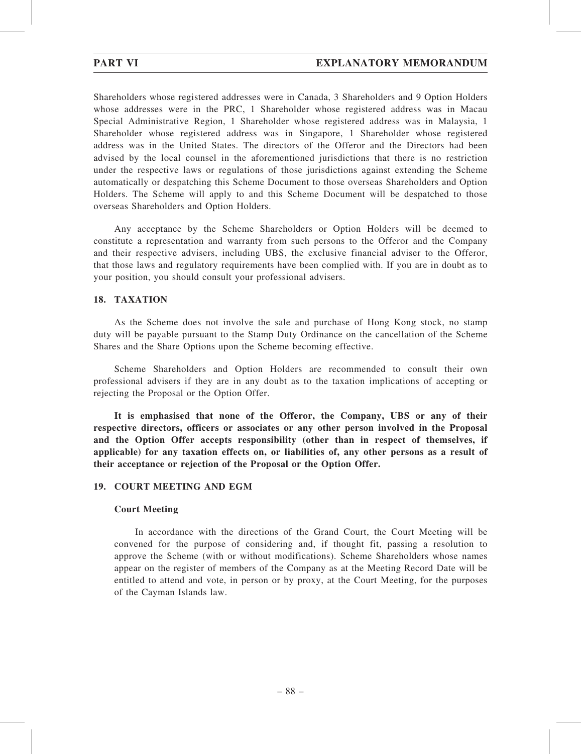Shareholders whose registered addresses were in Canada, 3 Shareholders and 9 Option Holders whose addresses were in the PRC, 1 Shareholder whose registered address was in Macau Special Administrative Region, 1 Shareholder whose registered address was in Malaysia, 1 Shareholder whose registered address was in Singapore, 1 Shareholder whose registered address was in the United States. The directors of the Offeror and the Directors had been advised by the local counsel in the aforementioned jurisdictions that there is no restriction under the respective laws or regulations of those jurisdictions against extending the Scheme automatically or despatching this Scheme Document to those overseas Shareholders and Option Holders. The Scheme will apply to and this Scheme Document will be despatched to those overseas Shareholders and Option Holders.

Any acceptance by the Scheme Shareholders or Option Holders will be deemed to constitute a representation and warranty from such persons to the Offeror and the Company and their respective advisers, including UBS, the exclusive financial adviser to the Offeror, that those laws and regulatory requirements have been complied with. If you are in doubt as to your position, you should consult your professional advisers.

## 18. TAXATION

As the Scheme does not involve the sale and purchase of Hong Kong stock, no stamp duty will be payable pursuant to the Stamp Duty Ordinance on the cancellation of the Scheme Shares and the Share Options upon the Scheme becoming effective.

Scheme Shareholders and Option Holders are recommended to consult their own professional advisers if they are in any doubt as to the taxation implications of accepting or rejecting the Proposal or the Option Offer.

It is emphasised that none of the Offeror, the Company, UBS or any of their respective directors, officers or associates or any other person involved in the Proposal and the Option Offer accepts responsibility (other than in respect of themselves, if applicable) for any taxation effects on, or liabilities of, any other persons as a result of their acceptance or rejection of the Proposal or the Option Offer.

### 19. COURT MEETING AND EGM

### Court Meeting

In accordance with the directions of the Grand Court, the Court Meeting will be convened for the purpose of considering and, if thought fit, passing a resolution to approve the Scheme (with or without modifications). Scheme Shareholders whose names appear on the register of members of the Company as at the Meeting Record Date will be entitled to attend and vote, in person or by proxy, at the Court Meeting, for the purposes of the Cayman Islands law.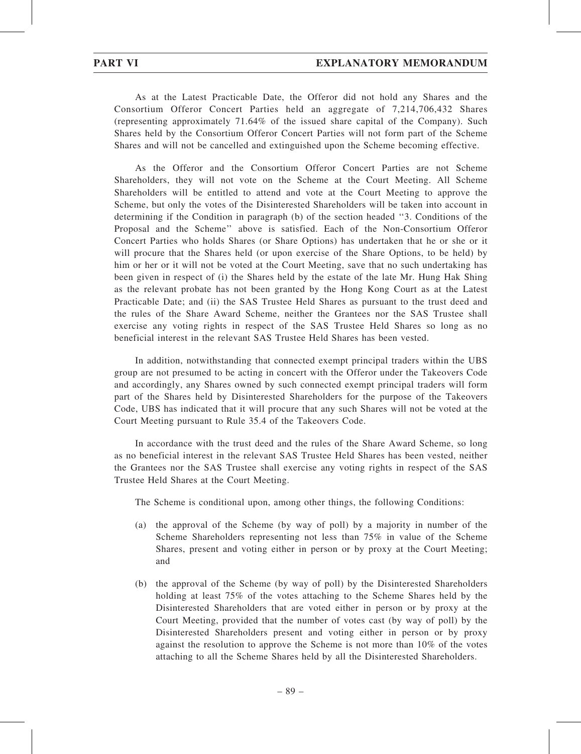As at the Latest Practicable Date, the Offeror did not hold any Shares and the Consortium Offeror Concert Parties held an aggregate of 7,214,706,432 Shares (representing approximately 71.64% of the issued share capital of the Company). Such Shares held by the Consortium Offeror Concert Parties will not form part of the Scheme Shares and will not be cancelled and extinguished upon the Scheme becoming effective.

As the Offeror and the Consortium Offeror Concert Parties are not Scheme Shareholders, they will not vote on the Scheme at the Court Meeting. All Scheme Shareholders will be entitled to attend and vote at the Court Meeting to approve the Scheme, but only the votes of the Disinterested Shareholders will be taken into account in determining if the Condition in paragraph (b) of the section headed ''3. Conditions of the Proposal and the Scheme'' above is satisfied. Each of the Non-Consortium Offeror Concert Parties who holds Shares (or Share Options) has undertaken that he or she or it will procure that the Shares held (or upon exercise of the Share Options, to be held) by him or her or it will not be voted at the Court Meeting, save that no such undertaking has been given in respect of (i) the Shares held by the estate of the late Mr. Hung Hak Shing as the relevant probate has not been granted by the Hong Kong Court as at the Latest Practicable Date; and (ii) the SAS Trustee Held Shares as pursuant to the trust deed and the rules of the Share Award Scheme, neither the Grantees nor the SAS Trustee shall exercise any voting rights in respect of the SAS Trustee Held Shares so long as no beneficial interest in the relevant SAS Trustee Held Shares has been vested.

In addition, notwithstanding that connected exempt principal traders within the UBS group are not presumed to be acting in concert with the Offeror under the Takeovers Code and accordingly, any Shares owned by such connected exempt principal traders will form part of the Shares held by Disinterested Shareholders for the purpose of the Takeovers Code, UBS has indicated that it will procure that any such Shares will not be voted at the Court Meeting pursuant to Rule 35.4 of the Takeovers Code.

In accordance with the trust deed and the rules of the Share Award Scheme, so long as no beneficial interest in the relevant SAS Trustee Held Shares has been vested, neither the Grantees nor the SAS Trustee shall exercise any voting rights in respect of the SAS Trustee Held Shares at the Court Meeting.

The Scheme is conditional upon, among other things, the following Conditions:

- (a) the approval of the Scheme (by way of poll) by a majority in number of the Scheme Shareholders representing not less than 75% in value of the Scheme Shares, present and voting either in person or by proxy at the Court Meeting; and
- (b) the approval of the Scheme (by way of poll) by the Disinterested Shareholders holding at least 75% of the votes attaching to the Scheme Shares held by the Disinterested Shareholders that are voted either in person or by proxy at the Court Meeting, provided that the number of votes cast (by way of poll) by the Disinterested Shareholders present and voting either in person or by proxy against the resolution to approve the Scheme is not more than 10% of the votes attaching to all the Scheme Shares held by all the Disinterested Shareholders.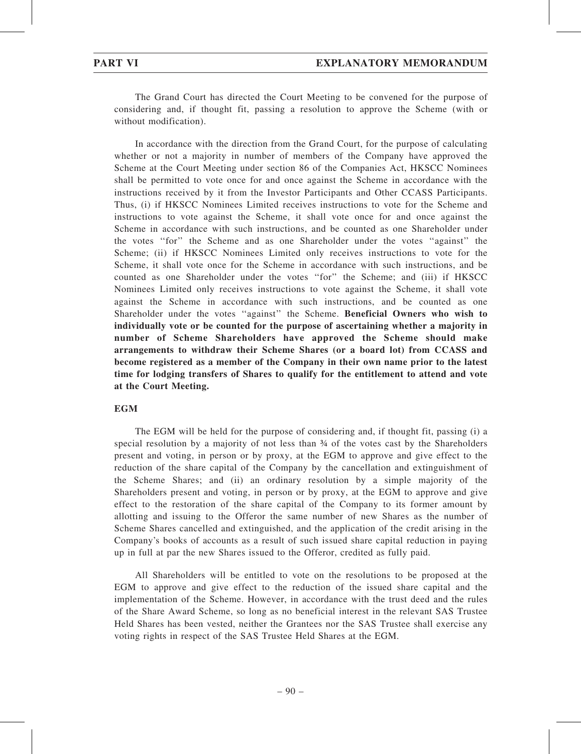The Grand Court has directed the Court Meeting to be convened for the purpose of considering and, if thought fit, passing a resolution to approve the Scheme (with or without modification).

In accordance with the direction from the Grand Court, for the purpose of calculating whether or not a majority in number of members of the Company have approved the Scheme at the Court Meeting under section 86 of the Companies Act, HKSCC Nominees shall be permitted to vote once for and once against the Scheme in accordance with the instructions received by it from the Investor Participants and Other CCASS Participants. Thus, (i) if HKSCC Nominees Limited receives instructions to vote for the Scheme and instructions to vote against the Scheme, it shall vote once for and once against the Scheme in accordance with such instructions, and be counted as one Shareholder under the votes ''for'' the Scheme and as one Shareholder under the votes ''against'' the Scheme; (ii) if HKSCC Nominees Limited only receives instructions to vote for the Scheme, it shall vote once for the Scheme in accordance with such instructions, and be counted as one Shareholder under the votes ''for'' the Scheme; and (iii) if HKSCC Nominees Limited only receives instructions to vote against the Scheme, it shall vote against the Scheme in accordance with such instructions, and be counted as one Shareholder under the votes ''against'' the Scheme. Beneficial Owners who wish to individually vote or be counted for the purpose of ascertaining whether a majority in number of Scheme Shareholders have approved the Scheme should make arrangements to withdraw their Scheme Shares (or a board lot) from CCASS and become registered as a member of the Company in their own name prior to the latest time for lodging transfers of Shares to qualify for the entitlement to attend and vote at the Court Meeting.

### **EGM**

The EGM will be held for the purpose of considering and, if thought fit, passing (i) a special resolution by a majority of not less than  $\frac{3}{4}$  of the votes cast by the Shareholders present and voting, in person or by proxy, at the EGM to approve and give effect to the reduction of the share capital of the Company by the cancellation and extinguishment of the Scheme Shares; and (ii) an ordinary resolution by a simple majority of the Shareholders present and voting, in person or by proxy, at the EGM to approve and give effect to the restoration of the share capital of the Company to its former amount by allotting and issuing to the Offeror the same number of new Shares as the number of Scheme Shares cancelled and extinguished, and the application of the credit arising in the Company's books of accounts as a result of such issued share capital reduction in paying up in full at par the new Shares issued to the Offeror, credited as fully paid.

All Shareholders will be entitled to vote on the resolutions to be proposed at the EGM to approve and give effect to the reduction of the issued share capital and the implementation of the Scheme. However, in accordance with the trust deed and the rules of the Share Award Scheme, so long as no beneficial interest in the relevant SAS Trustee Held Shares has been vested, neither the Grantees nor the SAS Trustee shall exercise any voting rights in respect of the SAS Trustee Held Shares at the EGM.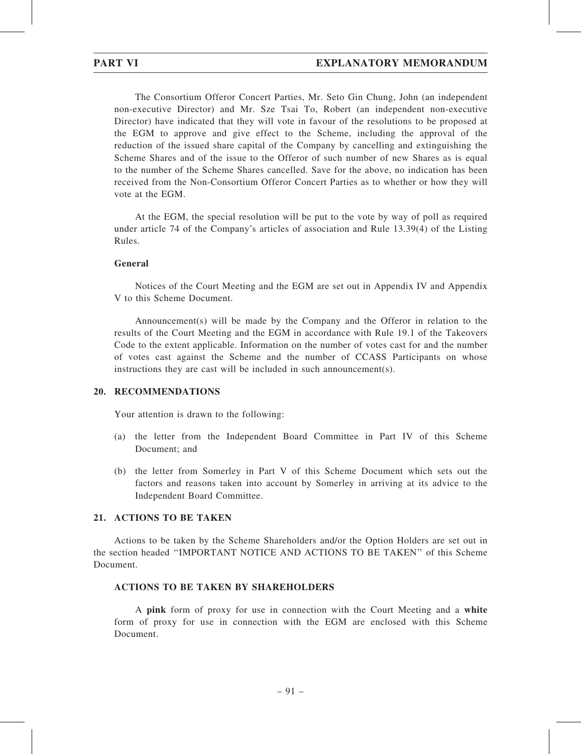The Consortium Offeror Concert Parties, Mr. Seto Gin Chung, John (an independent non-executive Director) and Mr. Sze Tsai To, Robert (an independent non-executive Director) have indicated that they will vote in favour of the resolutions to be proposed at the EGM to approve and give effect to the Scheme, including the approval of the reduction of the issued share capital of the Company by cancelling and extinguishing the Scheme Shares and of the issue to the Offeror of such number of new Shares as is equal to the number of the Scheme Shares cancelled. Save for the above, no indication has been received from the Non-Consortium Offeror Concert Parties as to whether or how they will vote at the EGM.

At the EGM, the special resolution will be put to the vote by way of poll as required under article 74 of the Company's articles of association and Rule 13.39(4) of the Listing Rules.

#### General

Notices of the Court Meeting and the EGM are set out in Appendix IV and Appendix V to this Scheme Document.

Announcement(s) will be made by the Company and the Offeror in relation to the results of the Court Meeting and the EGM in accordance with Rule 19.1 of the Takeovers Code to the extent applicable. Information on the number of votes cast for and the number of votes cast against the Scheme and the number of CCASS Participants on whose instructions they are cast will be included in such announcement(s).

#### 20. RECOMMENDATIONS

Your attention is drawn to the following:

- (a) the letter from the Independent Board Committee in Part IV of this Scheme Document; and
- (b) the letter from Somerley in Part V of this Scheme Document which sets out the factors and reasons taken into account by Somerley in arriving at its advice to the Independent Board Committee.

### 21. ACTIONS TO BE TAKEN

Actions to be taken by the Scheme Shareholders and/or the Option Holders are set out in the section headed ''IMPORTANT NOTICE AND ACTIONS TO BE TAKEN'' of this Scheme Document.

### ACTIONS TO BE TAKEN BY SHAREHOLDERS

A pink form of proxy for use in connection with the Court Meeting and a white form of proxy for use in connection with the EGM are enclosed with this Scheme Document.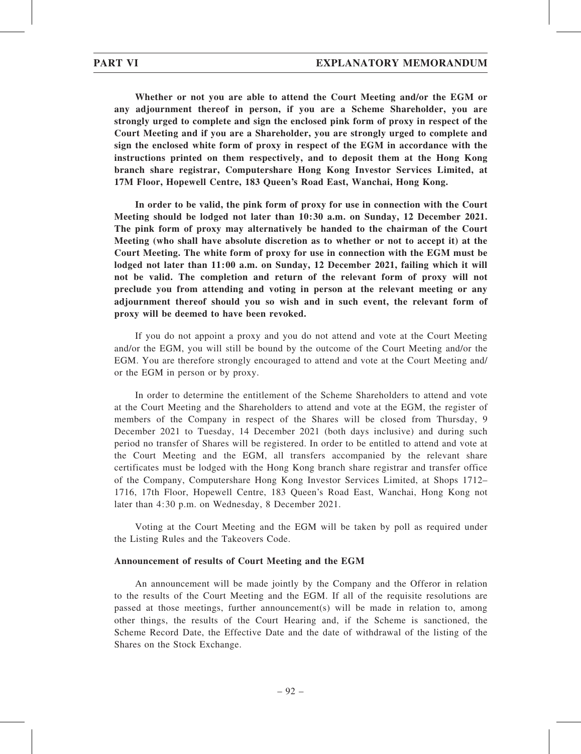Whether or not you are able to attend the Court Meeting and/or the EGM or any adjournment thereof in person, if you are a Scheme Shareholder, you are strongly urged to complete and sign the enclosed pink form of proxy in respect of the Court Meeting and if you are a Shareholder, you are strongly urged to complete and sign the enclosed white form of proxy in respect of the EGM in accordance with the instructions printed on them respectively, and to deposit them at the Hong Kong branch share registrar, Computershare Hong Kong Investor Services Limited, at 17M Floor, Hopewell Centre, 183 Queen's Road East, Wanchai, Hong Kong.

In order to be valid, the pink form of proxy for use in connection with the Court Meeting should be lodged not later than 10:30 a.m. on Sunday, 12 December 2021. The pink form of proxy may alternatively be handed to the chairman of the Court Meeting (who shall have absolute discretion as to whether or not to accept it) at the Court Meeting. The white form of proxy for use in connection with the EGM must be lodged not later than 11:00 a.m. on Sunday, 12 December 2021, failing which it will not be valid. The completion and return of the relevant form of proxy will not preclude you from attending and voting in person at the relevant meeting or any adjournment thereof should you so wish and in such event, the relevant form of proxy will be deemed to have been revoked.

If you do not appoint a proxy and you do not attend and vote at the Court Meeting and/or the EGM, you will still be bound by the outcome of the Court Meeting and/or the EGM. You are therefore strongly encouraged to attend and vote at the Court Meeting and/ or the EGM in person or by proxy.

In order to determine the entitlement of the Scheme Shareholders to attend and vote at the Court Meeting and the Shareholders to attend and vote at the EGM, the register of members of the Company in respect of the Shares will be closed from Thursday, 9 December 2021 to Tuesday, 14 December 2021 (both days inclusive) and during such period no transfer of Shares will be registered. In order to be entitled to attend and vote at the Court Meeting and the EGM, all transfers accompanied by the relevant share certificates must be lodged with the Hong Kong branch share registrar and transfer office of the Company, Computershare Hong Kong Investor Services Limited, at Shops 1712– 1716, 17th Floor, Hopewell Centre, 183 Queen's Road East, Wanchai, Hong Kong not later than 4:30 p.m. on Wednesday, 8 December 2021.

Voting at the Court Meeting and the EGM will be taken by poll as required under the Listing Rules and the Takeovers Code.

#### Announcement of results of Court Meeting and the EGM

An announcement will be made jointly by the Company and the Offeror in relation to the results of the Court Meeting and the EGM. If all of the requisite resolutions are passed at those meetings, further announcement(s) will be made in relation to, among other things, the results of the Court Hearing and, if the Scheme is sanctioned, the Scheme Record Date, the Effective Date and the date of withdrawal of the listing of the Shares on the Stock Exchange.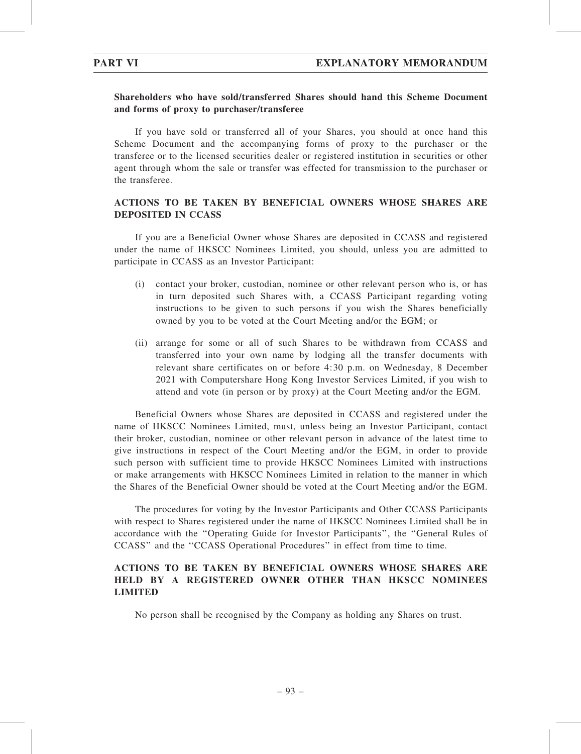## Shareholders who have sold/transferred Shares should hand this Scheme Document and forms of proxy to purchaser/transferee

If you have sold or transferred all of your Shares, you should at once hand this Scheme Document and the accompanying forms of proxy to the purchaser or the transferee or to the licensed securities dealer or registered institution in securities or other agent through whom the sale or transfer was effected for transmission to the purchaser or the transferee.

# ACTIONS TO BE TAKEN BY BENEFICIAL OWNERS WHOSE SHARES ARE DEPOSITED IN CCASS

If you are a Beneficial Owner whose Shares are deposited in CCASS and registered under the name of HKSCC Nominees Limited, you should, unless you are admitted to participate in CCASS as an Investor Participant:

- (i) contact your broker, custodian, nominee or other relevant person who is, or has in turn deposited such Shares with, a CCASS Participant regarding voting instructions to be given to such persons if you wish the Shares beneficially owned by you to be voted at the Court Meeting and/or the EGM; or
- (ii) arrange for some or all of such Shares to be withdrawn from CCASS and transferred into your own name by lodging all the transfer documents with relevant share certificates on or before 4:30 p.m. on Wednesday, 8 December 2021 with Computershare Hong Kong Investor Services Limited, if you wish to attend and vote (in person or by proxy) at the Court Meeting and/or the EGM.

Beneficial Owners whose Shares are deposited in CCASS and registered under the name of HKSCC Nominees Limited, must, unless being an Investor Participant, contact their broker, custodian, nominee or other relevant person in advance of the latest time to give instructions in respect of the Court Meeting and/or the EGM, in order to provide such person with sufficient time to provide HKSCC Nominees Limited with instructions or make arrangements with HKSCC Nominees Limited in relation to the manner in which the Shares of the Beneficial Owner should be voted at the Court Meeting and/or the EGM.

The procedures for voting by the Investor Participants and Other CCASS Participants with respect to Shares registered under the name of HKSCC Nominees Limited shall be in accordance with the ''Operating Guide for Investor Participants'', the ''General Rules of CCASS'' and the ''CCASS Operational Procedures'' in effect from time to time.

# ACTIONS TO BE TAKEN BY BENEFICIAL OWNERS WHOSE SHARES ARE HELD BY A REGISTERED OWNER OTHER THAN HKSCC NOMINEES LIMITED

No person shall be recognised by the Company as holding any Shares on trust.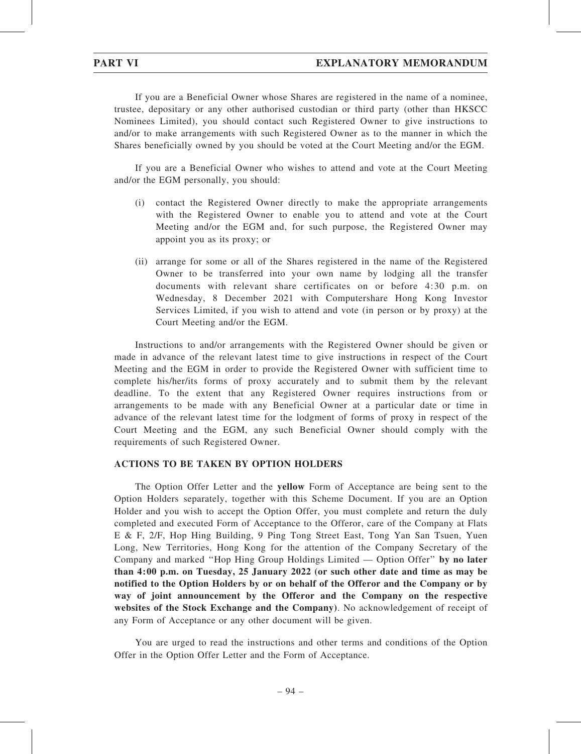If you are a Beneficial Owner whose Shares are registered in the name of a nominee, trustee, depositary or any other authorised custodian or third party (other than HKSCC Nominees Limited), you should contact such Registered Owner to give instructions to and/or to make arrangements with such Registered Owner as to the manner in which the Shares beneficially owned by you should be voted at the Court Meeting and/or the EGM.

If you are a Beneficial Owner who wishes to attend and vote at the Court Meeting and/or the EGM personally, you should:

- (i) contact the Registered Owner directly to make the appropriate arrangements with the Registered Owner to enable you to attend and vote at the Court Meeting and/or the EGM and, for such purpose, the Registered Owner may appoint you as its proxy; or
- (ii) arrange for some or all of the Shares registered in the name of the Registered Owner to be transferred into your own name by lodging all the transfer documents with relevant share certificates on or before 4:30 p.m. on Wednesday, 8 December 2021 with Computershare Hong Kong Investor Services Limited, if you wish to attend and vote (in person or by proxy) at the Court Meeting and/or the EGM.

Instructions to and/or arrangements with the Registered Owner should be given or made in advance of the relevant latest time to give instructions in respect of the Court Meeting and the EGM in order to provide the Registered Owner with sufficient time to complete his/her/its forms of proxy accurately and to submit them by the relevant deadline. To the extent that any Registered Owner requires instructions from or arrangements to be made with any Beneficial Owner at a particular date or time in advance of the relevant latest time for the lodgment of forms of proxy in respect of the Court Meeting and the EGM, any such Beneficial Owner should comply with the requirements of such Registered Owner.

#### ACTIONS TO BE TAKEN BY OPTION HOLDERS

The Option Offer Letter and the yellow Form of Acceptance are being sent to the Option Holders separately, together with this Scheme Document. If you are an Option Holder and you wish to accept the Option Offer, you must complete and return the duly completed and executed Form of Acceptance to the Offeror, care of the Company at Flats E & F, 2/F, Hop Hing Building, 9 Ping Tong Street East, Tong Yan San Tsuen, Yuen Long, New Territories, Hong Kong for the attention of the Company Secretary of the Company and marked ''Hop Hing Group Holdings Limited — Option Offer'' by no later than 4:00 p.m. on Tuesday, 25 January 2022 (or such other date and time as may be notified to the Option Holders by or on behalf of the Offeror and the Company or by way of joint announcement by the Offeror and the Company on the respective websites of the Stock Exchange and the Company). No acknowledgement of receipt of any Form of Acceptance or any other document will be given.

You are urged to read the instructions and other terms and conditions of the Option Offer in the Option Offer Letter and the Form of Acceptance.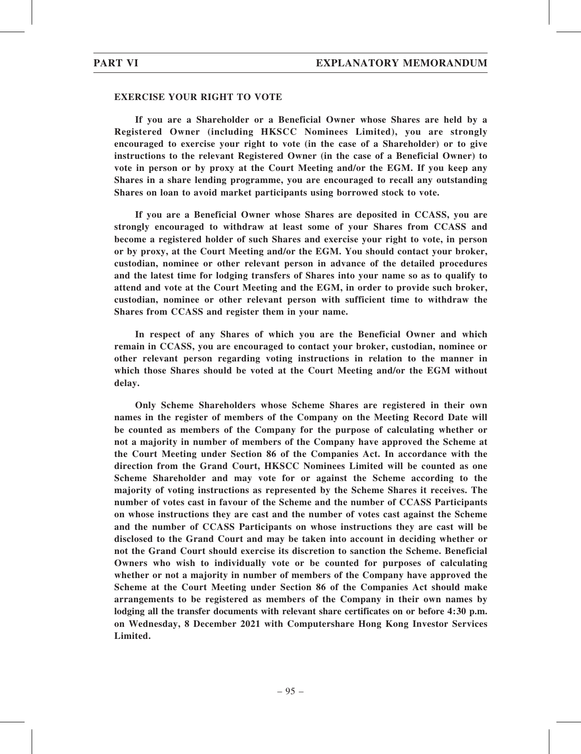#### EXERCISE YOUR RIGHT TO VOTE

If you are a Shareholder or a Beneficial Owner whose Shares are held by a Registered Owner (including HKSCC Nominees Limited), you are strongly encouraged to exercise your right to vote (in the case of a Shareholder) or to give instructions to the relevant Registered Owner (in the case of a Beneficial Owner) to vote in person or by proxy at the Court Meeting and/or the EGM. If you keep any Shares in a share lending programme, you are encouraged to recall any outstanding Shares on loan to avoid market participants using borrowed stock to vote.

If you are a Beneficial Owner whose Shares are deposited in CCASS, you are strongly encouraged to withdraw at least some of your Shares from CCASS and become a registered holder of such Shares and exercise your right to vote, in person or by proxy, at the Court Meeting and/or the EGM. You should contact your broker, custodian, nominee or other relevant person in advance of the detailed procedures and the latest time for lodging transfers of Shares into your name so as to qualify to attend and vote at the Court Meeting and the EGM, in order to provide such broker, custodian, nominee or other relevant person with sufficient time to withdraw the Shares from CCASS and register them in your name.

In respect of any Shares of which you are the Beneficial Owner and which remain in CCASS, you are encouraged to contact your broker, custodian, nominee or other relevant person regarding voting instructions in relation to the manner in which those Shares should be voted at the Court Meeting and/or the EGM without delay.

Only Scheme Shareholders whose Scheme Shares are registered in their own names in the register of members of the Company on the Meeting Record Date will be counted as members of the Company for the purpose of calculating whether or not a majority in number of members of the Company have approved the Scheme at the Court Meeting under Section 86 of the Companies Act. In accordance with the direction from the Grand Court, HKSCC Nominees Limited will be counted as one Scheme Shareholder and may vote for or against the Scheme according to the majority of voting instructions as represented by the Scheme Shares it receives. The number of votes cast in favour of the Scheme and the number of CCASS Participants on whose instructions they are cast and the number of votes cast against the Scheme and the number of CCASS Participants on whose instructions they are cast will be disclosed to the Grand Court and may be taken into account in deciding whether or not the Grand Court should exercise its discretion to sanction the Scheme. Beneficial Owners who wish to individually vote or be counted for purposes of calculating whether or not a majority in number of members of the Company have approved the Scheme at the Court Meeting under Section 86 of the Companies Act should make arrangements to be registered as members of the Company in their own names by lodging all the transfer documents with relevant share certificates on or before 4:30 p.m. on Wednesday, 8 December 2021 with Computershare Hong Kong Investor Services Limited.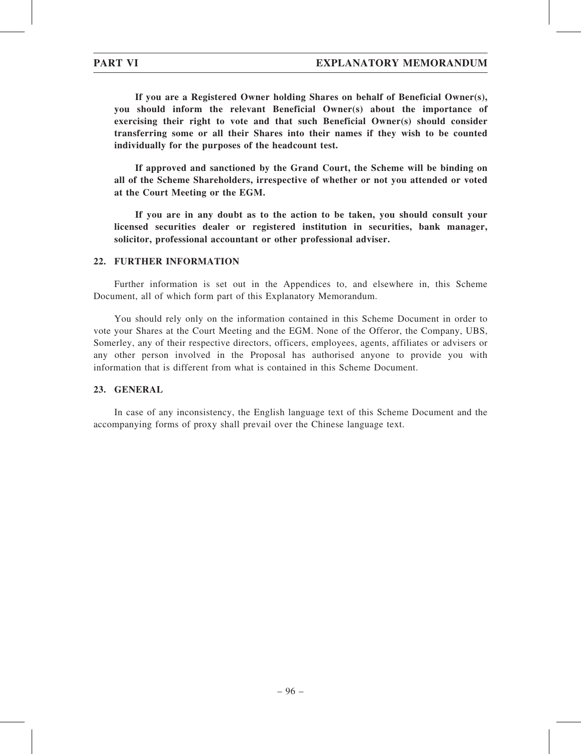If you are a Registered Owner holding Shares on behalf of Beneficial Owner(s), you should inform the relevant Beneficial Owner(s) about the importance of exercising their right to vote and that such Beneficial Owner(s) should consider transferring some or all their Shares into their names if they wish to be counted individually for the purposes of the headcount test.

If approved and sanctioned by the Grand Court, the Scheme will be binding on all of the Scheme Shareholders, irrespective of whether or not you attended or voted at the Court Meeting or the EGM.

If you are in any doubt as to the action to be taken, you should consult your licensed securities dealer or registered institution in securities, bank manager, solicitor, professional accountant or other professional adviser.

### 22. FURTHER INFORMATION

Further information is set out in the Appendices to, and elsewhere in, this Scheme Document, all of which form part of this Explanatory Memorandum.

You should rely only on the information contained in this Scheme Document in order to vote your Shares at the Court Meeting and the EGM. None of the Offeror, the Company, UBS, Somerley, any of their respective directors, officers, employees, agents, affiliates or advisers or any other person involved in the Proposal has authorised anyone to provide you with information that is different from what is contained in this Scheme Document.

### 23. GENERAL

In case of any inconsistency, the English language text of this Scheme Document and the accompanying forms of proxy shall prevail over the Chinese language text.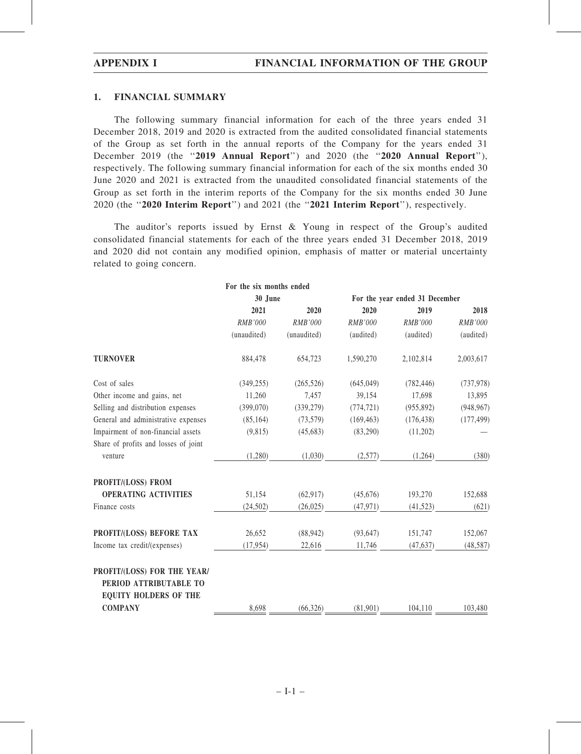#### 1. FINANCIAL SUMMARY

The following summary financial information for each of the three years ended 31 December 2018, 2019 and 2020 is extracted from the audited consolidated financial statements of the Group as set forth in the annual reports of the Company for the years ended 31 December 2019 (the "2019 Annual Report") and 2020 (the "2020 Annual Report"), respectively. The following summary financial information for each of the six months ended 30 June 2020 and 2021 is extracted from the unaudited consolidated financial statements of the Group as set forth in the interim reports of the Company for the six months ended 30 June 2020 (the ''2020 Interim Report'') and 2021 (the ''2021 Interim Report''), respectively.

The auditor's reports issued by Ernst  $\&$  Young in respect of the Group's audited consolidated financial statements for each of the three years ended 31 December 2018, 2019 and 2020 did not contain any modified opinion, emphasis of matter or material uncertainty related to going concern.

|                                                                                       | For the six months ended |             |                                |            |            |
|---------------------------------------------------------------------------------------|--------------------------|-------------|--------------------------------|------------|------------|
|                                                                                       | 30 June                  |             | For the year ended 31 December |            |            |
|                                                                                       | 2021                     | 2020        | 2020                           | 2019       | 2018       |
|                                                                                       | RMB'000                  | RMB'000     | RMB'000                        | RMB'000    | RMB'000    |
|                                                                                       | (unaudited)              | (unaudited) | (audited)                      | (audited)  | (audited)  |
| <b>TURNOVER</b>                                                                       | 884,478                  | 654,723     | 1,590,270                      | 2,102,814  | 2,003,617  |
| Cost of sales                                                                         | (349, 255)               | (265, 526)  | (645, 049)                     | (782, 446) | (737, 978) |
| Other income and gains, net                                                           | 11,260                   | 7,457       | 39,154                         | 17,698     | 13,895     |
| Selling and distribution expenses                                                     | (399,070)                | (339, 279)  | (774, 721)                     | (955, 892) | (948, 967) |
| General and administrative expenses                                                   | (85, 164)                | (73, 579)   | (169, 463)                     | (176, 438) | (177, 499) |
| Impairment of non-financial assets                                                    | (9,815)                  | (45,683)    | (83,290)                       | (11,202)   |            |
| Share of profits and losses of joint                                                  |                          |             |                                |            |            |
| venture                                                                               | (1,280)                  | (1,030)     | $(2,577)$ $(1,264)$            |            | (380)      |
| PROFIT/(LOSS) FROM                                                                    |                          |             |                                |            |            |
| <b>OPERATING ACTIVITIES</b>                                                           | 51,154                   | (62, 917)   | (45,676)                       | 193,270    | 152,688    |
| Finance costs                                                                         | (24,502)                 | (26, 025)   | (47, 971)                      | (41,523)   | (621)      |
| PROFIT/(LOSS) BEFORE TAX                                                              | 26,652                   | (88, 942)   | (93, 647)                      | 151,747    | 152,067    |
| Income tax credit/(expenses)                                                          | (17, 954)                |             | $22,616$ $11,746$ $(47,637)$   |            | (48, 587)  |
| PROFIT/(LOSS) FOR THE YEAR/<br>PERIOD ATTRIBUTABLE TO<br><b>EQUITY HOLDERS OF THE</b> |                          |             |                                |            |            |
| <b>COMPANY</b>                                                                        | 8,698                    | (66, 326)   | (81,901)                       | 104,110    | 103,480    |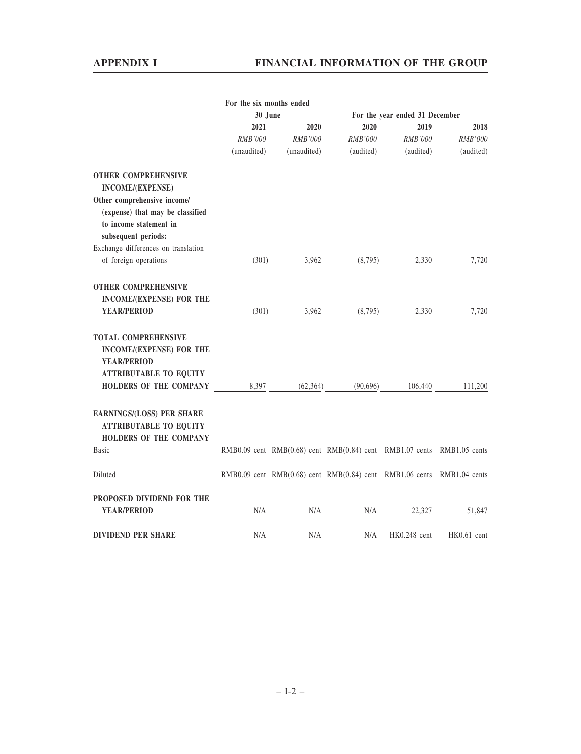# APPENDIX I FINANCIAL INFORMATION OF THE GROUP

|                                                                                      | For the six months ended |             |                                                                        |              |                |  |
|--------------------------------------------------------------------------------------|--------------------------|-------------|------------------------------------------------------------------------|--------------|----------------|--|
|                                                                                      | 30 June                  |             | For the year ended 31 December                                         |              |                |  |
|                                                                                      | 2021                     | 2020        | 2020                                                                   | 2019         | 2018           |  |
|                                                                                      | RMB'000                  | RMB'000     | <i>RMB'000</i>                                                         | RMB'000      | <b>RMB'000</b> |  |
|                                                                                      | (unaudited)              | (unaudited) | (audited)                                                              | (audited)    | (audited)      |  |
| <b>OTHER COMPREHENSIVE</b>                                                           |                          |             |                                                                        |              |                |  |
| <b>INCOME/(EXPENSE)</b>                                                              |                          |             |                                                                        |              |                |  |
| Other comprehensive income/                                                          |                          |             |                                                                        |              |                |  |
| (expense) that may be classified                                                     |                          |             |                                                                        |              |                |  |
| to income statement in                                                               |                          |             |                                                                        |              |                |  |
| subsequent periods:                                                                  |                          |             |                                                                        |              |                |  |
| Exchange differences on translation                                                  |                          |             |                                                                        |              |                |  |
| of foreign operations                                                                |                          |             | $(301)$ $3,962$ $(8,795)$ $2,330$                                      |              | 7,720          |  |
|                                                                                      |                          |             |                                                                        |              |                |  |
| <b>OTHER COMPREHENSIVE</b>                                                           |                          |             |                                                                        |              |                |  |
| <b>INCOME/(EXPENSE) FOR THE</b>                                                      |                          |             |                                                                        |              |                |  |
| <b>YEAR/PERIOD</b>                                                                   |                          |             | $(301)$ $3,962$ $(8,795)$ $2,330$                                      |              | 7,720          |  |
|                                                                                      |                          |             |                                                                        |              |                |  |
|                                                                                      |                          |             |                                                                        |              |                |  |
| <b>TOTAL COMPREHENSIVE</b>                                                           |                          |             |                                                                        |              |                |  |
| <b>INCOME/(EXPENSE) FOR THE</b>                                                      |                          |             |                                                                        |              |                |  |
| <b>YEAR/PERIOD</b>                                                                   |                          |             |                                                                        |              |                |  |
| <b>ATTRIBUTABLE TO EQUITY</b>                                                        |                          |             |                                                                        |              |                |  |
| <b>HOLDERS OF THE COMPANY</b> $\underbrace{8,397}$ (62,364) (90,696) 106,440 111,200 |                          |             |                                                                        |              |                |  |
|                                                                                      |                          |             |                                                                        |              |                |  |
| EARNINGS/(LOSS) PER SHARE                                                            |                          |             |                                                                        |              |                |  |
| <b>ATTRIBUTABLE TO EQUITY</b>                                                        |                          |             |                                                                        |              |                |  |
| <b>HOLDERS OF THE COMPANY</b>                                                        |                          |             |                                                                        |              |                |  |
| <b>Basic</b>                                                                         |                          |             | RMB0.09 cent RMB(0.68) cent RMB(0.84) cent RMB1.07 cents RMB1.05 cents |              |                |  |
| Diluted                                                                              |                          |             | RMB0.09 cent RMB(0.68) cent RMB(0.84) cent RMB1.06 cents RMB1.04 cents |              |                |  |
| PROPOSED DIVIDEND FOR THE                                                            |                          |             |                                                                        |              |                |  |
| <b>YEAR/PERIOD</b>                                                                   | N/A                      | N/A         | N/A                                                                    | 22,327       | 51,847         |  |
|                                                                                      |                          |             |                                                                        |              |                |  |
| <b>DIVIDEND PER SHARE</b>                                                            | N/A                      | N/A         | N/A                                                                    | HK0.248 cent | HK0.61 cent    |  |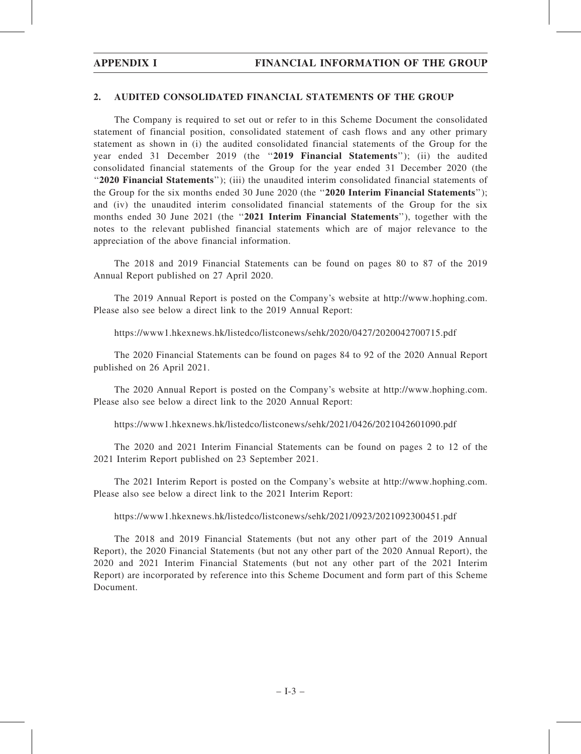#### 2. AUDITED CONSOLIDATED FINANCIAL STATEMENTS OF THE GROUP

The Company is required to set out or refer to in this Scheme Document the consolidated statement of financial position, consolidated statement of cash flows and any other primary statement as shown in (i) the audited consolidated financial statements of the Group for the year ended 31 December 2019 (the "2019 Financial Statements"); (ii) the audited consolidated financial statements of the Group for the year ended 31 December 2020 (the ''2020 Financial Statements''); (iii) the unaudited interim consolidated financial statements of the Group for the six months ended 30 June 2020 (the "2020 Interim Financial Statements"); and (iv) the unaudited interim consolidated financial statements of the Group for the six months ended 30 June 2021 (the "2021 Interim Financial Statements"), together with the notes to the relevant published financial statements which are of major relevance to the appreciation of the above financial information.

The 2018 and 2019 Financial Statements can be found on pages 80 to 87 of the 2019 Annual Report published on 27 April 2020.

The 2019 Annual Report is posted on the Company's website at http://www.hophing.com. Please also see below a direct link to the 2019 Annual Report:

https://www1.hkexnews.hk/listedco/listconews/sehk/2020/0427/2020042700715.pdf

The 2020 Financial Statements can be found on pages 84 to 92 of the 2020 Annual Report published on 26 April 2021.

The 2020 Annual Report is posted on the Company's website at http://www.hophing.com. Please also see below a direct link to the 2020 Annual Report:

https://www1.hkexnews.hk/listedco/listconews/sehk/2021/0426/2021042601090.pdf

The 2020 and 2021 Interim Financial Statements can be found on pages 2 to 12 of the 2021 Interim Report published on 23 September 2021.

The 2021 Interim Report is posted on the Company's website at http://www.hophing.com. Please also see below a direct link to the 2021 Interim Report:

https://www1.hkexnews.hk/listedco/listconews/sehk/2021/0923/2021092300451.pdf

The 2018 and 2019 Financial Statements (but not any other part of the 2019 Annual Report), the 2020 Financial Statements (but not any other part of the 2020 Annual Report), the 2020 and 2021 Interim Financial Statements (but not any other part of the 2021 Interim Report) are incorporated by reference into this Scheme Document and form part of this Scheme Document.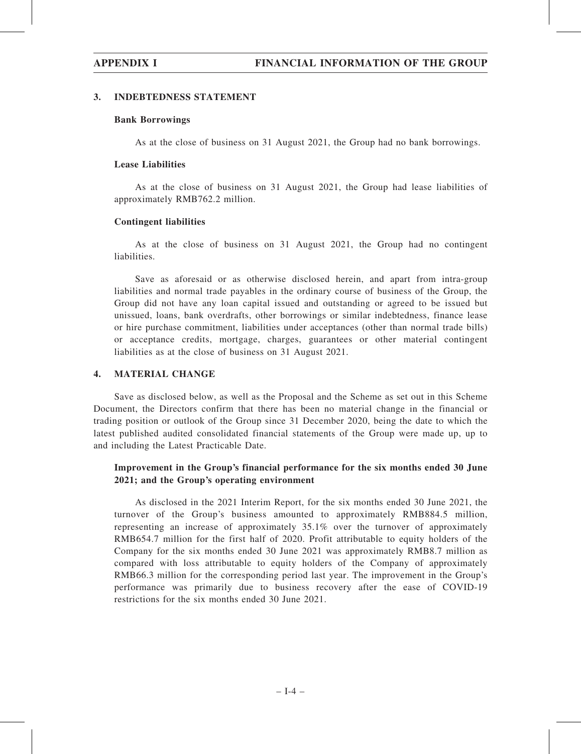## 3. INDEBTEDNESS STATEMENT

## Bank Borrowings

As at the close of business on 31 August 2021, the Group had no bank borrowings.

## Lease Liabilities

As at the close of business on 31 August 2021, the Group had lease liabilities of approximately RMB762.2 million.

## Contingent liabilities

As at the close of business on 31 August 2021, the Group had no contingent liabilities.

Save as aforesaid or as otherwise disclosed herein, and apart from intra-group liabilities and normal trade payables in the ordinary course of business of the Group, the Group did not have any loan capital issued and outstanding or agreed to be issued but unissued, loans, bank overdrafts, other borrowings or similar indebtedness, finance lease or hire purchase commitment, liabilities under acceptances (other than normal trade bills) or acceptance credits, mortgage, charges, guarantees or other material contingent liabilities as at the close of business on 31 August 2021.

## 4. MATERIAL CHANGE

Save as disclosed below, as well as the Proposal and the Scheme as set out in this Scheme Document, the Directors confirm that there has been no material change in the financial or trading position or outlook of the Group since 31 December 2020, being the date to which the latest published audited consolidated financial statements of the Group were made up, up to and including the Latest Practicable Date.

## Improvement in the Group's financial performance for the six months ended 30 June 2021; and the Group's operating environment

As disclosed in the 2021 Interim Report, for the six months ended 30 June 2021, the turnover of the Group's business amounted to approximately RMB884.5 million, representing an increase of approximately 35.1% over the turnover of approximately RMB654.7 million for the first half of 2020. Profit attributable to equity holders of the Company for the six months ended 30 June 2021 was approximately RMB8.7 million as compared with loss attributable to equity holders of the Company of approximately RMB66.3 million for the corresponding period last year. The improvement in the Group's performance was primarily due to business recovery after the ease of COVID-19 restrictions for the six months ended 30 June 2021.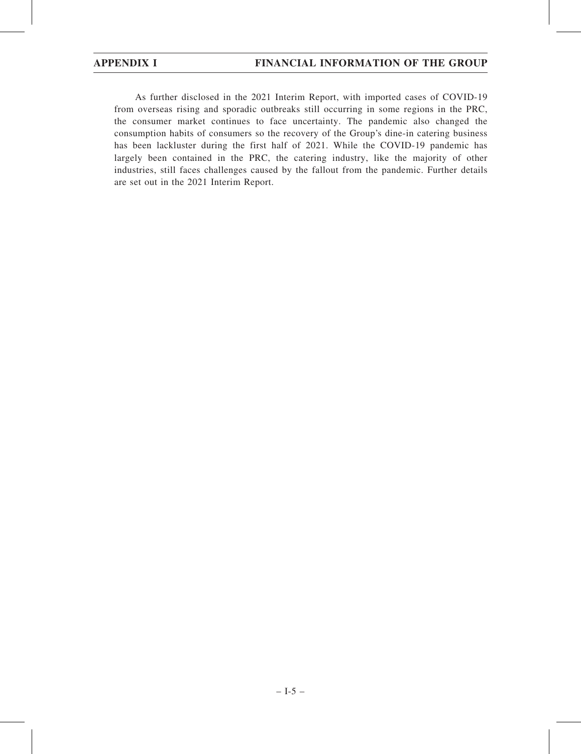As further disclosed in the 2021 Interim Report, with imported cases of COVID-19 from overseas rising and sporadic outbreaks still occurring in some regions in the PRC, the consumer market continues to face uncertainty. The pandemic also changed the consumption habits of consumers so the recovery of the Group's dine-in catering business has been lackluster during the first half of 2021. While the COVID-19 pandemic has largely been contained in the PRC, the catering industry, like the majority of other industries, still faces challenges caused by the fallout from the pandemic. Further details are set out in the 2021 Interim Report.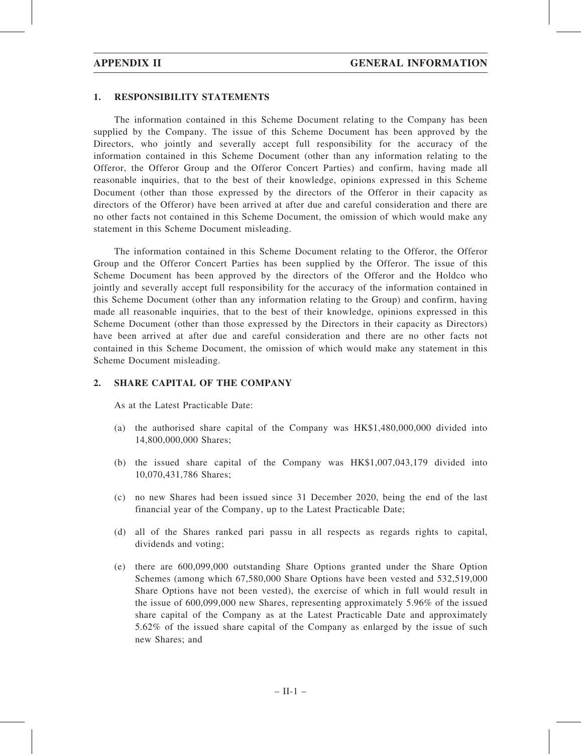## 1. RESPONSIBILITY STATEMENTS

The information contained in this Scheme Document relating to the Company has been supplied by the Company. The issue of this Scheme Document has been approved by the Directors, who jointly and severally accept full responsibility for the accuracy of the information contained in this Scheme Document (other than any information relating to the Offeror, the Offeror Group and the Offeror Concert Parties) and confirm, having made all reasonable inquiries, that to the best of their knowledge, opinions expressed in this Scheme Document (other than those expressed by the directors of the Offeror in their capacity as directors of the Offeror) have been arrived at after due and careful consideration and there are no other facts not contained in this Scheme Document, the omission of which would make any statement in this Scheme Document misleading.

The information contained in this Scheme Document relating to the Offeror, the Offeror Group and the Offeror Concert Parties has been supplied by the Offeror. The issue of this Scheme Document has been approved by the directors of the Offeror and the Holdco who jointly and severally accept full responsibility for the accuracy of the information contained in this Scheme Document (other than any information relating to the Group) and confirm, having made all reasonable inquiries, that to the best of their knowledge, opinions expressed in this Scheme Document (other than those expressed by the Directors in their capacity as Directors) have been arrived at after due and careful consideration and there are no other facts not contained in this Scheme Document, the omission of which would make any statement in this Scheme Document misleading.

### 2. SHARE CAPITAL OF THE COMPANY

As at the Latest Practicable Date:

- (a) the authorised share capital of the Company was HK\$1,480,000,000 divided into 14,800,000,000 Shares;
- (b) the issued share capital of the Company was HK\$1,007,043,179 divided into 10,070,431,786 Shares;
- (c) no new Shares had been issued since 31 December 2020, being the end of the last financial year of the Company, up to the Latest Practicable Date;
- (d) all of the Shares ranked pari passu in all respects as regards rights to capital, dividends and voting;
- (e) there are 600,099,000 outstanding Share Options granted under the Share Option Schemes (among which 67,580,000 Share Options have been vested and 532,519,000 Share Options have not been vested), the exercise of which in full would result in the issue of 600,099,000 new Shares, representing approximately 5.96% of the issued share capital of the Company as at the Latest Practicable Date and approximately 5.62% of the issued share capital of the Company as enlarged by the issue of such new Shares; and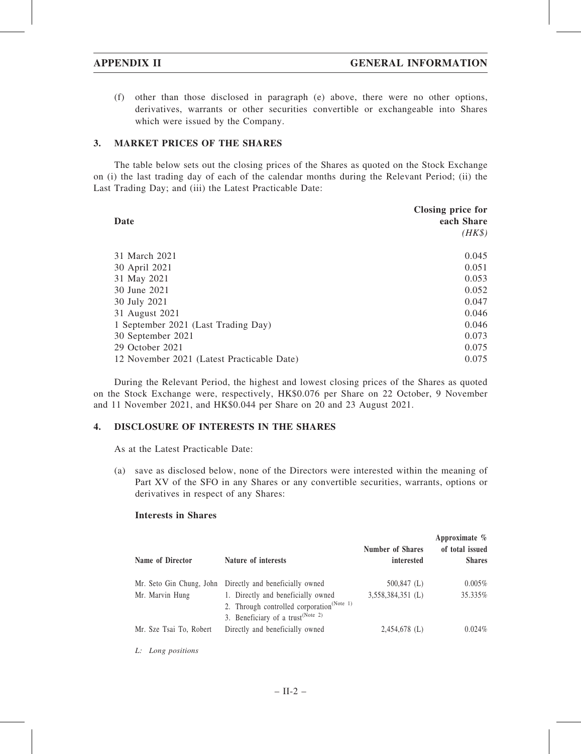(f) other than those disclosed in paragraph (e) above, there were no other options, derivatives, warrants or other securities convertible or exchangeable into Shares which were issued by the Company.

## 3. MARKET PRICES OF THE SHARES

The table below sets out the closing prices of the Shares as quoted on the Stock Exchange on (i) the last trading day of each of the calendar months during the Relevant Period; (ii) the Last Trading Day; and (iii) the Latest Practicable Date:

| Date                                       | Closing price for<br>each Share<br>$(HK\$ |
|--------------------------------------------|-------------------------------------------|
| 31 March 2021                              | 0.045                                     |
| 30 April 2021                              | 0.051                                     |
| 31 May 2021                                | 0.053                                     |
| 30 June 2021                               | 0.052                                     |
| 30 July 2021                               | 0.047                                     |
| 31 August 2021                             | 0.046                                     |
| 1 September 2021 (Last Trading Day)        | 0.046                                     |
| 30 September 2021                          | 0.073                                     |
| 29 October 2021                            | 0.075                                     |
| 12 November 2021 (Latest Practicable Date) | 0.075                                     |

During the Relevant Period, the highest and lowest closing prices of the Shares as quoted on the Stock Exchange were, respectively, HK\$0.076 per Share on 22 October, 9 November and 11 November 2021, and HK\$0.044 per Share on 20 and 23 August 2021.

## 4. DISCLOSURE OF INTERESTS IN THE SHARES

As at the Latest Practicable Date:

(a) save as disclosed below, none of the Directors were interested within the meaning of Part XV of the SFO in any Shares or any convertible securities, warrants, options or derivatives in respect of any Shares:

### Interests in Shares

| Name of Director        | Nature of interests                                                                                                                          | <b>Number of Shares</b><br>interested | Approximate $\%$<br>of total issued<br><b>Shares</b> |
|-------------------------|----------------------------------------------------------------------------------------------------------------------------------------------|---------------------------------------|------------------------------------------------------|
|                         | Mr. Seto Gin Chung, John Directly and beneficially owned                                                                                     | $500,847$ (L)                         | $0.005\%$                                            |
| Mr. Marvin Hung         | 1. Directly and beneficially owned<br>2. Through controlled corporation <sup>(Note 1)</sup><br>3. Beneficiary of a trust <sup>(Note 2)</sup> | $3,558,384,351$ (L)                   | 35.335%                                              |
| Mr. Sze Tsai To, Robert | Directly and beneficially owned                                                                                                              | $2,454,678$ (L)                       | 0.024%                                               |

L: Long positions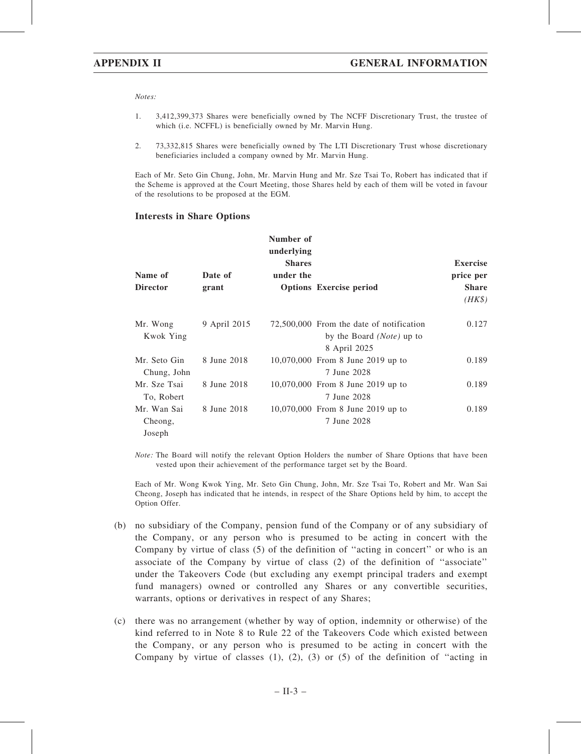Notes:

- 1. 3,412,399,373 Shares were beneficially owned by The NCFF Discretionary Trust, the trustee of which (i.e. NCFFL) is beneficially owned by Mr. Marvin Hung.
- 2. 73,332,815 Shares were beneficially owned by The LTI Discretionary Trust whose discretionary beneficiaries included a company owned by Mr. Marvin Hung.

Each of Mr. Seto Gin Chung, John, Mr. Marvin Hung and Mr. Sze Tsai To, Robert has indicated that if the Scheme is approved at the Court Meeting, those Shares held by each of them will be voted in favour of the resolutions to be proposed at the EGM.

### Interests in Share Options

|                                  |              | Number of<br>underlying<br><b>Shares</b> |                                                                                                | <b>Exercise</b>        |
|----------------------------------|--------------|------------------------------------------|------------------------------------------------------------------------------------------------|------------------------|
| Name of                          | Date of      | under the                                |                                                                                                | price per              |
| <b>Director</b>                  | grant        |                                          | <b>Options Exercise period</b>                                                                 | <b>Share</b><br>$(HK\$ |
| Mr. Wong<br>Kwok Ying            | 9 April 2015 |                                          | 72,500,000 From the date of notification<br>by the Board ( <i>Note</i> ) up to<br>8 April 2025 | 0.127                  |
| Mr. Seto Gin<br>Chung, John      | 8 June 2018  |                                          | 10,070,000 From 8 June 2019 up to<br>7 June 2028                                               | 0.189                  |
| Mr. Sze Tsai<br>To, Robert       | 8 June 2018  |                                          | 10,070,000 From 8 June 2019 up to<br>7 June 2028                                               | 0.189                  |
| Mr. Wan Sai<br>Cheong,<br>Joseph | 8 June 2018  |                                          | 10,070,000 From 8 June 2019 up to<br>7 June 2028                                               | 0.189                  |

Note: The Board will notify the relevant Option Holders the number of Share Options that have been vested upon their achievement of the performance target set by the Board.

Each of Mr. Wong Kwok Ying, Mr. Seto Gin Chung, John, Mr. Sze Tsai To, Robert and Mr. Wan Sai Cheong, Joseph has indicated that he intends, in respect of the Share Options held by him, to accept the Option Offer.

- (b) no subsidiary of the Company, pension fund of the Company or of any subsidiary of the Company, or any person who is presumed to be acting in concert with the Company by virtue of class (5) of the definition of ''acting in concert'' or who is an associate of the Company by virtue of class (2) of the definition of ''associate'' under the Takeovers Code (but excluding any exempt principal traders and exempt fund managers) owned or controlled any Shares or any convertible securities, warrants, options or derivatives in respect of any Shares;
- (c) there was no arrangement (whether by way of option, indemnity or otherwise) of the kind referred to in Note 8 to Rule 22 of the Takeovers Code which existed between the Company, or any person who is presumed to be acting in concert with the Company by virtue of classes  $(1)$ ,  $(2)$ ,  $(3)$  or  $(5)$  of the definition of "acting in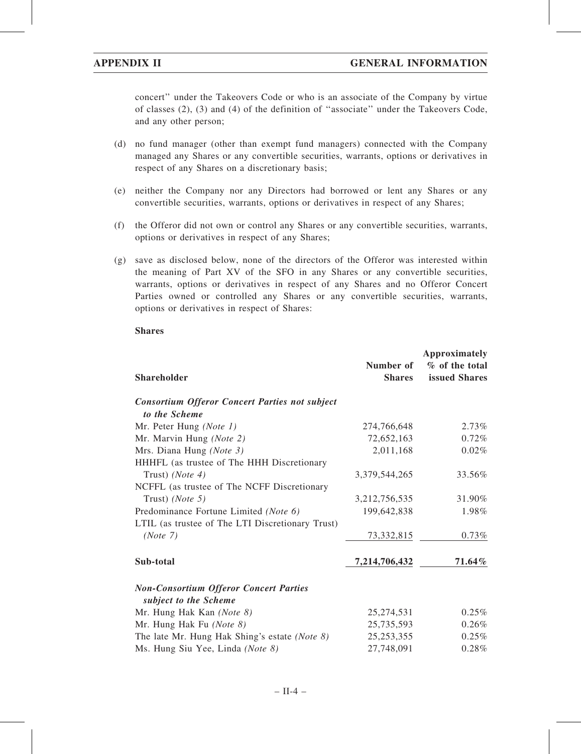concert'' under the Takeovers Code or who is an associate of the Company by virtue of classes (2), (3) and (4) of the definition of ''associate'' under the Takeovers Code, and any other person;

- (d) no fund manager (other than exempt fund managers) connected with the Company managed any Shares or any convertible securities, warrants, options or derivatives in respect of any Shares on a discretionary basis;
- (e) neither the Company nor any Directors had borrowed or lent any Shares or any convertible securities, warrants, options or derivatives in respect of any Shares;
- (f) the Offeror did not own or control any Shares or any convertible securities, warrants, options or derivatives in respect of any Shares;
- (g) save as disclosed below, none of the directors of the Offeror was interested within the meaning of Part XV of the SFO in any Shares or any convertible securities, warrants, options or derivatives in respect of any Shares and no Offeror Concert Parties owned or controlled any Shares or any convertible securities, warrants, options or derivatives in respect of Shares:

### Shares

| Shareholder                                           | Number of<br><b>Shares</b> | <b>Approximately</b><br>% of the total<br>issued Shares |
|-------------------------------------------------------|----------------------------|---------------------------------------------------------|
| <b>Consortium Offeror Concert Parties not subject</b> |                            |                                                         |
| to the Scheme                                         |                            |                                                         |
| Mr. Peter Hung (Note 1)                               | 274,766,648                | 2.73%                                                   |
| Mr. Marvin Hung (Note 2)                              | 72,652,163                 | 0.72%                                                   |
| Mrs. Diana Hung (Note 3)                              | 2,011,168                  | 0.02%                                                   |
| HHHFL (as trustee of The HHH Discretionary            |                            |                                                         |
| Trust) (Note 4)                                       | 3,379,544,265              | 33.56%                                                  |
| NCFFL (as trustee of The NCFF Discretionary           |                            |                                                         |
| Trust) ( <i>Note</i> 5)                               | 3,212,756,535              | 31.90%                                                  |
| Predominance Fortune Limited (Note 6)                 | 199,642,838                | 1.98%                                                   |
| LTIL (as trustee of The LTI Discretionary Trust)      |                            |                                                         |
| (Note 7)                                              | 73, 332, 815               | 0.73%                                                   |
| Sub-total                                             | 7,214,706,432              | 71.64%                                                  |
| <b>Non-Consortium Offeror Concert Parties</b>         |                            |                                                         |
| subject to the Scheme                                 |                            |                                                         |
| Mr. Hung Hak Kan (Note 8)                             | 25,274,531                 | 0.25%                                                   |
| Mr. Hung Hak Fu (Note 8)                              | 25,735,593                 | 0.26%                                                   |
| The late Mr. Hung Hak Shing's estate (Note $8$ )      | 25, 253, 355               | 0.25%                                                   |
| Ms. Hung Siu Yee, Linda (Note 8)                      | 27,748,091                 | 0.28%                                                   |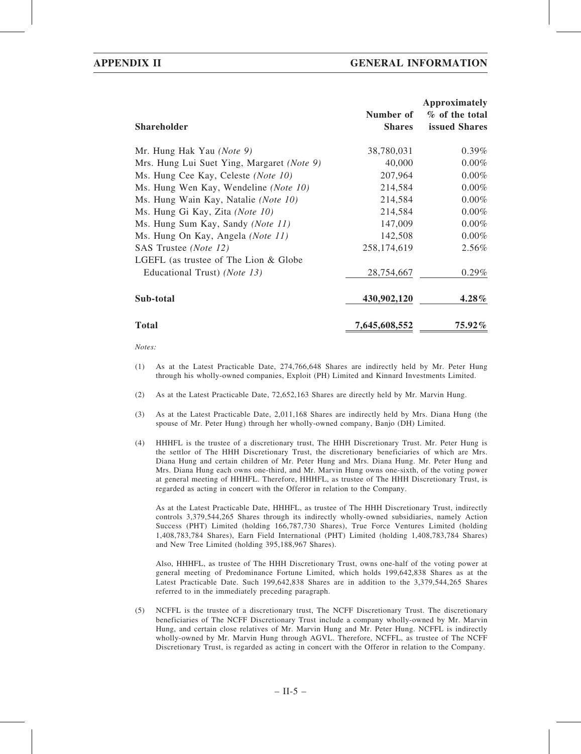| <b>Shareholder</b>                         | Number of<br><b>Shares</b> | Approximately<br>% of the total<br>issued Shares |
|--------------------------------------------|----------------------------|--------------------------------------------------|
| Mr. Hung Hak Yau (Note 9)                  | 38,780,031                 | $0.39\%$                                         |
| Mrs. Hung Lui Suet Ying, Margaret (Note 9) | 40,000                     | $0.00\%$                                         |
| Ms. Hung Cee Kay, Celeste (Note 10)        | 207,964                    | $0.00\%$                                         |
| Ms. Hung Wen Kay, Wendeline (Note 10)      | 214,584                    | $0.00\%$                                         |
| Ms. Hung Wain Kay, Natalie (Note 10)       | 214,584                    | $0.00\%$                                         |
| Ms. Hung Gi Kay, Zita (Note 10)            | 214,584                    | $0.00\%$                                         |
| Ms. Hung Sum Kay, Sandy (Note 11)          | 147,009                    | $0.00\%$                                         |
| Ms. Hung On Kay, Angela (Note 11)          | 142,508                    | $0.00\%$                                         |
| SAS Trustee (Note 12)                      | 258,174,619                | $2.56\%$                                         |
| LGEFL (as trustee of The Lion & Globe      |                            |                                                  |
| Educational Trust) (Note 13)               | 28,754,667                 | $0.29\%$                                         |
| Sub-total                                  | 430,902,120                | $4.28\%$                                         |
| <b>Total</b>                               | 7,645,608,552              | $75.92\%$                                        |

Notes:

- (1) As at the Latest Practicable Date, 274,766,648 Shares are indirectly held by Mr. Peter Hung through his wholly-owned companies, Exploit (PH) Limited and Kinnard Investments Limited.
- (2) As at the Latest Practicable Date, 72,652,163 Shares are directly held by Mr. Marvin Hung.
- (3) As at the Latest Practicable Date, 2,011,168 Shares are indirectly held by Mrs. Diana Hung (the spouse of Mr. Peter Hung) through her wholly-owned company, Banjo (DH) Limited.
- (4) HHHFL is the trustee of a discretionary trust, The HHH Discretionary Trust. Mr. Peter Hung is the settlor of The HHH Discretionary Trust, the discretionary beneficiaries of which are Mrs. Diana Hung and certain children of Mr. Peter Hung and Mrs. Diana Hung. Mr. Peter Hung and Mrs. Diana Hung each owns one-third, and Mr. Marvin Hung owns one-sixth, of the voting power at general meeting of HHHFL. Therefore, HHHFL, as trustee of The HHH Discretionary Trust, is regarded as acting in concert with the Offeror in relation to the Company.

As at the Latest Practicable Date, HHHFL, as trustee of The HHH Discretionary Trust, indirectly controls 3,379,544,265 Shares through its indirectly wholly-owned subsidiaries, namely Action Success (PHT) Limited (holding 166,787,730 Shares), True Force Ventures Limited (holding 1,408,783,784 Shares), Earn Field International (PHT) Limited (holding 1,408,783,784 Shares) and New Tree Limited (holding 395,188,967 Shares).

Also, HHHFL, as trustee of The HHH Discretionary Trust, owns one-half of the voting power at general meeting of Predominance Fortune Limited, which holds 199,642,838 Shares as at the Latest Practicable Date. Such 199,642,838 Shares are in addition to the 3,379,544,265 Shares referred to in the immediately preceding paragraph.

(5) NCFFL is the trustee of a discretionary trust, The NCFF Discretionary Trust. The discretionary beneficiaries of The NCFF Discretionary Trust include a company wholly-owned by Mr. Marvin Hung, and certain close relatives of Mr. Marvin Hung and Mr. Peter Hung. NCFFL is indirectly wholly-owned by Mr. Marvin Hung through AGVL. Therefore, NCFFL, as trustee of The NCFF Discretionary Trust, is regarded as acting in concert with the Offeror in relation to the Company.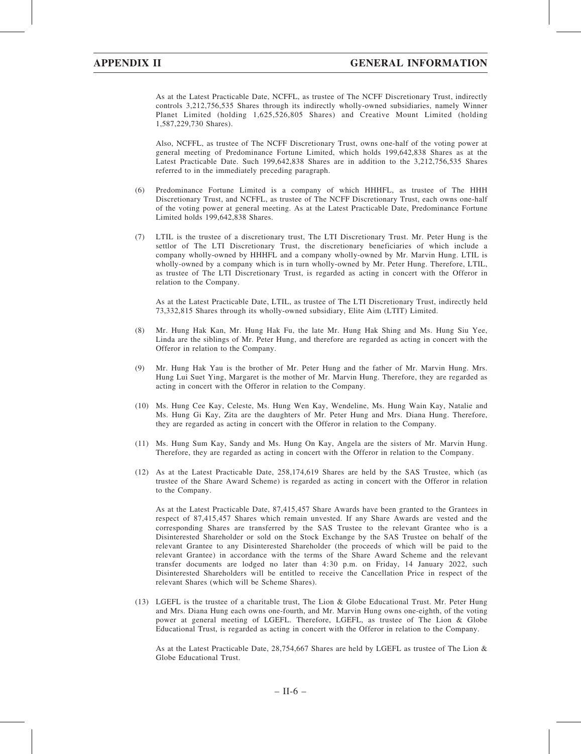As at the Latest Practicable Date, NCFFL, as trustee of The NCFF Discretionary Trust, indirectly controls 3,212,756,535 Shares through its indirectly wholly-owned subsidiaries, namely Winner Planet Limited (holding 1,625,526,805 Shares) and Creative Mount Limited (holding 1,587,229,730 Shares).

Also, NCFFL, as trustee of The NCFF Discretionary Trust, owns one-half of the voting power at general meeting of Predominance Fortune Limited, which holds 199,642,838 Shares as at the Latest Practicable Date. Such 199,642,838 Shares are in addition to the 3,212,756,535 Shares referred to in the immediately preceding paragraph.

- (6) Predominance Fortune Limited is a company of which HHHFL, as trustee of The HHH Discretionary Trust, and NCFFL, as trustee of The NCFF Discretionary Trust, each owns one-half of the voting power at general meeting. As at the Latest Practicable Date, Predominance Fortune Limited holds 199,642,838 Shares.
- (7) LTIL is the trustee of a discretionary trust, The LTI Discretionary Trust. Mr. Peter Hung is the settlor of The LTI Discretionary Trust, the discretionary beneficiaries of which include a company wholly-owned by HHHFL and a company wholly-owned by Mr. Marvin Hung. LTIL is wholly-owned by a company which is in turn wholly-owned by Mr. Peter Hung. Therefore, LTIL, as trustee of The LTI Discretionary Trust, is regarded as acting in concert with the Offeror in relation to the Company.

As at the Latest Practicable Date, LTIL, as trustee of The LTI Discretionary Trust, indirectly held 73,332,815 Shares through its wholly-owned subsidiary, Elite Aim (LTIT) Limited.

- (8) Mr. Hung Hak Kan, Mr. Hung Hak Fu, the late Mr. Hung Hak Shing and Ms. Hung Siu Yee, Linda are the siblings of Mr. Peter Hung, and therefore are regarded as acting in concert with the Offeror in relation to the Company.
- (9) Mr. Hung Hak Yau is the brother of Mr. Peter Hung and the father of Mr. Marvin Hung. Mrs. Hung Lui Suet Ying, Margaret is the mother of Mr. Marvin Hung. Therefore, they are regarded as acting in concert with the Offeror in relation to the Company.
- (10) Ms. Hung Cee Kay, Celeste, Ms. Hung Wen Kay, Wendeline, Ms. Hung Wain Kay, Natalie and Ms. Hung Gi Kay, Zita are the daughters of Mr. Peter Hung and Mrs. Diana Hung. Therefore, they are regarded as acting in concert with the Offeror in relation to the Company.
- (11) Ms. Hung Sum Kay, Sandy and Ms. Hung On Kay, Angela are the sisters of Mr. Marvin Hung. Therefore, they are regarded as acting in concert with the Offeror in relation to the Company.
- (12) As at the Latest Practicable Date, 258,174,619 Shares are held by the SAS Trustee, which (as trustee of the Share Award Scheme) is regarded as acting in concert with the Offeror in relation to the Company.

As at the Latest Practicable Date, 87,415,457 Share Awards have been granted to the Grantees in respect of 87,415,457 Shares which remain unvested. If any Share Awards are vested and the corresponding Shares are transferred by the SAS Trustee to the relevant Grantee who is a Disinterested Shareholder or sold on the Stock Exchange by the SAS Trustee on behalf of the relevant Grantee to any Disinterested Shareholder (the proceeds of which will be paid to the relevant Grantee) in accordance with the terms of the Share Award Scheme and the relevant transfer documents are lodged no later than 4:30 p.m. on Friday, 14 January 2022, such Disinterested Shareholders will be entitled to receive the Cancellation Price in respect of the relevant Shares (which will be Scheme Shares).

(13) LGEFL is the trustee of a charitable trust, The Lion & Globe Educational Trust. Mr. Peter Hung and Mrs. Diana Hung each owns one-fourth, and Mr. Marvin Hung owns one-eighth, of the voting power at general meeting of LGEFL. Therefore, LGEFL, as trustee of The Lion & Globe Educational Trust, is regarded as acting in concert with the Offeror in relation to the Company.

As at the Latest Practicable Date, 28,754,667 Shares are held by LGEFL as trustee of The Lion & Globe Educational Trust.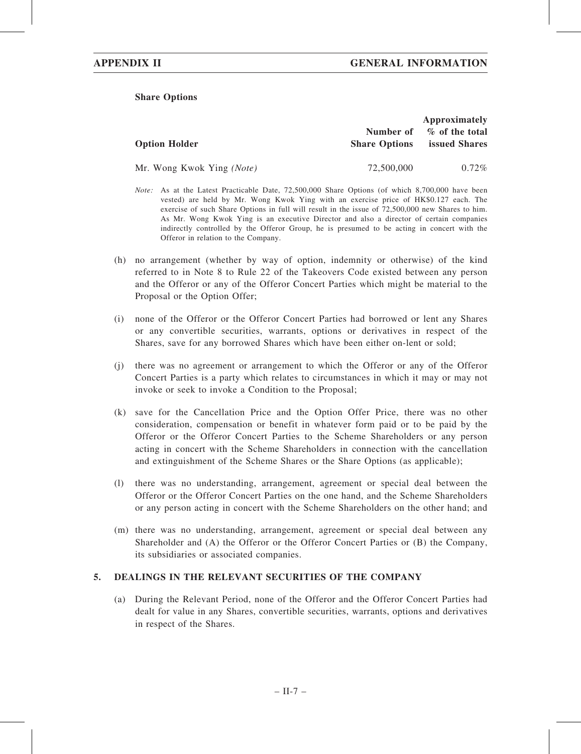## Share Options

|                           |                                   | Approximately                          |
|---------------------------|-----------------------------------|----------------------------------------|
| <b>Option Holder</b>      | Number of<br><b>Share Options</b> | % of the total<br><b>issued Shares</b> |
| Mr. Wong Kwok Ying (Note) | 72,500,000                        | $0.72\%$                               |

- Note: As at the Latest Practicable Date, 72,500,000 Share Options (of which 8,700,000 have been vested) are held by Mr. Wong Kwok Ying with an exercise price of HK\$0.127 each. The exercise of such Share Options in full will result in the issue of 72,500,000 new Shares to him. As Mr. Wong Kwok Ying is an executive Director and also a director of certain companies indirectly controlled by the Offeror Group, he is presumed to be acting in concert with the Offeror in relation to the Company.
- (h) no arrangement (whether by way of option, indemnity or otherwise) of the kind referred to in Note 8 to Rule 22 of the Takeovers Code existed between any person and the Offeror or any of the Offeror Concert Parties which might be material to the Proposal or the Option Offer;
- (i) none of the Offeror or the Offeror Concert Parties had borrowed or lent any Shares or any convertible securities, warrants, options or derivatives in respect of the Shares, save for any borrowed Shares which have been either on-lent or sold;
- (j) there was no agreement or arrangement to which the Offeror or any of the Offeror Concert Parties is a party which relates to circumstances in which it may or may not invoke or seek to invoke a Condition to the Proposal;
- (k) save for the Cancellation Price and the Option Offer Price, there was no other consideration, compensation or benefit in whatever form paid or to be paid by the Offeror or the Offeror Concert Parties to the Scheme Shareholders or any person acting in concert with the Scheme Shareholders in connection with the cancellation and extinguishment of the Scheme Shares or the Share Options (as applicable);
- (l) there was no understanding, arrangement, agreement or special deal between the Offeror or the Offeror Concert Parties on the one hand, and the Scheme Shareholders or any person acting in concert with the Scheme Shareholders on the other hand; and
- (m) there was no understanding, arrangement, agreement or special deal between any Shareholder and (A) the Offeror or the Offeror Concert Parties or (B) the Company, its subsidiaries or associated companies.

## 5. DEALINGS IN THE RELEVANT SECURITIES OF THE COMPANY

(a) During the Relevant Period, none of the Offeror and the Offeror Concert Parties had dealt for value in any Shares, convertible securities, warrants, options and derivatives in respect of the Shares.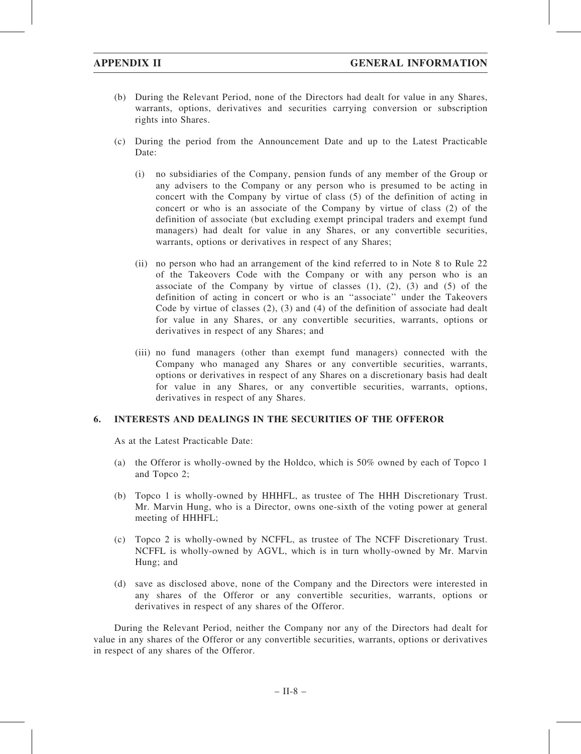- (b) During the Relevant Period, none of the Directors had dealt for value in any Shares, warrants, options, derivatives and securities carrying conversion or subscription rights into Shares.
- (c) During the period from the Announcement Date and up to the Latest Practicable Date:
	- (i) no subsidiaries of the Company, pension funds of any member of the Group or any advisers to the Company or any person who is presumed to be acting in concert with the Company by virtue of class (5) of the definition of acting in concert or who is an associate of the Company by virtue of class (2) of the definition of associate (but excluding exempt principal traders and exempt fund managers) had dealt for value in any Shares, or any convertible securities, warrants, options or derivatives in respect of any Shares;
	- (ii) no person who had an arrangement of the kind referred to in Note 8 to Rule 22 of the Takeovers Code with the Company or with any person who is an associate of the Company by virtue of classes  $(1)$ ,  $(2)$ ,  $(3)$  and  $(5)$  of the definition of acting in concert or who is an ''associate'' under the Takeovers Code by virtue of classes (2), (3) and (4) of the definition of associate had dealt for value in any Shares, or any convertible securities, warrants, options or derivatives in respect of any Shares; and
	- (iii) no fund managers (other than exempt fund managers) connected with the Company who managed any Shares or any convertible securities, warrants, options or derivatives in respect of any Shares on a discretionary basis had dealt for value in any Shares, or any convertible securities, warrants, options, derivatives in respect of any Shares.

## 6. INTERESTS AND DEALINGS IN THE SECURITIES OF THE OFFEROR

As at the Latest Practicable Date:

- (a) the Offeror is wholly-owned by the Holdco, which is 50% owned by each of Topco 1 and Topco 2;
- (b) Topco 1 is wholly-owned by HHHFL, as trustee of The HHH Discretionary Trust. Mr. Marvin Hung, who is a Director, owns one-sixth of the voting power at general meeting of HHHFL;
- (c) Topco 2 is wholly-owned by NCFFL, as trustee of The NCFF Discretionary Trust. NCFFL is wholly-owned by AGVL, which is in turn wholly-owned by Mr. Marvin Hung; and
- (d) save as disclosed above, none of the Company and the Directors were interested in any shares of the Offeror or any convertible securities, warrants, options or derivatives in respect of any shares of the Offeror.

During the Relevant Period, neither the Company nor any of the Directors had dealt for value in any shares of the Offeror or any convertible securities, warrants, options or derivatives in respect of any shares of the Offeror.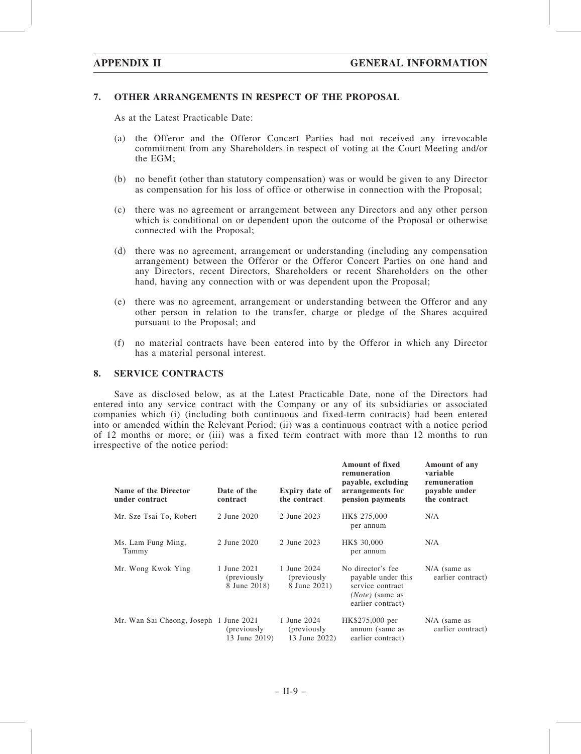## 7. OTHER ARRANGEMENTS IN RESPECT OF THE PROPOSAL

As at the Latest Practicable Date:

- (a) the Offeror and the Offeror Concert Parties had not received any irrevocable commitment from any Shareholders in respect of voting at the Court Meeting and/or the EGM;
- (b) no benefit (other than statutory compensation) was or would be given to any Director as compensation for his loss of office or otherwise in connection with the Proposal;
- (c) there was no agreement or arrangement between any Directors and any other person which is conditional on or dependent upon the outcome of the Proposal or otherwise connected with the Proposal;
- (d) there was no agreement, arrangement or understanding (including any compensation arrangement) between the Offeror or the Offeror Concert Parties on one hand and any Directors, recent Directors, Shareholders or recent Shareholders on the other hand, having any connection with or was dependent upon the Proposal;
- (e) there was no agreement, arrangement or understanding between the Offeror and any other person in relation to the transfer, charge or pledge of the Shares acquired pursuant to the Proposal; and
- (f) no material contracts have been entered into by the Offeror in which any Director has a material personal interest.

### 8. SERVICE CONTRACTS

Save as disclosed below, as at the Latest Practicable Date, none of the Directors had entered into any service contract with the Company or any of its subsidiaries or associated companies which (i) (including both continuous and fixed-term contracts) had been entered into or amended within the Relevant Period; (ii) was a continuous contract with a notice period of 12 months or more; or (iii) was a fixed term contract with more than 12 months to run irrespective of the notice period:

| Name of the Director<br>under contract | Date of the<br>contract                    | <b>Expiry date of</b><br>the contract       | <b>Amount of fixed</b><br>remuneration<br>payable, excluding<br>arrangements for<br>pension payments  | Amount of any<br>variable<br>remuneration<br>payable under<br>the contract |
|----------------------------------------|--------------------------------------------|---------------------------------------------|-------------------------------------------------------------------------------------------------------|----------------------------------------------------------------------------|
| Mr. Sze Tsai To, Robert                | 2 June 2020                                | 2 June 2023                                 | HK\$ 275,000<br>per annum                                                                             | N/A                                                                        |
| Ms. Lam Fung Ming,<br>Tammy            | 2 June 2020                                | 2 June 2023                                 | HK\$ 30,000<br>per annum                                                                              | N/A                                                                        |
| Mr. Wong Kwok Ying                     | 1 June 2021<br>(previously<br>8 June 2018) | 1 June 2024<br>(previously)<br>8 June 2021) | No director's fee<br>payable under this<br>service contract<br>$(Note)$ (same as<br>earlier contract) | $N/A$ (same as<br>earlier contract)                                        |
| Mr. Wan Sai Cheong, Joseph 1 June 2021 | (previously)<br>13 June 2019)              | 1 June 2024<br>(previously<br>13 June 2022) | HK\$275,000 per<br>annum (same as<br>earlier contract)                                                | $N/A$ (same as<br>earlier contract)                                        |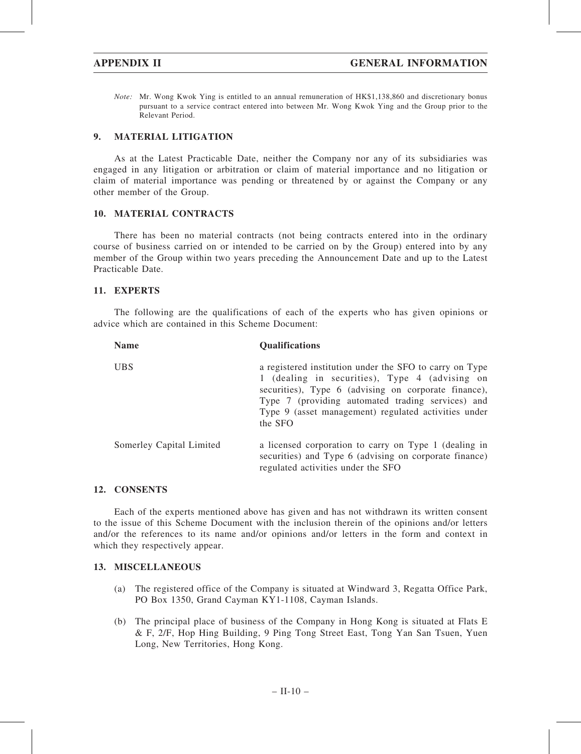Note: Mr. Wong Kwok Ying is entitled to an annual remuneration of HK\$1,138,860 and discretionary bonus pursuant to a service contract entered into between Mr. Wong Kwok Ying and the Group prior to the Relevant Period.

## 9. MATERIAL LITIGATION

As at the Latest Practicable Date, neither the Company nor any of its subsidiaries was engaged in any litigation or arbitration or claim of material importance and no litigation or claim of material importance was pending or threatened by or against the Company or any other member of the Group.

## 10. MATERIAL CONTRACTS

There has been no material contracts (not being contracts entered into in the ordinary course of business carried on or intended to be carried on by the Group) entered into by any member of the Group within two years preceding the Announcement Date and up to the Latest Practicable Date.

## 11. EXPERTS

The following are the qualifications of each of the experts who has given opinions or advice which are contained in this Scheme Document:

| <b>Name</b>              | <b>Qualifications</b>                                                                                                                                                                                                                                                                     |
|--------------------------|-------------------------------------------------------------------------------------------------------------------------------------------------------------------------------------------------------------------------------------------------------------------------------------------|
| <b>UBS</b>               | a registered institution under the SFO to carry on Type<br>1 (dealing in securities), Type 4 (advising on<br>securities), Type 6 (advising on corporate finance),<br>Type 7 (providing automated trading services) and<br>Type 9 (asset management) regulated activities under<br>the SFO |
| Somerley Capital Limited | a licensed corporation to carry on Type 1 (dealing in<br>securities) and Type 6 (advising on corporate finance)<br>regulated activities under the SFO                                                                                                                                     |

### 12. CONSENTS

Each of the experts mentioned above has given and has not withdrawn its written consent to the issue of this Scheme Document with the inclusion therein of the opinions and/or letters and/or the references to its name and/or opinions and/or letters in the form and context in which they respectively appear.

## 13. MISCELLANEOUS

- (a) The registered office of the Company is situated at Windward 3, Regatta Office Park, PO Box 1350, Grand Cayman KY1-1108, Cayman Islands.
- (b) The principal place of business of the Company in Hong Kong is situated at Flats E & F, 2/F, Hop Hing Building, 9 Ping Tong Street East, Tong Yan San Tsuen, Yuen Long, New Territories, Hong Kong.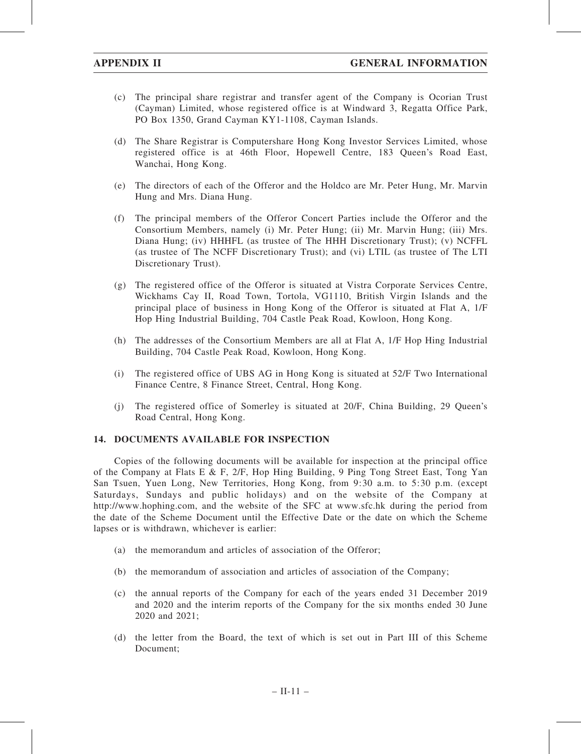- (c) The principal share registrar and transfer agent of the Company is Ocorian Trust (Cayman) Limited, whose registered office is at Windward 3, Regatta Office Park, PO Box 1350, Grand Cayman KY1-1108, Cayman Islands.
- (d) The Share Registrar is Computershare Hong Kong Investor Services Limited, whose registered office is at 46th Floor, Hopewell Centre, 183 Queen's Road East, Wanchai, Hong Kong.
- (e) The directors of each of the Offeror and the Holdco are Mr. Peter Hung, Mr. Marvin Hung and Mrs. Diana Hung.
- (f) The principal members of the Offeror Concert Parties include the Offeror and the Consortium Members, namely (i) Mr. Peter Hung; (ii) Mr. Marvin Hung; (iii) Mrs. Diana Hung; (iv) HHHFL (as trustee of The HHH Discretionary Trust); (v) NCFFL (as trustee of The NCFF Discretionary Trust); and (vi) LTIL (as trustee of The LTI Discretionary Trust).
- (g) The registered office of the Offeror is situated at Vistra Corporate Services Centre, Wickhams Cay II, Road Town, Tortola, VG1110, British Virgin Islands and the principal place of business in Hong Kong of the Offeror is situated at Flat A, 1/F Hop Hing Industrial Building, 704 Castle Peak Road, Kowloon, Hong Kong.
- (h) The addresses of the Consortium Members are all at Flat A, 1/F Hop Hing Industrial Building, 704 Castle Peak Road, Kowloon, Hong Kong.
- (i) The registered office of UBS AG in Hong Kong is situated at 52/F Two International Finance Centre, 8 Finance Street, Central, Hong Kong.
- (j) The registered office of Somerley is situated at 20/F, China Building, 29 Queen's Road Central, Hong Kong.

### 14. DOCUMENTS AVAILABLE FOR INSPECTION

Copies of the following documents will be available for inspection at the principal office of the Company at Flats E & F, 2/F, Hop Hing Building, 9 Ping Tong Street East, Tong Yan San Tsuen, Yuen Long, New Territories, Hong Kong, from 9:30 a.m. to 5:30 p.m. (except Saturdays, Sundays and public holidays) and on the website of the Company at http://www.hophing.com, and the website of the SFC at www.sfc.hk during the period from the date of the Scheme Document until the Effective Date or the date on which the Scheme lapses or is withdrawn, whichever is earlier:

- (a) the memorandum and articles of association of the Offeror;
- (b) the memorandum of association and articles of association of the Company;
- (c) the annual reports of the Company for each of the years ended 31 December 2019 and 2020 and the interim reports of the Company for the six months ended 30 June 2020 and 2021;
- (d) the letter from the Board, the text of which is set out in Part III of this Scheme Document;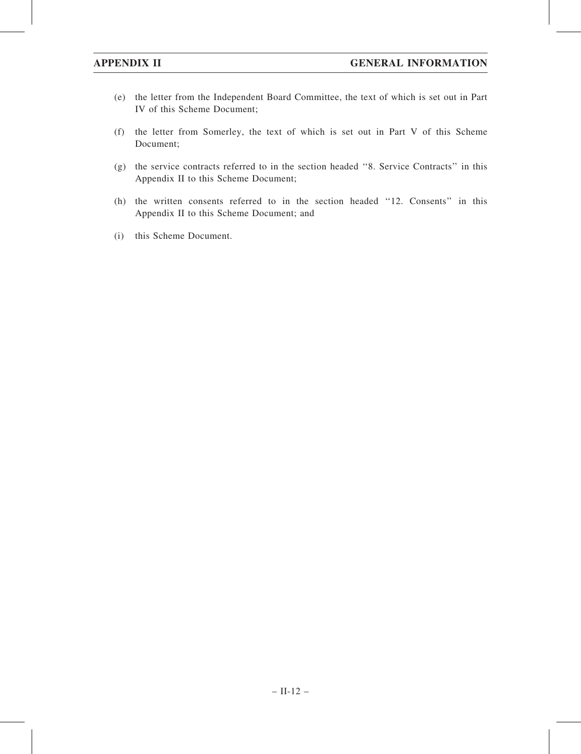- (e) the letter from the Independent Board Committee, the text of which is set out in Part IV of this Scheme Document;
- (f) the letter from Somerley, the text of which is set out in Part V of this Scheme Document;
- (g) the service contracts referred to in the section headed ''8. Service Contracts'' in this Appendix II to this Scheme Document;
- (h) the written consents referred to in the section headed ''12. Consents'' in this Appendix II to this Scheme Document; and
- (i) this Scheme Document.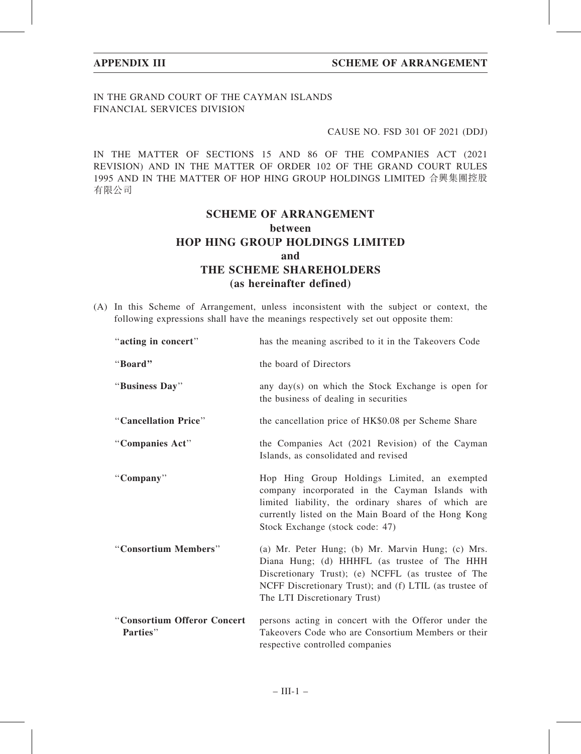## IN THE GRAND COURT OF THE CAYMAN ISLANDS FINANCIAL SERVICES DIVISION

## CAUSE NO. FSD 301 OF 2021 (DDJ)

IN THE MATTER OF SECTIONS 15 AND 86 OF THE COMPANIES ACT (2021 REVISION) AND IN THE MATTER OF ORDER 102 OF THE GRAND COURT RULES 1995 AND IN THE MATTER OF HOP HING GROUP HOLDINGS LIMITED 合興集團控股 有限公司

# SCHEME OF ARRANGEMENT between HOP HING GROUP HOLDINGS LIMITED and THE SCHEME SHAREHOLDERS (as hereinafter defined)

(A) In this Scheme of Arrangement, unless inconsistent with the subject or context, the following expressions shall have the meanings respectively set out opposite them:

| "acting in concert"                     | has the meaning ascribed to it in the Takeovers Code                                                                                                                                                                                              |
|-----------------------------------------|---------------------------------------------------------------------------------------------------------------------------------------------------------------------------------------------------------------------------------------------------|
| "Board"                                 | the board of Directors                                                                                                                                                                                                                            |
| "Business Day"                          | any day(s) on which the Stock Exchange is open for<br>the business of dealing in securities                                                                                                                                                       |
| "Cancellation Price"                    | the cancellation price of HK\$0.08 per Scheme Share                                                                                                                                                                                               |
| "Companies Act"                         | the Companies Act (2021 Revision) of the Cayman<br>Islands, as consolidated and revised                                                                                                                                                           |
| "Company"                               | Hop Hing Group Holdings Limited, an exempted<br>company incorporated in the Cayman Islands with<br>limited liability, the ordinary shares of which are<br>currently listed on the Main Board of the Hong Kong<br>Stock Exchange (stock code: 47)  |
| "Consortium Members"                    | (a) Mr. Peter Hung; (b) Mr. Marvin Hung; (c) Mrs.<br>Diana Hung; (d) HHHFL (as trustee of The HHH<br>Discretionary Trust); (e) NCFFL (as trustee of The<br>NCFF Discretionary Trust); and (f) LTIL (as trustee of<br>The LTI Discretionary Trust) |
| "Consortium Offeror Concert<br>Parties" | persons acting in concert with the Offeror under the<br>Takeovers Code who are Consortium Members or their<br>respective controlled companies                                                                                                     |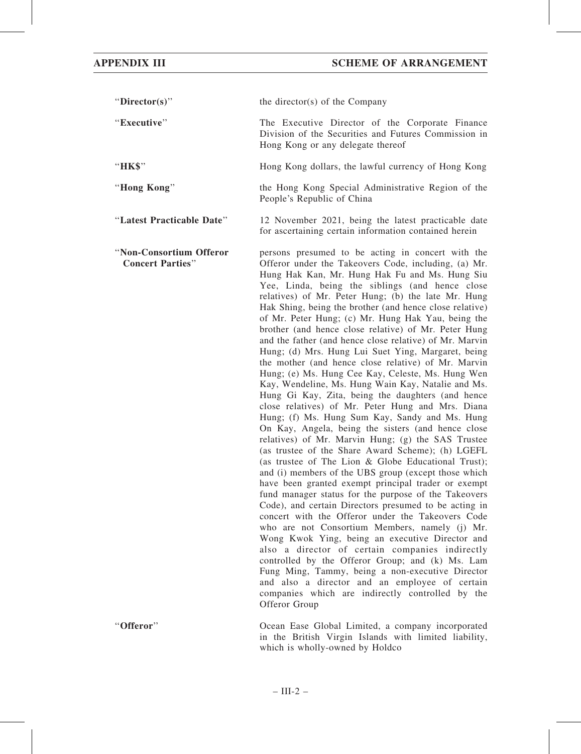"Director(s)" the director(s) of the Company ''Executive'' The Executive Director of the Corporate Finance Division of the Securities and Futures Commission in Hong Kong or any delegate thereof "HK\$" Hong Kong dollars, the lawful currency of Hong Kong

''Hong Kong'' the Hong Kong Special Administrative Region of the People's Republic of China

''Latest Practicable Date'' 12 November 2021, being the latest practicable date for ascertaining certain information contained herein

''Non-Consortium Offeror Concert Parties'' persons presumed to be acting in concert with the Offeror under the Takeovers Code, including, (a) Mr. Hung Hak Kan, Mr. Hung Hak Fu and Ms. Hung Siu Yee, Linda, being the siblings (and hence close relatives) of Mr. Peter Hung; (b) the late Mr. Hung Hak Shing, being the brother (and hence close relative) of Mr. Peter Hung; (c) Mr. Hung Hak Yau, being the brother (and hence close relative) of Mr. Peter Hung and the father (and hence close relative) of Mr. Marvin Hung; (d) Mrs. Hung Lui Suet Ying, Margaret, being the mother (and hence close relative) of Mr. Marvin Hung; (e) Ms. Hung Cee Kay, Celeste, Ms. Hung Wen Kay, Wendeline, Ms. Hung Wain Kay, Natalie and Ms. Hung Gi Kay, Zita, being the daughters (and hence close relatives) of Mr. Peter Hung and Mrs. Diana Hung; (f) Ms. Hung Sum Kay, Sandy and Ms. Hung On Kay, Angela, being the sisters (and hence close relatives) of Mr. Marvin Hung; (g) the SAS Trustee (as trustee of the Share Award Scheme); (h) LGEFL (as trustee of The Lion & Globe Educational Trust); and (i) members of the UBS group (except those which have been granted exempt principal trader or exempt fund manager status for the purpose of the Takeovers Code), and certain Directors presumed to be acting in concert with the Offeror under the Takeovers Code who are not Consortium Members, namely (j) Mr. Wong Kwok Ying, being an executive Director and also a director of certain companies indirectly controlled by the Offeror Group; and (k) Ms. Lam Fung Ming, Tammy, being a non-executive Director and also a director and an employee of certain companies which are indirectly controlled by the Offeror Group

''Offeror'' Ocean Ease Global Limited, a company incorporated in the British Virgin Islands with limited liability, which is wholly-owned by Holdco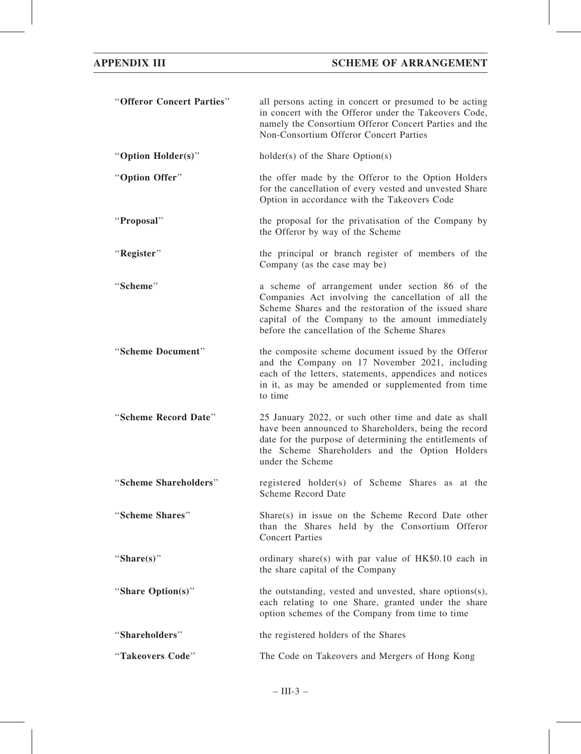| "Offeror Concert Parties" | all persons acting in concert or presumed to be acting<br>in concert with the Offeror under the Takeovers Code,<br>namely the Consortium Offeror Concert Parties and the<br>Non-Consortium Offeror Concert Parties                                                  |
|---------------------------|---------------------------------------------------------------------------------------------------------------------------------------------------------------------------------------------------------------------------------------------------------------------|
| "Option Holder(s)"        | $holder(s)$ of the Share Option(s)                                                                                                                                                                                                                                  |
| "Option Offer"            | the offer made by the Offeror to the Option Holders<br>for the cancellation of every vested and unvested Share<br>Option in accordance with the Takeovers Code                                                                                                      |
| "Proposal"                | the proposal for the privatisation of the Company by<br>the Offeror by way of the Scheme                                                                                                                                                                            |
| "Register"                | the principal or branch register of members of the<br>Company (as the case may be)                                                                                                                                                                                  |
| "Scheme"                  | a scheme of arrangement under section 86 of the<br>Companies Act involving the cancellation of all the<br>Scheme Shares and the restoration of the issued share<br>capital of the Company to the amount immediately<br>before the cancellation of the Scheme Shares |
| "Scheme Document"         | the composite scheme document issued by the Offeror<br>and the Company on 17 November 2021, including<br>each of the letters, statements, appendices and notices<br>in it, as may be amended or supplemented from time<br>to time                                   |
| "Scheme Record Date"      | 25 January 2022, or such other time and date as shall<br>have been announced to Shareholders, being the record<br>date for the purpose of determining the entitlements of<br>the Scheme Shareholders and the Option Holders<br>under the Scheme                     |
| "Scheme Shareholders"     | registered holder(s) of Scheme Shares as at the<br>Scheme Record Date                                                                                                                                                                                               |
| "Scheme Shares"           | Share(s) in issue on the Scheme Record Date other<br>than the Shares held by the Consortium Offeror<br><b>Concert Parties</b>                                                                                                                                       |
| "Share $(s)$ "            | ordinary share(s) with par value of $HK$0.10$ each in<br>the share capital of the Company                                                                                                                                                                           |
| "Share Option(s)"         | the outstanding, vested and unvested, share options(s),<br>each relating to one Share, granted under the share<br>option schemes of the Company from time to time                                                                                                   |
| "Shareholders"            | the registered holders of the Shares                                                                                                                                                                                                                                |
| "Takeovers Code"          | The Code on Takeovers and Mergers of Hong Kong                                                                                                                                                                                                                      |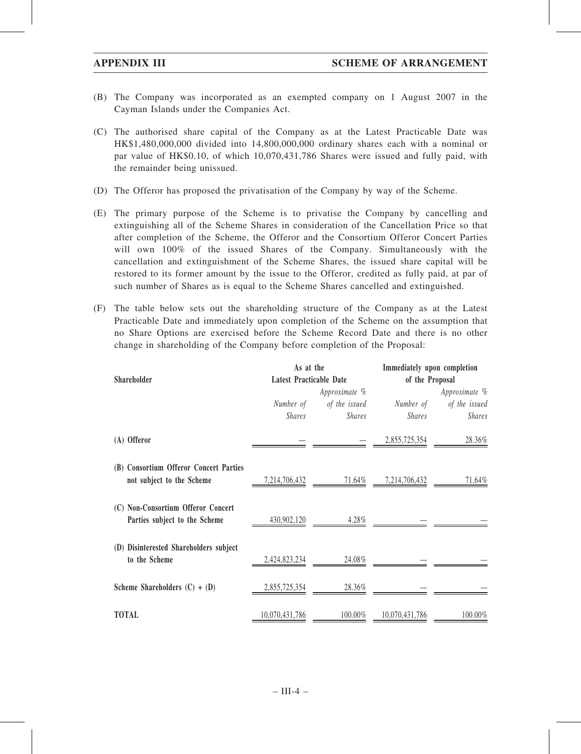- (B) The Company was incorporated as an exempted company on 1 August 2007 in the Cayman Islands under the Companies Act.
- (C) The authorised share capital of the Company as at the Latest Practicable Date was HK\$1,480,000,000 divided into 14,800,000,000 ordinary shares each with a nominal or par value of HK\$0.10, of which 10,070,431,786 Shares were issued and fully paid, with the remainder being unissued.
- (D) The Offeror has proposed the privatisation of the Company by way of the Scheme.
- (E) The primary purpose of the Scheme is to privatise the Company by cancelling and extinguishing all of the Scheme Shares in consideration of the Cancellation Price so that after completion of the Scheme, the Offeror and the Consortium Offeror Concert Parties will own 100% of the issued Shares of the Company. Simultaneously with the cancellation and extinguishment of the Scheme Shares, the issued share capital will be restored to its former amount by the issue to the Offeror, credited as fully paid, at par of such number of Shares as is equal to the Scheme Shares cancelled and extinguished.
- (F) The table below sets out the shareholding structure of the Company as at the Latest Practicable Date and immediately upon completion of the Scheme on the assumption that no Share Options are exercised before the Scheme Record Date and there is no other change in shareholding of the Company before completion of the Proposal:

| Shareholder                                                         | As at the                                       |               | Immediately upon completion<br>of the Proposal |               |  |
|---------------------------------------------------------------------|-------------------------------------------------|---------------|------------------------------------------------|---------------|--|
|                                                                     | <b>Latest Practicable Date</b><br>Approximate % |               |                                                | Approximate % |  |
|                                                                     | Number of                                       | of the issued | Number of                                      | of the issued |  |
|                                                                     | <i>Shares</i>                                   | <b>Shares</b> | <b>Shares</b>                                  | <b>Shares</b> |  |
| (A) Offeror                                                         |                                                 |               | 2,855,725,354                                  | 28.36%        |  |
| (B) Consortium Offeror Concert Parties<br>not subject to the Scheme | 7,214,706,432                                   | 71.64%        | 7,214,706,432                                  | 71.64%        |  |
| (C) Non-Consortium Offeror Concert<br>Parties subject to the Scheme | 430,902,120                                     | 4.28%         |                                                |               |  |
| (D) Disinterested Shareholders subject<br>to the Scheme             | 2,424,823,234                                   | 24.08%        |                                                |               |  |
| Scheme Shareholders $(C) + (D)$                                     | 2,855,725,354                                   | 28.36%        |                                                |               |  |
| <b>TOTAL</b>                                                        | 10,070,431,786                                  | 100.00%       | 10,070,431,786                                 | 100.00%       |  |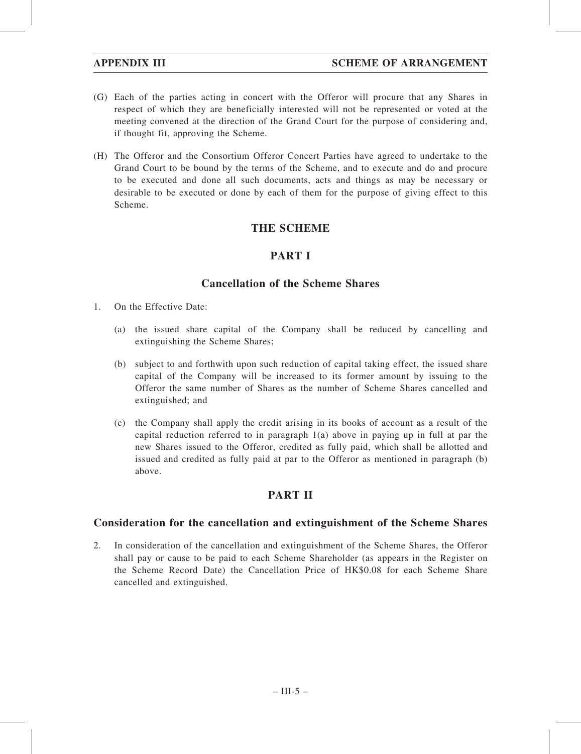- (G) Each of the parties acting in concert with the Offeror will procure that any Shares in respect of which they are beneficially interested will not be represented or voted at the meeting convened at the direction of the Grand Court for the purpose of considering and, if thought fit, approving the Scheme.
- (H) The Offeror and the Consortium Offeror Concert Parties have agreed to undertake to the Grand Court to be bound by the terms of the Scheme, and to execute and do and procure to be executed and done all such documents, acts and things as may be necessary or desirable to be executed or done by each of them for the purpose of giving effect to this Scheme.

## THE SCHEME

## PART I

## Cancellation of the Scheme Shares

- 1. On the Effective Date:
	- (a) the issued share capital of the Company shall be reduced by cancelling and extinguishing the Scheme Shares;
	- (b) subject to and forthwith upon such reduction of capital taking effect, the issued share capital of the Company will be increased to its former amount by issuing to the Offeror the same number of Shares as the number of Scheme Shares cancelled and extinguished; and
	- (c) the Company shall apply the credit arising in its books of account as a result of the capital reduction referred to in paragraph  $1(a)$  above in paying up in full at par the new Shares issued to the Offeror, credited as fully paid, which shall be allotted and issued and credited as fully paid at par to the Offeror as mentioned in paragraph (b) above.

## PART II

## Consideration for the cancellation and extinguishment of the Scheme Shares

2. In consideration of the cancellation and extinguishment of the Scheme Shares, the Offeror shall pay or cause to be paid to each Scheme Shareholder (as appears in the Register on the Scheme Record Date) the Cancellation Price of HK\$0.08 for each Scheme Share cancelled and extinguished.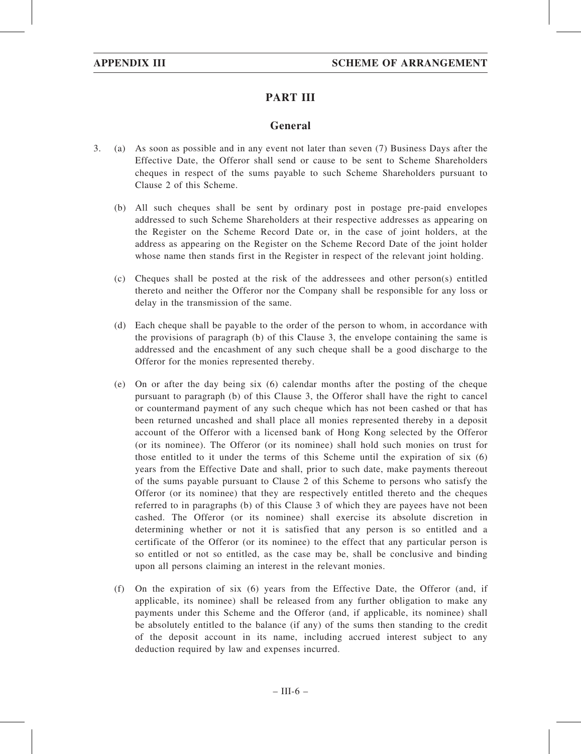# PART III

## General

- 3. (a) As soon as possible and in any event not later than seven (7) Business Days after the Effective Date, the Offeror shall send or cause to be sent to Scheme Shareholders cheques in respect of the sums payable to such Scheme Shareholders pursuant to Clause 2 of this Scheme.
	- (b) All such cheques shall be sent by ordinary post in postage pre-paid envelopes addressed to such Scheme Shareholders at their respective addresses as appearing on the Register on the Scheme Record Date or, in the case of joint holders, at the address as appearing on the Register on the Scheme Record Date of the joint holder whose name then stands first in the Register in respect of the relevant joint holding.
	- (c) Cheques shall be posted at the risk of the addressees and other person(s) entitled thereto and neither the Offeror nor the Company shall be responsible for any loss or delay in the transmission of the same.
	- (d) Each cheque shall be payable to the order of the person to whom, in accordance with the provisions of paragraph (b) of this Clause 3, the envelope containing the same is addressed and the encashment of any such cheque shall be a good discharge to the Offeror for the monies represented thereby.
	- (e) On or after the day being six (6) calendar months after the posting of the cheque pursuant to paragraph (b) of this Clause 3, the Offeror shall have the right to cancel or countermand payment of any such cheque which has not been cashed or that has been returned uncashed and shall place all monies represented thereby in a deposit account of the Offeror with a licensed bank of Hong Kong selected by the Offeror (or its nominee). The Offeror (or its nominee) shall hold such monies on trust for those entitled to it under the terms of this Scheme until the expiration of six (6) years from the Effective Date and shall, prior to such date, make payments thereout of the sums payable pursuant to Clause 2 of this Scheme to persons who satisfy the Offeror (or its nominee) that they are respectively entitled thereto and the cheques referred to in paragraphs (b) of this Clause 3 of which they are payees have not been cashed. The Offeror (or its nominee) shall exercise its absolute discretion in determining whether or not it is satisfied that any person is so entitled and a certificate of the Offeror (or its nominee) to the effect that any particular person is so entitled or not so entitled, as the case may be, shall be conclusive and binding upon all persons claiming an interest in the relevant monies.
	- (f) On the expiration of six (6) years from the Effective Date, the Offeror (and, if applicable, its nominee) shall be released from any further obligation to make any payments under this Scheme and the Offeror (and, if applicable, its nominee) shall be absolutely entitled to the balance (if any) of the sums then standing to the credit of the deposit account in its name, including accrued interest subject to any deduction required by law and expenses incurred.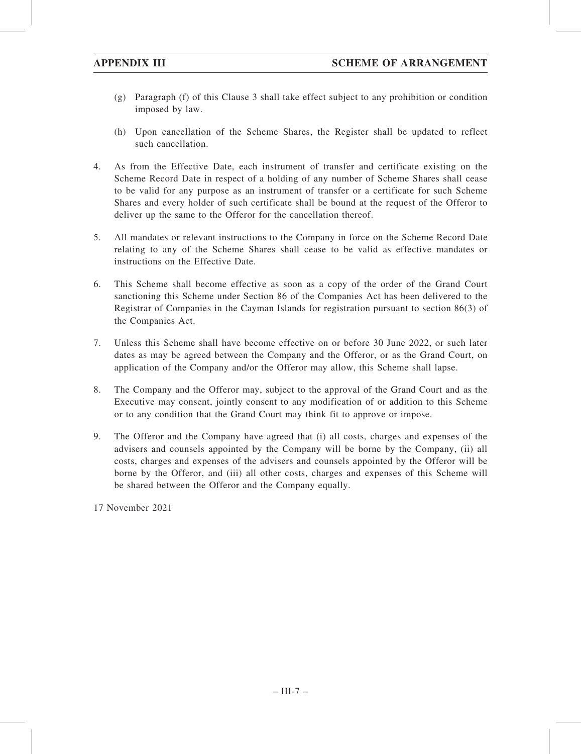- (g) Paragraph (f) of this Clause 3 shall take effect subject to any prohibition or condition imposed by law.
- (h) Upon cancellation of the Scheme Shares, the Register shall be updated to reflect such cancellation.
- 4. As from the Effective Date, each instrument of transfer and certificate existing on the Scheme Record Date in respect of a holding of any number of Scheme Shares shall cease to be valid for any purpose as an instrument of transfer or a certificate for such Scheme Shares and every holder of such certificate shall be bound at the request of the Offeror to deliver up the same to the Offeror for the cancellation thereof.
- 5. All mandates or relevant instructions to the Company in force on the Scheme Record Date relating to any of the Scheme Shares shall cease to be valid as effective mandates or instructions on the Effective Date.
- 6. This Scheme shall become effective as soon as a copy of the order of the Grand Court sanctioning this Scheme under Section 86 of the Companies Act has been delivered to the Registrar of Companies in the Cayman Islands for registration pursuant to section 86(3) of the Companies Act.
- 7. Unless this Scheme shall have become effective on or before 30 June 2022, or such later dates as may be agreed between the Company and the Offeror, or as the Grand Court, on application of the Company and/or the Offeror may allow, this Scheme shall lapse.
- 8. The Company and the Offeror may, subject to the approval of the Grand Court and as the Executive may consent, jointly consent to any modification of or addition to this Scheme or to any condition that the Grand Court may think fit to approve or impose.
- 9. The Offeror and the Company have agreed that (i) all costs, charges and expenses of the advisers and counsels appointed by the Company will be borne by the Company, (ii) all costs, charges and expenses of the advisers and counsels appointed by the Offeror will be borne by the Offeror, and (iii) all other costs, charges and expenses of this Scheme will be shared between the Offeror and the Company equally.

17 November 2021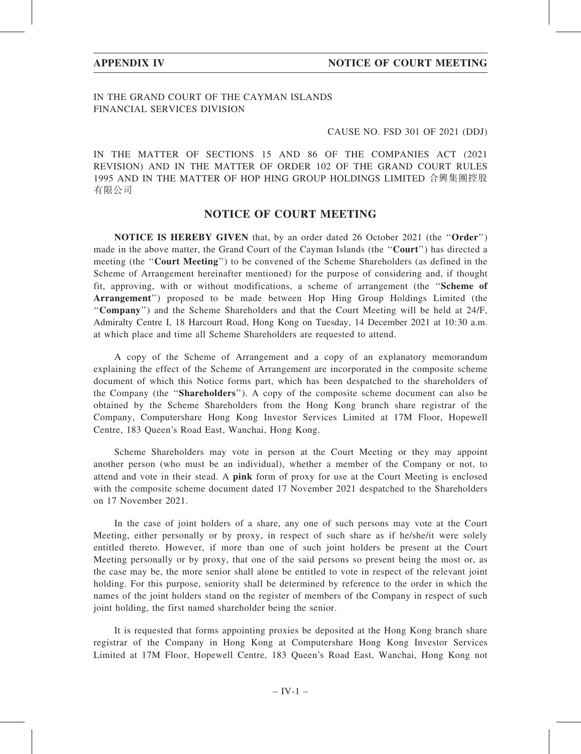## IN THE GRAND COURT OF THE CAYMAN ISLANDS FINANCIAL SERVICES DIVISION

## CAUSE NO. FSD 301 OF 2021 (DDJ)

IN THE MATTER OF SECTIONS 15 AND 86 OF THE COMPANIES ACT (2021 REVISION) AND IN THE MATTER OF ORDER 102 OF THE GRAND COURT RULES 1995 AND IN THE MATTER OF HOP HING GROUP HOLDINGS LIMITED 合興集團控股 有限公司

## NOTICE OF COURT MEETING

NOTICE IS HEREBY GIVEN that, by an order dated 26 October 2021 (the ''Order'') made in the above matter, the Grand Court of the Cayman Islands (the "Court") has directed a meeting (the ''Court Meeting'') to be convened of the Scheme Shareholders (as defined in the Scheme of Arrangement hereinafter mentioned) for the purpose of considering and, if thought fit, approving, with or without modifications, a scheme of arrangement (the "Scheme of Arrangement'') proposed to be made between Hop Hing Group Holdings Limited (the ''Company'') and the Scheme Shareholders and that the Court Meeting will be held at 24/F, Admiralty Centre I, 18 Harcourt Road, Hong Kong on Tuesday, 14 December 2021 at 10:30 a.m. at which place and time all Scheme Shareholders are requested to attend.

A copy of the Scheme of Arrangement and a copy of an explanatory memorandum explaining the effect of the Scheme of Arrangement are incorporated in the composite scheme document of which this Notice forms part, which has been despatched to the shareholders of the Company (the ''Shareholders''). A copy of the composite scheme document can also be obtained by the Scheme Shareholders from the Hong Kong branch share registrar of the Company, Computershare Hong Kong Investor Services Limited at 17M Floor, Hopewell Centre, 183 Queen's Road East, Wanchai, Hong Kong.

Scheme Shareholders may vote in person at the Court Meeting or they may appoint another person (who must be an individual), whether a member of the Company or not, to attend and vote in their stead. A pink form of proxy for use at the Court Meeting is enclosed with the composite scheme document dated 17 November 2021 despatched to the Shareholders on 17 November 2021.

In the case of joint holders of a share, any one of such persons may vote at the Court Meeting, either personally or by proxy, in respect of such share as if he/she/it were solely entitled thereto. However, if more than one of such joint holders be present at the Court Meeting personally or by proxy, that one of the said persons so present being the most or, as the case may be, the more senior shall alone be entitled to vote in respect of the relevant joint holding. For this purpose, seniority shall be determined by reference to the order in which the names of the joint holders stand on the register of members of the Company in respect of such joint holding, the first named shareholder being the senior.

It is requested that forms appointing proxies be deposited at the Hong Kong branch share registrar of the Company in Hong Kong at Computershare Hong Kong Investor Services Limited at 17M Floor, Hopewell Centre, 183 Queen's Road East, Wanchai, Hong Kong not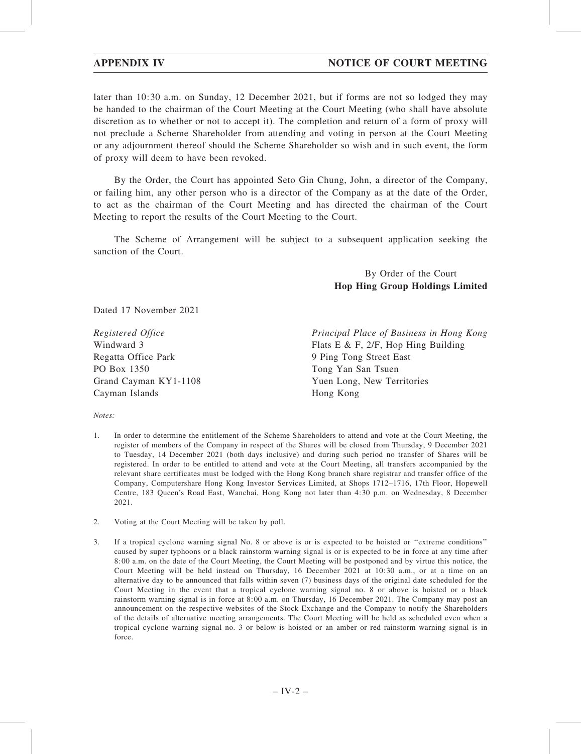## APPENDIX IV NOTICE OF COURT MEETING

later than 10:30 a.m. on Sunday, 12 December 2021, but if forms are not so lodged they may be handed to the chairman of the Court Meeting at the Court Meeting (who shall have absolute discretion as to whether or not to accept it). The completion and return of a form of proxy will not preclude a Scheme Shareholder from attending and voting in person at the Court Meeting or any adjournment thereof should the Scheme Shareholder so wish and in such event, the form of proxy will deem to have been revoked.

By the Order, the Court has appointed Seto Gin Chung, John, a director of the Company, or failing him, any other person who is a director of the Company as at the date of the Order, to act as the chairman of the Court Meeting and has directed the chairman of the Court Meeting to report the results of the Court Meeting to the Court.

The Scheme of Arrangement will be subject to a subsequent application seeking the sanction of the Court.

## By Order of the Court Hop Hing Group Holdings Limited

Dated 17 November 2021

Registered Office Windward 3 Regatta Office Park PO Box 1350 Grand Cayman KY1-1108 Cayman Islands

Principal Place of Business in Hong Kong Flats E & F, 2/F, Hop Hing Building 9 Ping Tong Street East Tong Yan San Tsuen Yuen Long, New Territories Hong Kong

Notes:

- 1. In order to determine the entitlement of the Scheme Shareholders to attend and vote at the Court Meeting, the register of members of the Company in respect of the Shares will be closed from Thursday, 9 December 2021 to Tuesday, 14 December 2021 (both days inclusive) and during such period no transfer of Shares will be registered. In order to be entitled to attend and vote at the Court Meeting, all transfers accompanied by the relevant share certificates must be lodged with the Hong Kong branch share registrar and transfer office of the Company, Computershare Hong Kong Investor Services Limited, at Shops 1712–1716, 17th Floor, Hopewell Centre, 183 Queen's Road East, Wanchai, Hong Kong not later than 4:30 p.m. on Wednesday, 8 December 2021.
- 2. Voting at the Court Meeting will be taken by poll.
- 3. If a tropical cyclone warning signal No. 8 or above is or is expected to be hoisted or ''extreme conditions'' caused by super typhoons or a black rainstorm warning signal is or is expected to be in force at any time after 8:00 a.m. on the date of the Court Meeting, the Court Meeting will be postponed and by virtue this notice, the Court Meeting will be held instead on Thursday, 16 December 2021 at 10:30 a.m., or at a time on an alternative day to be announced that falls within seven (7) business days of the original date scheduled for the Court Meeting in the event that a tropical cyclone warning signal no. 8 or above is hoisted or a black rainstorm warning signal is in force at 8:00 a.m. on Thursday, 16 December 2021. The Company may post an announcement on the respective websites of the Stock Exchange and the Company to notify the Shareholders of the details of alternative meeting arrangements. The Court Meeting will be held as scheduled even when a tropical cyclone warning signal no. 3 or below is hoisted or an amber or red rainstorm warning signal is in force.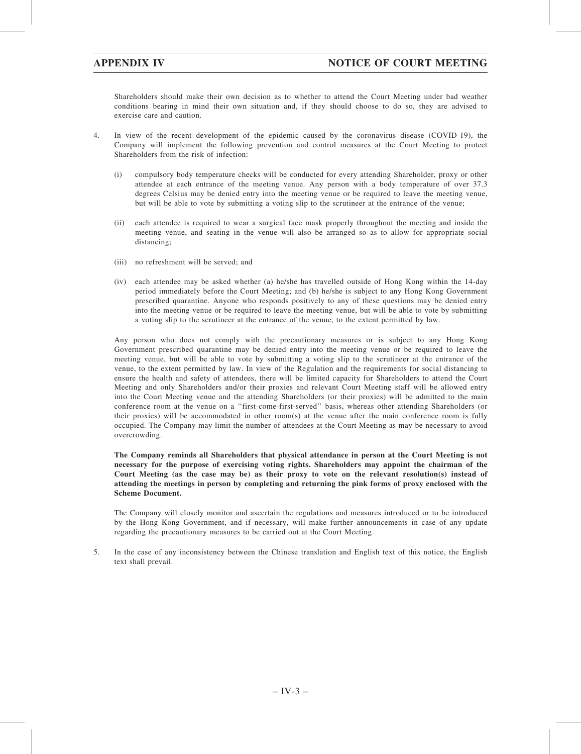Shareholders should make their own decision as to whether to attend the Court Meeting under bad weather conditions bearing in mind their own situation and, if they should choose to do so, they are advised to exercise care and caution.

- 4. In view of the recent development of the epidemic caused by the coronavirus disease (COVID-19), the Company will implement the following prevention and control measures at the Court Meeting to protect Shareholders from the risk of infection:
	- (i) compulsory body temperature checks will be conducted for every attending Shareholder, proxy or other attendee at each entrance of the meeting venue. Any person with a body temperature of over 37.3 degrees Celsius may be denied entry into the meeting venue or be required to leave the meeting venue, but will be able to vote by submitting a voting slip to the scrutineer at the entrance of the venue;
	- (ii) each attendee is required to wear a surgical face mask properly throughout the meeting and inside the meeting venue, and seating in the venue will also be arranged so as to allow for appropriate social distancing;
	- (iii) no refreshment will be served; and
	- (iv) each attendee may be asked whether (a) he/she has travelled outside of Hong Kong within the 14-day period immediately before the Court Meeting; and (b) he/she is subject to any Hong Kong Government prescribed quarantine. Anyone who responds positively to any of these questions may be denied entry into the meeting venue or be required to leave the meeting venue, but will be able to vote by submitting a voting slip to the scrutineer at the entrance of the venue, to the extent permitted by law.

Any person who does not comply with the precautionary measures or is subject to any Hong Kong Government prescribed quarantine may be denied entry into the meeting venue or be required to leave the meeting venue, but will be able to vote by submitting a voting slip to the scrutineer at the entrance of the venue, to the extent permitted by law. In view of the Regulation and the requirements for social distancing to ensure the health and safety of attendees, there will be limited capacity for Shareholders to attend the Court Meeting and only Shareholders and/or their proxies and relevant Court Meeting staff will be allowed entry into the Court Meeting venue and the attending Shareholders (or their proxies) will be admitted to the main conference room at the venue on a ''first-come-first-served'' basis, whereas other attending Shareholders (or their proxies) will be accommodated in other room(s) at the venue after the main conference room is fully occupied. The Company may limit the number of attendees at the Court Meeting as may be necessary to avoid overcrowding.

The Company reminds all Shareholders that physical attendance in person at the Court Meeting is not necessary for the purpose of exercising voting rights. Shareholders may appoint the chairman of the Court Meeting (as the case may be) as their proxy to vote on the relevant resolution(s) instead of attending the meetings in person by completing and returning the pink forms of proxy enclosed with the Scheme Document.

The Company will closely monitor and ascertain the regulations and measures introduced or to be introduced by the Hong Kong Government, and if necessary, will make further announcements in case of any update regarding the precautionary measures to be carried out at the Court Meeting.

5. In the case of any inconsistency between the Chinese translation and English text of this notice, the English text shall prevail.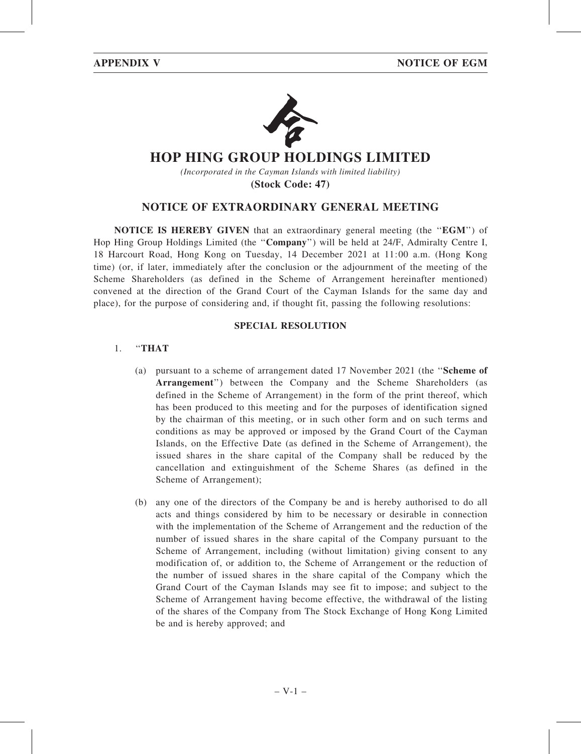

# **HOP HING GROUP HOLDINGS LIMITED**

*(Incorporated in the Cayman Islands with limited liability)*

**(Stock Code: 47)**

## NOTICE OF EXTRAORDINARY GENERAL MEETING

NOTICE IS HEREBY GIVEN that an extraordinary general meeting (the ''EGM'') of Hop Hing Group Holdings Limited (the ''Company'') will be held at 24/F, Admiralty Centre I, 18 Harcourt Road, Hong Kong on Tuesday, 14 December 2021 at 11:00 a.m. (Hong Kong time) (or, if later, immediately after the conclusion or the adjournment of the meeting of the Scheme Shareholders (as defined in the Scheme of Arrangement hereinafter mentioned) convened at the direction of the Grand Court of the Cayman Islands for the same day and place), for the purpose of considering and, if thought fit, passing the following resolutions:

## SPECIAL RESOLUTION

## 1. ''THAT

- (a) pursuant to a scheme of arrangement dated 17 November 2021 (the ''Scheme of Arrangement'') between the Company and the Scheme Shareholders (as defined in the Scheme of Arrangement) in the form of the print thereof, which has been produced to this meeting and for the purposes of identification signed by the chairman of this meeting, or in such other form and on such terms and conditions as may be approved or imposed by the Grand Court of the Cayman Islands, on the Effective Date (as defined in the Scheme of Arrangement), the issued shares in the share capital of the Company shall be reduced by the cancellation and extinguishment of the Scheme Shares (as defined in the Scheme of Arrangement);
- (b) any one of the directors of the Company be and is hereby authorised to do all acts and things considered by him to be necessary or desirable in connection with the implementation of the Scheme of Arrangement and the reduction of the number of issued shares in the share capital of the Company pursuant to the Scheme of Arrangement, including (without limitation) giving consent to any modification of, or addition to, the Scheme of Arrangement or the reduction of the number of issued shares in the share capital of the Company which the Grand Court of the Cayman Islands may see fit to impose; and subject to the Scheme of Arrangement having become effective, the withdrawal of the listing of the shares of the Company from The Stock Exchange of Hong Kong Limited be and is hereby approved; and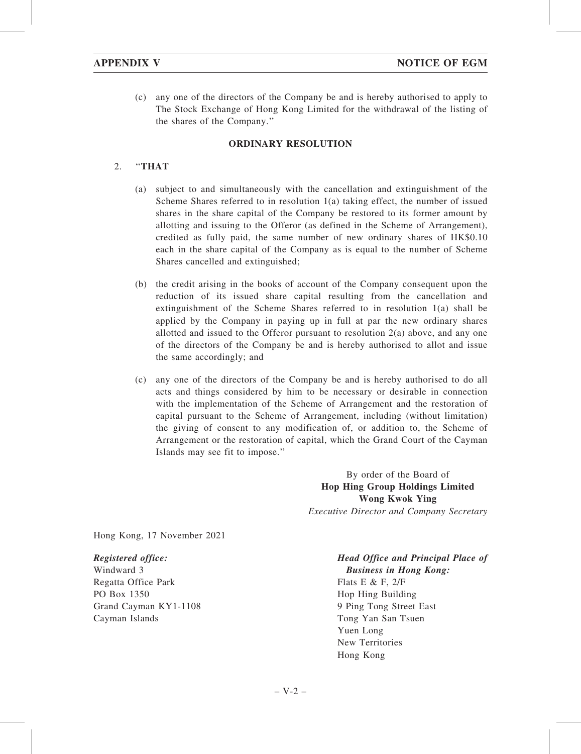(c) any one of the directors of the Company be and is hereby authorised to apply to The Stock Exchange of Hong Kong Limited for the withdrawal of the listing of the shares of the Company.''

## ORDINARY RESOLUTION

## 2. ''THAT

- (a) subject to and simultaneously with the cancellation and extinguishment of the Scheme Shares referred to in resolution 1(a) taking effect, the number of issued shares in the share capital of the Company be restored to its former amount by allotting and issuing to the Offeror (as defined in the Scheme of Arrangement), credited as fully paid, the same number of new ordinary shares of HK\$0.10 each in the share capital of the Company as is equal to the number of Scheme Shares cancelled and extinguished;
- (b) the credit arising in the books of account of the Company consequent upon the reduction of its issued share capital resulting from the cancellation and extinguishment of the Scheme Shares referred to in resolution 1(a) shall be applied by the Company in paying up in full at par the new ordinary shares allotted and issued to the Offeror pursuant to resolution  $2(a)$  above, and any one of the directors of the Company be and is hereby authorised to allot and issue the same accordingly; and
- (c) any one of the directors of the Company be and is hereby authorised to do all acts and things considered by him to be necessary or desirable in connection with the implementation of the Scheme of Arrangement and the restoration of capital pursuant to the Scheme of Arrangement, including (without limitation) the giving of consent to any modification of, or addition to, the Scheme of Arrangement or the restoration of capital, which the Grand Court of the Cayman Islands may see fit to impose.''

By order of the Board of Hop Hing Group Holdings Limited Wong Kwok Ying Executive Director and Company Secretary

Hong Kong, 17 November 2021

### Registered office:

Windward 3 Regatta Office Park PO Box 1350 Grand Cayman KY1-1108 Cayman Islands

Head Office and Principal Place of Business in Hong Kong: Flats E & F, 2/F Hop Hing Building 9 Ping Tong Street East Tong Yan San Tsuen Yuen Long New Territories

Hong Kong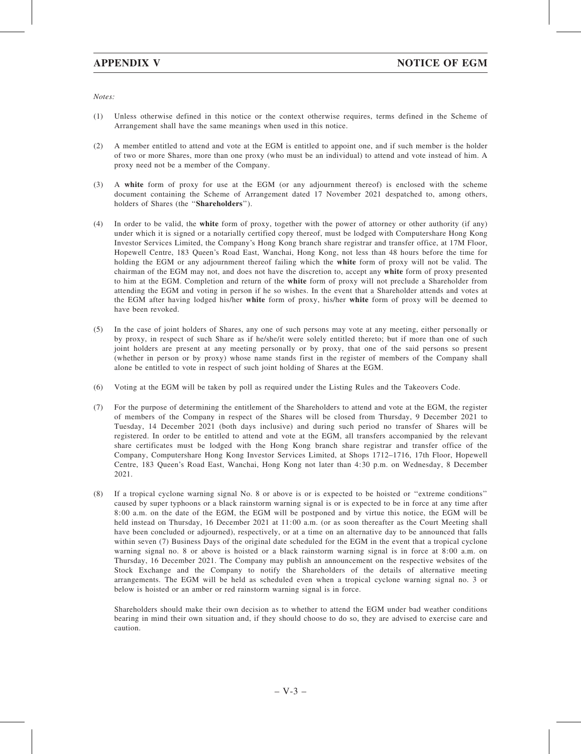Notes:

- (1) Unless otherwise defined in this notice or the context otherwise requires, terms defined in the Scheme of Arrangement shall have the same meanings when used in this notice.
- (2) A member entitled to attend and vote at the EGM is entitled to appoint one, and if such member is the holder of two or more Shares, more than one proxy (who must be an individual) to attend and vote instead of him. A proxy need not be a member of the Company.
- (3) A white form of proxy for use at the EGM (or any adjournment thereof) is enclosed with the scheme document containing the Scheme of Arrangement dated 17 November 2021 despatched to, among others, holders of Shares (the ''Shareholders'').
- (4) In order to be valid, the white form of proxy, together with the power of attorney or other authority (if any) under which it is signed or a notarially certified copy thereof, must be lodged with Computershare Hong Kong Investor Services Limited, the Company's Hong Kong branch share registrar and transfer office, at 17M Floor, Hopewell Centre, 183 Queen's Road East, Wanchai, Hong Kong, not less than 48 hours before the time for holding the EGM or any adjournment thereof failing which the white form of proxy will not be valid. The chairman of the EGM may not, and does not have the discretion to, accept any white form of proxy presented to him at the EGM. Completion and return of the white form of proxy will not preclude a Shareholder from attending the EGM and voting in person if he so wishes. In the event that a Shareholder attends and votes at the EGM after having lodged his/her white form of proxy, his/her white form of proxy will be deemed to have been revoked.
- (5) In the case of joint holders of Shares, any one of such persons may vote at any meeting, either personally or by proxy, in respect of such Share as if he/she/it were solely entitled thereto; but if more than one of such joint holders are present at any meeting personally or by proxy, that one of the said persons so present (whether in person or by proxy) whose name stands first in the register of members of the Company shall alone be entitled to vote in respect of such joint holding of Shares at the EGM.
- (6) Voting at the EGM will be taken by poll as required under the Listing Rules and the Takeovers Code.
- (7) For the purpose of determining the entitlement of the Shareholders to attend and vote at the EGM, the register of members of the Company in respect of the Shares will be closed from Thursday, 9 December 2021 to Tuesday, 14 December 2021 (both days inclusive) and during such period no transfer of Shares will be registered. In order to be entitled to attend and vote at the EGM, all transfers accompanied by the relevant share certificates must be lodged with the Hong Kong branch share registrar and transfer office of the Company, Computershare Hong Kong Investor Services Limited, at Shops 1712–1716, 17th Floor, Hopewell Centre, 183 Queen's Road East, Wanchai, Hong Kong not later than 4:30 p.m. on Wednesday, 8 December 2021.
- (8) If a tropical cyclone warning signal No. 8 or above is or is expected to be hoisted or ''extreme conditions'' caused by super typhoons or a black rainstorm warning signal is or is expected to be in force at any time after 8:00 a.m. on the date of the EGM, the EGM will be postponed and by virtue this notice, the EGM will be held instead on Thursday, 16 December 2021 at 11:00 a.m. (or as soon thereafter as the Court Meeting shall have been concluded or adjourned), respectively, or at a time on an alternative day to be announced that falls within seven (7) Business Days of the original date scheduled for the EGM in the event that a tropical cyclone warning signal no. 8 or above is hoisted or a black rainstorm warning signal is in force at 8:00 a.m. on Thursday, 16 December 2021. The Company may publish an announcement on the respective websites of the Stock Exchange and the Company to notify the Shareholders of the details of alternative meeting arrangements. The EGM will be held as scheduled even when a tropical cyclone warning signal no. 3 or below is hoisted or an amber or red rainstorm warning signal is in force.

Shareholders should make their own decision as to whether to attend the EGM under bad weather conditions bearing in mind their own situation and, if they should choose to do so, they are advised to exercise care and caution.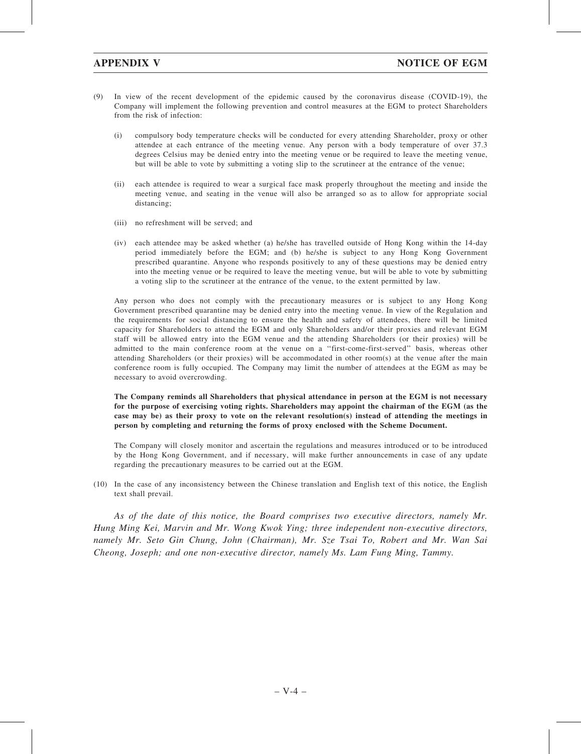- (9) In view of the recent development of the epidemic caused by the coronavirus disease (COVID-19), the Company will implement the following prevention and control measures at the EGM to protect Shareholders from the risk of infection:
	- (i) compulsory body temperature checks will be conducted for every attending Shareholder, proxy or other attendee at each entrance of the meeting venue. Any person with a body temperature of over 37.3 degrees Celsius may be denied entry into the meeting venue or be required to leave the meeting venue, but will be able to vote by submitting a voting slip to the scrutineer at the entrance of the venue;
	- (ii) each attendee is required to wear a surgical face mask properly throughout the meeting and inside the meeting venue, and seating in the venue will also be arranged so as to allow for appropriate social distancing;
	- (iii) no refreshment will be served; and
	- (iv) each attendee may be asked whether (a) he/she has travelled outside of Hong Kong within the 14-day period immediately before the EGM; and (b) he/she is subject to any Hong Kong Government prescribed quarantine. Anyone who responds positively to any of these questions may be denied entry into the meeting venue or be required to leave the meeting venue, but will be able to vote by submitting a voting slip to the scrutineer at the entrance of the venue, to the extent permitted by law.

Any person who does not comply with the precautionary measures or is subject to any Hong Kong Government prescribed quarantine may be denied entry into the meeting venue. In view of the Regulation and the requirements for social distancing to ensure the health and safety of attendees, there will be limited capacity for Shareholders to attend the EGM and only Shareholders and/or their proxies and relevant EGM staff will be allowed entry into the EGM venue and the attending Shareholders (or their proxies) will be admitted to the main conference room at the venue on a ''first-come-first-served'' basis, whereas other attending Shareholders (or their proxies) will be accommodated in other room(s) at the venue after the main conference room is fully occupied. The Company may limit the number of attendees at the EGM as may be necessary to avoid overcrowding.

The Company reminds all Shareholders that physical attendance in person at the EGM is not necessary for the purpose of exercising voting rights. Shareholders may appoint the chairman of the EGM (as the case may be) as their proxy to vote on the relevant resolution(s) instead of attending the meetings in person by completing and returning the forms of proxy enclosed with the Scheme Document.

The Company will closely monitor and ascertain the regulations and measures introduced or to be introduced by the Hong Kong Government, and if necessary, will make further announcements in case of any update regarding the precautionary measures to be carried out at the EGM.

(10) In the case of any inconsistency between the Chinese translation and English text of this notice, the English text shall prevail.

As of the date of this notice, the Board comprises two executive directors, namely Mr. Hung Ming Kei, Marvin and Mr. Wong Kwok Ying; three independent non-executive directors, namely Mr. Seto Gin Chung, John (Chairman), Mr. Sze Tsai To, Robert and Mr. Wan Sai Cheong, Joseph; and one non-executive director, namely Ms. Lam Fung Ming, Tammy.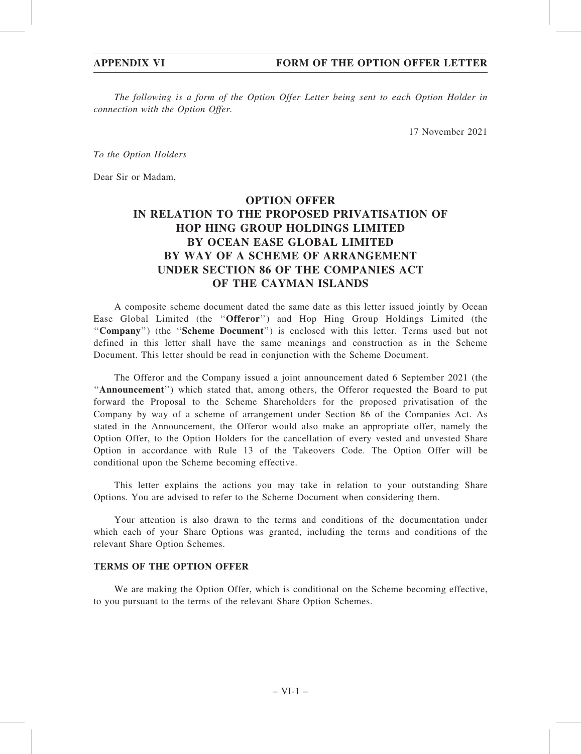The following is a form of the Option Offer Letter being sent to each Option Holder in connection with the Option Offer.

17 November 2021

To the Option Holders

Dear Sir or Madam,

# OPTION OFFER IN RELATION TO THE PROPOSED PRIVATISATION OF HOP HING GROUP HOLDINGS LIMITED BY OCEAN EASE GLOBAL LIMITED BY WAY OF A SCHEME OF ARRANGEMENT UNDER SECTION 86 OF THE COMPANIES ACT OF THE CAYMAN ISLANDS

A composite scheme document dated the same date as this letter issued jointly by Ocean Ease Global Limited (the ''Offeror'') and Hop Hing Group Holdings Limited (the "Company") (the "Scheme Document") is enclosed with this letter. Terms used but not defined in this letter shall have the same meanings and construction as in the Scheme Document. This letter should be read in conjunction with the Scheme Document.

The Offeror and the Company issued a joint announcement dated 6 September 2021 (the ''Announcement'') which stated that, among others, the Offeror requested the Board to put forward the Proposal to the Scheme Shareholders for the proposed privatisation of the Company by way of a scheme of arrangement under Section 86 of the Companies Act. As stated in the Announcement, the Offeror would also make an appropriate offer, namely the Option Offer, to the Option Holders for the cancellation of every vested and unvested Share Option in accordance with Rule 13 of the Takeovers Code. The Option Offer will be conditional upon the Scheme becoming effective.

This letter explains the actions you may take in relation to your outstanding Share Options. You are advised to refer to the Scheme Document when considering them.

Your attention is also drawn to the terms and conditions of the documentation under which each of your Share Options was granted, including the terms and conditions of the relevant Share Option Schemes.

## TERMS OF THE OPTION OFFER

We are making the Option Offer, which is conditional on the Scheme becoming effective, to you pursuant to the terms of the relevant Share Option Schemes.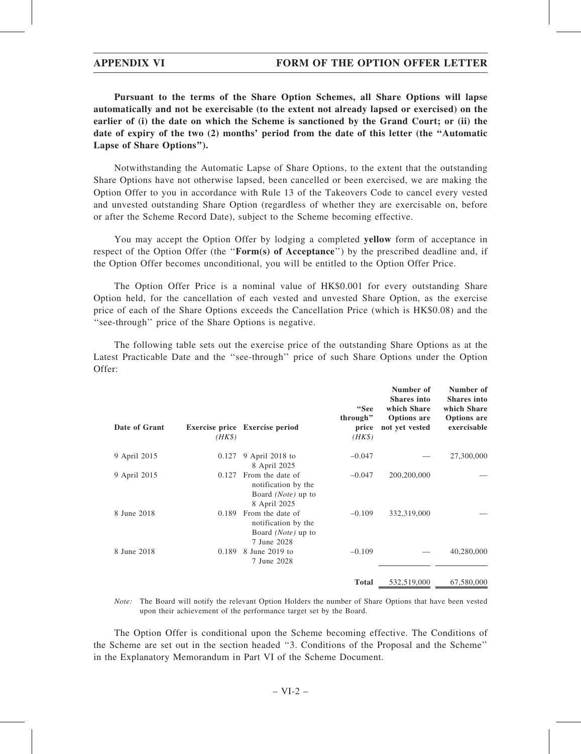## APPENDIX VI **FORM OF THE OPTION OFFER LETTER**

Pursuant to the terms of the Share Option Schemes, all Share Options will lapse automatically and not be exercisable (to the extent not already lapsed or exercised) on the earlier of (i) the date on which the Scheme is sanctioned by the Grand Court; or (ii) the date of expiry of the two (2) months' period from the date of this letter (the ''Automatic Lapse of Share Options'').

Notwithstanding the Automatic Lapse of Share Options, to the extent that the outstanding Share Options have not otherwise lapsed, been cancelled or been exercised, we are making the Option Offer to you in accordance with Rule 13 of the Takeovers Code to cancel every vested and unvested outstanding Share Option (regardless of whether they are exercisable on, before or after the Scheme Record Date), subject to the Scheme becoming effective.

You may accept the Option Offer by lodging a completed yellow form of acceptance in respect of the Option Offer (the "**Form(s)** of Acceptance") by the prescribed deadline and, if the Option Offer becomes unconditional, you will be entitled to the Option Offer Price.

The Option Offer Price is a nominal value of HK\$0.001 for every outstanding Share Option held, for the cancellation of each vested and unvested Share Option, as the exercise price of each of the Share Options exceeds the Cancellation Price (which is HK\$0.08) and the "see-through" price of the Share Options is negative.

The following table sets out the exercise price of the outstanding Share Options as at the Latest Practicable Date and the ''see-through'' price of such Share Options under the Option Offer:

| Date of Grant | $(HK\$ | Exercise price Exercise period                                                         | "See<br>through"<br>price<br>$(HK\$ | Number of<br><b>Shares</b> into<br>which Share<br><b>Options</b> are<br>not yet vested | Number of<br><b>Shares</b> into<br>which Share<br><b>Options</b> are<br>exercisable |
|---------------|--------|----------------------------------------------------------------------------------------|-------------------------------------|----------------------------------------------------------------------------------------|-------------------------------------------------------------------------------------|
| 9 April 2015  | 0.127  | 9 April 2018 to<br>8 April 2025                                                        | $-0.047$                            |                                                                                        | 27,300,000                                                                          |
| 9 April 2015  | 0.127  | From the date of<br>notification by the<br>Board ( <i>Note</i> ) up to<br>8 April 2025 | $-0.047$                            | 200,200,000                                                                            |                                                                                     |
| 8 June 2018   | 0.189  | From the date of<br>notification by the<br>Board ( <i>Note</i> ) up to<br>7 June 2028  | $-0.109$                            | 332,319,000                                                                            |                                                                                     |
| 8 June 2018   | 0.189  | 8 June 2019 to<br>7 June 2028                                                          | $-0.109$                            |                                                                                        | 40,280,000                                                                          |
|               |        |                                                                                        | <b>Total</b>                        | 532,519,000                                                                            | 67,580,000                                                                          |

Note: The Board will notify the relevant Option Holders the number of Share Options that have been vested upon their achievement of the performance target set by the Board.

The Option Offer is conditional upon the Scheme becoming effective. The Conditions of the Scheme are set out in the section headed ''3. Conditions of the Proposal and the Scheme'' in the Explanatory Memorandum in Part VI of the Scheme Document.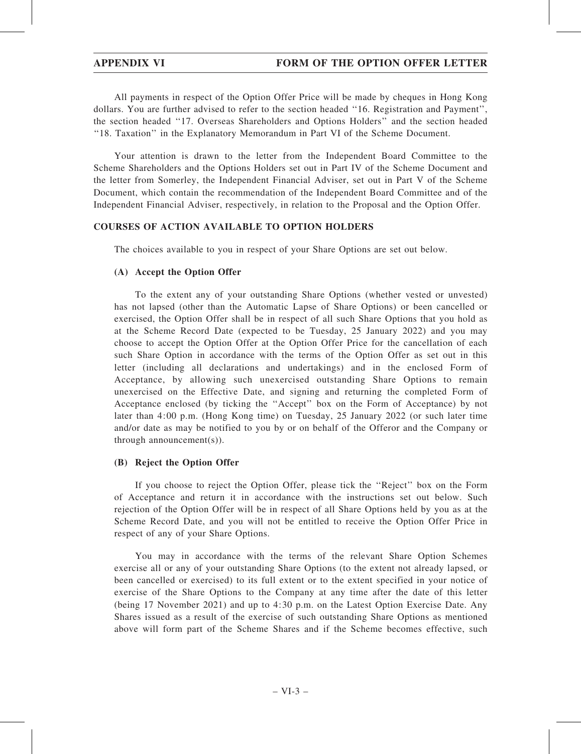All payments in respect of the Option Offer Price will be made by cheques in Hong Kong dollars. You are further advised to refer to the section headed ''16. Registration and Payment'', the section headed ''17. Overseas Shareholders and Options Holders'' and the section headed ''18. Taxation'' in the Explanatory Memorandum in Part VI of the Scheme Document.

Your attention is drawn to the letter from the Independent Board Committee to the Scheme Shareholders and the Options Holders set out in Part IV of the Scheme Document and the letter from Somerley, the Independent Financial Adviser, set out in Part V of the Scheme Document, which contain the recommendation of the Independent Board Committee and of the Independent Financial Adviser, respectively, in relation to the Proposal and the Option Offer.

## COURSES OF ACTION AVAILABLE TO OPTION HOLDERS

The choices available to you in respect of your Share Options are set out below.

## (A) Accept the Option Offer

To the extent any of your outstanding Share Options (whether vested or unvested) has not lapsed (other than the Automatic Lapse of Share Options) or been cancelled or exercised, the Option Offer shall be in respect of all such Share Options that you hold as at the Scheme Record Date (expected to be Tuesday, 25 January 2022) and you may choose to accept the Option Offer at the Option Offer Price for the cancellation of each such Share Option in accordance with the terms of the Option Offer as set out in this letter (including all declarations and undertakings) and in the enclosed Form of Acceptance, by allowing such unexercised outstanding Share Options to remain unexercised on the Effective Date, and signing and returning the completed Form of Acceptance enclosed (by ticking the ''Accept'' box on the Form of Acceptance) by not later than 4:00 p.m. (Hong Kong time) on Tuesday, 25 January 2022 (or such later time and/or date as may be notified to you by or on behalf of the Offeror and the Company or through announcement(s)).

## (B) Reject the Option Offer

If you choose to reject the Option Offer, please tick the ''Reject'' box on the Form of Acceptance and return it in accordance with the instructions set out below. Such rejection of the Option Offer will be in respect of all Share Options held by you as at the Scheme Record Date, and you will not be entitled to receive the Option Offer Price in respect of any of your Share Options.

You may in accordance with the terms of the relevant Share Option Schemes exercise all or any of your outstanding Share Options (to the extent not already lapsed, or been cancelled or exercised) to its full extent or to the extent specified in your notice of exercise of the Share Options to the Company at any time after the date of this letter (being 17 November 2021) and up to 4:30 p.m. on the Latest Option Exercise Date. Any Shares issued as a result of the exercise of such outstanding Share Options as mentioned above will form part of the Scheme Shares and if the Scheme becomes effective, such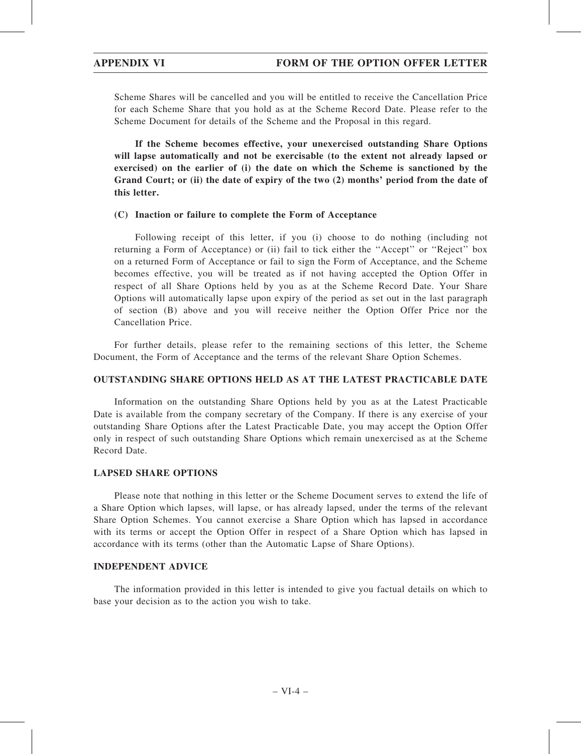Scheme Shares will be cancelled and you will be entitled to receive the Cancellation Price for each Scheme Share that you hold as at the Scheme Record Date. Please refer to the Scheme Document for details of the Scheme and the Proposal in this regard.

If the Scheme becomes effective, your unexercised outstanding Share Options will lapse automatically and not be exercisable (to the extent not already lapsed or exercised) on the earlier of (i) the date on which the Scheme is sanctioned by the Grand Court; or (ii) the date of expiry of the two (2) months' period from the date of this letter.

## (C) Inaction or failure to complete the Form of Acceptance

Following receipt of this letter, if you (i) choose to do nothing (including not returning a Form of Acceptance) or (ii) fail to tick either the ''Accept'' or ''Reject'' box on a returned Form of Acceptance or fail to sign the Form of Acceptance, and the Scheme becomes effective, you will be treated as if not having accepted the Option Offer in respect of all Share Options held by you as at the Scheme Record Date. Your Share Options will automatically lapse upon expiry of the period as set out in the last paragraph of section (B) above and you will receive neither the Option Offer Price nor the Cancellation Price.

For further details, please refer to the remaining sections of this letter, the Scheme Document, the Form of Acceptance and the terms of the relevant Share Option Schemes.

## OUTSTANDING SHARE OPTIONS HELD AS AT THE LATEST PRACTICABLE DATE

Information on the outstanding Share Options held by you as at the Latest Practicable Date is available from the company secretary of the Company. If there is any exercise of your outstanding Share Options after the Latest Practicable Date, you may accept the Option Offer only in respect of such outstanding Share Options which remain unexercised as at the Scheme Record Date.

## LAPSED SHARE OPTIONS

Please note that nothing in this letter or the Scheme Document serves to extend the life of a Share Option which lapses, will lapse, or has already lapsed, under the terms of the relevant Share Option Schemes. You cannot exercise a Share Option which has lapsed in accordance with its terms or accept the Option Offer in respect of a Share Option which has lapsed in accordance with its terms (other than the Automatic Lapse of Share Options).

## INDEPENDENT ADVICE

The information provided in this letter is intended to give you factual details on which to base your decision as to the action you wish to take.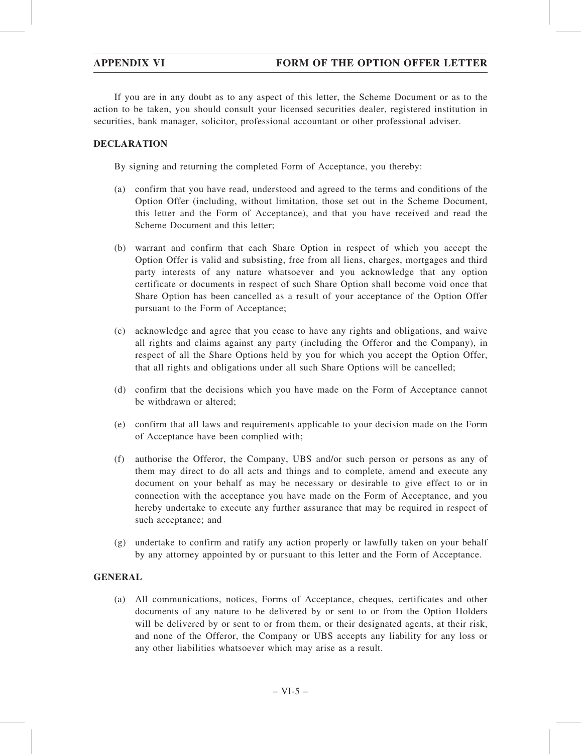If you are in any doubt as to any aspect of this letter, the Scheme Document or as to the action to be taken, you should consult your licensed securities dealer, registered institution in securities, bank manager, solicitor, professional accountant or other professional adviser.

## DECLARATION

By signing and returning the completed Form of Acceptance, you thereby:

- (a) confirm that you have read, understood and agreed to the terms and conditions of the Option Offer (including, without limitation, those set out in the Scheme Document, this letter and the Form of Acceptance), and that you have received and read the Scheme Document and this letter;
- (b) warrant and confirm that each Share Option in respect of which you accept the Option Offer is valid and subsisting, free from all liens, charges, mortgages and third party interests of any nature whatsoever and you acknowledge that any option certificate or documents in respect of such Share Option shall become void once that Share Option has been cancelled as a result of your acceptance of the Option Offer pursuant to the Form of Acceptance;
- (c) acknowledge and agree that you cease to have any rights and obligations, and waive all rights and claims against any party (including the Offeror and the Company), in respect of all the Share Options held by you for which you accept the Option Offer, that all rights and obligations under all such Share Options will be cancelled;
- (d) confirm that the decisions which you have made on the Form of Acceptance cannot be withdrawn or altered;
- (e) confirm that all laws and requirements applicable to your decision made on the Form of Acceptance have been complied with;
- (f) authorise the Offeror, the Company, UBS and/or such person or persons as any of them may direct to do all acts and things and to complete, amend and execute any document on your behalf as may be necessary or desirable to give effect to or in connection with the acceptance you have made on the Form of Acceptance, and you hereby undertake to execute any further assurance that may be required in respect of such acceptance; and
- (g) undertake to confirm and ratify any action properly or lawfully taken on your behalf by any attorney appointed by or pursuant to this letter and the Form of Acceptance.

## **GENERAL**

(a) All communications, notices, Forms of Acceptance, cheques, certificates and other documents of any nature to be delivered by or sent to or from the Option Holders will be delivered by or sent to or from them, or their designated agents, at their risk, and none of the Offeror, the Company or UBS accepts any liability for any loss or any other liabilities whatsoever which may arise as a result.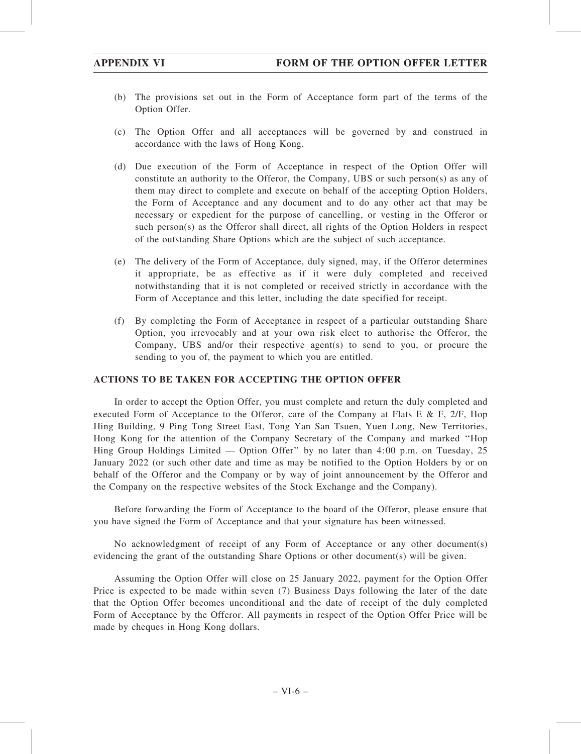- (b) The provisions set out in the Form of Acceptance form part of the terms of the Option Offer.
- (c) The Option Offer and all acceptances will be governed by and construed in accordance with the laws of Hong Kong.
- (d) Due execution of the Form of Acceptance in respect of the Option Offer will constitute an authority to the Offeror, the Company, UBS or such person(s) as any of them may direct to complete and execute on behalf of the accepting Option Holders, the Form of Acceptance and any document and to do any other act that may be necessary or expedient for the purpose of cancelling, or vesting in the Offeror or such person(s) as the Offeror shall direct, all rights of the Option Holders in respect of the outstanding Share Options which are the subject of such acceptance.
- (e) The delivery of the Form of Acceptance, duly signed, may, if the Offeror determines it appropriate, be as effective as if it were duly completed and received notwithstanding that it is not completed or received strictly in accordance with the Form of Acceptance and this letter, including the date specified for receipt.
- (f) By completing the Form of Acceptance in respect of a particular outstanding Share Option, you irrevocably and at your own risk elect to authorise the Offeror, the Company, UBS and/or their respective agent(s) to send to you, or procure the sending to you of, the payment to which you are entitled.

## ACTIONS TO BE TAKEN FOR ACCEPTING THE OPTION OFFER

In order to accept the Option Offer, you must complete and return the duly completed and executed Form of Acceptance to the Offeror, care of the Company at Flats E & F,  $2/F$ , Hop Hing Building, 9 Ping Tong Street East, Tong Yan San Tsuen, Yuen Long, New Territories, Hong Kong for the attention of the Company Secretary of the Company and marked ''Hop Hing Group Holdings Limited — Option Offer'' by no later than 4:00 p.m. on Tuesday, 25 January 2022 (or such other date and time as may be notified to the Option Holders by or on behalf of the Offeror and the Company or by way of joint announcement by the Offeror and the Company on the respective websites of the Stock Exchange and the Company).

Before forwarding the Form of Acceptance to the board of the Offeror, please ensure that you have signed the Form of Acceptance and that your signature has been witnessed.

No acknowledgment of receipt of any Form of Acceptance or any other document(s) evidencing the grant of the outstanding Share Options or other document(s) will be given.

Assuming the Option Offer will close on 25 January 2022, payment for the Option Offer Price is expected to be made within seven (7) Business Days following the later of the date that the Option Offer becomes unconditional and the date of receipt of the duly completed Form of Acceptance by the Offeror. All payments in respect of the Option Offer Price will be made by cheques in Hong Kong dollars.